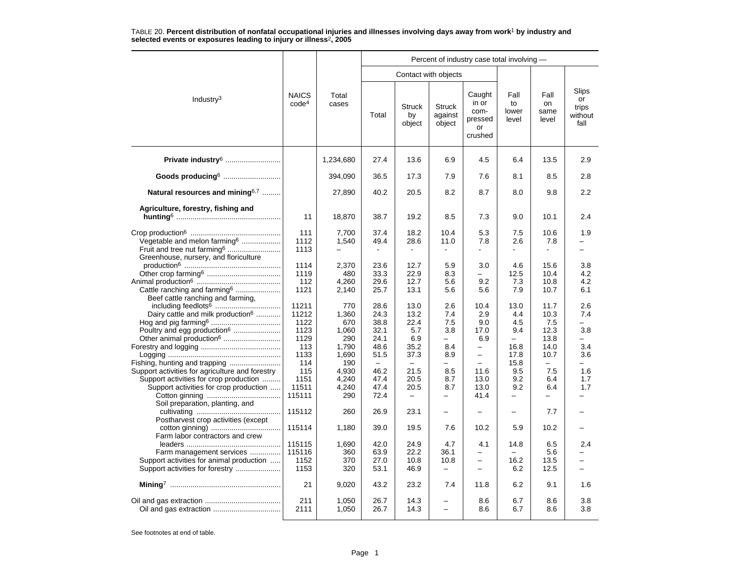|                                                                                  |                                   |                |              |                               |                                    | Percent of industry case total involving -          |                              |                             |                                         |  |  |
|----------------------------------------------------------------------------------|-----------------------------------|----------------|--------------|-------------------------------|------------------------------------|-----------------------------------------------------|------------------------------|-----------------------------|-----------------------------------------|--|--|
|                                                                                  |                                   |                |              |                               | Contact with objects               |                                                     |                              |                             |                                         |  |  |
| Industry <sup>3</sup>                                                            | <b>NAICS</b><br>code <sup>4</sup> | Total<br>cases | Total        | <b>Struck</b><br>by<br>object | <b>Struck</b><br>against<br>object | Caught<br>in or<br>com-<br>pressed<br>or<br>crushed | Fall<br>to<br>lower<br>level | Fall<br>on<br>same<br>level | Slips<br>or<br>trips<br>without<br>fall |  |  |
| Private industry <sup>6</sup>                                                    |                                   | 1,234,680      | 27.4         | 13.6                          | 6.9                                | 4.5                                                 | 6.4                          | 13.5                        | 2.9                                     |  |  |
| Goods producing <sup>6</sup>                                                     |                                   | 394.090        | 36.5         | 17.3                          | 7.9                                | 7.6                                                 | 8.1                          | 8.5                         | 2.8                                     |  |  |
| Natural resources and mining <sup>6,7</sup>                                      |                                   | 27,890         | 40.2         | 20.5                          | 8.2                                | 8.7                                                 | 8.0                          | 9.8                         | 2.2                                     |  |  |
| Agriculture, forestry, fishing and                                               |                                   |                |              |                               |                                    |                                                     |                              |                             |                                         |  |  |
|                                                                                  | 11                                | 18,870         | 38.7         | 19.2                          | 8.5                                | 7.3                                                 | 9.0                          | 10.1                        | 2.4                                     |  |  |
| Vegetable and melon farming <sup>6</sup>                                         | 111<br>1112                       | 7,700<br>1,540 | 37.4<br>49.4 | 18.2<br>28.6                  | 10.4<br>11.0                       | 5.3<br>7.8                                          | 7.5<br>2.6                   | 10.6<br>7.8                 | 1.9                                     |  |  |
| Fruit and tree nut farming <sup>6</sup><br>Greenhouse, nursery, and floriculture | 1113                              | -              | $\sim$       | $\blacksquare$                | $\blacksquare$                     | ÷.                                                  | $\mathbf{r}$                 | $\mathbf{r}$                | $\overline{\phantom{0}}$                |  |  |
|                                                                                  | 1114<br>1119                      | 2,370<br>480   | 23.6<br>33.3 | 12.7<br>22.9                  | 5.9<br>8.3                         | 3.0                                                 | 4.6<br>12.5                  | 15.6<br>10.4                | 3.8<br>4.2                              |  |  |
|                                                                                  | 112                               | 4,260          | 29.6         | 12.7                          | 5.6                                | 9.2                                                 | 7.3                          | 10.8                        | 4.2                                     |  |  |
| Cattle ranching and farming <sup>6</sup><br>Beef cattle ranching and farming,    | 1121                              | 2,140          | 25.7         | 13.1                          | 5.6                                | 5.6                                                 | 7.9                          | 10.7                        | 6.1                                     |  |  |
|                                                                                  | 11211                             | 770            | 28.6         | 13.0                          | 2.6                                | 10.4                                                | 13.0                         | 11.7                        | 2.6                                     |  |  |
| Dairy cattle and milk production <sup>6</sup>                                    | 11212<br>1122                     | 1,360<br>670   | 24.3<br>38.8 | 13.2<br>22.4                  | 7.4<br>7.5                         | 2.9<br>9.0                                          | 4.4<br>4.5                   | 10.3<br>7.5                 | 7.4                                     |  |  |
| Poultry and egg production <sup>6</sup>                                          | 1123                              | 1,060          | 32.1         | 5.7                           | 3.8                                | 17.0                                                | 9.4                          | 12.3                        | 3.8                                     |  |  |
| Other animal production <sup>6</sup>                                             | 1129                              | 290            | 24.1         | 6.9                           | -                                  | 6.9                                                 |                              | 13.8                        |                                         |  |  |
|                                                                                  | 113                               | 1,790          | 48.6         | 35.2                          | 8.4                                | $\overline{\phantom{0}}$                            | 16.8                         | 14.0                        | 3.4                                     |  |  |
|                                                                                  | 1133                              | 1,690          | 51.5         | 37.3                          | 8.9                                | $\overline{\phantom{0}}$                            | 17.8                         | 10.7                        | 3.6                                     |  |  |
|                                                                                  | 114                               | 190            |              |                               |                                    | $\overline{\phantom{0}}$                            | 15.8                         |                             |                                         |  |  |
| Support activities for agriculture and forestry                                  | 115                               | 4,930          | 46.2         | 21.5                          | 8.5                                | 11.6                                                | 9.5                          | 7.5                         | 1.6                                     |  |  |
| Support activities for crop production<br>Support activities for crop production | 1151<br>11511                     | 4,240<br>4,240 | 47.4<br>47.4 | 20.5<br>20.5                  | 8.7<br>8.7                         | 13.0<br>13.0                                        | 9.2<br>9.2                   | 6.4<br>6.4                  | 1.7<br>1.7                              |  |  |
| Soil preparation, planting, and                                                  | 115111                            | 290            | 72.4         | $\overline{\phantom{0}}$      | $\overline{\phantom{0}}$           | 41.4                                                | —                            | $\overline{\phantom{0}}$    |                                         |  |  |
| Postharvest crop activities (except                                              | 115112                            | 260            | 26.9         | 23.1                          | $\overline{\phantom{0}}$           |                                                     | $\overline{\phantom{0}}$     | 7.7                         |                                         |  |  |
| Farm labor contractors and crew                                                  | 115114                            | 1,180          | 39.0         | 19.5                          | 7.6                                | 10.2                                                | 5.9                          | 10.2                        |                                         |  |  |
|                                                                                  | 115115                            | 1,690          | 42.0         | 24.9                          | 4.7                                | 4.1                                                 | 14.8                         | 6.5                         | 2.4                                     |  |  |
| Farm management services                                                         | 115116                            | 360            | 63.9         | 22.2                          | 36.1                               | $\overline{\phantom{0}}$                            |                              | 5.6                         |                                         |  |  |
| Support activities for animal production                                         | 1152<br>1153                      | 370<br>320     | 27.0<br>53.1 | 10.8<br>46.9                  | 10.8<br>$\overline{\phantom{0}}$   | $\overline{\phantom{0}}$<br>$\overline{a}$          | 16.2<br>6.2                  | 13.5<br>12.5                | ÷                                       |  |  |
|                                                                                  |                                   |                |              |                               |                                    |                                                     |                              |                             |                                         |  |  |
|                                                                                  | 21                                | 9,020          | 43.2         | 23.2                          | 7.4                                | 11.8                                                | 6.2                          | 9.1                         | 1.6                                     |  |  |
|                                                                                  | 211<br>2111                       | 1,050<br>1,050 | 26.7<br>26.7 | 14.3<br>14.3                  | $\equiv$                           | 8.6<br>8.6                                          | 6.7<br>6.7                   | 8.6<br>8.6                  | 3.8<br>3.8                              |  |  |
|                                                                                  |                                   |                |              |                               |                                    |                                                     |                              |                             |                                         |  |  |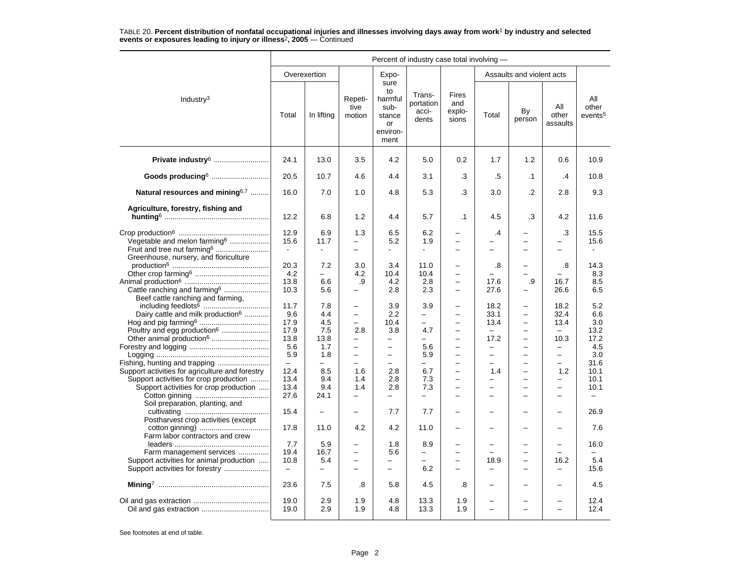| Overexertion<br>Expo-<br>Assaults and violent acts<br>sure<br>to<br>Trans-<br><b>Fires</b><br>harmful<br>Repeti-<br>All<br>Industry <sup>3</sup><br>portation<br>and<br>All<br>other<br>tive<br>sub-<br>acci-<br>explo-<br>By<br>Total<br>In lifting<br>Total<br>other<br>motion<br>events <sup>5</sup><br>stance<br>sions<br>dents<br>person<br>assaults<br>or<br>environ-<br>ment<br>Private industry <sup>6</sup><br>24.1<br>4.2<br>1.2<br>10.9<br>13.0<br>3.5<br>5.0<br>0.2<br>1.7<br>0.6<br>Goods producing <sup>6</sup><br>20.5<br>10.7<br>4.6<br>4.4<br>3.1<br>.3<br>.5<br>$\cdot$ 1<br>10.8<br>$\cdot$<br>Natural resources and mining <sup>6,7</sup><br>16.0<br>7.0<br>5.3<br>$\cdot$<br>9.3<br>1.0<br>4.8<br>.3<br>3.0<br>2.8<br>Agriculture, forestry, fishing and<br>12.2<br>6.8<br>1.2<br>4.4<br>5.7<br>$\cdot$ 1<br>4.5<br>.3<br>4.2<br>11.6<br>12.9<br>6.9<br>6.2<br>.3<br>1.3<br>6.5<br>.4<br>15.5<br>Vegetable and melon farming <sup>6</sup><br>15.6<br>11.7<br>5.2<br>1.9<br>15.6<br>$\overline{\phantom{0}}$<br>$\overline{\phantom{0}}$<br>$\overline{\phantom{0}}$<br>$\equiv$<br>Fruit and tree nut farming <sup>6</sup><br>$\blacksquare$<br>$\mathbf{r}$<br>$\overline{\phantom{0}}$<br>$\blacksquare$<br>$\overline{\phantom{0}}$<br>$\overline{\phantom{0}}$<br>$\overline{\phantom{0}}$<br>$\overline{\phantom{0}}$<br>Greenhouse, nursery, and floriculture<br>20.3<br>7.2<br>3.0<br>3.4<br>11.0<br>14.3<br>.8<br>.8<br>$\overline{\phantom{0}}$<br>-<br>4.2<br>10.4<br>8.3<br>4.2<br>10.4<br>$\equiv$<br>-<br>13.8<br>6.6<br>.9<br>4.2<br>2.8<br>$\overline{\phantom{0}}$<br>17.6<br>.9<br>16.7<br>8.5<br>Cattle ranching and farming <sup>6</sup><br>10.3<br>5.6<br>2.8<br>2.3<br>27.6<br>26.6<br>6.5<br>$\overline{\phantom{0}}$<br>-<br>-<br>Beef cattle ranching and farming.<br>11.7<br>7.8<br>3.9<br>3.9<br>18.2<br>18.2<br>5.2<br>$\qquad \qquad -$<br>$\overline{\phantom{0}}$<br>$\overline{\phantom{0}}$<br>Dairy cattle and milk production <sup>6</sup><br>2.2<br>9.6<br>4.4<br>33.1<br>32.4<br>6.6<br>$\overline{\phantom{0}}$<br>$\overline{\phantom{0}}$<br>$\overline{\phantom{0}}$<br>17.9<br>4.5<br>10.4<br>13.4<br>13.4<br>3.0<br>$\overline{\phantom{m}}$<br>$\overline{\phantom{0}}$<br>$\overline{\phantom{0}}$<br>$\overline{\phantom{0}}$<br>Poultry and egg production <sup>6</sup><br>2.8<br>17.9<br>7.5<br>3.8<br>4.7<br>13.2<br>$\equiv$<br>$\equiv$<br>$\equiv$<br>$\overline{\phantom{0}}$<br>Other animal production <sup>6</sup><br>13.8<br>13.8<br>17.2<br>10.3<br>17.2<br>÷<br>$\equiv$<br>$\overline{\phantom{0}}$<br>$\overline{\phantom{0}}$<br>$\equiv$<br>5.6<br>4.5<br>1.7<br>5.6<br>$\overline{\phantom{0}}$<br>$\overline{\phantom{0}}$<br>$\overline{\phantom{0}}$<br>$\overline{\phantom{0}}$<br>$\overline{\phantom{0}}$<br>$\qquad \qquad -$<br>3.0<br>5.9<br>1.8<br>5.9<br>$\overline{\phantom{0}}$<br>$\overline{\phantom{0}}$<br>$\overline{\phantom{0}}$<br>$\overline{\phantom{0}}$<br>$\overline{\phantom{0}}$<br>$\overline{\phantom{0}}$<br>31.6<br>$\equiv$<br>$\overline{\phantom{0}}$<br>$\overline{a}$<br>$\overline{a}$<br>$\overline{\phantom{0}}$<br>$\equiv$<br>$\overline{\phantom{0}}$<br>-<br>$\overline{\phantom{0}}$<br>8.5<br>2.8<br>Support activities for agriculture and forestry<br>12.4<br>1.6<br>6.7<br>1.4<br>1.2<br>10.1<br>$\equiv$<br>-<br>Support activities for crop production<br>13.4<br>9.4<br>2.8<br>7.3<br>1.4<br>10.1<br>$\overline{\phantom{0}}$<br>$\overline{\phantom{0}}$<br>$\qquad \qquad -$<br>Support activities for crop production<br>13.4<br>9.4<br>1.4<br>10.1<br>2.8<br>7.3<br>$\overline{\phantom{0}}$<br>$\overline{\phantom{0}}$<br>$\equiv$<br>27.6<br>24.1<br>$\overline{\phantom{0}}$<br>$\overline{\phantom{0}}$<br>÷<br>÷<br>$\overline{\phantom{0}}$<br>-<br>Soil preparation, planting, and<br>26.9<br>15.4<br>7.7<br>7.7<br>$\equiv$<br>$\overline{\phantom{m}}$<br>$\overline{\phantom{0}}$<br>$\overline{\phantom{0}}$<br>$\overline{\phantom{0}}$<br>$\overline{\phantom{0}}$<br>Postharvest crop activities (except<br>4.2<br>4.2<br>7.6<br>17.8<br>11.0<br>11.0<br>$\overline{\phantom{0}}$<br>$\overline{\phantom{0}}$<br>Farm labor contractors and crew<br>7.7<br>5.9<br>1.8<br>8.9<br>16.0<br>L,<br>$\equiv$<br>$\overline{\phantom{0}}$<br>19.4<br>16.7<br>5.6<br>Farm management services<br>$\overline{\phantom{0}}$<br>$-$<br>$\equiv$<br>$\overline{\phantom{0}}$<br>$\overline{\phantom{0}}$<br>$\equiv$<br>5.4<br>16.2<br>5.4<br>Support activities for animal production<br>10.8<br>18.9<br>$\overline{\phantom{0}}$<br>$\overline{\phantom{0}}$<br>$\overline{\phantom{0}}$<br>$\overline{\phantom{0}}$<br>Support activities for forestry<br>15.6<br>6.2<br>$\qquad \qquad -$<br>$\equiv$<br>$\overline{\phantom{0}}$<br>$\overline{\phantom{0}}$<br>$\qquad \qquad -$<br>23.6<br>7.5<br>.8<br>5.8<br>4.5<br>.8<br>4.5<br>19.0<br>2.9<br>1.9<br>4.8<br>13.3<br>1.9<br>12.4<br>19.0<br>2.9<br>1.9<br>4.8<br>13.3<br>1.9<br>12.4 | Percent of industry case total involving - |  |  |  |  |  |  |  |  |  |  |
|-----------------------------------------------------------------------------------------------------------------------------------------------------------------------------------------------------------------------------------------------------------------------------------------------------------------------------------------------------------------------------------------------------------------------------------------------------------------------------------------------------------------------------------------------------------------------------------------------------------------------------------------------------------------------------------------------------------------------------------------------------------------------------------------------------------------------------------------------------------------------------------------------------------------------------------------------------------------------------------------------------------------------------------------------------------------------------------------------------------------------------------------------------------------------------------------------------------------------------------------------------------------------------------------------------------------------------------------------------------------------------------------------------------------------------------------------------------------------------------------------------------------------------------------------------------------------------------------------------------------------------------------------------------------------------------------------------------------------------------------------------------------------------------------------------------------------------------------------------------------------------------------------------------------------------------------------------------------------------------------------------------------------------------------------------------------------------------------------------------------------------------------------------------------------------------------------------------------------------------------------------------------------------------------------------------------------------------------------------------------------------------------------------------------------------------------------------------------------------------------------------------------------------------------------------------------------------------------------------------------------------------------------------------------------------------------------------------------------------------------------------------------------------------------------------------------------------------------------------------------------------------------------------------------------------------------------------------------------------------------------------------------------------------------------------------------------------------------------------------------------------------------------------------------------------------------------------------------------------------------------------------------------------------------------------------------------------------------------------------------------------------------------------------------------------------------------------------------------------------------------------------------------------------------------------------------------------------------------------------------------------------------------------------------------------------------------------------------------------------------------------------------------------------------------------------------------------------------------------------------------------------------------------------------------------------------------------------------------------------------------------------------------------------------------------------------------------------------------------------------------------------------------------------------------------------------------------------------------------------------------------------------------------------------------------------------------------------------------------------------------------------------------------------------------------------------------------------------------------------------------------------------------------------------------------------------------------------------------------------------------------------------------------------------------------------------------------------------------------------------------------------------------------------------------------------------------------------------------------------------------------------------------------------------------------------------------------------------------------------------------|--------------------------------------------|--|--|--|--|--|--|--|--|--|--|
|                                                                                                                                                                                                                                                                                                                                                                                                                                                                                                                                                                                                                                                                                                                                                                                                                                                                                                                                                                                                                                                                                                                                                                                                                                                                                                                                                                                                                                                                                                                                                                                                                                                                                                                                                                                                                                                                                                                                                                                                                                                                                                                                                                                                                                                                                                                                                                                                                                                                                                                                                                                                                                                                                                                                                                                                                                                                                                                                                                                                                                                                                                                                                                                                                                                                                                                                                                                                                                                                                                                                                                                                                                                                                                                                                                                                                                                                                                                                                                                                                                                                                                                                                                                                                                                                                                                                                                                                                                                                                                                                                                                                                                                                                                                                                                                                                                                                                                                                                                                               |                                            |  |  |  |  |  |  |  |  |  |  |
|                                                                                                                                                                                                                                                                                                                                                                                                                                                                                                                                                                                                                                                                                                                                                                                                                                                                                                                                                                                                                                                                                                                                                                                                                                                                                                                                                                                                                                                                                                                                                                                                                                                                                                                                                                                                                                                                                                                                                                                                                                                                                                                                                                                                                                                                                                                                                                                                                                                                                                                                                                                                                                                                                                                                                                                                                                                                                                                                                                                                                                                                                                                                                                                                                                                                                                                                                                                                                                                                                                                                                                                                                                                                                                                                                                                                                                                                                                                                                                                                                                                                                                                                                                                                                                                                                                                                                                                                                                                                                                                                                                                                                                                                                                                                                                                                                                                                                                                                                                                               |                                            |  |  |  |  |  |  |  |  |  |  |
|                                                                                                                                                                                                                                                                                                                                                                                                                                                                                                                                                                                                                                                                                                                                                                                                                                                                                                                                                                                                                                                                                                                                                                                                                                                                                                                                                                                                                                                                                                                                                                                                                                                                                                                                                                                                                                                                                                                                                                                                                                                                                                                                                                                                                                                                                                                                                                                                                                                                                                                                                                                                                                                                                                                                                                                                                                                                                                                                                                                                                                                                                                                                                                                                                                                                                                                                                                                                                                                                                                                                                                                                                                                                                                                                                                                                                                                                                                                                                                                                                                                                                                                                                                                                                                                                                                                                                                                                                                                                                                                                                                                                                                                                                                                                                                                                                                                                                                                                                                                               |                                            |  |  |  |  |  |  |  |  |  |  |
|                                                                                                                                                                                                                                                                                                                                                                                                                                                                                                                                                                                                                                                                                                                                                                                                                                                                                                                                                                                                                                                                                                                                                                                                                                                                                                                                                                                                                                                                                                                                                                                                                                                                                                                                                                                                                                                                                                                                                                                                                                                                                                                                                                                                                                                                                                                                                                                                                                                                                                                                                                                                                                                                                                                                                                                                                                                                                                                                                                                                                                                                                                                                                                                                                                                                                                                                                                                                                                                                                                                                                                                                                                                                                                                                                                                                                                                                                                                                                                                                                                                                                                                                                                                                                                                                                                                                                                                                                                                                                                                                                                                                                                                                                                                                                                                                                                                                                                                                                                                               |                                            |  |  |  |  |  |  |  |  |  |  |
|                                                                                                                                                                                                                                                                                                                                                                                                                                                                                                                                                                                                                                                                                                                                                                                                                                                                                                                                                                                                                                                                                                                                                                                                                                                                                                                                                                                                                                                                                                                                                                                                                                                                                                                                                                                                                                                                                                                                                                                                                                                                                                                                                                                                                                                                                                                                                                                                                                                                                                                                                                                                                                                                                                                                                                                                                                                                                                                                                                                                                                                                                                                                                                                                                                                                                                                                                                                                                                                                                                                                                                                                                                                                                                                                                                                                                                                                                                                                                                                                                                                                                                                                                                                                                                                                                                                                                                                                                                                                                                                                                                                                                                                                                                                                                                                                                                                                                                                                                                                               |                                            |  |  |  |  |  |  |  |  |  |  |
|                                                                                                                                                                                                                                                                                                                                                                                                                                                                                                                                                                                                                                                                                                                                                                                                                                                                                                                                                                                                                                                                                                                                                                                                                                                                                                                                                                                                                                                                                                                                                                                                                                                                                                                                                                                                                                                                                                                                                                                                                                                                                                                                                                                                                                                                                                                                                                                                                                                                                                                                                                                                                                                                                                                                                                                                                                                                                                                                                                                                                                                                                                                                                                                                                                                                                                                                                                                                                                                                                                                                                                                                                                                                                                                                                                                                                                                                                                                                                                                                                                                                                                                                                                                                                                                                                                                                                                                                                                                                                                                                                                                                                                                                                                                                                                                                                                                                                                                                                                                               |                                            |  |  |  |  |  |  |  |  |  |  |
|                                                                                                                                                                                                                                                                                                                                                                                                                                                                                                                                                                                                                                                                                                                                                                                                                                                                                                                                                                                                                                                                                                                                                                                                                                                                                                                                                                                                                                                                                                                                                                                                                                                                                                                                                                                                                                                                                                                                                                                                                                                                                                                                                                                                                                                                                                                                                                                                                                                                                                                                                                                                                                                                                                                                                                                                                                                                                                                                                                                                                                                                                                                                                                                                                                                                                                                                                                                                                                                                                                                                                                                                                                                                                                                                                                                                                                                                                                                                                                                                                                                                                                                                                                                                                                                                                                                                                                                                                                                                                                                                                                                                                                                                                                                                                                                                                                                                                                                                                                                               |                                            |  |  |  |  |  |  |  |  |  |  |
|                                                                                                                                                                                                                                                                                                                                                                                                                                                                                                                                                                                                                                                                                                                                                                                                                                                                                                                                                                                                                                                                                                                                                                                                                                                                                                                                                                                                                                                                                                                                                                                                                                                                                                                                                                                                                                                                                                                                                                                                                                                                                                                                                                                                                                                                                                                                                                                                                                                                                                                                                                                                                                                                                                                                                                                                                                                                                                                                                                                                                                                                                                                                                                                                                                                                                                                                                                                                                                                                                                                                                                                                                                                                                                                                                                                                                                                                                                                                                                                                                                                                                                                                                                                                                                                                                                                                                                                                                                                                                                                                                                                                                                                                                                                                                                                                                                                                                                                                                                                               |                                            |  |  |  |  |  |  |  |  |  |  |
|                                                                                                                                                                                                                                                                                                                                                                                                                                                                                                                                                                                                                                                                                                                                                                                                                                                                                                                                                                                                                                                                                                                                                                                                                                                                                                                                                                                                                                                                                                                                                                                                                                                                                                                                                                                                                                                                                                                                                                                                                                                                                                                                                                                                                                                                                                                                                                                                                                                                                                                                                                                                                                                                                                                                                                                                                                                                                                                                                                                                                                                                                                                                                                                                                                                                                                                                                                                                                                                                                                                                                                                                                                                                                                                                                                                                                                                                                                                                                                                                                                                                                                                                                                                                                                                                                                                                                                                                                                                                                                                                                                                                                                                                                                                                                                                                                                                                                                                                                                                               |                                            |  |  |  |  |  |  |  |  |  |  |
|                                                                                                                                                                                                                                                                                                                                                                                                                                                                                                                                                                                                                                                                                                                                                                                                                                                                                                                                                                                                                                                                                                                                                                                                                                                                                                                                                                                                                                                                                                                                                                                                                                                                                                                                                                                                                                                                                                                                                                                                                                                                                                                                                                                                                                                                                                                                                                                                                                                                                                                                                                                                                                                                                                                                                                                                                                                                                                                                                                                                                                                                                                                                                                                                                                                                                                                                                                                                                                                                                                                                                                                                                                                                                                                                                                                                                                                                                                                                                                                                                                                                                                                                                                                                                                                                                                                                                                                                                                                                                                                                                                                                                                                                                                                                                                                                                                                                                                                                                                                               |                                            |  |  |  |  |  |  |  |  |  |  |
|                                                                                                                                                                                                                                                                                                                                                                                                                                                                                                                                                                                                                                                                                                                                                                                                                                                                                                                                                                                                                                                                                                                                                                                                                                                                                                                                                                                                                                                                                                                                                                                                                                                                                                                                                                                                                                                                                                                                                                                                                                                                                                                                                                                                                                                                                                                                                                                                                                                                                                                                                                                                                                                                                                                                                                                                                                                                                                                                                                                                                                                                                                                                                                                                                                                                                                                                                                                                                                                                                                                                                                                                                                                                                                                                                                                                                                                                                                                                                                                                                                                                                                                                                                                                                                                                                                                                                                                                                                                                                                                                                                                                                                                                                                                                                                                                                                                                                                                                                                                               |                                            |  |  |  |  |  |  |  |  |  |  |
|                                                                                                                                                                                                                                                                                                                                                                                                                                                                                                                                                                                                                                                                                                                                                                                                                                                                                                                                                                                                                                                                                                                                                                                                                                                                                                                                                                                                                                                                                                                                                                                                                                                                                                                                                                                                                                                                                                                                                                                                                                                                                                                                                                                                                                                                                                                                                                                                                                                                                                                                                                                                                                                                                                                                                                                                                                                                                                                                                                                                                                                                                                                                                                                                                                                                                                                                                                                                                                                                                                                                                                                                                                                                                                                                                                                                                                                                                                                                                                                                                                                                                                                                                                                                                                                                                                                                                                                                                                                                                                                                                                                                                                                                                                                                                                                                                                                                                                                                                                                               |                                            |  |  |  |  |  |  |  |  |  |  |
|                                                                                                                                                                                                                                                                                                                                                                                                                                                                                                                                                                                                                                                                                                                                                                                                                                                                                                                                                                                                                                                                                                                                                                                                                                                                                                                                                                                                                                                                                                                                                                                                                                                                                                                                                                                                                                                                                                                                                                                                                                                                                                                                                                                                                                                                                                                                                                                                                                                                                                                                                                                                                                                                                                                                                                                                                                                                                                                                                                                                                                                                                                                                                                                                                                                                                                                                                                                                                                                                                                                                                                                                                                                                                                                                                                                                                                                                                                                                                                                                                                                                                                                                                                                                                                                                                                                                                                                                                                                                                                                                                                                                                                                                                                                                                                                                                                                                                                                                                                                               |                                            |  |  |  |  |  |  |  |  |  |  |
|                                                                                                                                                                                                                                                                                                                                                                                                                                                                                                                                                                                                                                                                                                                                                                                                                                                                                                                                                                                                                                                                                                                                                                                                                                                                                                                                                                                                                                                                                                                                                                                                                                                                                                                                                                                                                                                                                                                                                                                                                                                                                                                                                                                                                                                                                                                                                                                                                                                                                                                                                                                                                                                                                                                                                                                                                                                                                                                                                                                                                                                                                                                                                                                                                                                                                                                                                                                                                                                                                                                                                                                                                                                                                                                                                                                                                                                                                                                                                                                                                                                                                                                                                                                                                                                                                                                                                                                                                                                                                                                                                                                                                                                                                                                                                                                                                                                                                                                                                                                               |                                            |  |  |  |  |  |  |  |  |  |  |
|                                                                                                                                                                                                                                                                                                                                                                                                                                                                                                                                                                                                                                                                                                                                                                                                                                                                                                                                                                                                                                                                                                                                                                                                                                                                                                                                                                                                                                                                                                                                                                                                                                                                                                                                                                                                                                                                                                                                                                                                                                                                                                                                                                                                                                                                                                                                                                                                                                                                                                                                                                                                                                                                                                                                                                                                                                                                                                                                                                                                                                                                                                                                                                                                                                                                                                                                                                                                                                                                                                                                                                                                                                                                                                                                                                                                                                                                                                                                                                                                                                                                                                                                                                                                                                                                                                                                                                                                                                                                                                                                                                                                                                                                                                                                                                                                                                                                                                                                                                                               |                                            |  |  |  |  |  |  |  |  |  |  |
|                                                                                                                                                                                                                                                                                                                                                                                                                                                                                                                                                                                                                                                                                                                                                                                                                                                                                                                                                                                                                                                                                                                                                                                                                                                                                                                                                                                                                                                                                                                                                                                                                                                                                                                                                                                                                                                                                                                                                                                                                                                                                                                                                                                                                                                                                                                                                                                                                                                                                                                                                                                                                                                                                                                                                                                                                                                                                                                                                                                                                                                                                                                                                                                                                                                                                                                                                                                                                                                                                                                                                                                                                                                                                                                                                                                                                                                                                                                                                                                                                                                                                                                                                                                                                                                                                                                                                                                                                                                                                                                                                                                                                                                                                                                                                                                                                                                                                                                                                                                               |                                            |  |  |  |  |  |  |  |  |  |  |
|                                                                                                                                                                                                                                                                                                                                                                                                                                                                                                                                                                                                                                                                                                                                                                                                                                                                                                                                                                                                                                                                                                                                                                                                                                                                                                                                                                                                                                                                                                                                                                                                                                                                                                                                                                                                                                                                                                                                                                                                                                                                                                                                                                                                                                                                                                                                                                                                                                                                                                                                                                                                                                                                                                                                                                                                                                                                                                                                                                                                                                                                                                                                                                                                                                                                                                                                                                                                                                                                                                                                                                                                                                                                                                                                                                                                                                                                                                                                                                                                                                                                                                                                                                                                                                                                                                                                                                                                                                                                                                                                                                                                                                                                                                                                                                                                                                                                                                                                                                                               |                                            |  |  |  |  |  |  |  |  |  |  |
|                                                                                                                                                                                                                                                                                                                                                                                                                                                                                                                                                                                                                                                                                                                                                                                                                                                                                                                                                                                                                                                                                                                                                                                                                                                                                                                                                                                                                                                                                                                                                                                                                                                                                                                                                                                                                                                                                                                                                                                                                                                                                                                                                                                                                                                                                                                                                                                                                                                                                                                                                                                                                                                                                                                                                                                                                                                                                                                                                                                                                                                                                                                                                                                                                                                                                                                                                                                                                                                                                                                                                                                                                                                                                                                                                                                                                                                                                                                                                                                                                                                                                                                                                                                                                                                                                                                                                                                                                                                                                                                                                                                                                                                                                                                                                                                                                                                                                                                                                                                               |                                            |  |  |  |  |  |  |  |  |  |  |
|                                                                                                                                                                                                                                                                                                                                                                                                                                                                                                                                                                                                                                                                                                                                                                                                                                                                                                                                                                                                                                                                                                                                                                                                                                                                                                                                                                                                                                                                                                                                                                                                                                                                                                                                                                                                                                                                                                                                                                                                                                                                                                                                                                                                                                                                                                                                                                                                                                                                                                                                                                                                                                                                                                                                                                                                                                                                                                                                                                                                                                                                                                                                                                                                                                                                                                                                                                                                                                                                                                                                                                                                                                                                                                                                                                                                                                                                                                                                                                                                                                                                                                                                                                                                                                                                                                                                                                                                                                                                                                                                                                                                                                                                                                                                                                                                                                                                                                                                                                                               |                                            |  |  |  |  |  |  |  |  |  |  |
|                                                                                                                                                                                                                                                                                                                                                                                                                                                                                                                                                                                                                                                                                                                                                                                                                                                                                                                                                                                                                                                                                                                                                                                                                                                                                                                                                                                                                                                                                                                                                                                                                                                                                                                                                                                                                                                                                                                                                                                                                                                                                                                                                                                                                                                                                                                                                                                                                                                                                                                                                                                                                                                                                                                                                                                                                                                                                                                                                                                                                                                                                                                                                                                                                                                                                                                                                                                                                                                                                                                                                                                                                                                                                                                                                                                                                                                                                                                                                                                                                                                                                                                                                                                                                                                                                                                                                                                                                                                                                                                                                                                                                                                                                                                                                                                                                                                                                                                                                                                               |                                            |  |  |  |  |  |  |  |  |  |  |
|                                                                                                                                                                                                                                                                                                                                                                                                                                                                                                                                                                                                                                                                                                                                                                                                                                                                                                                                                                                                                                                                                                                                                                                                                                                                                                                                                                                                                                                                                                                                                                                                                                                                                                                                                                                                                                                                                                                                                                                                                                                                                                                                                                                                                                                                                                                                                                                                                                                                                                                                                                                                                                                                                                                                                                                                                                                                                                                                                                                                                                                                                                                                                                                                                                                                                                                                                                                                                                                                                                                                                                                                                                                                                                                                                                                                                                                                                                                                                                                                                                                                                                                                                                                                                                                                                                                                                                                                                                                                                                                                                                                                                                                                                                                                                                                                                                                                                                                                                                                               |                                            |  |  |  |  |  |  |  |  |  |  |
|                                                                                                                                                                                                                                                                                                                                                                                                                                                                                                                                                                                                                                                                                                                                                                                                                                                                                                                                                                                                                                                                                                                                                                                                                                                                                                                                                                                                                                                                                                                                                                                                                                                                                                                                                                                                                                                                                                                                                                                                                                                                                                                                                                                                                                                                                                                                                                                                                                                                                                                                                                                                                                                                                                                                                                                                                                                                                                                                                                                                                                                                                                                                                                                                                                                                                                                                                                                                                                                                                                                                                                                                                                                                                                                                                                                                                                                                                                                                                                                                                                                                                                                                                                                                                                                                                                                                                                                                                                                                                                                                                                                                                                                                                                                                                                                                                                                                                                                                                                                               |                                            |  |  |  |  |  |  |  |  |  |  |
|                                                                                                                                                                                                                                                                                                                                                                                                                                                                                                                                                                                                                                                                                                                                                                                                                                                                                                                                                                                                                                                                                                                                                                                                                                                                                                                                                                                                                                                                                                                                                                                                                                                                                                                                                                                                                                                                                                                                                                                                                                                                                                                                                                                                                                                                                                                                                                                                                                                                                                                                                                                                                                                                                                                                                                                                                                                                                                                                                                                                                                                                                                                                                                                                                                                                                                                                                                                                                                                                                                                                                                                                                                                                                                                                                                                                                                                                                                                                                                                                                                                                                                                                                                                                                                                                                                                                                                                                                                                                                                                                                                                                                                                                                                                                                                                                                                                                                                                                                                                               |                                            |  |  |  |  |  |  |  |  |  |  |
|                                                                                                                                                                                                                                                                                                                                                                                                                                                                                                                                                                                                                                                                                                                                                                                                                                                                                                                                                                                                                                                                                                                                                                                                                                                                                                                                                                                                                                                                                                                                                                                                                                                                                                                                                                                                                                                                                                                                                                                                                                                                                                                                                                                                                                                                                                                                                                                                                                                                                                                                                                                                                                                                                                                                                                                                                                                                                                                                                                                                                                                                                                                                                                                                                                                                                                                                                                                                                                                                                                                                                                                                                                                                                                                                                                                                                                                                                                                                                                                                                                                                                                                                                                                                                                                                                                                                                                                                                                                                                                                                                                                                                                                                                                                                                                                                                                                                                                                                                                                               |                                            |  |  |  |  |  |  |  |  |  |  |
|                                                                                                                                                                                                                                                                                                                                                                                                                                                                                                                                                                                                                                                                                                                                                                                                                                                                                                                                                                                                                                                                                                                                                                                                                                                                                                                                                                                                                                                                                                                                                                                                                                                                                                                                                                                                                                                                                                                                                                                                                                                                                                                                                                                                                                                                                                                                                                                                                                                                                                                                                                                                                                                                                                                                                                                                                                                                                                                                                                                                                                                                                                                                                                                                                                                                                                                                                                                                                                                                                                                                                                                                                                                                                                                                                                                                                                                                                                                                                                                                                                                                                                                                                                                                                                                                                                                                                                                                                                                                                                                                                                                                                                                                                                                                                                                                                                                                                                                                                                                               |                                            |  |  |  |  |  |  |  |  |  |  |
|                                                                                                                                                                                                                                                                                                                                                                                                                                                                                                                                                                                                                                                                                                                                                                                                                                                                                                                                                                                                                                                                                                                                                                                                                                                                                                                                                                                                                                                                                                                                                                                                                                                                                                                                                                                                                                                                                                                                                                                                                                                                                                                                                                                                                                                                                                                                                                                                                                                                                                                                                                                                                                                                                                                                                                                                                                                                                                                                                                                                                                                                                                                                                                                                                                                                                                                                                                                                                                                                                                                                                                                                                                                                                                                                                                                                                                                                                                                                                                                                                                                                                                                                                                                                                                                                                                                                                                                                                                                                                                                                                                                                                                                                                                                                                                                                                                                                                                                                                                                               |                                            |  |  |  |  |  |  |  |  |  |  |
|                                                                                                                                                                                                                                                                                                                                                                                                                                                                                                                                                                                                                                                                                                                                                                                                                                                                                                                                                                                                                                                                                                                                                                                                                                                                                                                                                                                                                                                                                                                                                                                                                                                                                                                                                                                                                                                                                                                                                                                                                                                                                                                                                                                                                                                                                                                                                                                                                                                                                                                                                                                                                                                                                                                                                                                                                                                                                                                                                                                                                                                                                                                                                                                                                                                                                                                                                                                                                                                                                                                                                                                                                                                                                                                                                                                                                                                                                                                                                                                                                                                                                                                                                                                                                                                                                                                                                                                                                                                                                                                                                                                                                                                                                                                                                                                                                                                                                                                                                                                               |                                            |  |  |  |  |  |  |  |  |  |  |
|                                                                                                                                                                                                                                                                                                                                                                                                                                                                                                                                                                                                                                                                                                                                                                                                                                                                                                                                                                                                                                                                                                                                                                                                                                                                                                                                                                                                                                                                                                                                                                                                                                                                                                                                                                                                                                                                                                                                                                                                                                                                                                                                                                                                                                                                                                                                                                                                                                                                                                                                                                                                                                                                                                                                                                                                                                                                                                                                                                                                                                                                                                                                                                                                                                                                                                                                                                                                                                                                                                                                                                                                                                                                                                                                                                                                                                                                                                                                                                                                                                                                                                                                                                                                                                                                                                                                                                                                                                                                                                                                                                                                                                                                                                                                                                                                                                                                                                                                                                                               |                                            |  |  |  |  |  |  |  |  |  |  |
|                                                                                                                                                                                                                                                                                                                                                                                                                                                                                                                                                                                                                                                                                                                                                                                                                                                                                                                                                                                                                                                                                                                                                                                                                                                                                                                                                                                                                                                                                                                                                                                                                                                                                                                                                                                                                                                                                                                                                                                                                                                                                                                                                                                                                                                                                                                                                                                                                                                                                                                                                                                                                                                                                                                                                                                                                                                                                                                                                                                                                                                                                                                                                                                                                                                                                                                                                                                                                                                                                                                                                                                                                                                                                                                                                                                                                                                                                                                                                                                                                                                                                                                                                                                                                                                                                                                                                                                                                                                                                                                                                                                                                                                                                                                                                                                                                                                                                                                                                                                               |                                            |  |  |  |  |  |  |  |  |  |  |
|                                                                                                                                                                                                                                                                                                                                                                                                                                                                                                                                                                                                                                                                                                                                                                                                                                                                                                                                                                                                                                                                                                                                                                                                                                                                                                                                                                                                                                                                                                                                                                                                                                                                                                                                                                                                                                                                                                                                                                                                                                                                                                                                                                                                                                                                                                                                                                                                                                                                                                                                                                                                                                                                                                                                                                                                                                                                                                                                                                                                                                                                                                                                                                                                                                                                                                                                                                                                                                                                                                                                                                                                                                                                                                                                                                                                                                                                                                                                                                                                                                                                                                                                                                                                                                                                                                                                                                                                                                                                                                                                                                                                                                                                                                                                                                                                                                                                                                                                                                                               |                                            |  |  |  |  |  |  |  |  |  |  |
|                                                                                                                                                                                                                                                                                                                                                                                                                                                                                                                                                                                                                                                                                                                                                                                                                                                                                                                                                                                                                                                                                                                                                                                                                                                                                                                                                                                                                                                                                                                                                                                                                                                                                                                                                                                                                                                                                                                                                                                                                                                                                                                                                                                                                                                                                                                                                                                                                                                                                                                                                                                                                                                                                                                                                                                                                                                                                                                                                                                                                                                                                                                                                                                                                                                                                                                                                                                                                                                                                                                                                                                                                                                                                                                                                                                                                                                                                                                                                                                                                                                                                                                                                                                                                                                                                                                                                                                                                                                                                                                                                                                                                                                                                                                                                                                                                                                                                                                                                                                               |                                            |  |  |  |  |  |  |  |  |  |  |
|                                                                                                                                                                                                                                                                                                                                                                                                                                                                                                                                                                                                                                                                                                                                                                                                                                                                                                                                                                                                                                                                                                                                                                                                                                                                                                                                                                                                                                                                                                                                                                                                                                                                                                                                                                                                                                                                                                                                                                                                                                                                                                                                                                                                                                                                                                                                                                                                                                                                                                                                                                                                                                                                                                                                                                                                                                                                                                                                                                                                                                                                                                                                                                                                                                                                                                                                                                                                                                                                                                                                                                                                                                                                                                                                                                                                                                                                                                                                                                                                                                                                                                                                                                                                                                                                                                                                                                                                                                                                                                                                                                                                                                                                                                                                                                                                                                                                                                                                                                                               |                                            |  |  |  |  |  |  |  |  |  |  |
|                                                                                                                                                                                                                                                                                                                                                                                                                                                                                                                                                                                                                                                                                                                                                                                                                                                                                                                                                                                                                                                                                                                                                                                                                                                                                                                                                                                                                                                                                                                                                                                                                                                                                                                                                                                                                                                                                                                                                                                                                                                                                                                                                                                                                                                                                                                                                                                                                                                                                                                                                                                                                                                                                                                                                                                                                                                                                                                                                                                                                                                                                                                                                                                                                                                                                                                                                                                                                                                                                                                                                                                                                                                                                                                                                                                                                                                                                                                                                                                                                                                                                                                                                                                                                                                                                                                                                                                                                                                                                                                                                                                                                                                                                                                                                                                                                                                                                                                                                                                               |                                            |  |  |  |  |  |  |  |  |  |  |
|                                                                                                                                                                                                                                                                                                                                                                                                                                                                                                                                                                                                                                                                                                                                                                                                                                                                                                                                                                                                                                                                                                                                                                                                                                                                                                                                                                                                                                                                                                                                                                                                                                                                                                                                                                                                                                                                                                                                                                                                                                                                                                                                                                                                                                                                                                                                                                                                                                                                                                                                                                                                                                                                                                                                                                                                                                                                                                                                                                                                                                                                                                                                                                                                                                                                                                                                                                                                                                                                                                                                                                                                                                                                                                                                                                                                                                                                                                                                                                                                                                                                                                                                                                                                                                                                                                                                                                                                                                                                                                                                                                                                                                                                                                                                                                                                                                                                                                                                                                                               |                                            |  |  |  |  |  |  |  |  |  |  |
|                                                                                                                                                                                                                                                                                                                                                                                                                                                                                                                                                                                                                                                                                                                                                                                                                                                                                                                                                                                                                                                                                                                                                                                                                                                                                                                                                                                                                                                                                                                                                                                                                                                                                                                                                                                                                                                                                                                                                                                                                                                                                                                                                                                                                                                                                                                                                                                                                                                                                                                                                                                                                                                                                                                                                                                                                                                                                                                                                                                                                                                                                                                                                                                                                                                                                                                                                                                                                                                                                                                                                                                                                                                                                                                                                                                                                                                                                                                                                                                                                                                                                                                                                                                                                                                                                                                                                                                                                                                                                                                                                                                                                                                                                                                                                                                                                                                                                                                                                                                               |                                            |  |  |  |  |  |  |  |  |  |  |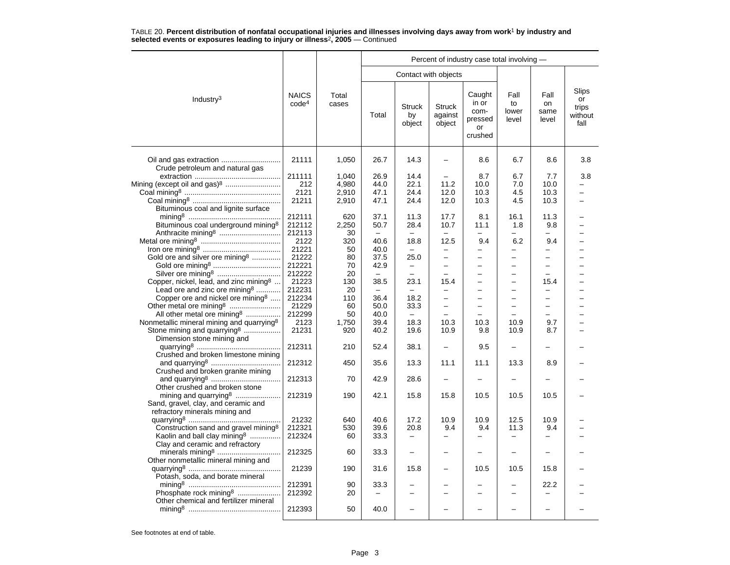|                                                                                                            |                                   |                | Percent of industry case total involving - |                               |                                    |                                                     |                              |                             |                                                |  |  |  |
|------------------------------------------------------------------------------------------------------------|-----------------------------------|----------------|--------------------------------------------|-------------------------------|------------------------------------|-----------------------------------------------------|------------------------------|-----------------------------|------------------------------------------------|--|--|--|
|                                                                                                            |                                   |                |                                            |                               | Contact with objects               |                                                     |                              |                             |                                                |  |  |  |
| Industry <sup>3</sup>                                                                                      | <b>NAICS</b><br>code <sup>4</sup> | Total<br>cases | Total                                      | <b>Struck</b><br>by<br>object | <b>Struck</b><br>against<br>object | Caught<br>in or<br>com-<br>pressed<br>or<br>crushed | Fall<br>to<br>lower<br>level | Fall<br>on<br>same<br>level | <b>Slips</b><br>or<br>trips<br>without<br>fall |  |  |  |
| Crude petroleum and natural gas                                                                            | 21111                             | 1,050          | 26.7                                       | 14.3                          | $\overline{\phantom{0}}$           | 8.6                                                 | 6.7                          | 8.6                         | 3.8                                            |  |  |  |
|                                                                                                            | 211111                            | 1,040          | 26.9                                       | 14.4                          |                                    | 8.7                                                 | 6.7                          | 7.7                         | 3.8                                            |  |  |  |
| Mining (except oil and gas) <sup>8</sup>                                                                   | 212                               | 4,980          | 44.0                                       | 22.1                          | 11.2                               | 10.0                                                | 7.0                          | 10.0                        | -                                              |  |  |  |
|                                                                                                            | 2121                              | 2,910          | 47.1                                       | 24.4                          | 12.0                               | 10.3                                                | 4.5                          | 10.3                        |                                                |  |  |  |
|                                                                                                            | 21211                             | 2,910          | 47.1                                       | 24.4                          | 12.0                               | 10.3                                                | 4.5                          | 10.3                        |                                                |  |  |  |
| Bituminous coal and lignite surface                                                                        |                                   |                |                                            |                               |                                    |                                                     |                              |                             |                                                |  |  |  |
|                                                                                                            | 212111                            | 620            | 37.1                                       | 11.3                          | 17.7                               | 8.1                                                 | 16.1                         | 11.3                        |                                                |  |  |  |
| Bituminous coal underground mining <sup>8</sup>                                                            | 212112                            | 2,250          | 50.7                                       | 28.4                          | 10.7                               | 11.1                                                | 1.8                          | 9.8                         |                                                |  |  |  |
|                                                                                                            | 212113                            | 30             |                                            |                               |                                    |                                                     |                              |                             |                                                |  |  |  |
|                                                                                                            | 2122                              | 320            | 40.6                                       | 18.8                          | 12.5                               | 9.4                                                 | 6.2                          | 9.4                         |                                                |  |  |  |
|                                                                                                            | 21221                             | 50             | 40.0                                       | $\equiv$                      |                                    | $\overline{\phantom{0}}$                            |                              |                             |                                                |  |  |  |
| Gold ore and silver ore mining <sup>8</sup>                                                                | 21222                             | 80             | 37.5                                       | 25.0                          | $\equiv$                           | $\overline{\phantom{0}}$                            | $\overline{a}$               | $\equiv$                    |                                                |  |  |  |
|                                                                                                            | 212221                            | 70             | 42.9                                       | $\qquad \qquad -$             | $\overline{\phantom{0}}$           | $\overline{\phantom{0}}$                            | $\overline{\phantom{0}}$     | $\overline{\phantom{0}}$    |                                                |  |  |  |
|                                                                                                            | 212222                            | 20             |                                            |                               |                                    | —                                                   | -                            |                             |                                                |  |  |  |
| Copper, nickel, lead, and zinc mining <sup>8</sup>                                                         | 21223                             | 130            | 38.5                                       | 23.1                          | 15.4                               | $\overline{\phantom{0}}$                            | $\overline{\phantom{0}}$     | 15.4                        |                                                |  |  |  |
| Lead ore and zinc ore mining <sup>8</sup>                                                                  | 212231                            |                | $\qquad \qquad -$                          |                               | $\overline{\phantom{0}}$           | $\overline{\phantom{0}}$                            | -                            | $\overline{\phantom{0}}$    |                                                |  |  |  |
|                                                                                                            |                                   | 20             |                                            |                               |                                    |                                                     |                              |                             |                                                |  |  |  |
| Copper ore and nickel ore mining <sup>8</sup>                                                              | 212234                            | 110            | 36.4                                       | 18.2                          | $\equiv$                           | $\overline{\phantom{0}}$                            | $\overline{a}$               | $\overline{\phantom{0}}$    |                                                |  |  |  |
|                                                                                                            | 21229                             | 60             | 50.0                                       | 33.3                          | $\qquad \qquad -$                  | $\overline{\phantom{0}}$                            | $\equiv$                     | $\equiv$                    |                                                |  |  |  |
| All other metal ore mining <sup>8</sup>                                                                    | 212299                            | 50             | 40.0                                       |                               |                                    |                                                     |                              |                             |                                                |  |  |  |
| Nonmetallic mineral mining and quarrying <sup>8</sup>                                                      | 2123                              | 1,750          | 39.4                                       | 18.3                          | 10.3                               | 10.3                                                | 10.9                         | 9.7                         |                                                |  |  |  |
| Stone mining and quarrying <sup>8</sup><br>Dimension stone mining and                                      | 21231                             | 920            | 40.2                                       | 19.6                          | 10.9                               | 9.8                                                 | 10.9                         | 8.7                         |                                                |  |  |  |
| Crushed and broken limestone mining                                                                        | 212311                            | 210            | 52.4                                       | 38.1                          | $\overline{\phantom{0}}$           | 9.5                                                 | -                            |                             |                                                |  |  |  |
| Crushed and broken granite mining                                                                          | 212312                            | 450            | 35.6                                       | 13.3                          | 11.1                               | 11.1                                                | 13.3                         | 8.9                         |                                                |  |  |  |
| Other crushed and broken stone                                                                             | 212313                            | 70             | 42.9                                       | 28.6                          |                                    |                                                     |                              |                             |                                                |  |  |  |
| mining and quarrying <sup>8</sup><br>Sand, gravel, clay, and ceramic and<br>refractory minerals mining and | 212319                            | 190            | 42.1                                       | 15.8                          | 15.8                               | 10.5                                                | 10.5                         | 10.5                        |                                                |  |  |  |
|                                                                                                            | 21232                             | 640            | 40.6                                       | 17.2                          | 10.9                               | 10.9                                                | 12.5                         | 10.9                        |                                                |  |  |  |
| Construction sand and gravel mining <sup>8</sup>                                                           | 212321                            | 530            | 39.6                                       | 20.8                          | 9.4                                | 9.4                                                 | 11.3                         | 9.4                         |                                                |  |  |  |
| Kaolin and ball clay mining <sup>8</sup>                                                                   | 212324                            | 60             | 33.3                                       | -                             |                                    |                                                     | -                            |                             |                                                |  |  |  |
| Clay and ceramic and refractory<br>Other nonmetallic mineral mining and                                    | 212325                            | 60             | 33.3                                       |                               |                                    |                                                     | -                            |                             |                                                |  |  |  |
| Potash, soda, and borate mineral                                                                           | 21239                             | 190            | 31.6                                       | 15.8                          |                                    | 10.5                                                | 10.5                         | 15.8                        |                                                |  |  |  |
|                                                                                                            | 212391                            | 90             | 33.3                                       |                               |                                    |                                                     |                              | 22.2                        |                                                |  |  |  |
| Phosphate rock mining <sup>8</sup>                                                                         | 212392                            | 20             |                                            | $\overline{\phantom{0}}$      |                                    |                                                     | $\overline{\phantom{0}}$     |                             |                                                |  |  |  |
| Other chemical and fertilizer mineral                                                                      |                                   |                |                                            |                               |                                    |                                                     |                              |                             |                                                |  |  |  |
|                                                                                                            | 212393                            | 50             | 40.0                                       |                               |                                    |                                                     |                              |                             |                                                |  |  |  |
|                                                                                                            |                                   |                |                                            |                               |                                    |                                                     |                              |                             |                                                |  |  |  |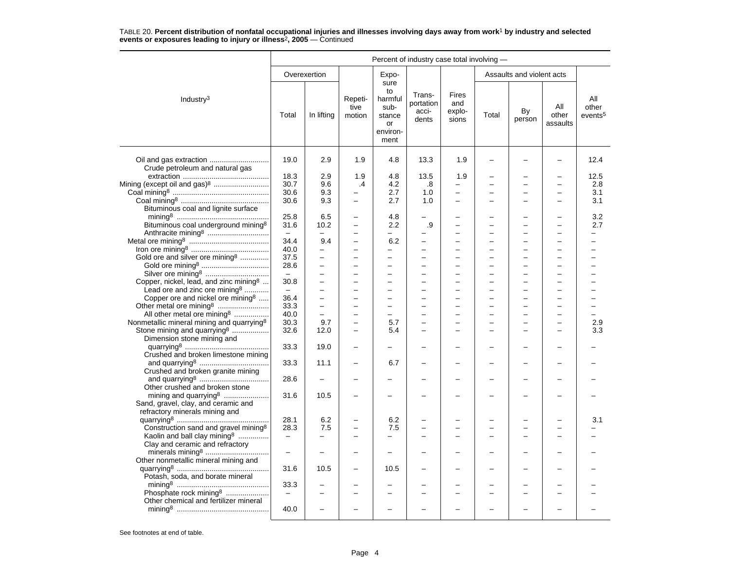|                                                                                                            |                          |                          |                           |                                                                   | Percent of industry case total involving - |                                 |       |                           |                          |                                     |
|------------------------------------------------------------------------------------------------------------|--------------------------|--------------------------|---------------------------|-------------------------------------------------------------------|--------------------------------------------|---------------------------------|-------|---------------------------|--------------------------|-------------------------------------|
|                                                                                                            |                          | Overexertion             |                           | Expo-                                                             |                                            |                                 |       | Assaults and violent acts |                          |                                     |
| Industry <sup>3</sup>                                                                                      | Total                    | In lifting               | Repeti-<br>tive<br>motion | sure<br>to<br>harmful<br>sub-<br>stance<br>or<br>environ-<br>ment | Trans-<br>portation<br>acci-<br>dents      | Fires<br>and<br>explo-<br>sions | Total | By<br>person              | All<br>other<br>assaults | All<br>other<br>events <sup>5</sup> |
| Oil and gas extraction                                                                                     | 19.0                     | 2.9                      | 1.9                       | 4.8                                                               | 13.3                                       | 1.9                             |       |                           |                          | 12.4                                |
| Crude petroleum and natural gas                                                                            |                          |                          |                           |                                                                   |                                            |                                 |       |                           |                          |                                     |
|                                                                                                            | 18.3                     | 2.9                      | 1.9                       | 4.8                                                               | 13.5                                       | 1.9                             |       |                           |                          | 12.5                                |
| Mining (except oil and gas) <sup>8</sup>                                                                   | 30.7<br>30.6             | 9.6                      | .4                        | 4.2<br>2.7                                                        | .8                                         | $\overline{\phantom{0}}$        |       | -                         |                          | 2.8<br>3.1                          |
|                                                                                                            |                          | 9.3                      |                           |                                                                   | 1.0                                        | $\qquad \qquad -$<br>$\equiv$   |       | -                         |                          |                                     |
|                                                                                                            | 30.6                     | 9.3                      | $\overline{\phantom{0}}$  | 2.7                                                               | 1.0                                        |                                 |       | L                         |                          | 3.1                                 |
| Bituminous coal and lignite surface                                                                        |                          |                          |                           |                                                                   |                                            |                                 |       |                           |                          |                                     |
|                                                                                                            | 25.8                     | 6.5                      | $\overline{\phantom{0}}$  | 4.8                                                               |                                            |                                 |       | ▃                         |                          | 3.2                                 |
| Bituminous coal underground mining <sup>8</sup>                                                            | 31.6                     | 10.2                     | $\qquad \qquad -$         | 2.2                                                               | .9                                         | $\equiv$                        |       | −                         |                          | 2.7                                 |
|                                                                                                            |                          |                          |                           |                                                                   |                                            |                                 |       |                           |                          |                                     |
|                                                                                                            | 34.4                     | 9.4                      | $\overline{\phantom{0}}$  | 6.2                                                               |                                            | $\equiv$                        |       |                           |                          |                                     |
|                                                                                                            | 40.0                     | $\overline{a}$           | $\equiv$                  |                                                                   | $\overline{\phantom{0}}$                   |                                 |       | −                         |                          |                                     |
| Gold ore and silver ore mining <sup>8</sup>                                                                | 37.5                     | L                        | $\overline{\phantom{0}}$  | $\equiv$                                                          | L.                                         | $\overline{\phantom{0}}$        |       | L.                        |                          |                                     |
|                                                                                                            | 28.6                     | $\overline{\phantom{0}}$ | $\equiv$                  | $\equiv$                                                          | $\equiv$                                   | $\equiv$                        |       | $\overline{\phantom{0}}$  | $\sim$                   | $\overline{\phantom{0}}$            |
| Silver ore mining <sup>8</sup>                                                                             | $\overline{a}$           |                          |                           | $\overline{\phantom{0}}$                                          | $\overline{\phantom{0}}$                   | $\overline{\phantom{0}}$        |       | $\overline{\phantom{0}}$  |                          |                                     |
| Copper, nickel, lead, and zinc mining $\delta$                                                             | 30.8                     |                          |                           |                                                                   |                                            |                                 |       |                           |                          |                                     |
| Lead ore and zinc ore mining <sup>8</sup>                                                                  | $\equiv$                 |                          | $\overline{\phantom{0}}$  | $\overline{\phantom{0}}$                                          | $\overline{\phantom{0}}$                   | $\overline{\phantom{m}}$        |       | -                         |                          |                                     |
| Copper ore and nickel ore mining <sup>8</sup>                                                              | 36.4                     | L                        | $\equiv$                  | $\equiv$                                                          | -                                          | $\overline{\phantom{0}}$        |       | L.                        | $\sim$                   |                                     |
|                                                                                                            | 33.3                     | -                        | $\overline{\phantom{0}}$  | $\overline{\phantom{0}}$                                          |                                            | $\overline{\phantom{0}}$        |       | -                         |                          |                                     |
| All other metal ore mining <sup>8</sup>                                                                    | 40.0                     |                          |                           | $\overline{\phantom{0}}$                                          |                                            |                                 |       |                           |                          |                                     |
| Nonmetallic mineral mining and quarrying <sup>8</sup>                                                      | 30.3                     | 9.7                      | $\equiv$                  | 5.7                                                               | L.                                         | $\equiv$                        |       | L.                        |                          | 2.9                                 |
| Stone mining and quarrying <sup>8</sup><br>Dimension stone mining and                                      | 32.6                     | 12.0                     | $\overline{\phantom{0}}$  | 5.4                                                               |                                            | $\overline{\phantom{0}}$        |       |                           |                          | 3.3                                 |
| Crushed and broken limestone mining                                                                        | 33.3                     | 19.0                     |                           |                                                                   |                                            |                                 |       |                           |                          |                                     |
| Crushed and broken granite mining                                                                          | 33.3                     | 11.1                     |                           | 6.7                                                               |                                            |                                 |       |                           |                          |                                     |
| Other crushed and broken stone                                                                             | 28.6                     |                          |                           |                                                                   |                                            |                                 |       | L                         |                          |                                     |
| mining and quarrying <sup>8</sup><br>Sand, gravel, clay, and ceramic and<br>refractory minerals mining and | 31.6                     | 10.5                     |                           |                                                                   |                                            |                                 |       |                           |                          |                                     |
|                                                                                                            | 28.1                     | 6.2                      |                           | 6.2                                                               |                                            |                                 |       |                           |                          | 3.1                                 |
| Construction sand and gravel mining <sup>8</sup>                                                           | 28.3                     | 7.5                      |                           | 7.5                                                               |                                            |                                 |       |                           |                          |                                     |
| Kaolin and ball clay mining <sup>8</sup>                                                                   | $\qquad \qquad -$        |                          |                           |                                                                   |                                            |                                 |       |                           |                          |                                     |
| Clay and ceramic and refractory                                                                            |                          |                          |                           |                                                                   |                                            |                                 |       |                           |                          |                                     |
| Other nonmetallic mineral mining and                                                                       |                          |                          |                           |                                                                   |                                            |                                 |       |                           |                          |                                     |
| Potash, soda, and borate mineral                                                                           | 31.6                     | 10.5                     |                           | 10.5                                                              |                                            |                                 |       |                           |                          |                                     |
|                                                                                                            | 33.3                     |                          |                           |                                                                   |                                            |                                 |       |                           |                          |                                     |
| Phosphate rock mining <sup>8</sup>                                                                         | $\overline{\phantom{m}}$ |                          |                           |                                                                   |                                            |                                 |       |                           |                          |                                     |
| Other chemical and fertilizer mineral                                                                      |                          |                          |                           |                                                                   |                                            |                                 |       |                           |                          |                                     |
|                                                                                                            | 40.0                     |                          |                           |                                                                   |                                            |                                 |       |                           |                          |                                     |
|                                                                                                            |                          |                          |                           |                                                                   |                                            |                                 |       |                           |                          |                                     |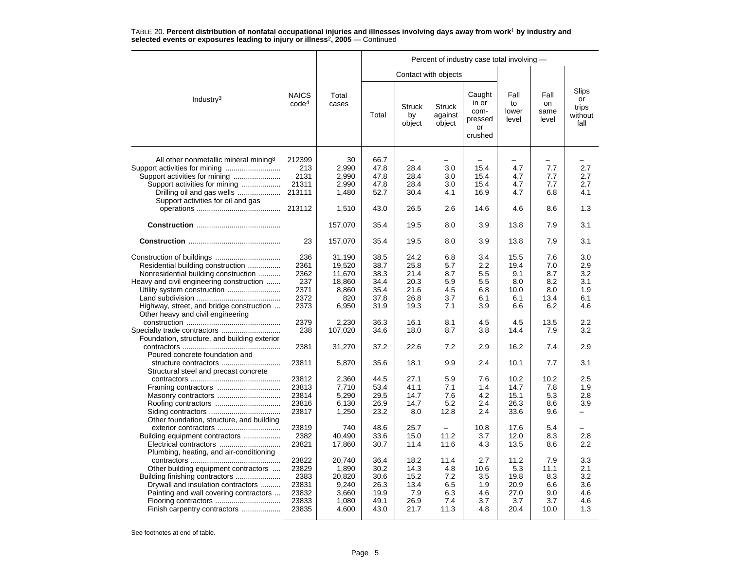|                                                                                                                                                                                                        |                                                            |                                                               | Percent of industry case total involving -           |                                                      |                                                 |                                                                  |                                                    |                                                 |                                               |  |  |  |
|--------------------------------------------------------------------------------------------------------------------------------------------------------------------------------------------------------|------------------------------------------------------------|---------------------------------------------------------------|------------------------------------------------------|------------------------------------------------------|-------------------------------------------------|------------------------------------------------------------------|----------------------------------------------------|-------------------------------------------------|-----------------------------------------------|--|--|--|
|                                                                                                                                                                                                        |                                                            |                                                               |                                                      |                                                      | Contact with objects                            |                                                                  |                                                    |                                                 |                                               |  |  |  |
| Industry <sup>3</sup>                                                                                                                                                                                  | <b>NAICS</b><br>code <sup>4</sup>                          | Total<br>cases                                                | Total                                                | <b>Struck</b><br>by<br>object                        | <b>Struck</b><br>against<br>object              | Caught<br>in or<br>com-<br>pressed<br>or<br>crushed              | Fall<br>to<br>lower<br>level                       | Fall<br>on<br>same<br>level                     | Slips<br>or<br>trips<br>without<br>fall       |  |  |  |
| All other nonmetallic mineral mining <sup>8</sup><br>Support activities for mining<br>Support activities for mining<br>Drilling oil and gas wells<br>Support activities for oil and gas                | 212399<br>213<br>2131<br>21311<br>213111<br>213112         | 30<br>2,990<br>2,990<br>2,990<br>1,480<br>1,510               | 66.7<br>47.8<br>47.8<br>47.8<br>52.7<br>43.0         | 28.4<br>28.4<br>28.4<br>30.4<br>26.5                 | 3.0<br>3.0<br>3.0<br>4.1<br>2.6                 | $\overline{\phantom{0}}$<br>15.4<br>15.4<br>15.4<br>16.9<br>14.6 | 4.7<br>4.7<br>4.7<br>4.7<br>4.6                    | 7.7<br>7.7<br>7.7<br>6.8<br>8.6                 | 2.7<br>2.7<br>2.7<br>4.1<br>1.3               |  |  |  |
|                                                                                                                                                                                                        |                                                            | 157,070                                                       | 35.4                                                 | 19.5                                                 | 8.0                                             | 3.9                                                              | 13.8                                               | 7.9                                             | 3.1                                           |  |  |  |
|                                                                                                                                                                                                        | 23                                                         | 157,070                                                       | 35.4                                                 | 19.5                                                 | 8.0                                             | 3.9                                                              | 13.8                                               | 7.9                                             | 3.1                                           |  |  |  |
| Residential building construction<br>Nonresidential building construction<br>Heavy and civil engineering construction<br>Highway, street, and bridge construction<br>Other heavy and civil engineering | 236<br>2361<br>2362<br>237<br>2371<br>2372<br>2373         | 31.190<br>19,520<br>11,670<br>18,860<br>8,860<br>820<br>6,950 | 38.5<br>38.7<br>38.3<br>34.4<br>35.4<br>37.8<br>31.9 | 24.2<br>25.8<br>21.4<br>20.3<br>21.6<br>26.8<br>19.3 | 6.8<br>5.7<br>8.7<br>5.9<br>4.5<br>3.7<br>7.1   | 3.4<br>2.2<br>5.5<br>5.5<br>6.8<br>6.1<br>3.9                    | 15.5<br>19.4<br>9.1<br>8.0<br>10.0<br>6.1<br>6.6   | 7.6<br>7.0<br>8.7<br>8.2<br>8.0<br>13.4<br>6.2  | 3.0<br>2.9<br>3.2<br>3.1<br>1.9<br>6.1<br>4.6 |  |  |  |
| Foundation, structure, and building exterior                                                                                                                                                           | 2379<br>238                                                | 2,230<br>107,020                                              | 36.3<br>34.6                                         | 16.1<br>18.0                                         | 8.1<br>8.7                                      | 4.5<br>3.8                                                       | 4.5<br>14.4                                        | 13.5<br>7.9                                     | 2.2<br>3.2                                    |  |  |  |
| Poured concrete foundation and                                                                                                                                                                         | 2381                                                       | 31,270                                                        | 37.2                                                 | 22.6                                                 | 7.2                                             | 2.9                                                              | 16.2                                               | 7.4                                             | 2.9                                           |  |  |  |
| Structural steel and precast concrete                                                                                                                                                                  | 23811                                                      | 5,870                                                         | 35.6                                                 | 18.1                                                 | 9.9                                             | 2.4                                                              | 10.1                                               | 7.7                                             | 3.1                                           |  |  |  |
| Other foundation, structure, and building                                                                                                                                                              | 23812<br>23813<br>23814<br>23816<br>23817                  | 2,360<br>7,710<br>5,290<br>6,130<br>1,250                     | 44.5<br>53.4<br>29.5<br>26.9<br>23.2                 | 27.1<br>41.1<br>14.7<br>14.7<br>8.0                  | 5.9<br>7.1<br>7.6<br>5.2<br>12.8                | 7.6<br>1.4<br>4.2<br>2.4<br>2.4                                  | 10.2<br>14.7<br>15.1<br>26.3<br>33.6               | 10.2<br>7.8<br>5.3<br>8.6<br>9.6                | 2.5<br>1.9<br>2.8<br>3.9<br>-                 |  |  |  |
| exterior contractors<br>Building equipment contractors<br>Plumbing, heating, and air-conditioning                                                                                                      | 23819<br>2382<br>23821                                     | 740<br>40,490<br>17,860                                       | 48.6<br>33.6<br>30.7                                 | 25.7<br>15.0<br>11.4                                 | $\overline{\phantom{0}}$<br>11.2<br>11.6        | 10.8<br>3.7<br>4.3                                               | 17.6<br>12.0<br>13.5                               | 5.4<br>8.3<br>8.6                               | 2.8<br>$2.2\phantom{0}$                       |  |  |  |
| Other building equipment contractors<br>Drywall and insulation contractors<br>Painting and wall covering contractors<br>Finish carpentry contractors                                                   | 23822<br>23829<br>2383<br>23831<br>23832<br>23833<br>23835 | 20,740<br>1,890<br>20,820<br>9,240<br>3,660<br>1,080<br>4,600 | 36.4<br>30.2<br>30.6<br>26.3<br>19.9<br>49.1<br>43.0 | 18.2<br>14.3<br>15.2<br>13.4<br>7.9<br>26.9<br>21.7  | 11.4<br>4.8<br>7.2<br>6.5<br>6.3<br>7.4<br>11.3 | 2.7<br>10.6<br>3.5<br>1.9<br>4.6<br>3.7<br>4.8                   | 11.2<br>5.3<br>19.8<br>20.9<br>27.0<br>3.7<br>20.4 | 7.9<br>11.1<br>8.3<br>6.6<br>9.0<br>3.7<br>10.0 | 3.3<br>2.1<br>3.2<br>3.6<br>4.6<br>4.6<br>1.3 |  |  |  |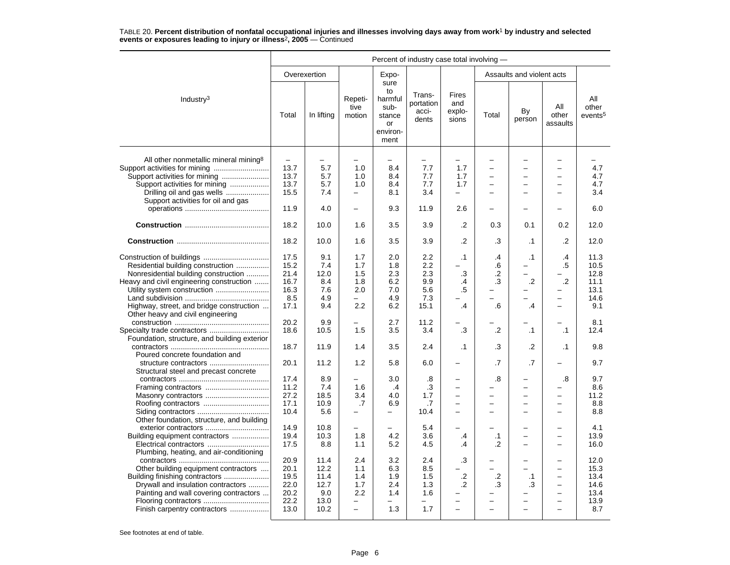|                                                                                                                                                                                                                                       | Percent of industry case total involving -               |                                                     |                                                                      |                                                                   |                                                |                                                                           |                                                            |                                                                                              |                                                                                              |                                                     |  |
|---------------------------------------------------------------------------------------------------------------------------------------------------------------------------------------------------------------------------------------|----------------------------------------------------------|-----------------------------------------------------|----------------------------------------------------------------------|-------------------------------------------------------------------|------------------------------------------------|---------------------------------------------------------------------------|------------------------------------------------------------|----------------------------------------------------------------------------------------------|----------------------------------------------------------------------------------------------|-----------------------------------------------------|--|
|                                                                                                                                                                                                                                       |                                                          | Overexertion                                        |                                                                      | Expo-                                                             |                                                |                                                                           |                                                            | Assaults and violent acts                                                                    |                                                                                              |                                                     |  |
| Industry <sup>3</sup>                                                                                                                                                                                                                 | Total                                                    | In lifting                                          | Repeti-<br>tive<br>motion                                            | sure<br>to<br>harmful<br>sub-<br>stance<br>or<br>environ-<br>ment | Trans-<br>portation<br>acci-<br>dents          | Fires<br>and<br>explo-<br>sions                                           | Total                                                      | By<br>person                                                                                 | All<br>other<br>assaults                                                                     | All<br>other<br>events <sup>5</sup>                 |  |
| All other nonmetallic mineral mining <sup>8</sup><br>Support activities for mining<br>Support activities for mining<br>Support activities for mining<br>Drilling oil and gas wells<br>Support activities for oil and gas              | $\overline{\phantom{m}}$<br>13.7<br>13.7<br>13.7<br>15.5 | 5.7<br>5.7<br>5.7<br>7.4                            | 1.0<br>1.0<br>1.0<br>$\overline{\phantom{0}}$                        | 8.4<br>8.4<br>8.4<br>8.1                                          | $\equiv$<br>7.7<br>7.7<br>7.7<br>3.4           | $\overline{\phantom{0}}$<br>1.7<br>1.7<br>1.7<br>$\overline{\phantom{0}}$ | ÷<br>$\overline{\phantom{0}}$<br>÷<br>-                    | $\overline{\phantom{0}}$<br>$\overline{\phantom{0}}$<br>$\equiv$<br>$\overline{\phantom{0}}$ | $\overline{\phantom{0}}$<br>$\overline{\phantom{0}}$<br>$\equiv$<br>$\overline{\phantom{m}}$ | 4.7<br>4.7<br>4.7<br>3.4                            |  |
|                                                                                                                                                                                                                                       | 11.9                                                     | 4.0                                                 | $\overline{\phantom{0}}$                                             | 9.3                                                               | 11.9                                           | 2.6                                                                       |                                                            |                                                                                              |                                                                                              | 6.0                                                 |  |
|                                                                                                                                                                                                                                       | 18.2                                                     | 10.0                                                | 1.6                                                                  | 3.5                                                               | 3.9                                            | .2                                                                        | 0.3                                                        | 0.1                                                                                          | 0.2                                                                                          | 12.0                                                |  |
|                                                                                                                                                                                                                                       | 18.2                                                     | 10.0                                                | 1.6                                                                  | 3.5                                                               | 3.9                                            | $\cdot$                                                                   | .3                                                         | $\cdot$ 1                                                                                    | .2                                                                                           | 12.0                                                |  |
| Residential building construction<br>Nonresidential building construction<br>Heavy and civil engineering construction<br>Utility system construction<br>Highway, street, and bridge construction<br>Other heavy and civil engineering | 17.5<br>15.2<br>21.4<br>16.7<br>16.3<br>8.5<br>17.1      | 9.1<br>7.4<br>12.0<br>8.4<br>7.6<br>4.9<br>9.4      | 1.7<br>1.7<br>1.5<br>1.8<br>2.0<br>2.2                               | 2.0<br>1.8<br>2.3<br>6.2<br>7.0<br>4.9<br>6.2                     | 2.2<br>2.2<br>2.3<br>9.9<br>5.6<br>7.3<br>15.1 | $\cdot$ 1<br>$\cdot$ 3<br>$\cdot$<br>.5<br>.4                             | $\overline{.4}$<br>.6<br>.2<br>.3<br>$.6\,$                | $\cdot$ 1<br>-<br>$\equiv$<br>.2<br>$\overline{\phantom{0}}$<br>.4                           | .4<br>$.5\,$<br>$\cdot$<br>$\overline{\phantom{0}}$<br>$\overline{\phantom{0}}$              | 11.3<br>10.5<br>12.8<br>11.1<br>13.1<br>14.6<br>9.1 |  |
|                                                                                                                                                                                                                                       | 20.2<br>18.6                                             | 9.9<br>10.5                                         | 1.5                                                                  | 2.7<br>3.5                                                        | 11.2<br>3.4                                    | .3                                                                        | .2                                                         | $\cdot$ 1                                                                                    | $\cdot$ 1                                                                                    | 8.1<br>12.4                                         |  |
| Foundation, structure, and building exterior<br>Poured concrete foundation and                                                                                                                                                        | 18.7                                                     | 11.9                                                | 1.4                                                                  | 3.5                                                               | 2.4                                            | $\cdot$ 1                                                                 | .3                                                         | $\cdot$                                                                                      | $\cdot$ 1                                                                                    | 9.8                                                 |  |
| structure contractors<br>Structural steel and precast concrete                                                                                                                                                                        | 20.1                                                     | 11.2                                                | 1.2                                                                  | 5.8                                                               | 6.0                                            | $\overline{\phantom{0}}$                                                  | .7                                                         | .7                                                                                           |                                                                                              | 9.7                                                 |  |
| Masonry contractors                                                                                                                                                                                                                   | 17.4<br>11.2<br>27.2<br>17.1<br>10.4                     | 8.9<br>7.4<br>18.5<br>10.9<br>5.6                   | 1.6<br>3.4<br>.7<br>-                                                | 3.0<br>$\cdot$ 4<br>4.0<br>6.9<br>-                               | .8<br>.3<br>1.7<br>.7<br>10.4                  | $\overline{\phantom{0}}$<br>$\overline{a}$<br>$\overline{\phantom{0}}$    | .8<br>$\overline{\phantom{0}}$<br>$\overline{\phantom{0}}$ | ÷<br>$\equiv$<br>$\overline{\phantom{0}}$<br>$\overline{\phantom{0}}$                        | .8<br>$\equiv$<br>$\overline{\phantom{0}}$<br>$\overline{\phantom{0}}$                       | 9.7<br>8.6<br>11.2<br>8.8<br>8.8                    |  |
| Other foundation, structure, and building<br>Building equipment contractors<br>Electrical contractors                                                                                                                                 | 14.9<br>19.4<br>17.5                                     | 10.8<br>10.3<br>8.8                                 | $\overline{a}$<br>1.8<br>1.1                                         | 4.2<br>5.2                                                        | 5.4<br>3.6<br>4.5                              | .4<br>.4                                                                  | $\cdot$ 1<br>.2                                            | $\equiv$<br>$\equiv$                                                                         | $\overline{\phantom{0}}$<br>$\equiv$<br>$\equiv$                                             | 4.1<br>13.9<br>16.0                                 |  |
| Plumbing, heating, and air-conditioning<br>Other building equipment contractors<br>Building finishing contractors<br>Drywall and insulation contractors<br>Painting and wall covering contractors<br>Finish carpentry contractors     | 20.9<br>20.1<br>19.5<br>22.0<br>20.2<br>22.2<br>13.0     | 11.4<br>12.2<br>11.4<br>12.7<br>9.0<br>13.0<br>10.2 | 2.4<br>1.1<br>1.4<br>1.7<br>$2.2\,$<br>-<br>$\overline{\phantom{0}}$ | 3.2<br>6.3<br>1.9<br>2.4<br>1.4<br>1.3                            | 2.4<br>8.5<br>1.5<br>1.3<br>1.6<br>1.7         | .3<br>$\cdot$<br>.2                                                       | .2<br>.3                                                   | .1<br>.3                                                                                     | $\overline{\phantom{0}}$<br>$\overline{\phantom{0}}$<br>$\overline{\phantom{0}}$             | 12.0<br>15.3<br>13.4<br>14.6<br>13.4<br>13.9<br>8.7 |  |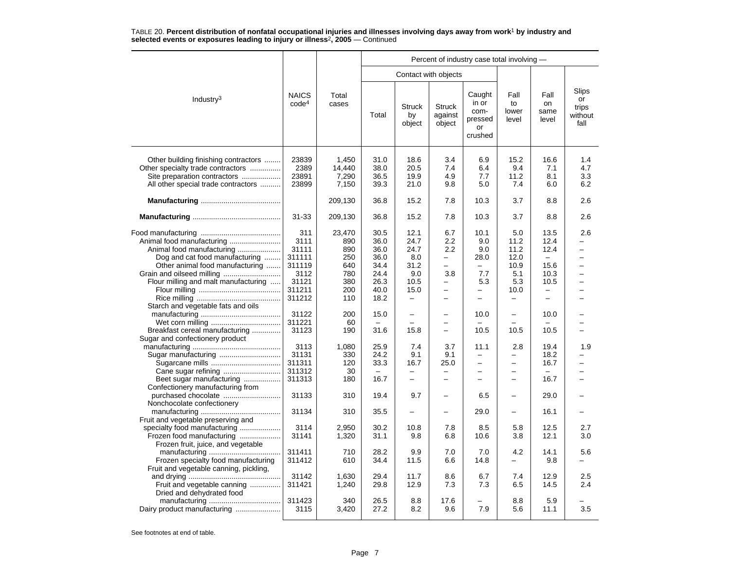|                                                                                                                                                  |                                   |                                   | Percent of industry case total involving - |                                                      |                                      |                                                      |                                                      |                                                              |                                                            |  |  |
|--------------------------------------------------------------------------------------------------------------------------------------------------|-----------------------------------|-----------------------------------|--------------------------------------------|------------------------------------------------------|--------------------------------------|------------------------------------------------------|------------------------------------------------------|--------------------------------------------------------------|------------------------------------------------------------|--|--|
|                                                                                                                                                  |                                   |                                   |                                            | Contact with objects                                 |                                      |                                                      |                                                      |                                                              |                                                            |  |  |
| Industry <sup>3</sup>                                                                                                                            | <b>NAICS</b><br>code <sup>4</sup> | Total<br>cases                    | Total                                      | <b>Struck</b><br>by<br>object                        | <b>Struck</b><br>against<br>object   | Caught<br>in or<br>com-<br>pressed<br>or<br>crushed  | Fall<br>to<br>lower<br>level                         | Fall<br>on<br>same<br>level                                  | Slips<br>or<br>trips<br>without<br>fall                    |  |  |
| Other building finishing contractors<br>Other specialty trade contractors<br>Site preparation contractors<br>All other special trade contractors | 23839<br>2389<br>23891<br>23899   | 1,450<br>14,440<br>7,290<br>7,150 | 31.0<br>38.0<br>36.5<br>39.3               | 18.6<br>20.5<br>19.9<br>21.0                         | 3.4<br>7.4<br>4.9<br>9.8             | 6.9<br>6.4<br>7.7<br>5.0                             | 15.2<br>9.4<br>11.2<br>7.4                           | 16.6<br>7.1<br>8.1<br>6.0                                    | 1.4<br>4.7<br>3.3<br>6.2                                   |  |  |
|                                                                                                                                                  |                                   | 209,130                           | 36.8                                       | 15.2                                                 | 7.8                                  | 10.3                                                 | 3.7                                                  | 8.8                                                          | 2.6                                                        |  |  |
|                                                                                                                                                  | $31 - 33$                         | 209,130                           | 36.8                                       | 15.2                                                 | 7.8                                  | 10.3                                                 | 3.7                                                  | 8.8                                                          | 2.6                                                        |  |  |
| Animal food manufacturing                                                                                                                        | 311<br>3111<br>31111              | 23,470<br>890<br>890              | 30.5<br>36.0<br>36.0                       | 12.1<br>24.7<br>24.7                                 | 6.7<br>2.2<br>2.2                    | 10.1<br>9.0<br>9.0                                   | 5.0<br>11.2<br>11.2                                  | 13.5<br>12.4<br>12.4                                         | 2.6<br>$\overline{\phantom{0}}$                            |  |  |
| Dog and cat food manufacturing<br>Other animal food manufacturing                                                                                | 311111<br>311119<br>3112          | 250<br>640<br>780                 | 36.0<br>34.4<br>24.4                       | 8.0<br>31.2<br>9.0                                   | $\overline{\phantom{0}}$<br>-<br>3.8 | 28.0<br>$\overline{\phantom{0}}$<br>7.7              | 12.0<br>10.9<br>5.1                                  | 15.6<br>10.3                                                 | L.<br>$\overline{\phantom{0}}$<br>$\overline{\phantom{0}}$ |  |  |
| Flour milling and malt manufacturing<br>Starch and vegetable fats and oils                                                                       | 31121<br>311211<br>311212         | 380<br>200<br>110                 | 26.3<br>40.0<br>18.2                       | 10.5<br>15.0<br>$\overline{\phantom{0}}$             | $\overline{\phantom{0}}$<br>—        | 5.3<br>$\overline{\phantom{0}}$<br>$\qquad \qquad -$ | 5.3<br>10.0<br>-                                     | 10.5<br>$\overline{\phantom{0}}$<br>$\overline{\phantom{0}}$ | L.<br>-                                                    |  |  |
| Breakfast cereal manufacturing                                                                                                                   | 31122<br>311221<br>31123          | 200<br>60<br>190                  | 15.0<br>31.6                               | $\overline{\phantom{0}}$<br>$\equiv$<br>15.8         | $\overline{\phantom{0}}$             | 10.0<br>10.5                                         | -<br>10.5                                            | 10.0<br>10.5                                                 |                                                            |  |  |
| Sugar and confectionery product                                                                                                                  | 3113<br>31131<br>311311           | 1,080<br>330<br>120               | 25.9<br>24.2<br>33.3                       | 7.4<br>9.1<br>16.7                                   | 3.7<br>9.1<br>25.0                   | 11.1<br>$\overline{\phantom{0}}$<br>$\equiv$         | 2.8<br>$\overline{\phantom{0}}$<br>$\qquad \qquad -$ | 19.4<br>18.2<br>16.7                                         | 1.9                                                        |  |  |
| Beet sugar manufacturing<br>Confectionery manufacturing from                                                                                     | 311312<br>311313                  | 30<br>180                         | 16.7                                       | $\overline{\phantom{0}}$<br>$\overline{\phantom{0}}$ | —                                    | $\overline{\phantom{0}}$                             | $\qquad \qquad -$<br>$\equiv$                        | 16.7                                                         |                                                            |  |  |
| purchased chocolate<br>Nonchocolate confectionery                                                                                                | 31133<br>31134                    | 310<br>310                        | 19.4<br>35.5                               | 9.7<br>$\overline{\phantom{0}}$                      | $\overline{\phantom{0}}$             | 6.5<br>29.0                                          | $\overline{\phantom{0}}$<br>$\overline{\phantom{0}}$ | 29.0<br>16.1                                                 |                                                            |  |  |
| Fruit and vegetable preserving and<br>specialty food manufacturing<br>Frozen food manufacturing                                                  | 3114<br>31141                     | 2,950<br>1,320                    | 30.2<br>31.1                               | 10.8<br>9.8                                          | 7.8<br>6.8                           | 8.5<br>10.6                                          | 5.8<br>3.8                                           | 12.5<br>12.1                                                 | 2.7<br>3.0                                                 |  |  |
| Frozen fruit, juice, and vegetable<br>Frozen specialty food manufacturing<br>Fruit and vegetable canning, pickling,                              | 311411<br>311412                  | 710<br>610                        | 28.2<br>34.4                               | 9.9<br>11.5                                          | 7.0<br>6.6                           | 7.0<br>14.8                                          | 4.2<br>$\overline{\phantom{0}}$                      | 14.1<br>9.8                                                  | 5.6                                                        |  |  |
| Fruit and vegetable canning<br>Dried and dehydrated food                                                                                         | 31142<br>311421                   | 1,630<br>1,240                    | 29.4<br>29.8                               | 11.7<br>12.9                                         | 8.6<br>7.3                           | 6.7<br>7.3                                           | 7.4<br>6.5                                           | 12.9<br>14.5                                                 | 2.5<br>2.4                                                 |  |  |
|                                                                                                                                                  | 311423<br>3115                    | 340<br>3,420                      | 26.5<br>27.2                               | 8.8<br>8.2                                           | 17.6<br>9.6                          | 7.9                                                  | 8.8<br>5.6                                           | 5.9<br>11.1                                                  | 3.5                                                        |  |  |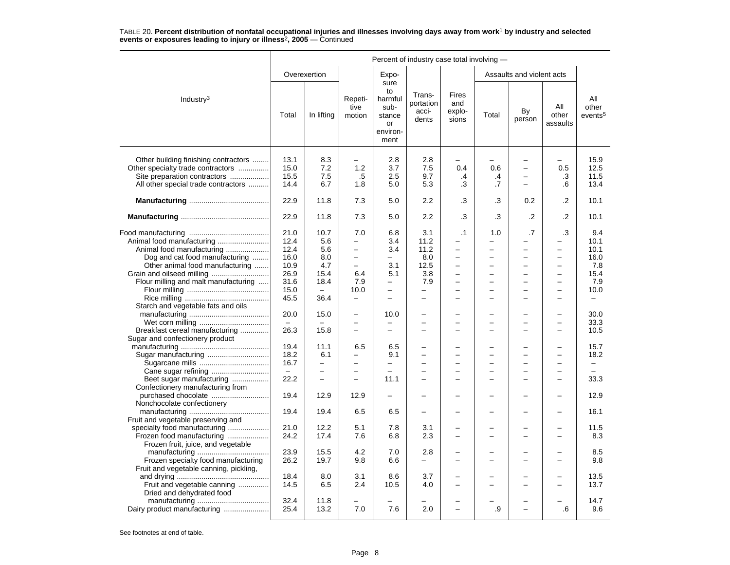|                                                                                                                                                  | Percent of industry case total involving - |                                      |                                                      |                                                                    |                                       |                                                                                               |                      |                                                                                                      |                                                                              |                                     |  |
|--------------------------------------------------------------------------------------------------------------------------------------------------|--------------------------------------------|--------------------------------------|------------------------------------------------------|--------------------------------------------------------------------|---------------------------------------|-----------------------------------------------------------------------------------------------|----------------------|------------------------------------------------------------------------------------------------------|------------------------------------------------------------------------------|-------------------------------------|--|
|                                                                                                                                                  |                                            | Overexertion                         |                                                      | Expo-                                                              |                                       |                                                                                               |                      | Assaults and violent acts                                                                            |                                                                              |                                     |  |
| Industry $3$                                                                                                                                     | Total                                      | In lifting                           | Repeti-<br>tive<br>motion                            | sure<br>to<br>harmful<br>sub-<br>stance<br>or<br>environ-<br>ment  | Trans-<br>portation<br>acci-<br>dents | Fires<br>and<br>explo-<br>sions                                                               | Total                | By<br>person                                                                                         | All<br>other<br>assaults                                                     | All<br>other<br>events <sup>5</sup> |  |
| Other building finishing contractors<br>Other specialty trade contractors<br>Site preparation contractors<br>All other special trade contractors | 13.1<br>15.0<br>15.5<br>14.4               | 8.3<br>7.2<br>7.5<br>6.7             | 1.2<br>.5<br>1.8                                     | 2.8<br>3.7<br>2.5<br>5.0                                           | 2.8<br>7.5<br>9.7<br>5.3              | 0.4<br>.4<br>.3                                                                               | 0.6<br>.4<br>.7      | $\overline{\phantom{0}}$<br>$\overline{\phantom{0}}$<br>$\overline{a}$                               | $\overline{\phantom{0}}$<br>0.5<br>.3<br>.6                                  | 15.9<br>12.5<br>11.5<br>13.4        |  |
|                                                                                                                                                  | 22.9                                       | 11.8                                 | 7.3                                                  | 5.0                                                                | 2.2                                   | .3                                                                                            | .3                   | 0.2                                                                                                  | .2                                                                           | 10.1                                |  |
|                                                                                                                                                  | 22.9                                       | 11.8                                 | 7.3                                                  | 5.0                                                                | 2.2                                   | .3                                                                                            | .3                   | $\cdot$                                                                                              | $\cdot$                                                                      | 10.1                                |  |
| Animal food manufacturing                                                                                                                        | 21.0<br>12.4<br>12.4                       | 10.7<br>5.6<br>5.6                   | 7.0<br>$\qquad \qquad -$<br>$\overline{\phantom{0}}$ | 6.8<br>3.4<br>3.4                                                  | 3.1<br>11.2<br>11.2                   | $\cdot$ 1<br>$\overline{\phantom{0}}$                                                         | 1.0                  | .7<br>-<br>$\overline{\phantom{0}}$                                                                  | .3<br>$\overline{\phantom{0}}$                                               | 9.4<br>10.1<br>10.1                 |  |
| Dog and cat food manufacturing<br>Other animal food manufacturing<br>Flour milling and malt manufacturing                                        | 16.0<br>10.9<br>26.9<br>31.6<br>15.0       | 8.0<br>4.7<br>15.4<br>18.4           | $\equiv$<br>6.4<br>7.9<br>10.0                       | $\overline{\phantom{0}}$<br>3.1<br>5.1<br>$\overline{\phantom{0}}$ | 8.0<br>12.5<br>3.8<br>7.9             | $\overline{a}$<br>$\overline{\phantom{0}}$<br>$\overline{\phantom{0}}$<br>$\overline{a}$<br>- | $\equiv$<br>$\equiv$ | $\overline{a}$<br>$\equiv$<br>$\overline{\phantom{0}}$<br>$\overline{a}$<br>$\overline{\phantom{0}}$ | $\overline{\phantom{0}}$<br>$\equiv$<br>$\equiv$<br>$\overline{\phantom{0}}$ | 16.0<br>7.8<br>15.4<br>7.9<br>10.0  |  |
| Starch and vegetable fats and oils                                                                                                               | 45.5                                       | 36.4                                 | $\overline{\phantom{0}}$                             | $\overline{\phantom{0}}$                                           | -                                     | -                                                                                             |                      | -                                                                                                    |                                                                              | -                                   |  |
| Breakfast cereal manufacturing                                                                                                                   | 20.0<br>26.3                               | 15.0<br>15.8                         | $\overline{\phantom{0}}$<br>$\equiv$                 | 10.0<br>$\overline{\phantom{0}}$<br>$\overline{a}$                 | $\overline{\phantom{0}}$              | $\overline{\phantom{0}}$                                                                      |                      | $\overline{\phantom{0}}$<br>$\overline{\phantom{0}}$<br>$\overline{\phantom{0}}$                     | $\overline{\phantom{0}}$<br>$\overline{\phantom{0}}$                         | 30.0<br>33.3<br>10.5                |  |
| Sugar and confectionery product                                                                                                                  | 19.4<br>18.2<br>16.7                       | 11.1<br>6.1                          | 6.5<br>$\overline{\phantom{0}}$                      | 6.5<br>9.1<br>-                                                    | -<br>$\overline{a}$                   | $\equiv$<br>$\overline{\phantom{0}}$                                                          |                      | $\equiv$<br>$\overline{a}$                                                                           | $\sim$<br>$\overline{a}$                                                     | 15.7<br>18.2<br>-                   |  |
| Beet sugar manufacturing<br>Confectionery manufacturing from                                                                                     | $\equiv$<br>22.2                           | $\equiv$<br>$\overline{\phantom{0}}$ | $\equiv$<br>$\equiv$                                 | $\overline{a}$<br>11.1                                             | $\equiv$<br>$\equiv$                  | ÷<br>$\equiv$                                                                                 |                      | $\overline{\phantom{0}}$<br>$\overline{\phantom{0}}$                                                 | $\overline{a}$<br>$\sim$                                                     | $\equiv$<br>33.3                    |  |
| purchased chocolate<br>Nonchocolate confectionery                                                                                                | 19.4                                       | 12.9                                 | 12.9                                                 |                                                                    |                                       |                                                                                               |                      | L,                                                                                                   |                                                                              | 12.9                                |  |
| Fruit and vegetable preserving and                                                                                                               | 19.4                                       | 19.4                                 | 6.5                                                  | 6.5                                                                |                                       |                                                                                               |                      | -                                                                                                    |                                                                              | 16.1                                |  |
| specialty food manufacturing<br>Frozen food manufacturing<br>Frozen fruit, juice, and vegetable                                                  | 21.0<br>24.2                               | 12.2<br>17.4                         | 5.1<br>7.6                                           | 7.8<br>6.8                                                         | 3.1<br>2.3                            |                                                                                               |                      |                                                                                                      |                                                                              | 11.5<br>8.3                         |  |
| Frozen specialty food manufacturing<br>Fruit and vegetable canning, pickling,                                                                    | 23.9<br>26.2                               | 15.5<br>19.7                         | 4.2<br>9.8                                           | 7.0<br>6.6                                                         | 2.8<br>-                              | -                                                                                             |                      | L,<br>$\overline{\phantom{0}}$                                                                       | $\overline{\phantom{0}}$                                                     | 8.5<br>9.8                          |  |
| Fruit and vegetable canning<br>Dried and dehydrated food                                                                                         | 18.4<br>14.5                               | 8.0<br>6.5                           | 3.1<br>2.4                                           | 8.6<br>10.5                                                        | 3.7<br>4.0                            | $\equiv$                                                                                      |                      | $\overline{\phantom{0}}$                                                                             | $\sim$                                                                       | 13.5<br>13.7                        |  |
| Dairy product manufacturing                                                                                                                      | 32.4<br>25.4                               | 11.8<br>13.2                         | 7.0                                                  | 7.6                                                                | 2.0                                   |                                                                                               | .9                   |                                                                                                      | .6                                                                           | 14.7<br>9.6                         |  |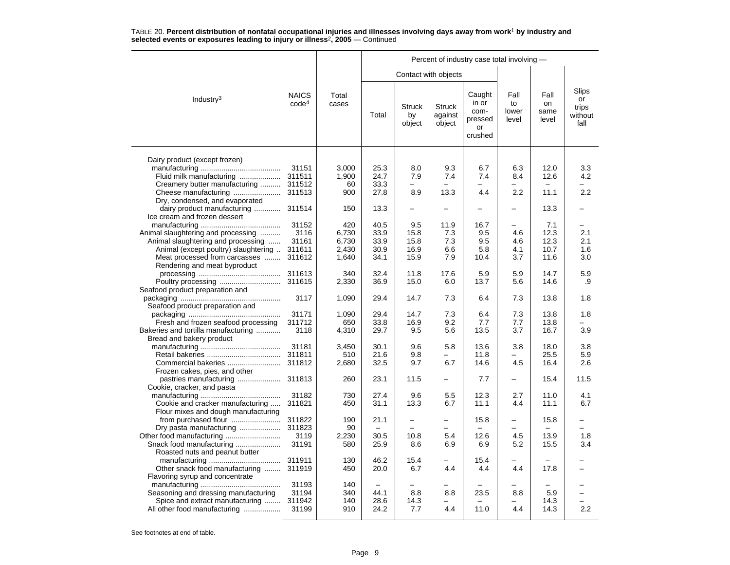|                                      |                                   |                |                          |                               | Percent of industry case total involving - |                                                     |                              |                             |                                         |  |  |
|--------------------------------------|-----------------------------------|----------------|--------------------------|-------------------------------|--------------------------------------------|-----------------------------------------------------|------------------------------|-----------------------------|-----------------------------------------|--|--|
|                                      |                                   |                |                          |                               | Contact with objects                       |                                                     |                              |                             |                                         |  |  |
| Industry <sup>3</sup>                | <b>NAICS</b><br>code <sup>4</sup> | Total<br>cases | Total                    | <b>Struck</b><br>by<br>object | <b>Struck</b><br>against<br>object         | Caught<br>in or<br>com-<br>pressed<br>or<br>crushed | Fall<br>to<br>lower<br>level | Fall<br>on<br>same<br>level | Slips<br>or<br>trips<br>without<br>fall |  |  |
| Dairy product (except frozen)        |                                   |                |                          |                               |                                            |                                                     |                              |                             |                                         |  |  |
|                                      | 31151                             | 3.000          | 25.3                     | 8.0                           | 9.3                                        | 6.7                                                 | 6.3                          | 12.0                        | 3.3                                     |  |  |
| Fluid milk manufacturing             | 311511                            | 1,900          | 24.7                     | 7.9                           | 7.4                                        | 7.4                                                 | 8.4                          | 12.6                        | 4.2                                     |  |  |
| Creamery butter manufacturing        | 311512                            | 60             | 33.3                     |                               |                                            |                                                     |                              |                             |                                         |  |  |
| Cheese manufacturing                 | 311513                            | 900            | 27.8                     | 8.9                           | 13.3                                       | 4.4                                                 | 2.2                          | 11.1                        | 2.2                                     |  |  |
| Dry, condensed, and evaporated       |                                   |                |                          |                               |                                            |                                                     |                              |                             |                                         |  |  |
| dairy product manufacturing          | 311514                            | 150            | 13.3                     | -                             | $\overline{\phantom{0}}$                   |                                                     | —                            | 13.3                        |                                         |  |  |
| Ice cream and frozen dessert         |                                   |                |                          |                               |                                            |                                                     |                              |                             |                                         |  |  |
|                                      | 31152                             | 420            | 40.5                     | 9.5                           | 11.9                                       | 16.7                                                |                              | 7.1                         |                                         |  |  |
| Animal slaughtering and processing   | 3116                              | 6,730          | 33.9                     | 15.8                          | 7.3                                        | 9.5                                                 | 4.6                          | 12.3                        | 2.1                                     |  |  |
| Animal slaughtering and processing   | 31161                             | 6,730          | 33.9                     | 15.8                          | 7.3                                        | 9.5                                                 | 4.6                          | 12.3                        | 2.1                                     |  |  |
| Animal (except poultry) slaughtering | 311611                            | 2,430          | 30.9                     | 16.9                          | 6.6                                        | 5.8                                                 | 4.1                          | 10.7                        | 1.6                                     |  |  |
| Meat processed from carcasses        | 311612                            | 1,640          | 34.1                     | 15.9                          | 7.9                                        | 10.4                                                | 3.7                          | 11.6                        | 3.0                                     |  |  |
| Rendering and meat byproduct         |                                   |                |                          |                               |                                            |                                                     |                              |                             |                                         |  |  |
|                                      | 311613                            | 340            | 32.4                     | 11.8                          | 17.6                                       | 5.9                                                 | 5.9                          | 14.7                        | 5.9                                     |  |  |
| Poultry processing                   | 311615                            | 2,330          | 36.9                     | 15.0                          | 6.0                                        | 13.7                                                | 5.6                          | 14.6                        | .9                                      |  |  |
| Seafood product preparation and      |                                   |                |                          |                               |                                            |                                                     |                              |                             |                                         |  |  |
|                                      | 3117                              | 1,090          | 29.4                     | 14.7                          | 7.3                                        | 6.4                                                 | 7.3                          | 13.8                        | 1.8                                     |  |  |
| Seafood product preparation and      |                                   |                |                          |                               |                                            |                                                     |                              |                             |                                         |  |  |
|                                      | 31171                             | 1,090          | 29.4                     | 14.7                          | 7.3                                        | 6.4                                                 | 7.3                          | 13.8                        | 1.8                                     |  |  |
| Fresh and frozen seafood processing  | 311712                            | 650            | 33.8                     | 16.9                          | 9.2                                        | 7.7                                                 | 7.7                          | 13.8                        |                                         |  |  |
| Bakeries and tortilla manufacturing  | 3118                              | 4,310          | 29.7                     | 9.5                           | 5.6                                        | 13.5                                                | 3.7                          | 16.7                        | 3.9                                     |  |  |
| Bread and bakery product             |                                   |                |                          |                               |                                            |                                                     |                              |                             |                                         |  |  |
|                                      | 31181                             | 3,450          | 30.1                     | 9.6                           | 5.8                                        | 13.6                                                | 3.8                          | 18.0                        | 3.8                                     |  |  |
|                                      | 311811                            | 510            | 21.6                     | 9.8                           | $\overline{\phantom{0}}$                   | 11.8                                                | -                            | 25.5                        | 5.9                                     |  |  |
| Commercial bakeries                  | 311812                            | 2,680          | 32.5                     | 9.7                           | 6.7                                        | 14.6                                                | 4.5                          | 16.4                        | 2.6                                     |  |  |
| Frozen cakes, pies, and other        |                                   |                |                          |                               |                                            |                                                     |                              |                             |                                         |  |  |
|                                      | 311813                            | 260            | 23.1                     | 11.5                          | $\overline{\phantom{0}}$                   | 7.7                                                 | -                            | 15.4                        | 11.5                                    |  |  |
| Cookie, cracker, and pasta           | 31182                             | 730            | 27.4                     | 9.6                           | 5.5                                        | 12.3                                                | 2.7                          | 11.0                        | 4.1                                     |  |  |
| Cookie and cracker manufacturing     | 311821                            | 450            | 31.1                     | 13.3                          | 6.7                                        | 11.1                                                | 4.4                          | 11.1                        | 6.7                                     |  |  |
| Flour mixes and dough manufacturing  |                                   |                |                          |                               |                                            |                                                     |                              |                             |                                         |  |  |
| from purchased flour                 | 311822                            | 190            | 21.1                     | $\overline{\phantom{0}}$      |                                            | 15.8                                                |                              | 15.8                        |                                         |  |  |
| Dry pasta manufacturing              | 311823                            | 90             | $\overline{\phantom{a}}$ | $\equiv$                      | $\overline{ }$                             |                                                     |                              | $\overline{\phantom{m}}$    |                                         |  |  |
| Other food manufacturing             | 3119                              | 2,230          | 30.5                     | 10.8                          | 5.4                                        | 12.6                                                | 4.5                          | 13.9                        | 1.8                                     |  |  |
| Snack food manufacturing             | 31191                             | 580            | 25.9                     | 8.6                           | 6.9                                        | 6.9                                                 | 5.2                          | 15.5                        | 3.4                                     |  |  |
| Roasted nuts and peanut butter       |                                   |                |                          |                               |                                            |                                                     |                              |                             |                                         |  |  |
|                                      | 311911                            | 130            | 46.2                     | 15.4                          |                                            | 15.4                                                |                              |                             |                                         |  |  |
| Other snack food manufacturing       | 311919                            | 450            | 20.0                     | 6.7                           | 4.4                                        | 4.4                                                 | 4.4                          | 17.8                        |                                         |  |  |
| Flavoring syrup and concentrate      |                                   |                |                          |                               |                                            |                                                     |                              |                             |                                         |  |  |
|                                      | 31193                             | 140            |                          |                               |                                            |                                                     |                              |                             |                                         |  |  |
| Seasoning and dressing manufacturing | 31194                             | 340            | 44.1                     | 8.8                           | 8.8                                        | 23.5                                                | 8.8                          | 5.9                         |                                         |  |  |
| Spice and extract manufacturing      | 311942                            | 140            | 28.6                     | 14.3                          |                                            |                                                     |                              | 14.3                        |                                         |  |  |
| All other food manufacturing         | 31199                             | 910            | 24.2                     | 7.7                           | 4.4                                        | 11.0                                                | 4.4                          | 14.3                        | 2.2                                     |  |  |
|                                      |                                   |                |                          |                               |                                            |                                                     |                              |                             |                                         |  |  |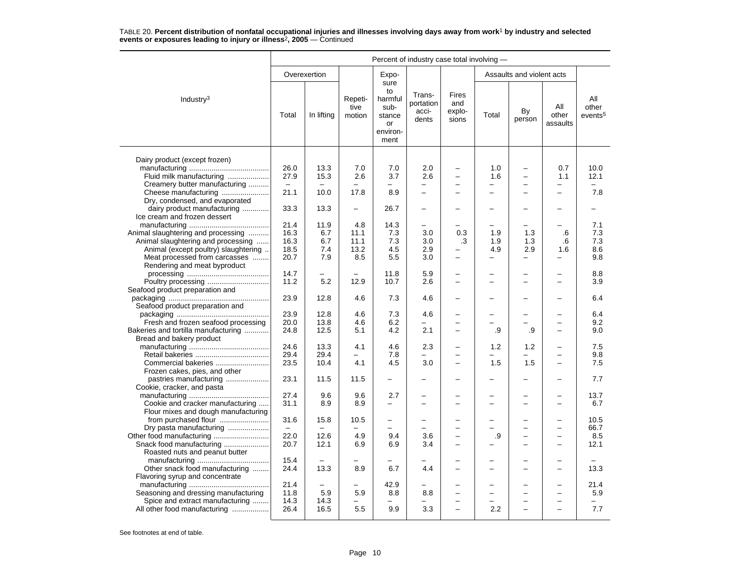|                                                                                               | Percent of industry case total involving - |              |                           |                                                                   |                                       |                                      |                          |                           |                          |                                     |  |
|-----------------------------------------------------------------------------------------------|--------------------------------------------|--------------|---------------------------|-------------------------------------------------------------------|---------------------------------------|--------------------------------------|--------------------------|---------------------------|--------------------------|-------------------------------------|--|
|                                                                                               |                                            | Overexertion |                           | Expo-                                                             |                                       |                                      |                          | Assaults and violent acts |                          |                                     |  |
| Industry <sup>3</sup>                                                                         | Total                                      | In lifting   | Repeti-<br>tive<br>motion | sure<br>to<br>harmful<br>sub-<br>stance<br>or<br>environ-<br>ment | Trans-<br>portation<br>acci-<br>dents | Fires<br>and<br>explo-<br>sions      | Total                    | By<br>person              | All<br>other<br>assaults | All<br>other<br>events <sup>5</sup> |  |
|                                                                                               |                                            |              |                           |                                                                   |                                       |                                      |                          |                           |                          |                                     |  |
| Dairy product (except frozen)<br>Fluid milk manufacturing                                     | 26.0<br>27.9                               | 13.3<br>15.3 | 7.0<br>2.6                | 7.0<br>3.7                                                        | 2.0<br>2.6                            | $\overline{\phantom{0}}$<br>$\equiv$ | 1.0<br>1.6               | -<br>$\overline{a}$       | 0.7<br>1.1               | 10.0<br>12.1                        |  |
| Creamery butter manufacturing                                                                 | $\overline{\phantom{m}}$                   |              |                           |                                                                   | -                                     | -                                    | -                        | -                         | -                        |                                     |  |
| Cheese manufacturing                                                                          | 21.1                                       | 10.0         | 17.8                      | 8.9                                                               | $\overline{a}$                        | $\overline{\phantom{0}}$             | −                        | $\overline{\phantom{0}}$  | $\overline{\phantom{0}}$ | 7.8                                 |  |
| Dry, condensed, and evaporated<br>dairy product manufacturing<br>Ice cream and frozen dessert | 33.3                                       | 13.3         | $\overline{a}$            | 26.7                                                              | $\overline{\phantom{0}}$              |                                      |                          |                           |                          |                                     |  |
|                                                                                               | 21.4                                       | 11.9         | 4.8                       | 14.3                                                              | $\overline{\phantom{0}}$              |                                      |                          |                           |                          | 7.1                                 |  |
| Animal slaughtering and processing                                                            | 16.3                                       | 6.7          | 11.1                      | 7.3                                                               | 3.0                                   | 0.3                                  | 1.9                      | 1.3                       | .6                       | 7.3                                 |  |
| Animal slaughtering and processing                                                            | 16.3                                       | 6.7          | 11.1                      | 7.3                                                               | 3.0                                   | .3                                   | 1.9                      | 1.3                       | .6                       | 7.3                                 |  |
| Animal (except poultry) slaughtering                                                          | 18.5                                       | 7.4          | 13.2                      | 4.5                                                               | 2.9                                   |                                      | 4.9                      | 2.9                       | 1.6                      | 8.6                                 |  |
| Meat processed from carcasses<br>Rendering and meat byproduct                                 | 20.7                                       | 7.9          | 8.5                       | 5.5                                                               | 3.0                                   | $\equiv$                             | -                        | $\overline{\phantom{0}}$  | $\overline{\phantom{0}}$ | 9.8                                 |  |
|                                                                                               | 14.7                                       |              |                           | 11.8                                                              | 5.9                                   |                                      |                          |                           |                          | 8.8                                 |  |
|                                                                                               | 11.2                                       | 5.2          | 12.9                      | 10.7                                                              | 2.6                                   |                                      |                          |                           |                          | 3.9                                 |  |
| Seafood product preparation and                                                               | 23.9                                       | 12.8         | 4.6                       | 7.3                                                               | 4.6                                   | $\overline{\phantom{0}}$             |                          | $\overline{\phantom{0}}$  |                          | 6.4                                 |  |
| Seafood product preparation and                                                               | 23.9                                       | 12.8         | 4.6                       | 7.3                                                               | 4.6                                   |                                      |                          |                           |                          | 6.4                                 |  |
| Fresh and frozen seafood processing                                                           | 20.0                                       | 13.8         | 4.6                       | 6.2                                                               |                                       | $\equiv$                             |                          |                           | $\overline{\phantom{0}}$ | 9.2                                 |  |
| Bakeries and tortilla manufacturing<br>Bread and bakery product                               | 24.8                                       | 12.5         | 5.1                       | 4.2                                                               | 2.1                                   | $\overline{\phantom{0}}$             | .9                       | .9                        | $\overline{\phantom{0}}$ | 9.0                                 |  |
|                                                                                               | 24.6                                       | 13.3         | 4.1                       | 4.6                                                               | 2.3                                   | $\overline{\phantom{0}}$             | 1.2                      | 1.2                       | $\overline{\phantom{0}}$ | 7.5                                 |  |
|                                                                                               | 29.4                                       | 29.4         |                           | 7.8                                                               |                                       |                                      |                          |                           | $\overline{\phantom{0}}$ | 9.8                                 |  |
| Commercial bakeries                                                                           | 23.5                                       | 10.4         | 4.1                       | 4.5                                                               | 3.0                                   | $\equiv$                             | 1.5                      | 1.5                       | $\overline{a}$           | 7.5                                 |  |
| Frozen cakes, pies, and other                                                                 |                                            |              |                           |                                                                   |                                       |                                      |                          |                           |                          |                                     |  |
| pastries manufacturing<br>Cookie, cracker, and pasta                                          | 23.1                                       | 11.5         | 11.5                      | $\overline{\phantom{0}}$                                          |                                       |                                      |                          |                           |                          | 7.7                                 |  |
|                                                                                               | 27.4                                       | 9.6          | 9.6                       | 2.7                                                               |                                       |                                      |                          |                           |                          | 13.7                                |  |
| Cookie and cracker manufacturing                                                              | 31.1                                       | 8.9          | 8.9                       | $\overline{a}$                                                    | $\sim$                                | $\equiv$                             | $\overline{\phantom{0}}$ | $\overline{a}$            | $\overline{\phantom{0}}$ | 6.7                                 |  |
| Flour mixes and dough manufacturing<br>from purchased flour                                   | 31.6                                       | 15.8         | 10.5                      | -                                                                 |                                       |                                      |                          |                           |                          | 10.5                                |  |
| Dry pasta manufacturing                                                                       | $\equiv$                                   | $\equiv$     |                           |                                                                   |                                       |                                      |                          | $\overline{\phantom{0}}$  |                          | 66.7                                |  |
|                                                                                               | 22.0                                       | 12.6         | 4.9                       | 9.4                                                               | 3.6                                   |                                      | .9                       | -                         | $\overline{\phantom{0}}$ | 8.5                                 |  |
|                                                                                               | 20.7                                       | 12.1         | 6.9                       | 6.9                                                               | 3.4                                   | -                                    |                          | -                         | $\equiv$                 | 12.1                                |  |
| Roasted nuts and peanut butter                                                                |                                            |              |                           |                                                                   |                                       |                                      |                          |                           |                          |                                     |  |
|                                                                                               | 15.4                                       |              |                           |                                                                   |                                       |                                      |                          |                           |                          |                                     |  |
| Other snack food manufacturing                                                                | 24.4                                       | 13.3         | 8.9                       | 6.7                                                               | 4.4                                   |                                      |                          |                           |                          | 13.3                                |  |
| Flavoring syrup and concentrate                                                               |                                            |              |                           |                                                                   |                                       |                                      |                          |                           |                          |                                     |  |
|                                                                                               | 21.4                                       |              |                           | 42.9                                                              |                                       |                                      |                          | -                         |                          | 21.4                                |  |
| Seasoning and dressing manufacturing                                                          | 11.8<br>14.3                               | 5.9<br>14.3  | 5.9                       | 8.8                                                               | 8.8                                   | -                                    | -                        | $\overline{\phantom{0}}$  | $\overline{\phantom{0}}$ | 5.9                                 |  |
| Spice and extract manufacturing<br>All other food manufacturing                               | 26.4                                       | 16.5         | 5.5                       | 9.9                                                               | 3.3                                   |                                      | 2.2                      |                           |                          | 7.7                                 |  |
|                                                                                               |                                            |              |                           |                                                                   |                                       |                                      |                          |                           |                          |                                     |  |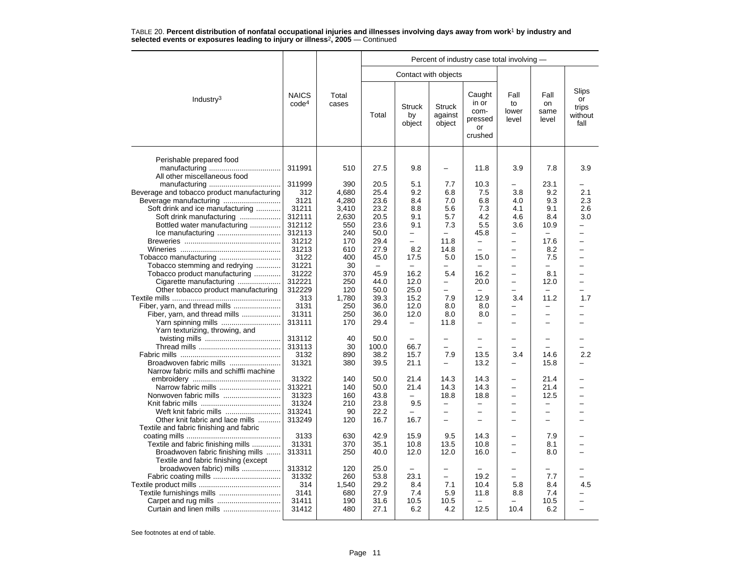|                                                                |                                   |                | Percent of industry case total involving - |                               |                                    |                                                     |                              |                             |                                         |  |  |  |
|----------------------------------------------------------------|-----------------------------------|----------------|--------------------------------------------|-------------------------------|------------------------------------|-----------------------------------------------------|------------------------------|-----------------------------|-----------------------------------------|--|--|--|
|                                                                |                                   |                |                                            |                               | Contact with objects               |                                                     |                              |                             |                                         |  |  |  |
| Industry <sup>3</sup>                                          | <b>NAICS</b><br>code <sup>4</sup> | Total<br>cases | Total                                      | <b>Struck</b><br>by<br>object | <b>Struck</b><br>against<br>object | Caught<br>in or<br>com-<br>pressed<br>or<br>crushed | Fall<br>to<br>lower<br>level | Fall<br>on<br>same<br>level | Slips<br>or<br>trips<br>without<br>fall |  |  |  |
| Perishable prepared food<br>All other miscellaneous food       | 311991                            | 510            | 27.5                                       | 9.8                           | $\overline{\phantom{0}}$           | 11.8                                                | 3.9                          | 7.8                         | 3.9                                     |  |  |  |
|                                                                | 311999                            | 390            | 20.5                                       | 5.1                           | 7.7                                | 10.3                                                |                              | 23.1                        |                                         |  |  |  |
| Beverage and tobacco product manufacturing                     | 312                               | 4,680          | 25.4                                       | 9.2                           | 6.8                                | 7.5                                                 | 3.8                          | 9.2                         | 2.1                                     |  |  |  |
|                                                                | 3121                              | 4,280          | 23.6                                       | 8.4                           | 7.0                                | 6.8                                                 | 4.0                          | 9.3                         | 2.3                                     |  |  |  |
| Soft drink and ice manufacturing                               | 31211                             | 3,410          | 23.2                                       | 8.8                           | 5.6                                | 7.3                                                 | 4.1                          | 9.1                         | 2.6                                     |  |  |  |
| Soft drink manufacturing                                       | 312111                            | 2,630          | 20.5                                       | 9.1                           | 5.7                                | 4.2                                                 | 4.6                          | 8.4                         | 3.0                                     |  |  |  |
| Bottled water manufacturing                                    | 312112                            | 550            | 23.6                                       | 9.1                           | 7.3                                | 5.5                                                 | 3.6                          | 10.9                        |                                         |  |  |  |
|                                                                | 312113                            | 240            | 50.0                                       |                               |                                    | 45.8                                                |                              |                             |                                         |  |  |  |
|                                                                | 31212                             | 170            | 29.4                                       | $\overline{\phantom{0}}$      | 11.8                               | $\overline{\phantom{0}}$                            | $\overline{\phantom{0}}$     | 17.6                        | $\overline{\phantom{0}}$                |  |  |  |
|                                                                | 31213                             | 610            | 27.9                                       | 8.2                           | 14.8                               | $\overline{\phantom{0}}$                            | $\overline{\phantom{0}}$     | 8.2                         | L.                                      |  |  |  |
| Tobacco manufacturing                                          | 3122                              | 400            | 45.0                                       | 17.5                          | 5.0                                | 15.0                                                |                              | 7.5                         |                                         |  |  |  |
| Tobacco stemming and redrying                                  | 31221                             | 30             | $\overline{\phantom{0}}$                   |                               |                                    | $\overline{\phantom{0}}$                            | $\overline{\phantom{0}}$     | $\overline{\phantom{0}}$    |                                         |  |  |  |
| Tobacco product manufacturing                                  | 31222                             | 370            | 45.9                                       | 16.2                          | 5.4                                | 16.2                                                | $\overline{\phantom{0}}$     | 8.1                         |                                         |  |  |  |
| Cigarette manufacturing                                        | 312221                            | 250            | 44.0                                       | 12.0                          | -                                  | 20.0                                                | $\overline{\phantom{0}}$     | 12.0                        |                                         |  |  |  |
| Other tobacco product manufacturing                            | 312229                            | 120            | 50.0                                       | 25.0                          | ÷<br>7.9                           | $\equiv$                                            |                              | $\overline{\phantom{0}}$    | $\overline{\phantom{0}}$                |  |  |  |
|                                                                | 313                               | 1,780          | 39.3                                       | 15.2<br>12.0                  | 8.0                                | 12.9<br>8.0                                         | 3.4<br>$\overline{a}$        | 11.2                        | 1.7                                     |  |  |  |
| Fiber, yarn, and thread mills<br>Fiber, yarn, and thread mills | 3131<br>31311                     | 250<br>250     | 36.0<br>36.0                               | 12.0                          | 8.0                                | 8.0                                                 | $\overline{\phantom{0}}$     |                             |                                         |  |  |  |
|                                                                | 313111                            | 170            | 29.4                                       | $\qquad \qquad -$             | 11.8                               | $\overline{\phantom{0}}$                            | $\equiv$                     |                             |                                         |  |  |  |
| Yarn texturizing, throwing, and                                |                                   |                |                                            |                               |                                    |                                                     |                              |                             |                                         |  |  |  |
|                                                                | 313112                            | 40             | 50.0                                       |                               |                                    |                                                     |                              |                             |                                         |  |  |  |
|                                                                | 313113                            | 30             | 100.0                                      | 66.7                          | $\overline{\phantom{0}}$           | $\overline{\phantom{0}}$                            |                              |                             |                                         |  |  |  |
|                                                                | 3132                              | 890            | 38.2                                       | 15.7                          | 7.9                                | 13.5                                                | 3.4                          | 14.6                        | 2.2                                     |  |  |  |
| Broadwoven fabric mills                                        | 31321                             | 380            | 39.5                                       | 21.1                          |                                    | 13.2                                                |                              | 15.8                        |                                         |  |  |  |
| Narrow fabric mills and schiffli machine                       |                                   |                |                                            |                               |                                    |                                                     |                              |                             |                                         |  |  |  |
|                                                                | 31322                             | 140            | 50.0                                       | 21.4                          | 14.3                               | 14.3                                                | -                            | 21.4                        |                                         |  |  |  |
|                                                                | 313221                            | 140            | 50.0                                       | 21.4                          | 14.3                               | 14.3                                                | $\overline{\phantom{0}}$     | 21.4                        |                                         |  |  |  |
| Nonwoven fabric mills                                          | 31323                             | 160            | 43.8                                       | $\overline{\phantom{0}}$      | 18.8                               | 18.8                                                | -                            | 12.5                        |                                         |  |  |  |
|                                                                | 31324                             | 210            | 23.8                                       | 9.5                           | $\qquad \qquad -$                  | -                                                   |                              |                             |                                         |  |  |  |
| Weft knit fabric mills                                         | 313241                            | 90             | 22.2                                       |                               | $\overline{\phantom{0}}$           | $\overline{\phantom{0}}$                            | $\overline{\phantom{0}}$     | $\overline{\phantom{0}}$    |                                         |  |  |  |
| Other knit fabric and lace mills                               | 313249                            | 120            | 16.7                                       | 16.7                          | $\overline{a}$                     |                                                     |                              |                             |                                         |  |  |  |
| Textile and fabric finishing and fabric                        | 3133                              | 630            | 42.9                                       | 15.9                          | 9.5                                | 14.3                                                | $\overline{\phantom{0}}$     | 7.9                         |                                         |  |  |  |
| Textile and fabric finishing mills                             | 31331                             | 370            | 35.1                                       | 10.8                          | 13.5                               | 10.8                                                |                              | 8.1                         |                                         |  |  |  |
| Broadwoven fabric finishing mills                              | 313311                            | 250            | 40.0                                       | 12.0                          | 12.0                               | 16.0                                                | $\overline{\phantom{0}}$     | 8.0                         |                                         |  |  |  |
| Textile and fabric finishing (except                           |                                   |                |                                            |                               |                                    |                                                     |                              |                             |                                         |  |  |  |
| broadwoven fabric) mills                                       | 313312                            | 120            | 25.0                                       |                               |                                    |                                                     |                              |                             |                                         |  |  |  |
|                                                                | 31332                             | 260            | 53.8                                       | 23.1                          | $\overline{\phantom{0}}$           | 19.2                                                | $\equiv$                     | 7.7                         |                                         |  |  |  |
|                                                                | 314                               | 1,540          | 29.2                                       | 8.4                           | 7.1                                | 10.4                                                | 5.8                          | 8.4                         | 4.5                                     |  |  |  |
|                                                                | 3141                              | 680            | 27.9                                       | 7.4                           | 5.9                                | 11.8                                                | 8.8                          | 7.4                         |                                         |  |  |  |
|                                                                | 31411                             | 190            | 31.6                                       | 10.5                          | 10.5                               |                                                     |                              | 10.5                        |                                         |  |  |  |
| Curtain and linen mills                                        | 31412                             | 480            | 27.1                                       | 6.2                           | 4.2                                | 12.5                                                | 10.4                         | 6.2                         |                                         |  |  |  |
|                                                                |                                   |                |                                            |                               |                                    |                                                     |                              |                             |                                         |  |  |  |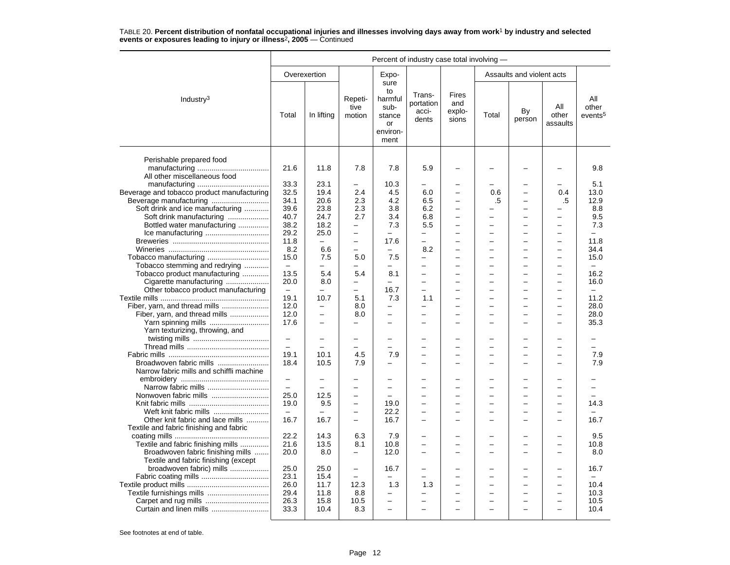|                                                          | Percent of industry case total involving - |                          |                                 |                                                                   |                                       |                                 |       |                                |                          |                                     |  |
|----------------------------------------------------------|--------------------------------------------|--------------------------|---------------------------------|-------------------------------------------------------------------|---------------------------------------|---------------------------------|-------|--------------------------------|--------------------------|-------------------------------------|--|
|                                                          |                                            | Overexertion             |                                 | Expo-                                                             |                                       |                                 |       | Assaults and violent acts      |                          |                                     |  |
| Industry <sup>3</sup>                                    | Total                                      | In lifting               | Repeti-<br>tive<br>motion       | sure<br>to<br>harmful<br>sub-<br>stance<br>or<br>environ-<br>ment | Trans-<br>portation<br>acci-<br>dents | Fires<br>and<br>explo-<br>sions | Total | By<br>person                   | All<br>other<br>assaults | All<br>other<br>events <sup>5</sup> |  |
| Perishable prepared food<br>All other miscellaneous food | 21.6                                       | 11.8                     | 7.8                             | 7.8                                                               | 5.9                                   |                                 |       |                                |                          | 9.8                                 |  |
|                                                          | 33.3                                       | 23.1                     | -                               | 10.3                                                              | $\overline{\phantom{0}}$              |                                 |       |                                |                          | 5.1                                 |  |
| Beverage and tobacco product manufacturing               | 32.5                                       | 19.4                     | 2.4                             | 4.5                                                               | 6.0                                   |                                 | 0.6   | $\overline{\phantom{0}}$       | 0.4                      | 13.0                                |  |
|                                                          | 34.1                                       | 20.6                     | 2.3                             | 4.2                                                               | 6.5                                   |                                 | .5    | ÷                              | .5                       | 12.9                                |  |
| Soft drink and ice manufacturing                         | 39.6                                       | 23.8                     | 2.3                             | 3.8                                                               | 6.2                                   | $\overline{\phantom{0}}$        |       | $\overline{\phantom{0}}$       |                          | 8.8                                 |  |
| Soft drink manufacturing                                 | 40.7                                       | 24.7                     | 2.7                             | 3.4                                                               | 6.8                                   | ÷                               |       | ÷                              | $\equiv$                 | 9.5                                 |  |
| Bottled water manufacturing                              | 38.2                                       | 18.2                     | -                               | 7.3                                                               | 5.5                                   | -                               |       | ÷                              |                          | 7.3                                 |  |
|                                                          | 29.2                                       | 25.0                     | $\overline{\phantom{0}}$        |                                                                   |                                       |                                 |       |                                |                          |                                     |  |
|                                                          | 11.8                                       | $\overline{\phantom{0}}$ | $\overline{\phantom{0}}$        | 17.6                                                              |                                       |                                 |       | L,                             |                          | 11.8                                |  |
|                                                          | 8.2                                        | 6.6                      | $\overline{a}$                  | $\overline{\phantom{0}}$                                          | 8.2                                   |                                 |       | L,                             | $\overline{\phantom{0}}$ | 34.4                                |  |
| Tobacco manufacturing                                    | 15.0                                       | 7.5                      | 5.0                             | 7.5                                                               |                                       |                                 |       | ÷                              |                          | 15.0                                |  |
| Tobacco stemming and redrying                            | $\overline{\phantom{0}}$                   | $\equiv$                 | $\overline{\phantom{0}}$        | $\overline{\phantom{0}}$                                          |                                       |                                 |       | $\overline{\phantom{0}}$       |                          | $\equiv$                            |  |
| Tobacco product manufacturing                            | 13.5                                       | 5.4                      | 5.4<br>$\overline{a}$           | 8.1                                                               |                                       |                                 |       |                                |                          | 16.2                                |  |
| Cigarette manufacturing                                  | 20.0                                       | 8.0                      |                                 |                                                                   |                                       |                                 |       |                                |                          | 16.0                                |  |
| Other tobacco product manufacturing                      | $\overline{\phantom{a}}$<br>19.1           | $\equiv$<br>10.7         | $\overline{\phantom{0}}$<br>5.1 | 16.7                                                              | $\equiv$                              | -<br>$\equiv$                   |       | $\overline{\phantom{0}}$<br>L, | $\overline{\phantom{0}}$ | $\equiv$<br>11.2                    |  |
|                                                          | 12.0                                       | $\overline{\phantom{0}}$ | 8.0                             | 7.3<br>$\overline{\phantom{0}}$                                   | 1.1<br>$\overline{\phantom{0}}$       |                                 |       |                                |                          | 28.0                                |  |
| Fiber, yarn, and thread mills                            | 12.0                                       |                          | 8.0                             |                                                                   |                                       |                                 |       |                                |                          | 28.0                                |  |
| Yarn spinning mills                                      | 17.6                                       | $\overline{\phantom{0}}$ | $\overline{\phantom{0}}$        | $\overline{\phantom{0}}$                                          |                                       |                                 |       | $\overline{\phantom{0}}$       |                          | 35.3                                |  |
| Yarn texturizing, throwing, and                          |                                            |                          |                                 |                                                                   |                                       |                                 |       |                                |                          |                                     |  |
|                                                          | $\overline{\phantom{m}}$                   |                          | $\equiv$                        | $\equiv$                                                          |                                       |                                 |       |                                |                          |                                     |  |
|                                                          | $\equiv$                                   |                          |                                 |                                                                   |                                       |                                 |       | ÷                              |                          |                                     |  |
|                                                          | 19.1                                       | 10.1                     | 4.5                             | 7.9                                                               |                                       |                                 |       | L,                             |                          | 7.9                                 |  |
| Broadwoven fabric mills                                  | 18.4                                       | 10.5                     | 7.9                             | $\overline{a}$                                                    | ÷                                     | -                               |       | ÷                              |                          | 7.9                                 |  |
| Narrow fabric mills and schiffli machine                 |                                            |                          |                                 |                                                                   |                                       |                                 |       |                                |                          |                                     |  |
|                                                          | $\qquad \qquad -$                          |                          |                                 |                                                                   |                                       |                                 |       |                                |                          |                                     |  |
| Narrow fabric mills                                      | $\overline{\phantom{m}}$                   |                          |                                 | ÷                                                                 |                                       |                                 |       |                                |                          |                                     |  |
| Nonwoven fabric mills                                    | 25.0                                       | 12.5                     | $\overline{\phantom{0}}$        |                                                                   |                                       |                                 |       | -                              |                          |                                     |  |
|                                                          | 19.0                                       | 9.5                      | $\overline{\phantom{0}}$        | 19.0                                                              | $\overline{\phantom{0}}$              | -                               |       | $\overline{\phantom{0}}$       | $\overline{\phantom{0}}$ | 14.3                                |  |
| Weft knit fabric mills                                   | $\overline{\phantom{m}}$                   |                          | $\overline{\phantom{0}}$        | 22.2                                                              |                                       |                                 |       | -                              |                          |                                     |  |
| Other knit fabric and lace mills                         | 16.7                                       | 16.7                     |                                 | 16.7                                                              |                                       |                                 |       |                                |                          | 16.7                                |  |
| Textile and fabric finishing and fabric                  | 22.2                                       |                          |                                 |                                                                   |                                       |                                 |       |                                |                          | 9.5                                 |  |
| Textile and fabric finishing mills                       | 21.6                                       | 14.3<br>13.5             | 6.3<br>8.1                      | 7.9<br>10.8                                                       | $\equiv$                              | -                               |       | ÷                              |                          | 10.8                                |  |
| Broadwoven fabric finishing mills                        | 20.0                                       | 8.0                      | $\overline{\phantom{0}}$        | 12.0                                                              | $\equiv$                              | -                               |       | ÷                              | $\sim$                   | 8.0                                 |  |
| Textile and fabric finishing (except                     |                                            |                          |                                 |                                                                   |                                       |                                 |       |                                |                          |                                     |  |
| broadwoven fabric) mills                                 | 25.0                                       | 25.0                     | $\overline{\phantom{0}}$        | 16.7                                                              | $\overline{\phantom{0}}$              |                                 |       |                                |                          | 16.7                                |  |
|                                                          | 23.1                                       | 15.4                     |                                 |                                                                   |                                       |                                 |       |                                |                          |                                     |  |
|                                                          | 26.0                                       | 11.7                     | 12.3                            | 1.3                                                               | 1.3                                   | -                               |       | -                              |                          | 10.4                                |  |
|                                                          | 29.4                                       | 11.8                     | 8.8                             | —                                                                 | $\overline{\phantom{0}}$              | -                               |       | L,                             | $\overline{\phantom{0}}$ | 10.3                                |  |
| Carpet and rug mills                                     | 26.3                                       | 15.8                     | 10.5                            |                                                                   |                                       |                                 |       |                                |                          | 10.5                                |  |
| Curtain and linen mills                                  | 33.3                                       | 10.4                     | 8.3                             |                                                                   |                                       |                                 |       |                                |                          | 10.4                                |  |
|                                                          |                                            |                          |                                 |                                                                   |                                       |                                 |       |                                |                          |                                     |  |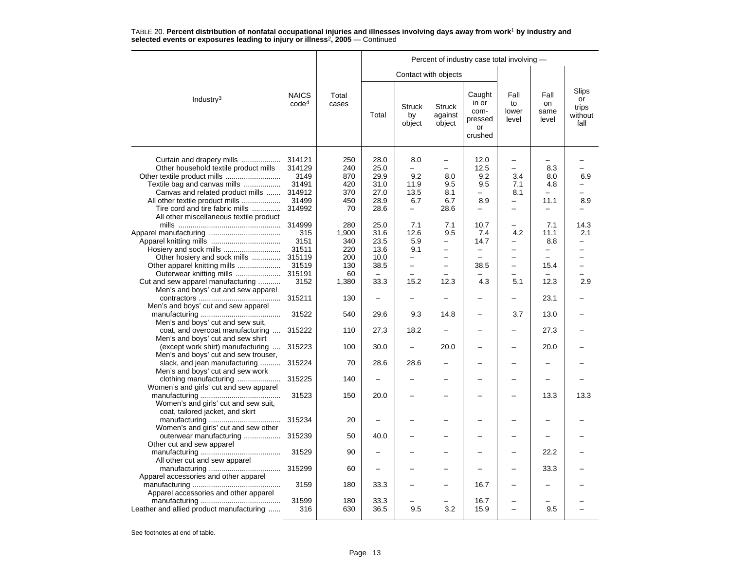|                                                                                                                                                                                                                                             |                                                                     |                                                         | Percent of industry case total involving -           |                                                                                           |                                                                                 |                                                                    |                                                                 |                                    |                                         |  |  |  |
|---------------------------------------------------------------------------------------------------------------------------------------------------------------------------------------------------------------------------------------------|---------------------------------------------------------------------|---------------------------------------------------------|------------------------------------------------------|-------------------------------------------------------------------------------------------|---------------------------------------------------------------------------------|--------------------------------------------------------------------|-----------------------------------------------------------------|------------------------------------|-----------------------------------------|--|--|--|
|                                                                                                                                                                                                                                             |                                                                     |                                                         |                                                      | Contact with objects                                                                      |                                                                                 |                                                                    |                                                                 |                                    |                                         |  |  |  |
| Industry <sup>3</sup>                                                                                                                                                                                                                       | <b>NAICS</b><br>code <sup>4</sup>                                   | Total<br>cases                                          | Total                                                | <b>Struck</b><br>by<br>object                                                             | <b>Struck</b><br>against<br>object                                              | Caught<br>in or<br>com-<br>pressed<br>or<br>crushed                | Fall<br>to<br>lower<br>level                                    | Fall<br>on<br>same<br>level        | Slips<br>or<br>trips<br>without<br>fall |  |  |  |
| Curtain and drapery mills<br>Other household textile product mills<br>Other textile product mills<br>Textile bag and canvas mills<br>Canvas and related product mills<br>All other textile product mills<br>Tire cord and tire fabric mills | 314121<br>314129<br>3149<br>31491<br>314912<br>31499<br>314992      | 250<br>240<br>870<br>420<br>370<br>450<br>70            | 28.0<br>25.0<br>29.9<br>31.0<br>27.0<br>28.9<br>28.6 | 8.0<br>$\overline{\phantom{0}}$<br>9.2<br>11.9<br>13.5<br>6.7<br>$\overline{\phantom{0}}$ | $\qquad \qquad -$<br>$\equiv$<br>8.0<br>9.5<br>8.1<br>6.7<br>28.6               | 12.0<br>12.5<br>9.2<br>9.5<br>-<br>8.9<br>$\overline{\phantom{0}}$ | -<br>$\overline{a}$<br>3.4<br>7.1<br>8.1<br>$\overline{a}$<br>- | 8.3<br>8.0<br>4.8<br>11.1          | 6.9<br>8.9                              |  |  |  |
| All other miscellaneous textile product<br>Other hosiery and sock mills<br>Other apparel knitting mills<br>Outerwear knitting mills<br>Cut and sew apparel manufacturing                                                                    | 314999<br>315<br>3151<br>31511<br>315119<br>31519<br>315191<br>3152 | 280<br>1,900<br>340<br>220<br>200<br>130<br>60<br>1,380 | 25.0<br>31.6<br>23.5<br>13.6<br>10.0<br>38.5<br>33.3 | 7.1<br>12.6<br>5.9<br>9.1<br>$\overline{\phantom{0}}$<br>15.2                             | 7.1<br>9.5<br>$\overline{\phantom{0}}$<br>$\overline{\phantom{0}}$<br>-<br>12.3 | 10.7<br>7.4<br>14.7<br>$\overline{\phantom{0}}$<br>38.5<br>4.3     | 4.2<br>$\overline{a}$<br>-<br>-<br>5.1                          | 7.1<br>11.1<br>8.8<br>15.4<br>12.3 | 14.3<br>2.1<br>2.9                      |  |  |  |
| Men's and boys' cut and sew apparel                                                                                                                                                                                                         | 315211                                                              | 130                                                     |                                                      |                                                                                           |                                                                                 |                                                                    |                                                                 | 23.1                               |                                         |  |  |  |
| Men's and boys' cut and sew apparel<br>Men's and boys' cut and sew suit,                                                                                                                                                                    | 31522                                                               | 540                                                     | 29.6                                                 | 9.3                                                                                       | 14.8                                                                            |                                                                    | 3.7                                                             | 13.0                               |                                         |  |  |  |
| coat, and overcoat manufacturing<br>Men's and boys' cut and sew shirt                                                                                                                                                                       | 315222                                                              | 110                                                     | 27.3                                                 | 18.2                                                                                      | $\overline{\phantom{0}}$                                                        | $\overline{\phantom{0}}$                                           | -                                                               | 27.3                               |                                         |  |  |  |
| (except work shirt) manufacturing<br>$\ddotsc$<br>Men's and boys' cut and sew trouser,                                                                                                                                                      | 315223                                                              | 100                                                     | 30.0                                                 |                                                                                           | 20.0                                                                            |                                                                    | -                                                               | 20.0                               |                                         |  |  |  |
| slack, and jean manufacturing<br>Men's and boys' cut and sew work                                                                                                                                                                           | 315224                                                              | 70                                                      | 28.6                                                 | 28.6                                                                                      |                                                                                 |                                                                    |                                                                 |                                    |                                         |  |  |  |
| clothing manufacturing<br>Women's and girls' cut and sew apparel                                                                                                                                                                            | 315225                                                              | 140                                                     |                                                      |                                                                                           |                                                                                 |                                                                    |                                                                 |                                    |                                         |  |  |  |
| Women's and girls' cut and sew suit,<br>coat, tailored jacket, and skirt                                                                                                                                                                    | 31523                                                               | 150                                                     | 20.0                                                 |                                                                                           |                                                                                 |                                                                    |                                                                 | 13.3                               | 13.3                                    |  |  |  |
| Women's and girls' cut and sew other                                                                                                                                                                                                        | 315234                                                              | 20                                                      |                                                      |                                                                                           |                                                                                 |                                                                    |                                                                 |                                    |                                         |  |  |  |
| outerwear manufacturing<br>Other cut and sew apparel                                                                                                                                                                                        | 315239                                                              | 50                                                      | 40.0                                                 | -                                                                                         |                                                                                 |                                                                    |                                                                 |                                    |                                         |  |  |  |
| All other cut and sew apparel                                                                                                                                                                                                               | 31529                                                               | 90                                                      |                                                      |                                                                                           |                                                                                 |                                                                    |                                                                 | 22.2                               |                                         |  |  |  |
| Apparel accessories and other apparel                                                                                                                                                                                                       | 315299                                                              | 60                                                      |                                                      |                                                                                           |                                                                                 |                                                                    |                                                                 | 33.3                               |                                         |  |  |  |
| Apparel accessories and other apparel                                                                                                                                                                                                       | 3159                                                                | 180                                                     | 33.3                                                 |                                                                                           |                                                                                 | 16.7                                                               |                                                                 |                                    |                                         |  |  |  |
| Leather and allied product manufacturing                                                                                                                                                                                                    | 31599<br>316                                                        | 180<br>630                                              | 33.3<br>36.5                                         | 9.5                                                                                       | 3.2                                                                             | 16.7<br>15.9                                                       | $\overline{\phantom{0}}$                                        | 9.5                                |                                         |  |  |  |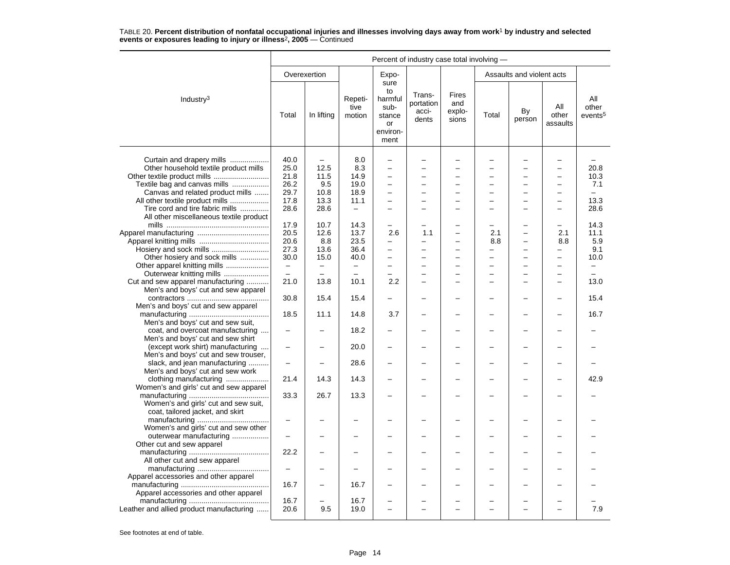|                                                                                                                                                                           | Percent of industry case total involving -   |                                                 |                                            |                                                                                                      |                                       |                                 |                                        |                                                      |                                        |                                         |  |  |
|---------------------------------------------------------------------------------------------------------------------------------------------------------------------------|----------------------------------------------|-------------------------------------------------|--------------------------------------------|------------------------------------------------------------------------------------------------------|---------------------------------------|---------------------------------|----------------------------------------|------------------------------------------------------|----------------------------------------|-----------------------------------------|--|--|
|                                                                                                                                                                           |                                              | Overexertion                                    |                                            | Expo-                                                                                                |                                       |                                 |                                        | Assaults and violent acts                            |                                        |                                         |  |  |
| Industry <sup>3</sup>                                                                                                                                                     | Total                                        | In lifting                                      | Repeti-<br>tive<br>motion                  | sure<br>to<br>harmful<br>sub-<br>stance<br>or<br>environ-<br>ment                                    | Trans-<br>portation<br>acci-<br>dents | Fires<br>and<br>explo-<br>sions | Total                                  | By<br>person                                         | All<br>other<br>assaults               | All<br>other<br>events <sup>5</sup>     |  |  |
| Curtain and drapery mills<br>Other household textile product mills<br>Textile bag and canvas mills<br>Canvas and related product mills<br>All other textile product mills | 40.0<br>25.0<br>21.8<br>26.2<br>29.7<br>17.8 | $\equiv$<br>12.5<br>11.5<br>9.5<br>10.8<br>13.3 | 8.0<br>8.3<br>14.9<br>19.0<br>18.9<br>11.1 | L,<br>$\overline{a}$<br>L.<br>$\overline{\phantom{0}}$<br>$\overline{\phantom{0}}$<br>$\overline{a}$ |                                       |                                 |                                        | ÷<br>$\overline{\phantom{0}}$<br>L,<br>-<br>$\equiv$ | $\equiv$<br>$\equiv$                   | 20.8<br>10.3<br>7.1<br>$\equiv$<br>13.3 |  |  |
| Tire cord and tire fabric mills<br>All other miscellaneous textile product                                                                                                | 28.6                                         | 28.6                                            | $\equiv$                                   | ÷                                                                                                    |                                       | $\equiv$                        |                                        | ÷                                                    | $\equiv$                               | 28.6                                    |  |  |
|                                                                                                                                                                           | 17.9<br>20.5<br>20.6<br>27.3                 | 10.7<br>12.6<br>8.8<br>13.6                     | 14.3<br>13.7<br>23.5<br>36.4               | L,<br>2.6<br>-<br>-                                                                                  | 1.1                                   |                                 | 2.1<br>8.8<br>$\overline{\phantom{0}}$ | $\overline{\phantom{0}}$<br>-<br>L,                  | 2.1<br>8.8<br>$\overline{\phantom{0}}$ | 14.3<br>11.1<br>5.9<br>9.1              |  |  |
| Hosiery and sock mills<br>Other hosiery and sock mills<br>Other apparel knitting mills                                                                                    | 30.0<br>$\equiv$<br>$\equiv$                 | 15.0<br>$\equiv$<br>$\equiv$                    | 40.0<br>$\equiv$                           | -<br>$\equiv$                                                                                        |                                       |                                 |                                        | $\overline{a}$                                       | $\equiv$                               | 10.0<br>$\equiv$                        |  |  |
| Outerwear knitting mills<br>Cut and sew apparel manufacturing<br>Men's and boys' cut and sew apparel                                                                      | 21.0                                         | 13.8                                            | $\equiv$<br>10.1                           | $\overline{\phantom{0}}$<br>2.2                                                                      |                                       |                                 |                                        | $\overline{\phantom{0}}$<br>÷                        | $\overline{\phantom{0}}$<br>$\equiv$   | 13.0                                    |  |  |
| Men's and boys' cut and sew apparel                                                                                                                                       | 30.8<br>18.5                                 | 15.4<br>11.1                                    | 15.4<br>14.8                               | 3.7                                                                                                  |                                       |                                 |                                        |                                                      |                                        | 15.4<br>16.7                            |  |  |
| Men's and boys' cut and sew suit,<br>coat, and overcoat manufacturing<br>Men's and boys' cut and sew shirt                                                                |                                              |                                                 | 18.2                                       |                                                                                                      |                                       |                                 |                                        |                                                      |                                        |                                         |  |  |
| (except work shirt) manufacturing<br>$\cdots$<br>Men's and boys' cut and sew trouser,<br>slack, and jean manufacturing                                                    | $\overline{\phantom{0}}$                     |                                                 | 20.0<br>28.6                               |                                                                                                      |                                       |                                 |                                        |                                                      |                                        |                                         |  |  |
| Men's and boys' cut and sew work<br>clothing manufacturing                                                                                                                | 21.4                                         | 14.3                                            | 14.3                                       |                                                                                                      |                                       |                                 |                                        |                                                      |                                        | 42.9                                    |  |  |
| Women's and girls' cut and sew apparel<br>Women's and girls' cut and sew suit,                                                                                            | 33.3                                         | 26.7                                            | 13.3                                       |                                                                                                      |                                       |                                 |                                        |                                                      |                                        |                                         |  |  |
| coat, tailored jacket, and skirt<br>Women's and girls' cut and sew other                                                                                                  |                                              |                                                 |                                            |                                                                                                      |                                       |                                 |                                        |                                                      |                                        |                                         |  |  |
| outerwear manufacturing<br>Other cut and sew apparel                                                                                                                      | $\overline{\phantom{0}}$<br>22.2             |                                                 |                                            |                                                                                                      |                                       |                                 |                                        |                                                      |                                        |                                         |  |  |
| All other cut and sew apparel                                                                                                                                             | $\overline{\phantom{0}}$                     |                                                 |                                            |                                                                                                      |                                       |                                 |                                        |                                                      |                                        |                                         |  |  |
| Apparel accessories and other apparel<br>Apparel accessories and other apparel                                                                                            | 16.7                                         |                                                 | 16.7                                       |                                                                                                      |                                       |                                 |                                        |                                                      |                                        |                                         |  |  |
| Leather and allied product manufacturing                                                                                                                                  | 16.7<br>20.6                                 | 9.5                                             | 16.7<br>19.0                               | L.                                                                                                   |                                       |                                 |                                        | ÷                                                    |                                        | 7.9                                     |  |  |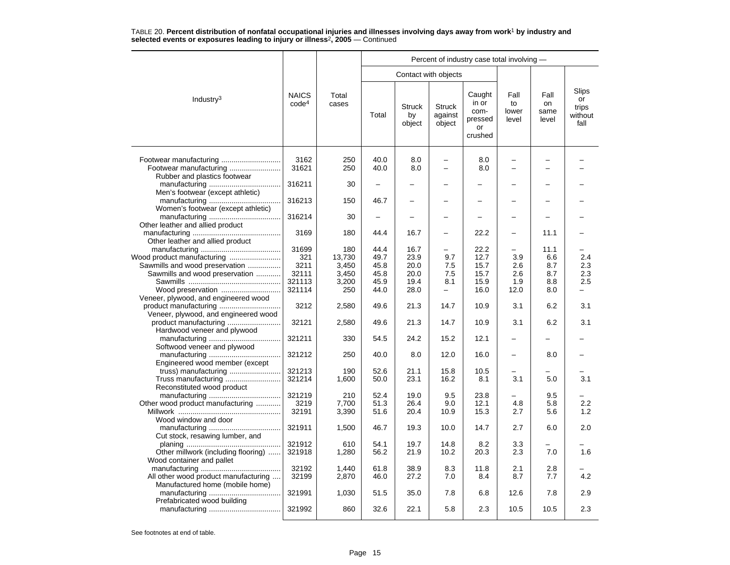|                                                                  |                                   |                         |                      |                               |                                                      | Percent of industry case total involving -          |                                                      |                             |                                         |
|------------------------------------------------------------------|-----------------------------------|-------------------------|----------------------|-------------------------------|------------------------------------------------------|-----------------------------------------------------|------------------------------------------------------|-----------------------------|-----------------------------------------|
|                                                                  |                                   |                         |                      |                               | Contact with objects                                 |                                                     |                                                      |                             |                                         |
| Industry <sup>3</sup>                                            | <b>NAICS</b><br>code <sup>4</sup> | Total<br>cases          | Total                | <b>Struck</b><br>by<br>object | <b>Struck</b><br>against<br>object                   | Caught<br>in or<br>com-<br>pressed<br>or<br>crushed | Fall<br>to<br>lower<br>level                         | Fall<br>on<br>same<br>level | Slips<br>or<br>trips<br>without<br>fall |
| Footwear manufacturing<br>Rubber and plastics footwear           | 3162<br>31621                     | 250<br>250              | 40.0<br>40.0         | 8.0<br>8.0                    | $\overline{\phantom{0}}$<br>$\overline{\phantom{0}}$ | 8.0<br>8.0                                          | $\overline{\phantom{0}}$<br>$\overline{\phantom{0}}$ |                             |                                         |
| Men's footwear (except athletic)                                 | 316211                            | 30                      | -                    |                               |                                                      |                                                     |                                                      |                             |                                         |
| Women's footwear (except athletic)                               | 316213                            | 150                     | 46.7                 |                               |                                                      |                                                     |                                                      |                             |                                         |
| Other leather and allied product                                 | 316214                            | 30                      |                      |                               |                                                      |                                                     |                                                      |                             |                                         |
| Other leather and allied product                                 | 3169                              | 180                     | 44.4                 | 16.7                          |                                                      | 22.2                                                |                                                      | 11.1                        |                                         |
| Wood product manufacturing                                       | 31699<br>321                      | 180<br>13,730           | 44.4<br>49.7         | 16.7<br>23.9                  | 9.7                                                  | 22.2<br>12.7                                        | 3.9                                                  | 11.1<br>6.6                 | 2.4                                     |
| Sawmills and wood preservation<br>Sawmills and wood preservation | 3211<br>32111<br>321113           | 3.450<br>3,450<br>3,200 | 45.8<br>45.8<br>45.9 | 20.0<br>20.0<br>19.4          | 7.5<br>7.5<br>8.1                                    | 15.7<br>15.7<br>15.9                                | 2.6<br>2.6<br>1.9                                    | 8.7<br>8.7<br>8.8           | 2.3<br>2.3<br>2.5                       |
| Veneer, plywood, and engineered wood                             | 321114                            | 250                     | 44.0                 | 28.0                          | $\overline{\phantom{0}}$                             | 16.0                                                | 12.0                                                 | 8.0                         | -                                       |
| product manufacturing<br>Veneer, plywood, and engineered wood    | 3212                              | 2,580                   | 49.6                 | 21.3                          | 14.7                                                 | 10.9                                                | 3.1                                                  | 6.2                         | 3.1                                     |
| product manufacturing<br>Hardwood veneer and plywood             | 32121                             | 2,580                   | 49.6                 | 21.3                          | 14.7                                                 | 10.9                                                | 3.1                                                  | 6.2                         | 3.1                                     |
| Softwood veneer and plywood                                      | 321211                            | 330                     | 54.5                 | 24.2                          | 15.2                                                 | 12.1                                                |                                                      |                             |                                         |
| Engineered wood member (except                                   | 321212                            | 250                     | 40.0                 | 8.0                           | 12.0                                                 | 16.0                                                | $\overline{\phantom{0}}$                             | 8.0                         |                                         |
| truss) manufacturing<br>Reconstituted wood product               | 321213<br>321214                  | 190<br>1,600            | 52.6<br>50.0         | 21.1<br>23.1                  | 15.8<br>16.2                                         | 10.5<br>8.1                                         | 3.1                                                  | 5.0                         | 3.1                                     |
| Other wood product manufacturing                                 | 321219<br>3219<br>32191           | 210<br>7.700<br>3,390   | 52.4<br>51.3<br>51.6 | 19.0<br>26.4<br>20.4          | 9.5<br>9.0<br>10.9                                   | 23.8<br>12.1<br>15.3                                | 4.8<br>2.7                                           | 9.5<br>5.8<br>5.6           | 2.2<br>1.2                              |
| Wood window and door<br>Cut stock, resawing lumber, and          | 321911                            | 1,500                   | 46.7                 | 19.3                          | 10.0                                                 | 14.7                                                | 2.7                                                  | 6.0                         | 2.0                                     |
| Other millwork (including flooring)<br>Wood container and pallet | 321912<br>321918                  | 610<br>1,280            | 54.1<br>56.2         | 19.7<br>21.9                  | 14.8<br>10.2                                         | 8.2<br>20.3                                         | 3.3<br>2.3                                           | 7.0                         | 1.6                                     |
| All other wood product manufacturing                             | 32192<br>32199                    | 1,440<br>2,870          | 61.8<br>46.0         | 38.9<br>27.2                  | 8.3<br>7.0                                           | 11.8<br>8.4                                         | 2.1<br>8.7                                           | 2.8<br>7.7                  | 4.2                                     |
| Manufactured home (mobile home)<br>Prefabricated wood building   | 321991                            | 1,030                   | 51.5                 | 35.0                          | 7.8                                                  | 6.8                                                 | 12.6                                                 | 7.8                         | 2.9                                     |
|                                                                  | 321992                            | 860                     | 32.6                 | 22.1                          | 5.8                                                  | 2.3                                                 | 10.5                                                 | 10.5                        | 2.3                                     |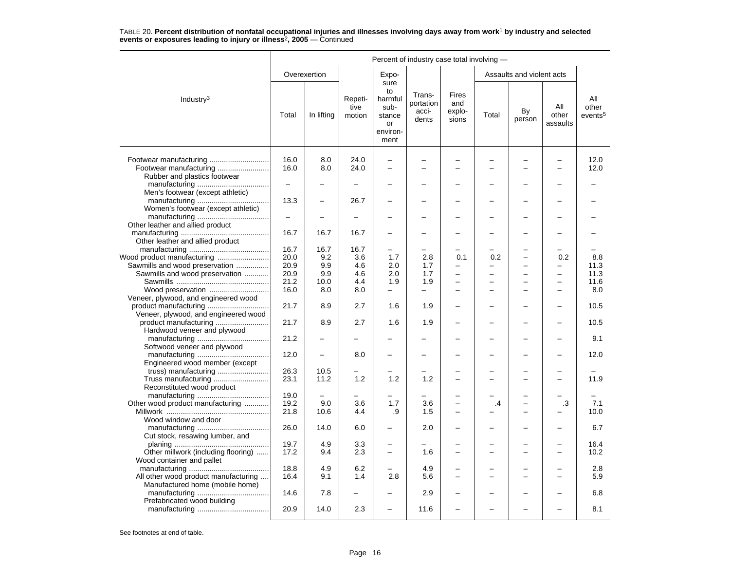|                                                                                                |                          |                          |                           |                                                                   | Percent of industry case total involving - |                                                      |               |                                |                                |                                     |
|------------------------------------------------------------------------------------------------|--------------------------|--------------------------|---------------------------|-------------------------------------------------------------------|--------------------------------------------|------------------------------------------------------|---------------|--------------------------------|--------------------------------|-------------------------------------|
|                                                                                                |                          | Overexertion             |                           | Expo-                                                             |                                            |                                                      |               | Assaults and violent acts      |                                |                                     |
| Industry <sup>3</sup>                                                                          | Total                    | In lifting               | Repeti-<br>tive<br>motion | sure<br>to<br>harmful<br>sub-<br>stance<br>or<br>environ-<br>ment | Trans-<br>portation<br>acci-<br>dents      | Fires<br>and<br>explo-<br>sions                      | Total         | By<br>person                   | All<br>other<br>assaults       | All<br>other<br>events <sup>5</sup> |
| Footwear manufacturing                                                                         | 16.0<br>16.0             | 8.0<br>8.0               | 24.0<br>24.0              | $\overline{a}$<br>$\overline{\phantom{0}}$                        | -                                          | $\equiv$                                             |               | $\overline{\phantom{0}}$       | $\overline{\phantom{0}}$       | 12.0<br>12.0                        |
| Rubber and plastics footwear                                                                   | $\equiv$                 |                          |                           |                                                                   |                                            |                                                      |               |                                |                                |                                     |
| Men's footwear (except athletic)                                                               | 13.3                     |                          | 26.7                      |                                                                   |                                            |                                                      |               |                                |                                |                                     |
| Women's footwear (except athletic)                                                             | $\overline{\phantom{0}}$ |                          |                           |                                                                   |                                            |                                                      |               |                                |                                |                                     |
| Other leather and allied product                                                               | 16.7                     | 16.7                     | 16.7                      |                                                                   |                                            |                                                      |               |                                |                                |                                     |
| Other leather and allied product                                                               | 16.7<br>20.0             | 16.7                     | 16.7<br>3.6               | 1.7                                                               | 2.8                                        |                                                      | 0.2           |                                | 0.2                            | 8.8                                 |
| Wood product manufacturing<br>Sawmills and wood preservation<br>Sawmills and wood preservation | 20.9<br>20.9             | 9.2<br>9.9<br>9.9        | 4.6<br>4.6                | 2.0<br>2.0                                                        | 1.7<br>1.7                                 | 0.1<br>$\overline{\phantom{0}}$                      |               | -<br>-                         | -<br>$\overline{\phantom{0}}$  | 11.3<br>11.3                        |
| Wood preservation                                                                              | 21.2<br>16.0             | 10.0<br>8.0              | 4.4<br>8.0                | 1.9<br>$-$                                                        | 1.9<br>÷                                   | $\equiv$<br>$\equiv$                                 | $\equiv$      | L.<br>$\overline{\phantom{0}}$ | L.<br>$\overline{\phantom{0}}$ | 11.6<br>8.0                         |
| Veneer, plywood, and engineered wood<br>product manufacturing                                  | 21.7                     | 8.9                      | 2.7                       | 1.6                                                               | 1.9                                        |                                                      |               |                                |                                | 10.5                                |
| Veneer, plywood, and engineered wood                                                           | 21.7                     | 8.9                      | 2.7                       | 1.6                                                               | 1.9                                        |                                                      |               | -                              |                                | 10.5                                |
| Hardwood veneer and plywood                                                                    | 21.2                     |                          |                           |                                                                   |                                            |                                                      |               |                                |                                | 9.1                                 |
| Softwood veneer and plywood                                                                    | 12.0                     | $\overline{\phantom{0}}$ | 8.0                       |                                                                   |                                            |                                                      |               |                                |                                | 12.0                                |
| Engineered wood member (except<br>truss) manufacturing                                         | 26.3                     | 10.5                     |                           |                                                                   |                                            |                                                      |               | ▃                              |                                |                                     |
| Reconstituted wood product                                                                     | 23.1                     | 11.2                     | 1.2                       | 1.2                                                               | 1.2                                        |                                                      |               | -                              |                                | 11.9                                |
| Other wood product manufacturing<br>Wood window and door                                       | 19.0<br>19.2<br>21.8     | 9.0<br>10.6              | 3.6<br>4.4                | 1.7<br>.9                                                         | 3.6<br>1.5                                 | $\overline{\phantom{0}}$<br>$\overline{\phantom{0}}$ | $\mathcal{A}$ | $\overline{\phantom{0}}$<br>-  | .3                             | 7.1<br>10.0                         |
| Cut stock, resawing lumber, and                                                                | 26.0                     | 14.0                     | 6.0                       |                                                                   | 2.0                                        |                                                      |               |                                |                                | 6.7                                 |
| Other millwork (including flooring)<br>Wood container and pallet                               | 19.7<br>17.2             | 4.9<br>9.4               | 3.3<br>2.3                | $\equiv$                                                          | 1.6                                        | $\equiv$                                             | $\equiv$      | $\equiv$                       | $\equiv$                       | 16.4<br>10.2                        |
| All other wood product manufacturing<br>Manufactured home (mobile home)                        | 18.8<br>16.4             | 4.9<br>9.1               | 6.2<br>1.4                | 2.8                                                               | 4.9<br>5.6                                 |                                                      |               | ▃                              |                                | 2.8<br>5.9                          |
| Prefabricated wood building                                                                    | 14.6                     | 7.8                      | $\overline{\phantom{0}}$  |                                                                   | 2.9                                        |                                                      |               | $\overline{\phantom{0}}$       |                                | 6.8                                 |
|                                                                                                | 20.9                     | 14.0                     | 2.3                       |                                                                   | 11.6                                       |                                                      |               |                                |                                | 8.1                                 |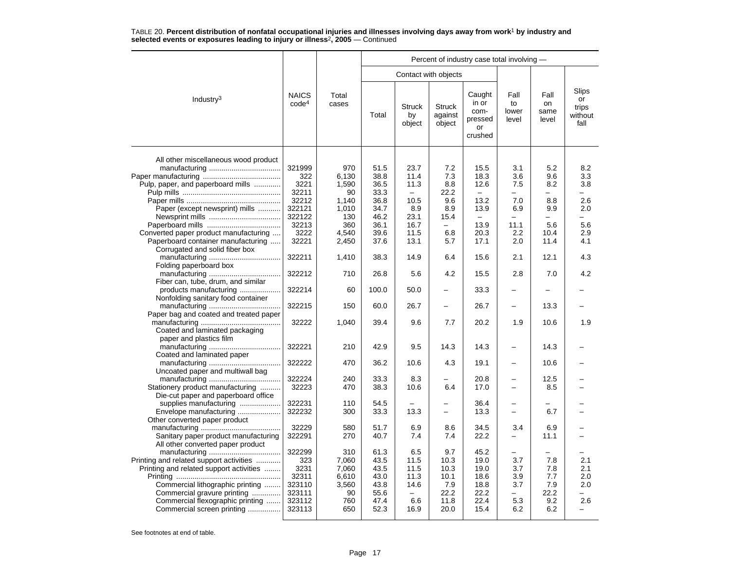|                                                                                                                        |                                          |                                         | Percent of industry case total involving - |                                         |                                        |                                                     |                                        |                                        |                                         |  |  |  |
|------------------------------------------------------------------------------------------------------------------------|------------------------------------------|-----------------------------------------|--------------------------------------------|-----------------------------------------|----------------------------------------|-----------------------------------------------------|----------------------------------------|----------------------------------------|-----------------------------------------|--|--|--|
|                                                                                                                        |                                          |                                         |                                            |                                         | Contact with objects                   |                                                     |                                        |                                        |                                         |  |  |  |
| Industry <sup>3</sup>                                                                                                  | <b>NAICS</b><br>code <sup>4</sup>        | Total<br>cases                          | Total                                      | <b>Struck</b><br>by<br>object           | <b>Struck</b><br>against<br>object     | Caught<br>in or<br>com-<br>pressed<br>or<br>crushed | Fall<br>to<br>lower<br>level           | Fall<br>on<br>same<br>level            | Slips<br>or<br>trips<br>without<br>fall |  |  |  |
| All other miscellaneous wood product                                                                                   | 321999<br>322                            | 970<br>6.130                            | 51.5<br>38.8                               | 23.7<br>11.4                            | 7.2<br>7.3                             | 15.5<br>18.3                                        | 3.1<br>3.6                             | 5.2<br>9.6                             | 8.2<br>3.3                              |  |  |  |
| Pulp, paper, and paperboard mills                                                                                      | 3221<br>32211                            | 1,590<br>90                             | 36.5<br>33.3                               | 11.3<br>$\equiv$                        | 8.8<br>22.2                            | 12.6<br>$\equiv$                                    | 7.5<br>-                               | 8.2<br>$\equiv$                        | 3.8<br>-                                |  |  |  |
| Paper (except newsprint) mills                                                                                         | 32212<br>322121<br>322122                | 1,140<br>1,010<br>130                   | 36.8<br>34.7<br>46.2                       | 10.5<br>8.9<br>23.1                     | 9.6<br>8.9<br>15.4                     | 13.2<br>13.9<br>$\overline{\phantom{m}}$            | 7.0<br>6.9<br>$\overline{\phantom{0}}$ | 8.8<br>9.9<br>$\overline{\phantom{0}}$ | 2.6<br>2.0                              |  |  |  |
| Converted paper product manufacturing<br>Paperboard container manufacturing                                            | 32213<br>3222<br>32221                   | 360<br>4,540<br>2,450                   | 36.1<br>39.6<br>37.6                       | 16.7<br>11.5<br>13.1                    | $\overline{\phantom{0}}$<br>6.8<br>5.7 | 13.9<br>20.3<br>17.1                                | 11.1<br>2.2<br>2.0                     | 5.6<br>10.4<br>11.4                    | 5.6<br>2.9<br>4.1                       |  |  |  |
| Corrugated and solid fiber box                                                                                         | 322211                                   | 1,410                                   | 38.3                                       | 14.9                                    | 6.4                                    | 15.6                                                | 2.1                                    | 12.1                                   | 4.3                                     |  |  |  |
| Folding paperboard box<br>Fiber can, tube, drum, and similar                                                           | 322212                                   | 710                                     | 26.8                                       | 5.6                                     | 4.2                                    | 15.5                                                | 2.8                                    | 7.0                                    | 4.2                                     |  |  |  |
| products manufacturing<br>Nonfolding sanitary food container                                                           | 322214                                   | 60                                      | 100.0                                      | 50.0                                    |                                        | 33.3                                                |                                        |                                        |                                         |  |  |  |
| Paper bag and coated and treated paper                                                                                 | 322215                                   | 150                                     | 60.0                                       | 26.7                                    | $\overline{\phantom{0}}$               | 26.7                                                | $\overline{\phantom{0}}$               | 13.3                                   |                                         |  |  |  |
| Coated and laminated packaging<br>paper and plastics film                                                              | 32222                                    | 1,040                                   | 39.4                                       | 9.6                                     | 7.7                                    | 20.2                                                | 1.9                                    | 10.6                                   | 1.9                                     |  |  |  |
| Coated and laminated paper                                                                                             | 322221                                   | 210                                     | 42.9                                       | 9.5                                     | 14.3                                   | 14.3                                                | $\overline{\phantom{0}}$               | 14.3                                   |                                         |  |  |  |
| Uncoated paper and multiwall bag                                                                                       | 322222                                   | 470                                     | 36.2                                       | 10.6                                    | 4.3                                    | 19.1                                                |                                        | 10.6                                   |                                         |  |  |  |
| Stationery product manufacturing<br>Die-cut paper and paperboard office                                                | 322224<br>32223                          | 240<br>470                              | 33.3<br>38.3                               | 8.3<br>10.6                             | 6.4                                    | 20.8<br>17.0                                        | $\overline{\phantom{0}}$               | 12.5<br>8.5                            |                                         |  |  |  |
| supplies manufacturing<br>Envelope manufacturing<br>Other converted paper product                                      | 322231<br>322232                         | 110<br>300                              | 54.5<br>33.3                               | 13.3                                    | $\qquad \qquad -$                      | 36.4<br>13.3                                        | $\equiv$<br>$\overline{\phantom{0}}$   | 6.7                                    |                                         |  |  |  |
| Sanitary paper product manufacturing<br>All other converted paper product                                              | 32229<br>322291                          | 580<br>270                              | 51.7<br>40.7                               | 6.9<br>7.4                              | 8.6<br>7.4                             | 34.5<br>22.2                                        | 3.4<br>—                               | 6.9<br>11.1                            |                                         |  |  |  |
| Printing and related support activities<br>Printing and related support activities<br>Commercial lithographic printing | 322299<br>323<br>3231<br>32311<br>323110 | 310<br>7,060<br>7,060<br>6,610<br>3,560 | 61.3<br>43.5<br>43.5<br>43.0<br>43.8       | 6.5<br>11.5<br>11.5<br>11.3<br>14.6     | 9.7<br>10.3<br>10.3<br>10.1<br>7.9     | 45.2<br>19.0<br>19.0<br>18.6<br>18.8                | 3.7<br>3.7<br>3.9<br>3.7               | 7.8<br>7.8<br>7.7<br>7.9               | 2.1<br>2.1<br>2.0<br>2.0                |  |  |  |
| Commercial gravure printing<br>Commercial flexographic printing<br>Commercial screen printing                          | 323111<br>323112<br>323113               | 90<br>760<br>650                        | 55.6<br>47.4<br>52.3                       | $\overline{\phantom{0}}$<br>6.6<br>16.9 | 22.2<br>11.8<br>20.0                   | 22.2<br>22.4<br>15.4                                | $\overline{\phantom{0}}$<br>5.3<br>6.2 | 22.2<br>9.2<br>6.2                     | 2.6                                     |  |  |  |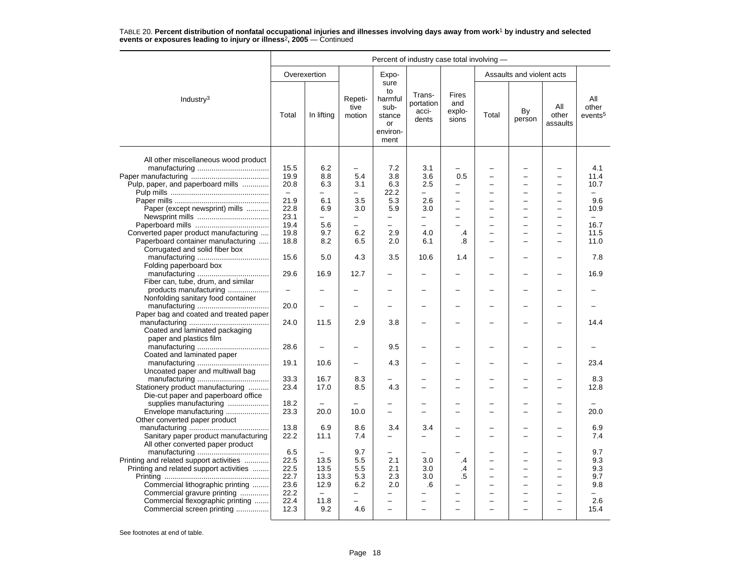|                                                                                                                        | Percent of industry case total involving - |                                         |                                        |                                                                   |                                       |                                        |                |                                                                           |                                                                                  |                                         |  |
|------------------------------------------------------------------------------------------------------------------------|--------------------------------------------|-----------------------------------------|----------------------------------------|-------------------------------------------------------------------|---------------------------------------|----------------------------------------|----------------|---------------------------------------------------------------------------|----------------------------------------------------------------------------------|-----------------------------------------|--|
|                                                                                                                        |                                            | Overexertion                            |                                        | Expo-                                                             |                                       |                                        |                | Assaults and violent acts                                                 |                                                                                  |                                         |  |
| Industry <sup>3</sup>                                                                                                  | Total                                      | In lifting                              | Repeti-<br>tive<br>motion              | sure<br>to<br>harmful<br>sub-<br>stance<br>or<br>environ-<br>ment | Trans-<br>portation<br>acci-<br>dents | <b>Fires</b><br>and<br>explo-<br>sions | Total          | By<br>person                                                              | All<br>other<br>assaults                                                         | All<br>other<br>events <sup>5</sup>     |  |
| All other miscellaneous wood product<br>Pulp, paper, and paperboard mills                                              | 15.5<br>19.9<br>20.8                       | 6.2<br>8.8<br>6.3                       | $\overline{\phantom{0}}$<br>5.4<br>3.1 | 7.2<br>3.8<br>6.3                                                 | 3.1<br>3.6<br>2.5                     | 0.5<br>-                               |                | $\overline{\phantom{0}}$<br>-                                             | $\overline{\phantom{0}}$<br>$\overline{\phantom{0}}$<br>$\overline{\phantom{0}}$ | 4.1<br>11.4<br>10.7                     |  |
|                                                                                                                        | $\equiv$<br>21.9                           | -<br>6.1                                | -<br>3.5                               | 22.2<br>5.3                                                       | $\overline{\phantom{0}}$<br>2.6       | $\overline{a}$                         |                | $\qquad \qquad -$<br>$\overline{\phantom{0}}$<br>$\overline{\phantom{0}}$ | $\overline{\phantom{0}}$<br>$\overline{a}$<br>$\overline{\phantom{0}}$           | 9.6                                     |  |
| Paper (except newsprint) mills                                                                                         | 22.8<br>23.1<br>19.4                       | 6.9<br>$\overline{\phantom{0}}$<br>5.6  | 3.0<br>-<br>$\overline{\phantom{0}}$   | 5.9<br>-<br>$\overline{\phantom{0}}$                              | 3.0<br>$\overline{\phantom{m}}$       | ÷                                      |                | $\overline{\phantom{0}}$<br>$\overline{\phantom{0}}$                      | $\overline{\phantom{0}}$<br>$\overline{\phantom{0}}$                             | 10.9<br>$\equiv$<br>16.7                |  |
| Converted paper product manufacturing<br>Paperboard container manufacturing<br>Corrugated and solid fiber box          | 19.8<br>18.8                               | 9.7<br>8.2                              | 6.2<br>6.5                             | 2.9<br>2.0                                                        | 4.0<br>6.1                            | .4<br>.8                               |                | $\overline{\phantom{0}}$                                                  | $\overline{\phantom{0}}$                                                         | 11.5<br>11.0                            |  |
| Folding paperboard box                                                                                                 | 15.6                                       | 5.0                                     | 4.3                                    | 3.5                                                               | 10.6                                  | 1.4                                    |                |                                                                           | ۳                                                                                | 7.8                                     |  |
| Fiber can, tube, drum, and similar<br>products manufacturing                                                           | 29.6<br>-                                  | 16.9                                    | 12.7                                   |                                                                   |                                       |                                        |                |                                                                           |                                                                                  | 16.9                                    |  |
| Nonfolding sanitary food container                                                                                     | 20.0                                       | $\overline{\phantom{0}}$                |                                        | -                                                                 |                                       | -                                      |                |                                                                           |                                                                                  |                                         |  |
| Paper bag and coated and treated paper<br>Coated and laminated packaging<br>paper and plastics film                    | 24.0                                       | 11.5                                    | 2.9                                    | 3.8                                                               |                                       |                                        |                |                                                                           |                                                                                  | 14.4                                    |  |
| Coated and laminated paper                                                                                             | 28.6                                       |                                         |                                        | 9.5                                                               |                                       |                                        |                |                                                                           |                                                                                  |                                         |  |
| Uncoated paper and multiwall bag                                                                                       | 19.1<br>33.3                               | 10.6<br>16.7                            | 8.3                                    | 4.3                                                               |                                       |                                        |                | -                                                                         |                                                                                  | 23.4<br>8.3                             |  |
| Stationery product manufacturing<br>Die-cut paper and paperboard office<br>supplies manufacturing                      | 23.4<br>18.2                               | 17.0                                    | 8.5                                    | 4.3                                                               |                                       | L.                                     |                | $\overline{\phantom{0}}$                                                  | $\overline{a}$                                                                   | 12.8                                    |  |
| Envelope manufacturing<br>Other converted paper product                                                                | 23.3                                       | 20.0                                    | 10.0                                   | -                                                                 |                                       | -                                      |                | $\overline{\phantom{0}}$                                                  | $\sim$                                                                           | 20.0                                    |  |
| Sanitary paper product manufacturing<br>All other converted paper product                                              | 13.8<br>22.2                               | 6.9<br>11.1                             | 8.6<br>7.4                             | 3.4<br>—                                                          | 3.4<br>$\overline{\phantom{0}}$       |                                        |                | $\overline{\phantom{0}}$                                                  |                                                                                  | 6.9<br>7.4                              |  |
| Printing and related support activities<br>Printing and related support activities<br>Commercial lithographic printing | 6.5<br>22.5<br>22.5<br>22.7<br>23.6        | 13.5<br>13.5<br>13.3<br>12.9            | 9.7<br>5.5<br>5.5<br>5.3<br>6.2        | -<br>2.1<br>2.1<br>2.3<br>2.0                                     | 3.0<br>3.0<br>3.0<br>.6               | .4<br>.4<br>.5                         | $\overline{ }$ | $\equiv$<br>$\overline{\phantom{0}}$<br>$\overline{\phantom{0}}$          | $\sim$<br>$\equiv$<br>$\sim$                                                     | 9.7<br>9.3<br>9.3<br>9.7<br>9.8         |  |
| Commercial gravure printing<br>Commercial flexographic printing<br>Commercial screen printing                          | 22.2<br>22.4<br>12.3                       | $\overline{\phantom{m}}$<br>11.8<br>9.2 | -<br>$\overline{\phantom{0}}$<br>4.6   | -<br>-<br>$\overline{\phantom{0}}$                                | $\overline{\phantom{0}}$              | L.                                     |                | $\overline{\phantom{0}}$<br>$\overline{\phantom{0}}$                      | $\overline{\phantom{0}}$<br>$\overline{\phantom{0}}$<br>$\overline{\phantom{0}}$ | $\overline{\phantom{0}}$<br>2.6<br>15.4 |  |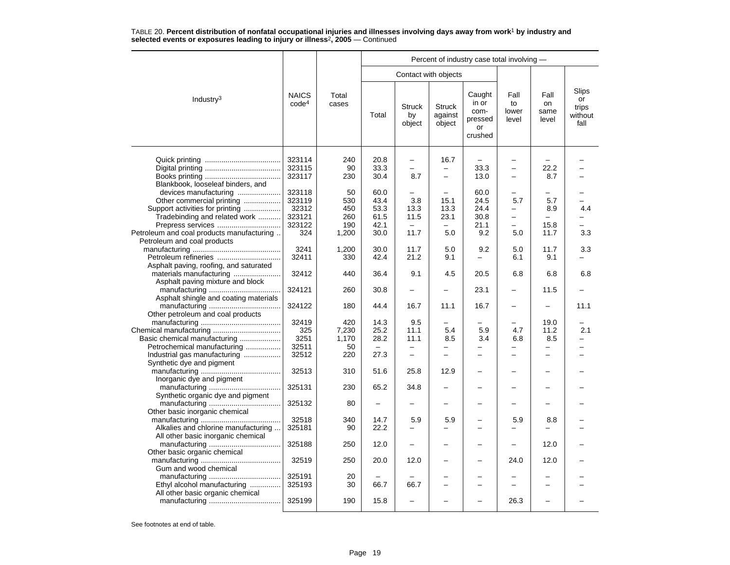|                                           |                                   |                |       |                               |                                    | Percent of industry case total involving -          |                              |                             |                                         |
|-------------------------------------------|-----------------------------------|----------------|-------|-------------------------------|------------------------------------|-----------------------------------------------------|------------------------------|-----------------------------|-----------------------------------------|
|                                           |                                   |                |       | Contact with objects          |                                    |                                                     |                              |                             |                                         |
| Industry <sup>3</sup>                     | <b>NAICS</b><br>code <sup>4</sup> | Total<br>cases | Total | <b>Struck</b><br>by<br>object | <b>Struck</b><br>against<br>object | Caught<br>in or<br>com-<br>pressed<br>or<br>crushed | Fall<br>to<br>lower<br>level | Fall<br>on<br>same<br>level | Slips<br>or<br>trips<br>without<br>fall |
|                                           | 323114                            | 240            | 20.8  | $\equiv$                      | 16.7                               |                                                     |                              |                             |                                         |
|                                           | 323115                            | 90             | 33.3  | $\equiv$                      |                                    | 33.3                                                | $\equiv$                     | 22.2                        |                                         |
|                                           |                                   |                |       | 8.7                           |                                    |                                                     |                              |                             |                                         |
|                                           | 323117                            | 230            | 30.4  |                               | $\overline{\phantom{0}}$           | 13.0                                                | $\overline{\phantom{0}}$     | 8.7                         |                                         |
| Blankbook, looseleaf binders, and         |                                   |                |       |                               |                                    |                                                     |                              |                             |                                         |
| devices manufacturing                     | 323118                            | 50             | 60.0  | $\overline{\phantom{0}}$      |                                    | 60.0                                                | -                            |                             |                                         |
| Other commercial printing                 | 323119                            | 530            | 43.4  | 3.8                           | 15.1                               | 24.5                                                | 5.7                          | 5.7                         |                                         |
| Support activities for printing           | 32312                             | 450            | 53.3  | 13.3                          | 13.3                               | 24.4                                                | -                            | 8.9                         | 4.4                                     |
| Tradebinding and related work             | 323121                            | 260            | 61.5  | 11.5                          | 23.1                               | 30.8                                                | $\overline{\phantom{0}}$     |                             |                                         |
| Prepress services                         | 323122                            | 190            | 42.1  | $\sim$                        | $\equiv$                           | 21.1                                                | $\overline{\phantom{0}}$     | 15.8                        |                                         |
| Petroleum and coal products manufacturing | 324                               | 1,200          | 30.0  | 11.7                          | 5.0                                | 9.2                                                 | 5.0                          | 11.7                        | 3.3                                     |
| Petroleum and coal products               |                                   |                |       |                               |                                    |                                                     |                              |                             |                                         |
|                                           | 3241                              | 1,200          | 30.0  | 11.7                          | 5.0                                | 9.2                                                 | 5.0                          | 11.7                        | 3.3                                     |
| Petroleum refineries                      | 32411                             | 330            | 42.4  | 21.2                          | 9.1                                |                                                     | 6.1                          | 9.1                         |                                         |
| Asphalt paving, roofing, and saturated    |                                   |                |       |                               |                                    |                                                     |                              |                             |                                         |
| materials manufacturing                   | 32412                             | 440            | 36.4  | 9.1                           | 4.5                                | 20.5                                                | 6.8                          | 6.8                         | 6.8                                     |
| Asphalt paving mixture and block          |                                   |                |       |                               |                                    |                                                     |                              |                             |                                         |
|                                           | 324121                            | 260            | 30.8  | $\equiv$                      | -                                  | 23.1                                                | $\overline{\phantom{0}}$     | 11.5                        |                                         |
| Asphalt shingle and coating materials     |                                   |                |       |                               |                                    |                                                     |                              |                             |                                         |
|                                           | 324122                            | 180            | 44.4  | 16.7                          | 11.1                               | 16.7                                                | $\overline{\phantom{0}}$     |                             | 11.1                                    |
| Other petroleum and coal products         |                                   |                |       |                               |                                    |                                                     |                              |                             |                                         |
|                                           | 32419                             | 420            | 14.3  | 9.5                           |                                    |                                                     |                              | 19.0                        |                                         |
|                                           | 325                               | 7,230          | 25.2  | 11.1                          | 5.4                                | 5.9                                                 | 4.7                          | 11.2                        | 2.1                                     |
|                                           |                                   |                |       |                               |                                    |                                                     |                              |                             |                                         |
| Basic chemical manufacturing              | 3251                              | 1.170          | 28.2  | 11.1                          | 8.5                                | 3.4                                                 | 6.8                          | 8.5                         | -                                       |
| Petrochemical manufacturing               | 32511                             | 50             |       |                               |                                    |                                                     |                              |                             |                                         |
| Industrial gas manufacturing              | 32512                             | 220            | 27.3  | $\equiv$                      |                                    |                                                     |                              | L.                          |                                         |
| Synthetic dye and pigment                 |                                   |                |       |                               |                                    |                                                     |                              |                             |                                         |
|                                           | 32513                             | 310            | 51.6  | 25.8                          | 12.9                               |                                                     |                              |                             |                                         |
| Inorganic dye and pigment                 |                                   |                |       |                               |                                    |                                                     |                              |                             |                                         |
|                                           | 325131                            | 230            | 65.2  | 34.8                          | $\overline{\phantom{0}}$           |                                                     |                              |                             |                                         |
| Synthetic organic dye and pigment         |                                   |                |       |                               |                                    |                                                     |                              |                             |                                         |
|                                           | 325132                            | 80             | -     |                               |                                    |                                                     |                              |                             |                                         |
| Other basic inorganic chemical            |                                   |                |       |                               |                                    |                                                     |                              |                             |                                         |
|                                           | 32518                             | 340            | 14.7  | 5.9                           | 5.9                                |                                                     | 5.9                          | 8.8                         |                                         |
| Alkalies and chlorine manufacturing       | 325181                            | 90             | 22.2  | $\overline{a}$                |                                    |                                                     |                              |                             |                                         |
| All other basic inorganic chemical        |                                   |                |       |                               |                                    |                                                     |                              |                             |                                         |
|                                           | 325188                            | 250            | 12.0  | $\equiv$                      |                                    |                                                     | L,                           | 12.0                        |                                         |
| Other basic organic chemical              |                                   |                |       |                               |                                    |                                                     |                              |                             |                                         |
|                                           | 32519                             | 250            | 20.0  | 12.0                          | -                                  |                                                     | 24.0                         | 12.0                        |                                         |
| Gum and wood chemical                     |                                   |                |       |                               |                                    |                                                     |                              |                             |                                         |
|                                           | 325191                            | 20             |       |                               |                                    | -                                                   |                              |                             |                                         |
| Ethyl alcohol manufacturing               | 325193                            | 30             | 66.7  | 66.7                          |                                    |                                                     |                              |                             |                                         |
| All other basic organic chemical          |                                   |                |       |                               |                                    |                                                     |                              |                             |                                         |
|                                           | 325199                            | 190            | 15.8  | $\overline{\phantom{0}}$      |                                    |                                                     | 26.3                         |                             |                                         |
|                                           |                                   |                |       |                               |                                    |                                                     |                              |                             |                                         |
|                                           |                                   |                |       |                               |                                    |                                                     |                              |                             |                                         |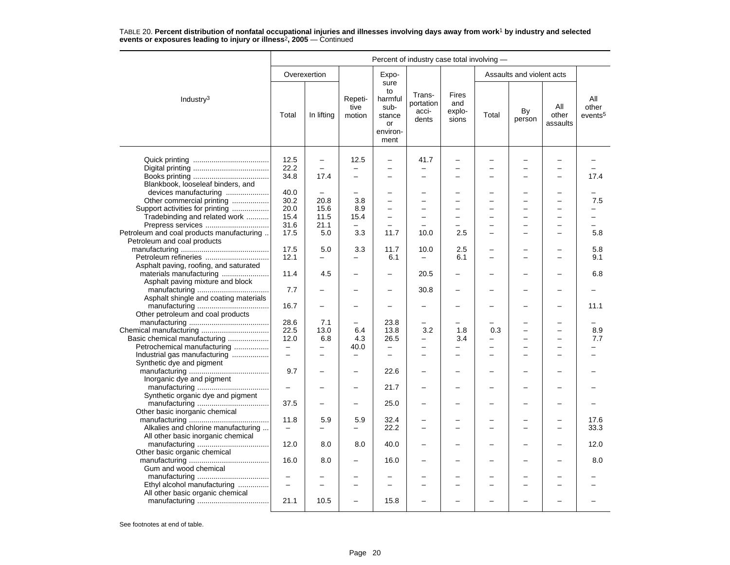|                                           |                          | Percent of industry case total involving - |                           |                                                                   |                                       |                                 |       |                           |                          |                                     |  |  |
|-------------------------------------------|--------------------------|--------------------------------------------|---------------------------|-------------------------------------------------------------------|---------------------------------------|---------------------------------|-------|---------------------------|--------------------------|-------------------------------------|--|--|
|                                           |                          | Overexertion                               |                           | Expo-                                                             |                                       |                                 |       | Assaults and violent acts |                          |                                     |  |  |
| Industry <sup>3</sup>                     | Total                    | In lifting                                 | Repeti-<br>tive<br>motion | sure<br>to<br>harmful<br>sub-<br>stance<br>or<br>environ-<br>ment | Trans-<br>portation<br>acci-<br>dents | Fires<br>and<br>explo-<br>sions | Total | By<br>person              | All<br>other<br>assaults | All<br>other<br>events <sup>5</sup> |  |  |
|                                           | 12.5                     | $\overline{\phantom{0}}$                   | 12.5                      | $\overline{\phantom{0}}$                                          | 41.7                                  | $\overline{\phantom{0}}$        |       |                           |                          |                                     |  |  |
|                                           | 22.2                     |                                            |                           |                                                                   |                                       |                                 |       |                           |                          |                                     |  |  |
|                                           | 34.8                     | 17.4                                       | $\overline{\phantom{0}}$  |                                                                   | <u>.</u>                              |                                 |       | L,                        |                          | 17.4                                |  |  |
| Blankbook, looseleaf binders, and         |                          |                                            |                           |                                                                   |                                       |                                 |       |                           |                          |                                     |  |  |
| devices manufacturing                     | 40.0                     | $\overline{\phantom{0}}$                   | $\overline{a}$            |                                                                   | -                                     | $\equiv$                        |       | L.                        |                          |                                     |  |  |
| Other commercial printing                 | 30.2                     | 20.8                                       | 3.8                       |                                                                   | <u>.</u>                              |                                 |       | $\overline{\phantom{0}}$  |                          | 7.5                                 |  |  |
| Support activities for printing           | 20.0                     | 15.6                                       | 8.9                       | $\overline{\phantom{0}}$                                          | -                                     |                                 |       | L.                        |                          |                                     |  |  |
| Tradebinding and related work             | 15.4                     | 11.5                                       | 15.4                      | $\overline{a}$                                                    | $\overline{\phantom{0}}$              | $\overline{\phantom{0}}$        |       | $\overline{\phantom{0}}$  |                          |                                     |  |  |
| Prepress services                         | 31.6                     | 21.1                                       | $\overline{\phantom{0}}$  | $\overline{a}$                                                    | $\overline{\phantom{0}}$              | $\overline{\phantom{0}}$        |       | $\overline{\phantom{0}}$  |                          |                                     |  |  |
| Petroleum and coal products manufacturing | 17.5                     | 5.0                                        | 3.3                       | 11.7                                                              | 10.0                                  | 2.5                             |       | $\overline{a}$            |                          | 5.8                                 |  |  |
| Petroleum and coal products               |                          |                                            |                           |                                                                   |                                       |                                 |       |                           |                          |                                     |  |  |
|                                           | 17.5                     | 5.0                                        | 3.3                       | 11.7                                                              | 10.0                                  | 2.5                             |       | ۰                         |                          | 5.8                                 |  |  |
| Petroleum refineries                      | 12.1                     |                                            |                           | 6.1                                                               |                                       | 6.1                             |       | ÷                         |                          | 9.1                                 |  |  |
| Asphalt paving, roofing, and saturated    |                          |                                            |                           |                                                                   |                                       |                                 |       |                           |                          |                                     |  |  |
| materials manufacturing                   | 11.4                     | 4.5                                        | -                         | $\overline{\phantom{0}}$                                          | 20.5                                  | $\overline{\phantom{0}}$        |       | -                         |                          | 6.8                                 |  |  |
| Asphalt paving mixture and block          |                          |                                            |                           |                                                                   |                                       |                                 |       |                           |                          |                                     |  |  |
|                                           | 7.7                      |                                            |                           | $\overline{\phantom{0}}$                                          | 30.8                                  | $\overline{\phantom{0}}$        |       | ÷,                        |                          |                                     |  |  |
| Asphalt shingle and coating materials     |                          |                                            |                           |                                                                   |                                       |                                 |       |                           |                          |                                     |  |  |
|                                           | 16.7                     |                                            |                           |                                                                   | -                                     |                                 |       | -                         |                          | 11.1                                |  |  |
| Other petroleum and coal products         |                          |                                            |                           |                                                                   |                                       |                                 |       |                           |                          |                                     |  |  |
|                                           | 28.6                     | 7.1                                        |                           | 23.8                                                              | -                                     |                                 |       | ÷,                        |                          |                                     |  |  |
|                                           | 22.5                     | 13.0                                       | 6.4                       | 13.8                                                              | 3.2                                   | 1.8                             | 0.3   | -                         |                          | 8.9                                 |  |  |
| Basic chemical manufacturing              | 12.0                     | 6.8                                        | 4.3                       | 26.5                                                              | -                                     | 3.4                             |       | L,                        |                          | 7.7                                 |  |  |
| Petrochemical manufacturing               | $\qquad \qquad -$        | $\overline{\phantom{0}}$                   | 40.0                      | $\overline{\phantom{0}}$                                          | -                                     | $\overline{\phantom{0}}$        |       | $\overline{\phantom{0}}$  |                          |                                     |  |  |
| Industrial gas manufacturing              | $\equiv$                 | $\equiv$                                   |                           | $\equiv$                                                          | -                                     | $\equiv$                        |       | $\overline{\phantom{0}}$  | $\overline{\phantom{a}}$ |                                     |  |  |
| Synthetic dye and pigment                 |                          |                                            |                           |                                                                   |                                       |                                 |       |                           |                          |                                     |  |  |
|                                           | 9.7                      |                                            |                           | 22.6                                                              |                                       |                                 |       |                           |                          |                                     |  |  |
| Inorganic dye and pigment                 |                          |                                            |                           |                                                                   |                                       |                                 |       |                           |                          |                                     |  |  |
|                                           | $\qquad \qquad -$        |                                            | -                         | 21.7                                                              |                                       |                                 |       | L,                        |                          |                                     |  |  |
| Synthetic organic dye and pigment         |                          |                                            |                           |                                                                   |                                       |                                 |       |                           |                          |                                     |  |  |
|                                           | 37.5                     |                                            | $\overline{\phantom{0}}$  | 25.0                                                              |                                       |                                 |       | L.                        |                          |                                     |  |  |
| Other basic inorganic chemical            |                          |                                            |                           |                                                                   |                                       |                                 |       |                           |                          |                                     |  |  |
|                                           | 11.8                     | 5.9                                        | 5.9                       | 32.4                                                              |                                       |                                 |       |                           |                          | 17.6                                |  |  |
| Alkalies and chlorine manufacturing       | $\qquad \qquad -$        |                                            |                           | 22.2                                                              | $\overline{\phantom{0}}$              |                                 |       | L.                        |                          | 33.3                                |  |  |
| All other basic inorganic chemical        |                          |                                            |                           |                                                                   |                                       |                                 |       |                           |                          |                                     |  |  |
|                                           | 12.0                     | 8.0                                        | 8.0                       | 40.0                                                              |                                       |                                 |       |                           |                          | 12.0                                |  |  |
| Other basic organic chemical              |                          |                                            |                           |                                                                   |                                       |                                 |       |                           |                          |                                     |  |  |
|                                           | 16.0                     | 8.0                                        |                           | 16.0                                                              |                                       |                                 |       | -                         |                          | 8.0                                 |  |  |
| Gum and wood chemical                     |                          |                                            |                           |                                                                   |                                       |                                 |       |                           |                          |                                     |  |  |
|                                           | $\overline{\phantom{m}}$ |                                            |                           |                                                                   |                                       |                                 |       |                           |                          |                                     |  |  |
| Ethyl alcohol manufacturing               | $\overline{\phantom{0}}$ |                                            | -                         | -                                                                 | -                                     | $\equiv$                        |       | $\overline{\phantom{0}}$  |                          |                                     |  |  |
| All other basic organic chemical          |                          |                                            |                           |                                                                   |                                       |                                 |       |                           |                          |                                     |  |  |
|                                           | 21.1                     | 10.5                                       |                           | 15.8                                                              |                                       |                                 |       |                           |                          |                                     |  |  |
|                                           |                          |                                            |                           |                                                                   |                                       |                                 |       |                           |                          |                                     |  |  |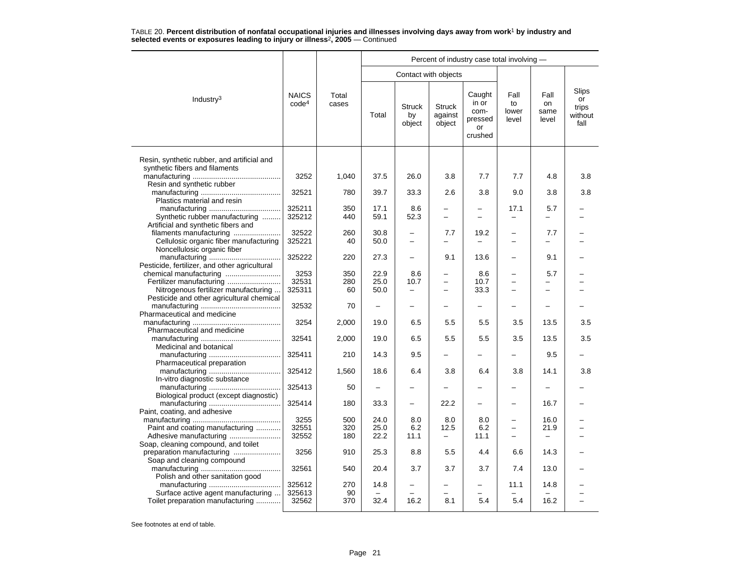|                                                                               |                                   |                |                          |                                  |                                    | Percent of industry case total involving -          |                              |                             |                                         |
|-------------------------------------------------------------------------------|-----------------------------------|----------------|--------------------------|----------------------------------|------------------------------------|-----------------------------------------------------|------------------------------|-----------------------------|-----------------------------------------|
|                                                                               |                                   |                |                          |                                  | Contact with objects               |                                                     |                              |                             |                                         |
| Industry <sup>3</sup>                                                         | <b>NAICS</b><br>code <sup>4</sup> | Total<br>cases | Total                    | <b>Struck</b><br>by<br>object    | <b>Struck</b><br>against<br>object | Caught<br>in or<br>com-<br>pressed<br>or<br>crushed | Fall<br>to<br>lower<br>level | Fall<br>on<br>same<br>level | Slips<br>or<br>trips<br>without<br>fall |
| Resin, synthetic rubber, and artificial and<br>synthetic fibers and filaments |                                   |                |                          |                                  |                                    |                                                     |                              |                             |                                         |
| Resin and synthetic rubber                                                    | 3252                              | 1,040          | 37.5                     | 26.0                             | 3.8                                | 7.7                                                 | 7.7                          | 4.8                         | 3.8                                     |
| Plastics material and resin                                                   | 32521                             | 780            | 39.7                     | 33.3                             | 2.6                                | 3.8                                                 | 9.0                          | 3.8                         | 3.8                                     |
| Synthetic rubber manufacturing<br>Artificial and synthetic fibers and         | 325211<br>325212                  | 350<br>440     | 17.1<br>59.1             | 8.6<br>52.3                      | $\equiv$                           | L.                                                  | 17.1                         | 5.7                         |                                         |
| filaments manufacturing<br>Cellulosic organic fiber manufacturing             | 32522<br>325221                   | 260<br>40      | 30.8<br>50.0             | —<br>$\overline{\phantom{0}}$    | 7.7<br>$\overline{\phantom{0}}$    | 19.2                                                | -                            | 7.7                         |                                         |
| Noncellulosic organic fiber                                                   | 325222                            | 220            | 27.3                     | —                                | 9.1                                | 13.6                                                |                              | 9.1                         |                                         |
| Pesticide, fertilizer, and other agricultural                                 | 3253                              | 350            | 22.9                     | 8.6                              | $\overline{\phantom{0}}$           | 8.6                                                 | $\overline{\phantom{0}}$     | 5.7                         |                                         |
| Fertilizer manufacturing<br>Nitrogenous fertilizer manufacturing              | 32531<br>325311                   | 280<br>60      | 25.0<br>50.0             | 10.7<br>$\overline{\phantom{0}}$ |                                    | 10.7<br>33.3                                        |                              |                             |                                         |
| Pesticide and other agricultural chemical<br>Pharmaceutical and medicine      | 32532                             | 70             | -                        |                                  |                                    |                                                     |                              |                             |                                         |
| Pharmaceutical and medicine                                                   | 3254                              | 2,000          | 19.0                     | 6.5                              | 5.5                                | 5.5                                                 | 3.5                          | 13.5                        | 3.5                                     |
| Medicinal and botanical                                                       | 32541                             | 2,000          | 19.0                     | 6.5                              | 5.5                                | 5.5                                                 | 3.5                          | 13.5                        | 3.5                                     |
| Pharmaceutical preparation                                                    | 325411                            | 210            | 14.3                     | 9.5                              |                                    |                                                     |                              | 9.5                         |                                         |
| In-vitro diagnostic substance                                                 | 325412                            | 1,560          | 18.6                     | 6.4                              | 3.8                                | 6.4                                                 | 3.8                          | 14.1                        | 3.8                                     |
| Biological product (except diagnostic)                                        | 325413                            | 50             | $\overline{\phantom{m}}$ | -                                | $\overline{\phantom{0}}$           | —                                                   | -                            | $\overline{\phantom{0}}$    |                                         |
| Paint, coating, and adhesive                                                  | 325414                            | 180            | 33.3                     | $\overline{\phantom{0}}$         | 22.2                               |                                                     |                              | 16.7                        |                                         |
| Paint and coating manufacturing                                               | 3255<br>32551                     | 500<br>320     | 24.0<br>25.0             | 8.0<br>6.2                       | 8.0<br>12.5                        | 8.0<br>6.2                                          | $\equiv$                     | 16.0<br>21.9                |                                         |
| Adhesive manufacturing<br>Soap, cleaning compound, and toilet                 | 32552                             | 180            | 22.2                     | 11.1                             | $\overline{\phantom{0}}$           | 11.1                                                | $\overline{\phantom{0}}$     |                             |                                         |
| preparation manufacturing<br>Soap and cleaning compound                       | 3256                              | 910            | 25.3                     | 8.8                              | 5.5                                | 4.4                                                 | 6.6                          | 14.3                        |                                         |
| Polish and other sanitation good                                              | 32561                             | 540            | 20.4                     | 3.7                              | 3.7                                | 3.7                                                 | 7.4                          | 13.0                        |                                         |
| Surface active agent manufacturing                                            | 325612<br>325613                  | 270<br>90      | 14.8                     | -                                |                                    |                                                     | 11.1                         | 14.8                        |                                         |
| Toilet preparation manufacturing                                              | 32562                             | 370            | 32.4                     | 16.2                             | 8.1                                | 5.4                                                 | 5.4                          | 16.2                        |                                         |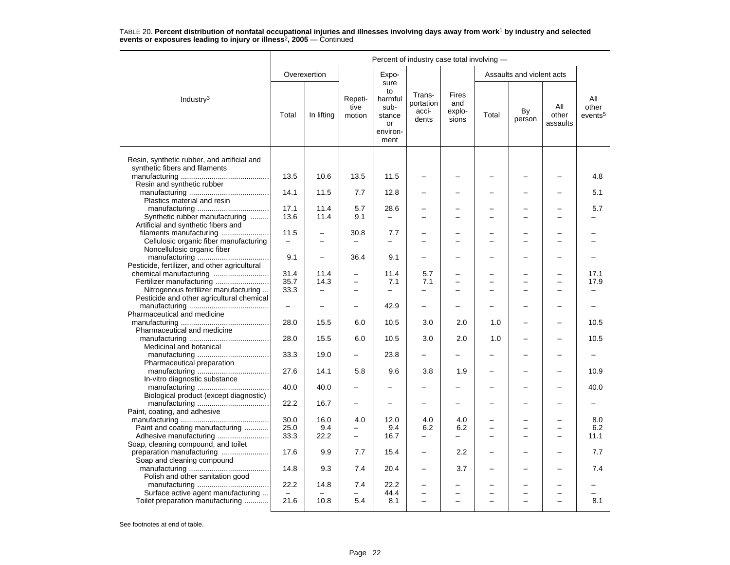|                                               | Percent of industry case total involving - |                          |                           |                                                                   |                                       |                                        |                |                                            |                          |                                     |
|-----------------------------------------------|--------------------------------------------|--------------------------|---------------------------|-------------------------------------------------------------------|---------------------------------------|----------------------------------------|----------------|--------------------------------------------|--------------------------|-------------------------------------|
|                                               |                                            | Overexertion             |                           | Expo-                                                             |                                       |                                        |                | Assaults and violent acts                  |                          |                                     |
| Industry <sup>3</sup>                         | Total                                      | In lifting               | Repeti-<br>tive<br>motion | sure<br>to<br>harmful<br>sub-<br>stance<br>or<br>environ-<br>ment | Trans-<br>portation<br>acci-<br>dents | <b>Fires</b><br>and<br>explo-<br>sions | Total          | By<br>person                               | All<br>other<br>assaults | All<br>other<br>events <sup>5</sup> |
| Resin, synthetic rubber, and artificial and   |                                            |                          |                           |                                                                   |                                       |                                        |                |                                            |                          |                                     |
| synthetic fibers and filaments                |                                            |                          |                           |                                                                   |                                       |                                        |                |                                            |                          |                                     |
|                                               | 13.5                                       | 10.6                     | 13.5                      | 11.5                                                              |                                       |                                        |                |                                            |                          | 4.8                                 |
| Resin and synthetic rubber                    |                                            |                          |                           |                                                                   |                                       |                                        |                |                                            |                          |                                     |
| Plastics material and resin                   | 14.1                                       | 11.5                     | 7.7                       | 12.8                                                              |                                       |                                        |                |                                            |                          | 5.1                                 |
|                                               | 17.1                                       | 11.4                     | 5.7                       | 28.6                                                              | $\overline{\phantom{0}}$              |                                        |                |                                            |                          | 5.7                                 |
| Synthetic rubber manufacturing                | 13.6                                       | 11.4                     | 9.1                       |                                                                   |                                       |                                        |                |                                            |                          |                                     |
| Artificial and synthetic fibers and           |                                            |                          |                           |                                                                   |                                       |                                        |                |                                            |                          |                                     |
| filaments manufacturing                       | 11.5                                       | $\overline{\phantom{0}}$ | 30.8                      | 7.7                                                               | $\overline{\phantom{0}}$              |                                        |                | $\overline{\phantom{0}}$                   |                          |                                     |
| Cellulosic organic fiber manufacturing        |                                            |                          |                           |                                                                   |                                       |                                        |                |                                            |                          |                                     |
| Noncellulosic organic fiber                   |                                            |                          |                           |                                                                   |                                       |                                        |                |                                            |                          |                                     |
|                                               | 9.1                                        | $\overline{\phantom{0}}$ | 36.4                      | 9.1                                                               |                                       |                                        |                | -                                          |                          |                                     |
| Pesticide, fertilizer, and other agricultural | 31.4                                       | 11.4                     | $\overline{\phantom{0}}$  | 11.4                                                              | 5.7                                   |                                        |                |                                            | $\overline{\phantom{0}}$ | 17.1                                |
| Fertilizer manufacturing                      | 35.7                                       | 14.3                     | $\overline{\phantom{0}}$  | 7.1                                                               | 7.1                                   |                                        |                | $\overline{\phantom{0}}$                   | $\overline{\phantom{0}}$ | 17.9                                |
| Nitrogenous fertilizer manufacturing          | 33.3                                       | $\overline{\phantom{0}}$ | $\equiv$                  | $\equiv$                                                          | $\equiv$                              | $\equiv$                               | $\overline{ }$ | $\equiv$                                   | $\sim$                   |                                     |
| Pesticide and other agricultural chemical     |                                            |                          |                           |                                                                   |                                       |                                        |                |                                            |                          |                                     |
|                                               | $\qquad \qquad -$                          |                          | $\overline{\phantom{0}}$  | 42.9                                                              |                                       |                                        |                |                                            |                          |                                     |
| Pharmaceutical and medicine                   |                                            |                          |                           |                                                                   |                                       |                                        |                |                                            |                          |                                     |
|                                               | 28.0                                       | 15.5                     | 6.0                       | 10.5                                                              | 3.0                                   | 2.0                                    | 1.0            |                                            |                          | 10.5                                |
| Pharmaceutical and medicine                   |                                            |                          |                           |                                                                   |                                       |                                        |                |                                            |                          |                                     |
| Medicinal and botanical                       | 28.0                                       | 15.5                     | 6.0                       | 10.5                                                              | 3.0                                   | 2.0                                    | 1.0            | $\overline{\phantom{0}}$                   | $\overline{\phantom{0}}$ | 10.5                                |
|                                               | 33.3                                       | 19.0                     |                           | 23.8                                                              | -                                     |                                        |                |                                            |                          |                                     |
| Pharmaceutical preparation                    |                                            |                          |                           |                                                                   |                                       |                                        |                |                                            |                          |                                     |
|                                               | 27.6                                       | 14.1                     | 5.8                       | 9.6                                                               | 3.8                                   | 1.9                                    |                |                                            |                          | 10.9                                |
| In-vitro diagnostic substance                 |                                            |                          |                           |                                                                   |                                       |                                        |                |                                            |                          |                                     |
|                                               | 40.0                                       | 40.0                     | -                         |                                                                   |                                       |                                        |                |                                            |                          | 40.0                                |
| Biological product (except diagnostic)        |                                            |                          |                           |                                                                   |                                       |                                        |                |                                            |                          |                                     |
|                                               | 22.2                                       | 16.7                     |                           |                                                                   |                                       |                                        |                |                                            |                          |                                     |
| Paint, coating, and adhesive                  | 30.0                                       | 16.0                     | 4.0                       | 12.0                                                              | 4.0                                   | 4.0                                    |                | $\overline{\phantom{0}}$                   | $\overline{\phantom{0}}$ | 8.0                                 |
| Paint and coating manufacturing               | 25.0                                       | 9.4                      |                           | 9.4                                                               | 6.2                                   | 6.2                                    |                | $\overline{\phantom{0}}$                   |                          | 6.2                                 |
|                                               | 33.3                                       | 22.2                     | $\equiv$                  | 16.7                                                              | $\overline{\phantom{0}}$              | ▃                                      |                |                                            |                          | 11.1                                |
| Soap, cleaning compound, and toilet           |                                            |                          |                           |                                                                   |                                       |                                        |                |                                            |                          |                                     |
| preparation manufacturing                     | 17.6                                       | 9.9                      | 7.7                       | 15.4                                                              | $\qquad \qquad -$                     | 2.2                                    |                |                                            |                          | 7.7                                 |
| Soap and cleaning compound                    |                                            |                          |                           |                                                                   |                                       |                                        |                |                                            |                          |                                     |
|                                               | 14.8                                       | 9.3                      | 7.4                       | 20.4                                                              | $\overline{\phantom{0}}$              | 3.7                                    |                |                                            |                          | 7.4                                 |
| Polish and other sanitation good              |                                            |                          |                           | 22.2                                                              |                                       |                                        |                |                                            |                          |                                     |
| Surface active agent manufacturing            | 22.2                                       | 14.8                     | 7.4                       | 44.4                                                              | $\overline{\phantom{0}}$              |                                        |                | $\overline{\phantom{0}}$<br>$\overline{a}$ |                          |                                     |
| Toilet preparation manufacturing              | 21.6                                       | 10.8                     | 5.4                       | 8.1                                                               | $\sim$                                | $\overline{\phantom{0}}$               | $\equiv$       | $\equiv$                                   | $\overline{\phantom{0}}$ | 8.1                                 |
|                                               |                                            |                          |                           |                                                                   |                                       |                                        |                |                                            |                          |                                     |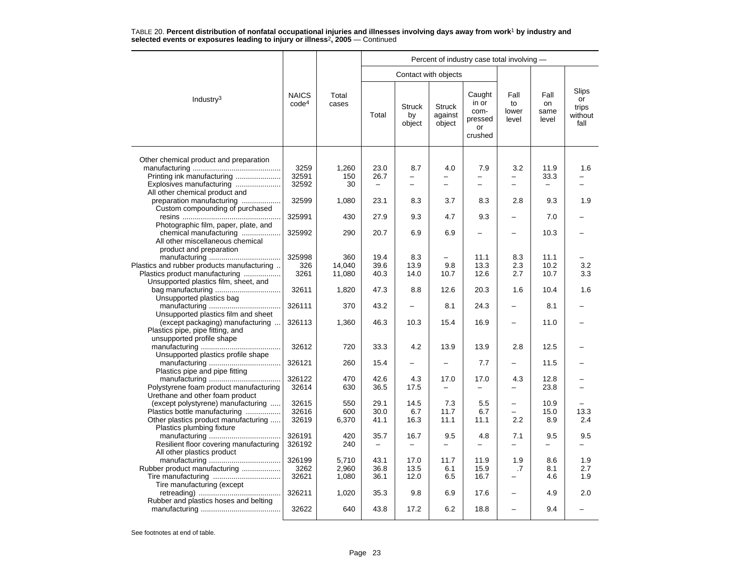|                                                                                                                                                |                                   |                         |                                          |                                 |                                    | Percent of industry case total involving -          |                              |                             |                                         |
|------------------------------------------------------------------------------------------------------------------------------------------------|-----------------------------------|-------------------------|------------------------------------------|---------------------------------|------------------------------------|-----------------------------------------------------|------------------------------|-----------------------------|-----------------------------------------|
|                                                                                                                                                |                                   |                         |                                          |                                 | Contact with objects               |                                                     |                              |                             |                                         |
| Industry <sup>3</sup>                                                                                                                          | <b>NAICS</b><br>code <sup>4</sup> | Total<br>cases          | Total                                    | <b>Struck</b><br>by<br>object   | <b>Struck</b><br>against<br>object | Caught<br>in or<br>com-<br>pressed<br>or<br>crushed | Fall<br>to<br>lower<br>level | Fall<br>on<br>same<br>level | Slips<br>or<br>trips<br>without<br>fall |
|                                                                                                                                                |                                   |                         |                                          |                                 |                                    |                                                     |                              |                             |                                         |
| Other chemical product and preparation<br>Printing ink manufacturing<br>Explosives manufacturing                                               | 3259<br>32591<br>32592            | 1,260<br>150<br>30      | 23.0<br>26.7<br>$\overline{\phantom{m}}$ | 8.7<br>$\overline{\phantom{0}}$ | 4.0<br>-                           | 7.9<br>$\overline{\phantom{0}}$                     | 3.2                          | 11.9<br>33.3                | 1.6                                     |
| All other chemical product and<br>preparation manufacturing                                                                                    | 32599                             | 1,080                   | 23.1                                     | 8.3                             | 3.7                                | 8.3                                                 | 2.8                          | 9.3                         | 1.9                                     |
| Custom compounding of purchased                                                                                                                | 325991                            | 430                     | 27.9                                     | 9.3                             | 4.7                                | 9.3                                                 |                              | 7.0                         |                                         |
| Photographic film, paper, plate, and<br>chemical manufacturing<br>All other miscellaneous chemical                                             | 325992                            | 290                     | 20.7                                     | 6.9                             | 6.9                                |                                                     |                              | 10.3                        |                                         |
| product and preparation<br>Plastics and rubber products manufacturing<br>Plastics product manufacturing                                        | 325998<br>326<br>3261             | 360<br>14,040<br>11,080 | 19.4<br>39.6<br>40.3                     | 8.3<br>13.9<br>14.0             | 9.8<br>10.7                        | 11.1<br>13.3<br>12.6                                | 8.3<br>2.3<br>2.7            | 11.1<br>10.2<br>10.7        | 3.2<br>3.3                              |
| Unsupported plastics film, sheet, and                                                                                                          | 32611                             | 1,820                   | 47.3                                     | 8.8                             | 12.6                               | 20.3                                                | 1.6                          | 10.4                        | 1.6                                     |
| Unsupported plastics bag                                                                                                                       | 326111                            | 370                     | 43.2                                     | $\overline{\phantom{0}}$        | 8.1                                | 24.3                                                |                              | 8.1                         |                                         |
| Unsupported plastics film and sheet<br>(except packaging) manufacturing<br>Plastics pipe, pipe fitting, and                                    | 326113                            | 1,360                   | 46.3                                     | 10.3                            | 15.4                               | 16.9                                                |                              | 11.0                        |                                         |
| unsupported profile shape<br>Unsupported plastics profile shape                                                                                | 32612                             | 720                     | 33.3                                     | 4.2                             | 13.9                               | 13.9                                                | 2.8                          | 12.5                        |                                         |
| Plastics pipe and pipe fitting                                                                                                                 | 326121                            | 260                     | 15.4                                     | ▃                               | $\overline{\phantom{0}}$           | 7.7                                                 |                              | 11.5                        |                                         |
| Polystyrene foam product manufacturing                                                                                                         | 326122<br>32614                   | 470<br>630              | 42.6<br>36.5                             | 4.3<br>17.5                     | 17.0<br>$\overline{\phantom{0}}$   | 17.0                                                | 4.3<br>-                     | 12.8<br>23.8                |                                         |
| Urethane and other foam product<br>(except polystyrene) manufacturing<br>Plastics bottle manufacturing<br>Other plastics product manufacturing | 32615<br>32616<br>32619           | 550<br>600<br>6,370     | 29.1<br>30.0<br>41.1                     | 14.5<br>6.7<br>16.3             | 7.3<br>11.7<br>11.1                | 5.5<br>6.7<br>11.1                                  | $\equiv$<br>$\equiv$<br>2.2  | 10.9<br>15.0<br>8.9         | 13.3<br>2.4                             |
| Plastics plumbing fixture<br>Resilient floor covering manufacturing                                                                            | 326191<br>326192                  | 420<br>240              | 35.7<br>$\overline{\phantom{0}}$         | 16.7                            | 9.5                                | 4.8                                                 | 7.1                          | 9.5                         | 9.5                                     |
| All other plastics product<br>Rubber product manufacturing                                                                                     | 326199<br>3262<br>32621           | 5,710<br>2,960<br>1,080 | 43.1<br>36.8<br>36.1                     | 17.0<br>13.5<br>12.0            | 11.7<br>6.1<br>6.5                 | 11.9<br>15.9<br>16.7                                | 1.9<br>.7                    | 8.6<br>8.1<br>4.6           | 1.9<br>2.7<br>1.9                       |
| Tire manufacturing (except                                                                                                                     | 326211                            | 1,020                   | 35.3                                     | 9.8                             | 6.9                                | 17.6                                                | -                            | 4.9                         | 2.0                                     |
| Rubber and plastics hoses and belting                                                                                                          | 32622                             | 640                     | 43.8                                     | 17.2                            | 6.2                                | 18.8                                                |                              | 9.4                         |                                         |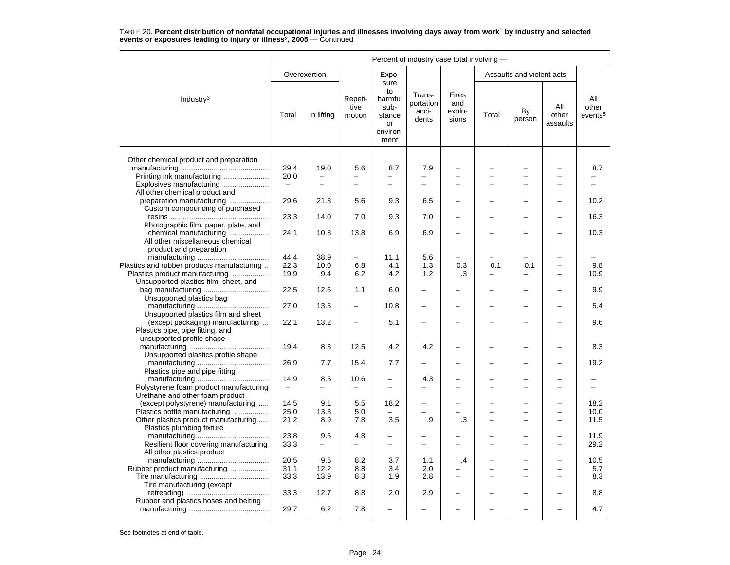|                                                                                                    | Percent of industry case total involving - |                                 |                           |                                                                   |                                       |                                        |       |                           |                          |                                     |  |
|----------------------------------------------------------------------------------------------------|--------------------------------------------|---------------------------------|---------------------------|-------------------------------------------------------------------|---------------------------------------|----------------------------------------|-------|---------------------------|--------------------------|-------------------------------------|--|
|                                                                                                    |                                            | Overexertion                    |                           | Expo-                                                             |                                       |                                        |       | Assaults and violent acts |                          |                                     |  |
| Industry <sup>3</sup>                                                                              | Total                                      | In lifting                      | Repeti-<br>tive<br>motion | sure<br>to<br>harmful<br>sub-<br>stance<br>or<br>environ-<br>ment | Trans-<br>portation<br>acci-<br>dents | <b>Fires</b><br>and<br>explo-<br>sions | Total | By<br>person              | All<br>other<br>assaults | All<br>other<br>events <sup>5</sup> |  |
| Other chemical product and preparation                                                             |                                            |                                 |                           |                                                                   |                                       |                                        |       |                           |                          |                                     |  |
| Printing ink manufacturing                                                                         | 29.4<br>20.0                               | 19.0                            | 5.6                       | 8.7                                                               | 7.9                                   | $\overline{\phantom{0}}$               |       | L                         |                          | 8.7                                 |  |
| Explosives manufacturing<br>All other chemical product and                                         | $\overline{\phantom{m}}$                   | $\overline{\phantom{0}}$        | $\equiv$                  | $\equiv$                                                          | $\equiv$                              | $\equiv$                               |       | -                         |                          |                                     |  |
| preparation manufacturing<br>Custom compounding of purchased                                       | 29.6                                       | 21.3                            | 5.6                       | 9.3                                                               | 6.5                                   | ÷                                      |       |                           |                          | 10.2                                |  |
|                                                                                                    | 23.3                                       | 14.0                            | 7.0                       | 9.3                                                               | 7.0                                   | ÷                                      |       |                           |                          | 16.3                                |  |
| Photographic film, paper, plate, and<br>chemical manufacturing<br>All other miscellaneous chemical | 24.1                                       | 10.3                            | 13.8                      | 6.9                                                               | 6.9                                   |                                        |       |                           |                          | 10.3                                |  |
| product and preparation<br>Plastics and rubber products manufacturing                              | 44.4<br>22.3                               | 38.9<br>10.0                    | 6.8                       | 11.1<br>4.1                                                       | 5.6<br>1.3                            | 0.3                                    | 0.1   | 0.1                       |                          | 9.8                                 |  |
| Plastics product manufacturing<br>Unsupported plastics film, sheet, and                            | 19.9                                       | 9.4                             | 6.2                       | 4.2                                                               | 1.2                                   | .3                                     |       |                           |                          | 10.9                                |  |
| Unsupported plastics bag                                                                           | 22.5                                       | 12.6                            | 1.1                       | 6.0                                                               |                                       | $\overline{\phantom{0}}$               |       | ▃                         |                          | 9.9                                 |  |
| Unsupported plastics film and sheet                                                                | 27.0                                       | 13.5                            | $\overline{\phantom{0}}$  | 10.8                                                              |                                       | -                                      |       | -                         |                          | 5.4                                 |  |
| (except packaging) manufacturing<br>Plastics pipe, pipe fitting, and<br>unsupported profile shape  | 22.1                                       | 13.2                            |                           | 5.1                                                               |                                       |                                        |       |                           |                          | 9.6                                 |  |
| Unsupported plastics profile shape                                                                 | 19.4                                       | 8.3                             | 12.5                      | 4.2                                                               | 4.2                                   | -                                      |       |                           |                          | 8.3                                 |  |
| Plastics pipe and pipe fitting                                                                     | 26.9                                       | 7.7                             | 15.4                      | 7.7                                                               |                                       |                                        |       |                           |                          | 19.2                                |  |
| Polystyrene foam product manufacturing                                                             | 14.9<br>$\overline{\phantom{0}}$           | 8.5<br>$\overline{\phantom{0}}$ | 10.6<br>-                 | $\overline{\phantom{0}}$                                          | 4.3<br>$\overline{\phantom{0}}$       | $\overline{\phantom{0}}$               |       | -                         |                          | -                                   |  |
| Urethane and other foam product<br>(except polystyrene) manufacturing                              | 14.5                                       | 9.1                             | 5.5                       | 18.2                                                              | $\equiv$                              | $\equiv$                               |       | -                         |                          | 18.2                                |  |
| Plastics bottle manufacturing                                                                      | 25.0                                       | 13.3                            | 5.0                       | $\overline{\phantom{0}}$                                          | Ē,                                    |                                        |       | ÷                         | $\overline{\phantom{0}}$ | 10.0                                |  |
| Other plastics product manufacturing<br>Plastics plumbing fixture                                  | 21.2                                       | 8.9                             | 7.8                       | 3.5                                                               | .9                                    | .3                                     |       | $\overline{\phantom{0}}$  |                          | 11.5                                |  |
| Resilient floor covering manufacturing                                                             | 23.8<br>33.3                               | 9.5<br>$\overline{\phantom{0}}$ | 4.8                       | $\overline{\phantom{0}}$<br>$\equiv$                              | -<br>$\equiv$                         | ÷                                      |       | -<br>L                    |                          | 11.9<br>29.2                        |  |
| All other plastics product                                                                         | 20.5                                       | 9.5                             | 8.2                       | 3.7                                                               | 1.1                                   | .4                                     |       |                           |                          | 10.5                                |  |
| Rubber product manufacturing                                                                       | 31.1                                       | 12.2                            | 8.8<br>8.3                | 3.4                                                               | 2.0                                   | $\overline{\phantom{0}}$               |       | -<br>-                    |                          | 5.7<br>8.3                          |  |
| Tire manufacturing (except                                                                         | 33.3                                       | 13.9                            |                           | 1.9                                                               | 2.8                                   |                                        |       |                           |                          |                                     |  |
| Rubber and plastics hoses and belting                                                              | 33.3                                       | 12.7                            | 8.8                       | 2.0                                                               | 2.9                                   | $\overline{\phantom{0}}$               |       | ▃                         |                          | 8.8                                 |  |
|                                                                                                    | 29.7                                       | 6.2                             | 7.8                       |                                                                   |                                       |                                        |       |                           |                          | 4.7                                 |  |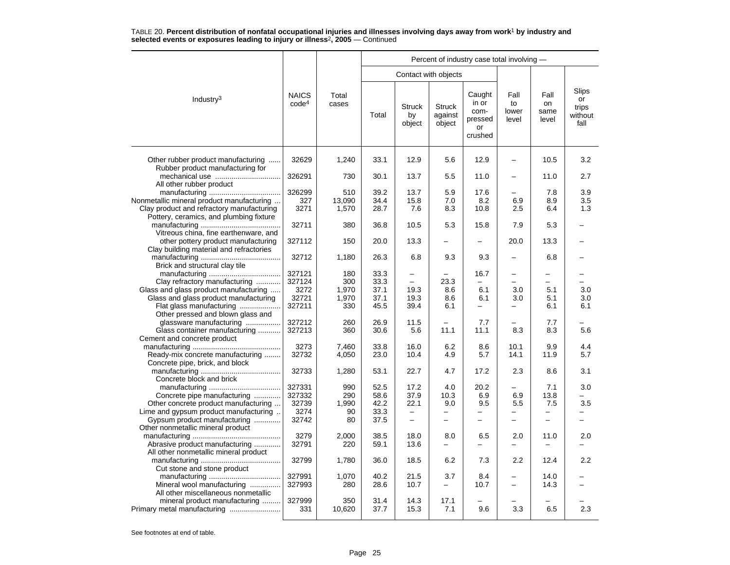|                                                                                |                                   |                |              |                               |                                    | Percent of industry case total involving -          |                              |                             |                                         |
|--------------------------------------------------------------------------------|-----------------------------------|----------------|--------------|-------------------------------|------------------------------------|-----------------------------------------------------|------------------------------|-----------------------------|-----------------------------------------|
|                                                                                |                                   |                |              | Contact with objects          |                                    |                                                     |                              |                             |                                         |
| Industry <sup>3</sup>                                                          | <b>NAICS</b><br>code <sup>4</sup> | Total<br>cases | Total        | <b>Struck</b><br>by<br>object | <b>Struck</b><br>against<br>object | Caught<br>in or<br>com-<br>pressed<br>or<br>crushed | Fall<br>to<br>lower<br>level | Fall<br>on<br>same<br>level | Slips<br>or<br>trips<br>without<br>fall |
| Other rubber product manufacturing<br>Rubber product manufacturing for         | 32629                             | 1,240          | 33.1         | 12.9                          | 5.6                                | 12.9                                                | $\overline{\phantom{0}}$     | 10.5                        | 3.2                                     |
| mechanical use<br>All other rubber product                                     | 326291                            | 730            | 30.1         | 13.7                          | 5.5                                | 11.0                                                |                              | 11.0                        | 2.7                                     |
|                                                                                | 326299                            | 510            | 39.2         | 13.7                          | 5.9                                | 17.6                                                |                              | 7.8                         | 3.9                                     |
| Nonmetallic mineral product manufacturing                                      | 327                               | 13.090         | 34.4         | 15.8                          | 7.0                                | 8.2                                                 | 6.9                          | 8.9                         | 3.5                                     |
| Clay product and refractory manufacturing                                      | 3271                              | 1,570          | 28.7         | 7.6                           | 8.3                                | 10.8                                                | 2.5                          | 6.4                         | 1.3                                     |
| Pottery, ceramics, and plumbing fixture                                        | 32711                             | 380            | 36.8         | 10.5                          | 5.3                                | 15.8                                                | 7.9                          | 5.3                         |                                         |
| Vitreous china, fine earthenware, and                                          |                                   |                |              |                               |                                    |                                                     |                              |                             |                                         |
| other pottery product manufacturing<br>Clay building material and refractories | 327112                            | 150            | 20.0         | 13.3                          |                                    |                                                     | 20.0                         | 13.3                        |                                         |
| Brick and structural clay tile                                                 | 32712                             | 1,180          | 26.3         | 6.8                           | 9.3                                | 9.3                                                 |                              | 6.8                         |                                         |
|                                                                                | 327121                            | 180            | 33.3         | $\overline{\phantom{0}}$      |                                    | 16.7                                                | $\overline{\phantom{0}}$     | $\overline{\phantom{0}}$    |                                         |
| Clay refractory manufacturing                                                  | 327124                            | 300            | 33.3         | $\overline{\phantom{0}}$      | 23.3                               |                                                     |                              |                             |                                         |
| Glass and glass product manufacturing                                          | 3272                              | 1.970          | 37.1         | 19.3                          | 8.6                                | 6.1                                                 | 3.0                          | 5.1                         | 3.0                                     |
| Glass and glass product manufacturing                                          | 32721                             | 1,970          | 37.1         | 19.3                          | 8.6                                | 6.1                                                 | 3.0                          | 5.1                         | 3.0                                     |
| Flat glass manufacturing                                                       | 327211                            | 330            | 45.5         | 39.4                          | 6.1                                | $\overline{\phantom{0}}$                            |                              | 6.1                         | 6.1                                     |
| Other pressed and blown glass and                                              |                                   |                |              |                               |                                    |                                                     |                              |                             |                                         |
| glassware manufacturing                                                        | 327212                            | 260            | 26.9         | 11.5                          |                                    | 7.7                                                 |                              | 7.7                         |                                         |
| Glass container manufacturing                                                  | 327213                            | 360            | 30.6         | 5.6                           | 11.1                               | 11.1                                                | 8.3                          | 8.3                         | 5.6                                     |
| Cement and concrete product                                                    |                                   |                |              |                               |                                    |                                                     |                              |                             |                                         |
|                                                                                | 3273                              | 7.460          | 33.8         | 16.0                          | 6.2                                | 8.6                                                 | 10.1                         | 9.9                         | 4.4                                     |
| Ready-mix concrete manufacturing                                               | 32732                             | 4,050          | 23.0         | 10.4                          | 4.9                                | 5.7                                                 | 14.1                         | 11.9                        | 5.7                                     |
| Concrete pipe, brick, and block                                                |                                   |                |              |                               |                                    |                                                     |                              |                             |                                         |
| Concrete block and brick                                                       | 32733                             | 1,280          | 53.1         | 22.7                          | 4.7                                | 17.2                                                | 2.3                          | 8.6                         | 3.1                                     |
|                                                                                | 327331                            | 990            | 52.5         | 17.2                          | 4.0                                | 20.2                                                |                              | 7.1                         | 3.0                                     |
| Concrete pipe manufacturing                                                    | 327332                            | 290            | 58.6         | 37.9                          | 10.3                               | 6.9                                                 | 6.9                          | 13.8                        |                                         |
| Other concrete product manufacturing                                           | 32739                             | 1,990          | 42.2         | 22.1                          | 9.0                                | 9.5                                                 | 5.5                          | 7.5                         | 3.5                                     |
| Lime and gypsum product manufacturing                                          | 3274                              | 90             | 33.3         | $\equiv$                      |                                    |                                                     |                              |                             |                                         |
| Gypsum product manufacturing                                                   | 32742                             | 80             | 37.5         | $\overline{\phantom{0}}$      | -                                  | $\overline{\phantom{0}}$                            | $\overline{\phantom{0}}$     | $\overline{\phantom{0}}$    | -                                       |
| Other nonmetallic mineral product                                              |                                   |                |              |                               |                                    |                                                     |                              |                             |                                         |
|                                                                                | 3279                              | 2,000          | 38.5         | 18.0                          | 8.0                                | 6.5                                                 | 2.0                          | 11.0                        | 2.0                                     |
| Abrasive product manufacturing                                                 | 32791                             | 220            | 59.1         | 13.6                          |                                    |                                                     |                              |                             |                                         |
| All other nonmetallic mineral product                                          | 32799                             |                | 36.0         | 18.5                          | 6.2                                | 7.3                                                 | 2.2                          | 12.4                        | 2.2                                     |
|                                                                                |                                   | 1,780          |              |                               |                                    |                                                     |                              |                             |                                         |
| Cut stone and stone product                                                    | 327991                            | 1,070          |              |                               |                                    |                                                     |                              |                             |                                         |
|                                                                                | 327993                            | 280            | 40.2<br>28.6 | 21.5<br>10.7                  | 3.7<br>-                           | 8.4<br>10.7                                         | $\overline{\phantom{0}}$     | 14.0<br>14.3                |                                         |
| Mineral wool manufacturing<br>All other miscellaneous nonmetallic              |                                   |                |              |                               |                                    |                                                     |                              |                             |                                         |
| mineral product manufacturing                                                  | 327999                            | 350            | 31.4         | 14.3                          | 17.1                               |                                                     |                              |                             |                                         |
| Primary metal manufacturing                                                    | 331                               | 10,620         | 37.7         | 15.3                          | 7.1                                | 9.6                                                 | 3.3                          | 6.5                         | 2.3                                     |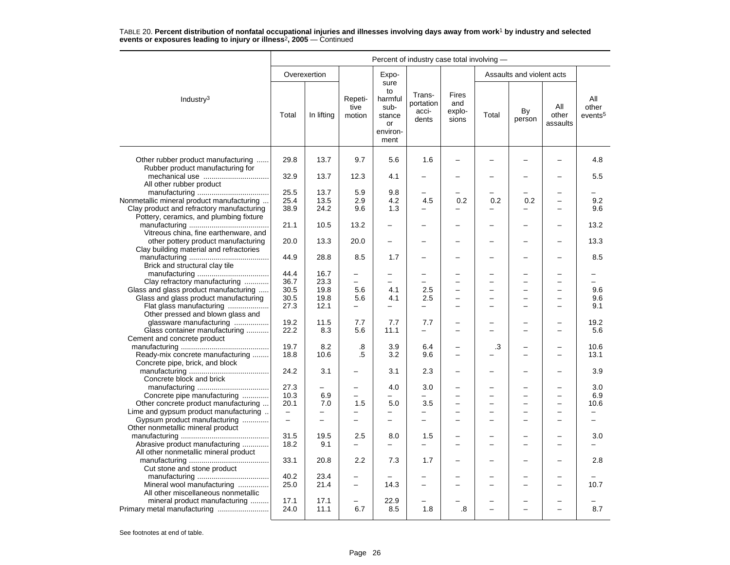|                                                                                      | Percent of industry case total involving - |              |                           |                                                                   |                                       |                                 |       |                           |                          |                                     |  |
|--------------------------------------------------------------------------------------|--------------------------------------------|--------------|---------------------------|-------------------------------------------------------------------|---------------------------------------|---------------------------------|-------|---------------------------|--------------------------|-------------------------------------|--|
|                                                                                      |                                            | Overexertion |                           | Expo-                                                             |                                       |                                 |       | Assaults and violent acts |                          |                                     |  |
| Industry <sup>3</sup>                                                                | Total                                      | In lifting   | Repeti-<br>tive<br>motion | sure<br>to<br>harmful<br>sub-<br>stance<br>or<br>environ-<br>ment | Trans-<br>portation<br>acci-<br>dents | Fires<br>and<br>explo-<br>sions | Total | By<br>person              | All<br>other<br>assaults | All<br>other<br>events <sup>5</sup> |  |
| Other rubber product manufacturing<br>Rubber product manufacturing for               | 29.8                                       | 13.7         | 9.7                       | 5.6                                                               | 1.6                                   |                                 |       |                           |                          | 4.8                                 |  |
| All other rubber product                                                             | 32.9                                       | 13.7         | 12.3                      | 4.1                                                               |                                       |                                 |       |                           |                          | 5.5                                 |  |
|                                                                                      | 25.5                                       | 13.7         | 5.9                       | 9.8                                                               | $\overline{\phantom{0}}$              |                                 |       |                           |                          |                                     |  |
| Nonmetallic mineral product manufacturing                                            | 25.4                                       | 13.5         | 2.9                       | 4.2                                                               | 4.5                                   | 0.2                             | 0.2   | 0.2                       | $\overline{\phantom{0}}$ | 9.2                                 |  |
| Clay product and refractory manufacturing<br>Pottery, ceramics, and plumbing fixture | 38.9                                       | 24.2         | 9.6                       | 1.3                                                               | $\equiv$                              | $\overline{\phantom{0}}$        | -     | L,                        | $\sim$                   | 9.6                                 |  |
| Vitreous china, fine earthenware, and                                                | 21.1                                       | 10.5         | 13.2                      | $\overline{a}$                                                    |                                       | $\overline{\phantom{0}}$        |       | L,                        |                          | 13.2                                |  |
| other pottery product manufacturing<br>Clay building material and refractories       | 20.0                                       | 13.3         | 20.0                      | $\overline{\phantom{0}}$                                          |                                       |                                 |       | <u>.</u>                  |                          | 13.3                                |  |
| Brick and structural clay tile                                                       | 44.9                                       | 28.8         | 8.5                       | 1.7                                                               |                                       |                                 |       | -                         |                          | 8.5                                 |  |
|                                                                                      | 44.4                                       | 16.7         | -                         | -                                                                 | $\overline{\phantom{0}}$              |                                 |       | $\overline{\phantom{0}}$  |                          |                                     |  |
| Clay refractory manufacturing                                                        | 36.7                                       | 23.3         | ÷                         | $\overline{a}$                                                    | $\overline{a}$                        |                                 |       | L                         |                          |                                     |  |
| Glass and glass product manufacturing                                                | 30.5                                       | 19.8         | 5.6                       | 4.1                                                               | 2.5                                   |                                 |       | -                         |                          | 9.6                                 |  |
| Glass and glass product manufacturing                                                | 30.5                                       | 19.8         | 5.6                       | 4.1                                                               | 2.5                                   |                                 |       | -                         |                          | 9.6                                 |  |
| Flat glass manufacturing<br>Other pressed and blown glass and                        | 27.3                                       | 12.1         | $\overline{\phantom{0}}$  | $\overline{a}$                                                    | $\equiv$                              | $\overline{a}$                  |       | L.                        |                          | 9.1                                 |  |
| glassware manufacturing                                                              | 19.2                                       | 11.5         | 7.7                       | 7.7                                                               | 7.7                                   |                                 |       |                           |                          | 19.2                                |  |
| Glass container manufacturing<br>Cement and concrete product                         | 22.2                                       | 8.3          | 5.6                       | 11.1                                                              | -                                     |                                 |       | -                         |                          | 5.6                                 |  |
|                                                                                      | 19.7                                       | 8.2          | .8                        | 3.9                                                               | 6.4                                   |                                 | .3    |                           |                          | 10.6                                |  |
| Ready-mix concrete manufacturing<br>Concrete pipe, brick, and block                  | 18.8                                       | 10.6         | .5                        | 3.2                                                               | 9.6                                   | ۳                               |       | ÷                         | ÷                        | 13.1                                |  |
| Concrete block and brick                                                             | 24.2                                       | 3.1          | -                         | 3.1                                                               | 2.3                                   |                                 |       | -                         |                          | 3.9                                 |  |
|                                                                                      | 27.3                                       |              | $\overline{\phantom{0}}$  | 4.0                                                               | 3.0                                   |                                 |       |                           |                          | 3.0                                 |  |
| Concrete pipe manufacturing                                                          | 10.3                                       | 6.9          | -                         | -                                                                 |                                       |                                 |       | -                         | -                        | 6.9                                 |  |
| Other concrete product manufacturing                                                 | 20.1                                       | 7.0          | 1.5                       | 5.0                                                               | 3.5                                   |                                 |       | -                         |                          | 10.6                                |  |
| Lime and gypsum product manufacturing                                                | $\frac{1}{2}$                              |              | $\overline{\phantom{0}}$  | $\overline{a}$                                                    | $\equiv$                              |                                 |       |                           |                          | ▃                                   |  |
| Gypsum product manufacturing<br>Other nonmetallic mineral product                    | $\rightarrow$                              |              |                           |                                                                   | $\overline{\phantom{0}}$              |                                 |       | ▃                         |                          |                                     |  |
|                                                                                      | 31.5                                       | 19.5         | 2.5                       | 8.0                                                               | 1.5                                   |                                 |       |                           |                          | 3.0                                 |  |
| Abrasive product manufacturing<br>All other nonmetallic mineral product              | 18.2                                       | 9.1          |                           |                                                                   |                                       |                                 |       | $\overline{\phantom{0}}$  |                          |                                     |  |
| Cut stone and stone product                                                          | 33.1                                       | 20.8         | 2.2                       | 7.3                                                               | 1.7                                   |                                 |       |                           |                          | 2.8                                 |  |
|                                                                                      | 40.2                                       | 23.4         | $\overline{\phantom{0}}$  |                                                                   |                                       |                                 |       |                           |                          |                                     |  |
| Mineral wool manufacturing<br>All other miscellaneous nonmetallic                    | 25.0                                       | 21.4         |                           | 14.3                                                              |                                       |                                 |       | L,                        |                          | 10.7                                |  |
| mineral product manufacturing<br>Primary metal manufacturing                         | 17.1<br>24.0                               | 17.1<br>11.1 | 6.7                       | 22.9<br>8.5                                                       | 1.8                                   | .8                              |       | ▃<br>L.                   | $\overline{\phantom{0}}$ | 8.7                                 |  |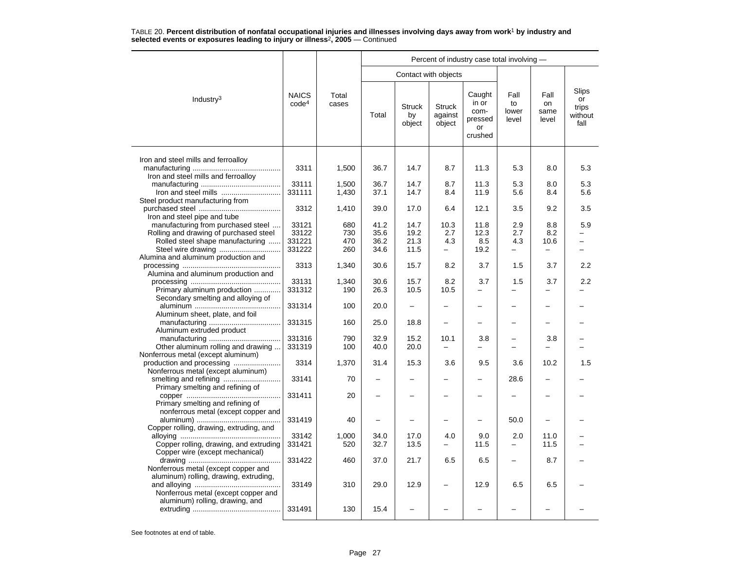|                                                                            |                                   |                | Percent of industry case total involving - |                               |                                    |                                                     |                              |                             |                                         |  |  |  |
|----------------------------------------------------------------------------|-----------------------------------|----------------|--------------------------------------------|-------------------------------|------------------------------------|-----------------------------------------------------|------------------------------|-----------------------------|-----------------------------------------|--|--|--|
|                                                                            |                                   |                |                                            | Contact with objects          |                                    |                                                     |                              |                             |                                         |  |  |  |
| Industry <sup>3</sup>                                                      | <b>NAICS</b><br>code <sup>4</sup> | Total<br>cases | Total                                      | <b>Struck</b><br>by<br>object | <b>Struck</b><br>against<br>object | Caught<br>in or<br>com-<br>pressed<br>or<br>crushed | Fall<br>to<br>lower<br>level | Fall<br>on<br>same<br>level | Slips<br>or<br>trips<br>without<br>fall |  |  |  |
|                                                                            |                                   |                |                                            |                               |                                    |                                                     |                              |                             |                                         |  |  |  |
| Iron and steel mills and ferroalloy<br>Iron and steel mills and ferroalloy | 3311                              | 1,500          | 36.7                                       | 14.7                          | 8.7                                | 11.3                                                | 5.3                          | 8.0                         | 5.3                                     |  |  |  |
|                                                                            | 33111                             | 1,500          | 36.7                                       | 14.7                          | 8.7                                | 11.3                                                | 5.3                          | 8.0                         | 5.3                                     |  |  |  |
| Iron and steel mills<br>Steel product manufacturing from                   | 331111                            | 1,430          | 37.1                                       | 14.7                          | 8.4                                | 11.9                                                | 5.6                          | 8.4                         | 5.6                                     |  |  |  |
| Iron and steel pipe and tube                                               | 3312                              | 1,410          | 39.0                                       | 17.0                          | 6.4                                | 12.1                                                | 3.5                          | 9.2                         | 3.5                                     |  |  |  |
| manufacturing from purchased steel                                         | 33121                             | 680            | 41.2                                       | 14.7                          | 10.3                               | 11.8                                                | 2.9                          | 8.8                         | 5.9                                     |  |  |  |
| Rolling and drawing of purchased steel                                     | 33122                             | 730            | 35.6                                       | 19.2                          | 2.7                                | 12.3                                                | 2.7                          | 8.2                         |                                         |  |  |  |
| Rolled steel shape manufacturing                                           | 331221                            | 470            | 36.2                                       | 21.3                          | 4.3                                | 8.5                                                 | 4.3                          | 10.6                        | -                                       |  |  |  |
| Alumina and aluminum production and                                        | 331222                            | 260            | 34.6                                       | 11.5                          | -                                  | 19.2                                                | -                            | $\overline{\phantom{0}}$    | $\overline{\phantom{0}}$                |  |  |  |
|                                                                            | 3313                              | 1,340          | 30.6                                       | 15.7                          | 8.2                                | 3.7                                                 | 1.5                          | 3.7                         | 2.2                                     |  |  |  |
| Alumina and aluminum production and                                        |                                   |                |                                            |                               |                                    |                                                     |                              |                             |                                         |  |  |  |
|                                                                            | 33131                             | 1,340          | 30.6                                       | 15.7                          | 8.2                                | 3.7                                                 | 1.5                          | 3.7                         | 2.2                                     |  |  |  |
| Primary aluminum production                                                | 331312                            | 190            | 26.3                                       | 10.5                          | 10.5                               |                                                     |                              |                             |                                         |  |  |  |
| Secondary smelting and alloying of                                         |                                   | 100            |                                            | $\overline{\phantom{0}}$      | $\overline{\phantom{0}}$           |                                                     |                              |                             |                                         |  |  |  |
| Aluminum sheet, plate, and foil                                            | 331314                            |                | 20.0                                       |                               |                                    |                                                     |                              |                             |                                         |  |  |  |
|                                                                            | 331315                            | 160            | 25.0                                       | 18.8                          |                                    |                                                     |                              |                             |                                         |  |  |  |
| Aluminum extruded product                                                  |                                   |                |                                            |                               |                                    |                                                     |                              |                             |                                         |  |  |  |
|                                                                            | 331316                            | 790            | 32.9                                       | 15.2                          | 10.1                               | 3.8                                                 |                              | 3.8                         |                                         |  |  |  |
| Other aluminum rolling and drawing                                         | 331319                            | 100            | 40.0                                       | 20.0                          | $\overline{\phantom{0}}$           |                                                     |                              |                             |                                         |  |  |  |
| Nonferrous metal (except aluminum)<br>production and processing            | 3314                              | 1,370          | 31.4                                       | 15.3                          | 3.6                                | 9.5                                                 | 3.6                          | 10.2                        | 1.5                                     |  |  |  |
| Nonferrous metal (except aluminum)                                         |                                   |                |                                            |                               |                                    |                                                     |                              |                             |                                         |  |  |  |
|                                                                            | 33141                             | 70             | $\overline{\phantom{0}}$                   |                               |                                    |                                                     | 28.6                         |                             |                                         |  |  |  |
| Primary smelting and refining of                                           |                                   |                |                                            |                               |                                    |                                                     |                              |                             |                                         |  |  |  |
|                                                                            | 331411                            | 20             | $\overline{\phantom{0}}$                   |                               |                                    |                                                     |                              |                             |                                         |  |  |  |
| Primary smelting and refining of                                           |                                   |                |                                            |                               |                                    |                                                     |                              |                             |                                         |  |  |  |
| nonferrous metal (except copper and                                        | 331419                            | 40             |                                            |                               |                                    |                                                     | 50.0                         |                             |                                         |  |  |  |
| Copper rolling, drawing, extruding, and                                    |                                   |                |                                            |                               |                                    |                                                     |                              |                             |                                         |  |  |  |
|                                                                            | 33142                             | 1,000          | 34.0                                       | 17.0                          | 4.0                                | 9.0                                                 | 2.0                          | 11.0                        |                                         |  |  |  |
| Copper rolling, drawing, and extruding                                     | 331421                            | 520            | 32.7                                       | 13.5                          |                                    | 11.5                                                |                              | 11.5                        |                                         |  |  |  |
| Copper wire (except mechanical)                                            |                                   | 460            |                                            |                               |                                    |                                                     | $\overline{\phantom{0}}$     |                             |                                         |  |  |  |
| Nonferrous metal (except copper and                                        | 331422                            |                | 37.0                                       | 21.7                          | 6.5                                | 6.5                                                 |                              | 8.7                         |                                         |  |  |  |
| aluminum) rolling, drawing, extruding,                                     |                                   |                |                                            |                               |                                    |                                                     |                              |                             |                                         |  |  |  |
|                                                                            | 33149                             | 310            | 29.0                                       | 12.9                          |                                    | 12.9                                                | 6.5                          | 6.5                         |                                         |  |  |  |
| Nonferrous metal (except copper and                                        |                                   |                |                                            |                               |                                    |                                                     |                              |                             |                                         |  |  |  |
| aluminum) rolling, drawing, and                                            |                                   |                |                                            |                               |                                    |                                                     |                              |                             |                                         |  |  |  |
|                                                                            | 331491                            | 130            | 15.4                                       |                               |                                    |                                                     |                              |                             |                                         |  |  |  |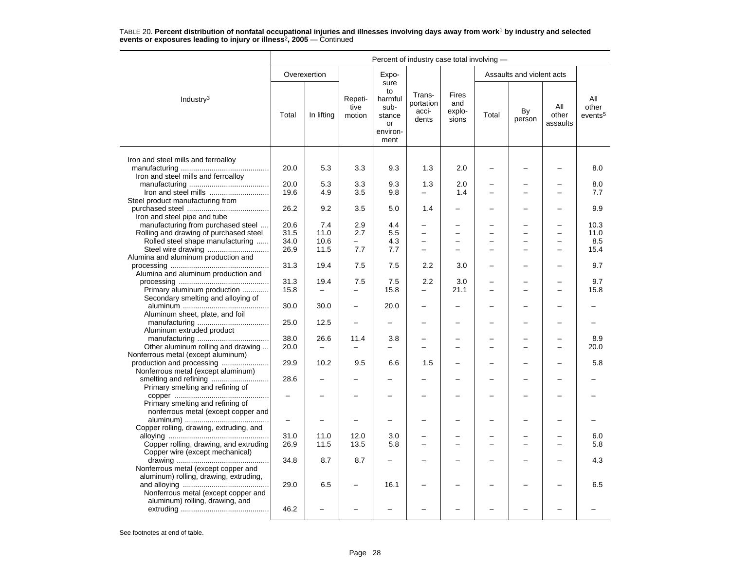|                                                                            | Percent of industry case total involving - |                          |                                                      |                                                                   |                                       |                                 |       |                           |                          |                                     |  |
|----------------------------------------------------------------------------|--------------------------------------------|--------------------------|------------------------------------------------------|-------------------------------------------------------------------|---------------------------------------|---------------------------------|-------|---------------------------|--------------------------|-------------------------------------|--|
|                                                                            |                                            | Overexertion             |                                                      | Expo-                                                             |                                       |                                 |       | Assaults and violent acts |                          |                                     |  |
| Industry $3$                                                               | Total                                      | In lifting               | Repeti-<br>tive<br>motion                            | sure<br>to<br>harmful<br>sub-<br>stance<br>or<br>environ-<br>ment | Trans-<br>portation<br>acci-<br>dents | Fires<br>and<br>explo-<br>sions | Total | By<br>person              | All<br>other<br>assaults | All<br>other<br>events <sup>5</sup> |  |
|                                                                            |                                            |                          |                                                      |                                                                   |                                       |                                 |       |                           |                          |                                     |  |
| Iron and steel mills and ferroalloy<br>Iron and steel mills and ferroalloy | 20.0                                       | 5.3                      | 3.3                                                  | 9.3                                                               | 1.3                                   | 2.0                             |       |                           |                          | 8.0                                 |  |
|                                                                            | 20.0                                       | 5.3                      | 3.3                                                  | 9.3                                                               | 1.3                                   | 2.0                             |       |                           |                          | 8.0                                 |  |
| Iron and steel mills                                                       | 19.6                                       | 4.9                      | 3.5                                                  | 9.8                                                               | $\overline{\phantom{0}}$              | 1.4                             |       |                           |                          | 7.7                                 |  |
| Steel product manufacturing from<br>Iron and steel pipe and tube           | 26.2                                       | 9.2                      | 3.5                                                  | 5.0                                                               | 1.4                                   |                                 |       |                           |                          | 9.9                                 |  |
| manufacturing from purchased steel                                         | 20.6                                       | 7.4                      | 2.9                                                  | 4.4                                                               | $\overline{\phantom{0}}$              |                                 |       |                           |                          | 10.3                                |  |
| Rolling and drawing of purchased steel                                     | 31.5                                       | 11.0                     | 2.7                                                  | 5.5                                                               |                                       |                                 |       |                           |                          | 11.0                                |  |
| Rolled steel shape manufacturing                                           | 34.0                                       | 10.6                     | $\equiv$                                             | 4.3                                                               | $\frac{1}{2}$                         |                                 |       | $\overline{a}$            |                          | 8.5                                 |  |
|                                                                            | 26.9                                       | 11.5                     | 7.7                                                  | 7.7                                                               |                                       |                                 |       | L.                        |                          | 15.4                                |  |
| Alumina and aluminum production and                                        | 31.3                                       | 19.4                     | 7.5                                                  | 7.5                                                               | 2.2                                   | 3.0                             |       |                           |                          | 9.7                                 |  |
| Alumina and aluminum production and                                        |                                            |                          |                                                      |                                                                   |                                       |                                 |       |                           |                          |                                     |  |
|                                                                            | 31.3                                       | 19.4                     | 7.5                                                  | 7.5                                                               | 2.2                                   | 3.0                             |       |                           |                          | 9.7                                 |  |
| Primary aluminum production<br>Secondary smelting and alloying of          | 15.8<br>30.0                               | 30.0                     | $\overline{\phantom{0}}$<br>$\overline{\phantom{0}}$ | 15.8<br>20.0                                                      | $\overline{\phantom{m}}$              | 21.1<br>-                       |       | —                         |                          | 15.8                                |  |
| Aluminum sheet, plate, and foil                                            |                                            |                          |                                                      |                                                                   |                                       |                                 |       |                           |                          |                                     |  |
|                                                                            | 25.0                                       | 12.5                     |                                                      |                                                                   |                                       |                                 |       |                           |                          |                                     |  |
| Aluminum extruded product                                                  | 38.0                                       | 26.6                     | 11.4                                                 | 3.8                                                               |                                       |                                 |       |                           |                          | 8.9                                 |  |
| Other aluminum rolling and drawing                                         | 20.0                                       | $\overline{\phantom{m}}$ |                                                      | $\overline{\phantom{0}}$                                          |                                       |                                 |       |                           |                          | 20.0                                |  |
| Nonferrous metal (except aluminum)                                         |                                            |                          |                                                      |                                                                   |                                       |                                 |       |                           |                          |                                     |  |
|                                                                            | 29.9                                       | 10.2                     | 9.5                                                  | 6.6                                                               | 1.5                                   |                                 |       |                           |                          | 5.8                                 |  |
| Nonferrous metal (except aluminum)                                         |                                            |                          |                                                      |                                                                   |                                       |                                 |       |                           |                          |                                     |  |
| Primary smelting and refining of                                           | 28.6                                       |                          |                                                      |                                                                   |                                       |                                 |       | L.                        |                          |                                     |  |
| Primary smelting and refining of                                           |                                            |                          |                                                      |                                                                   |                                       |                                 |       |                           |                          |                                     |  |
| nonferrous metal (except copper and                                        | $\overline{\phantom{0}}$                   |                          |                                                      |                                                                   |                                       |                                 |       |                           |                          |                                     |  |
| Copper rolling, drawing, extruding, and                                    |                                            |                          |                                                      |                                                                   |                                       |                                 |       |                           |                          |                                     |  |
|                                                                            | 31.0                                       | 11.0                     | 12.0                                                 | 3.0                                                               |                                       |                                 |       |                           |                          | 6.0                                 |  |
| Copper rolling, drawing, and extruding<br>Copper wire (except mechanical)  | 26.9                                       | 11.5                     | 13.5                                                 | 5.8                                                               |                                       |                                 |       |                           |                          | 5.8                                 |  |
|                                                                            | 34.8                                       | 8.7                      | 8.7                                                  |                                                                   |                                       |                                 |       |                           |                          | 4.3                                 |  |
| Nonferrous metal (except copper and                                        |                                            |                          |                                                      |                                                                   |                                       |                                 |       |                           |                          |                                     |  |
| aluminum) rolling, drawing, extruding,                                     | 29.0                                       | 6.5                      |                                                      | 16.1                                                              |                                       |                                 |       |                           |                          | 6.5                                 |  |
| Nonferrous metal (except copper and                                        |                                            |                          |                                                      |                                                                   |                                       |                                 |       |                           |                          |                                     |  |
| aluminum) rolling, drawing, and                                            | 46.2                                       |                          |                                                      |                                                                   |                                       |                                 |       |                           |                          |                                     |  |
|                                                                            |                                            |                          |                                                      |                                                                   |                                       |                                 |       |                           |                          |                                     |  |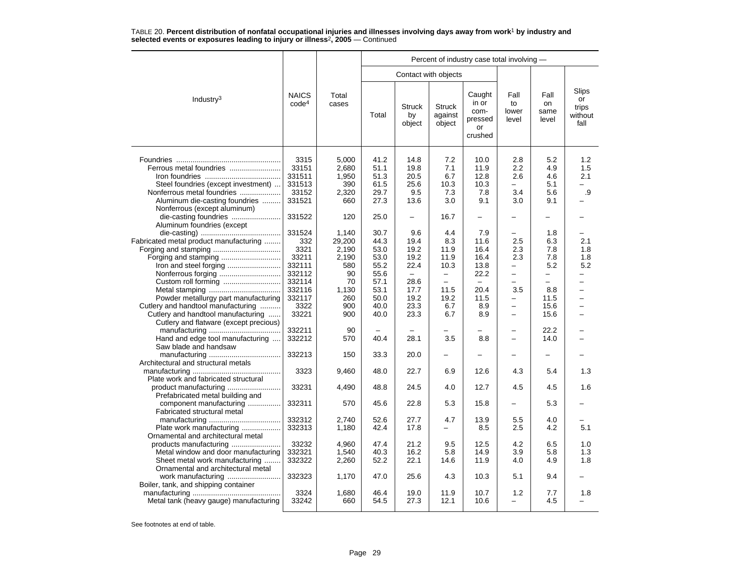|                                        |                                   |                |       |                               |                                    | Percent of industry case total involving -          |                              |                             |                                         |
|----------------------------------------|-----------------------------------|----------------|-------|-------------------------------|------------------------------------|-----------------------------------------------------|------------------------------|-----------------------------|-----------------------------------------|
|                                        |                                   |                |       | Contact with objects          |                                    |                                                     |                              |                             |                                         |
| Industry <sup>3</sup>                  | <b>NAICS</b><br>code <sup>4</sup> | Total<br>cases | Total | <b>Struck</b><br>by<br>object | <b>Struck</b><br>against<br>object | Caught<br>in or<br>com-<br>pressed<br>or<br>crushed | Fall<br>to<br>lower<br>level | Fall<br>on<br>same<br>level | Slips<br>or<br>trips<br>without<br>fall |
|                                        | 3315                              | 5,000          | 41.2  | 14.8                          | 7.2                                | 10.0                                                | 2.8                          | 5.2                         | 1.2                                     |
|                                        |                                   |                |       |                               |                                    |                                                     |                              |                             |                                         |
| Ferrous metal foundries                | 33151                             | 2,680          | 51.1  | 19.8                          | 7.1                                | 11.9                                                | 2.2                          | 4.9                         | 1.5                                     |
|                                        | 331511                            | 1,950          | 51.3  | 20.5                          | 6.7                                | 12.8                                                | 2.6                          | 4.6                         | 2.1                                     |
| Steel foundries (except investment)    | 331513                            | 390            | 61.5  | 25.6                          | 10.3                               | 10.3                                                | $\overline{a}$               | 5.1                         |                                         |
| Nonferrous metal foundries             | 33152                             | 2,320          | 29.7  | 9.5                           | 7.3                                | 7.8                                                 | 3.4                          | 5.6                         | .9                                      |
| Aluminum die-casting foundries         | 331521                            | 660            | 27.3  | 13.6                          | 3.0                                | 9.1                                                 | 3.0                          | 9.1                         |                                         |
| Nonferrous (except aluminum)           |                                   |                |       |                               |                                    |                                                     |                              |                             |                                         |
|                                        | 331522                            | 120            | 25.0  | $\overline{\phantom{0}}$      | 16.7                               |                                                     |                              |                             |                                         |
| Aluminum foundries (except             |                                   |                |       |                               |                                    |                                                     |                              |                             |                                         |
|                                        | 331524                            | 1,140          | 30.7  | 9.6                           | 4.4                                | 7.9                                                 |                              | 1.8                         |                                         |
| Fabricated metal product manufacturing | 332                               | 29,200         | 44.3  | 19.4                          | 8.3                                | 11.6                                                | 2.5                          | 6.3                         | 2.1                                     |
|                                        |                                   |                |       |                               |                                    |                                                     |                              |                             |                                         |
|                                        | 3321                              | 2,190          | 53.0  | 19.2                          | 11.9                               | 16.4                                                | 2.3                          | 7.8                         | 1.8                                     |
|                                        | 33211                             | 2,190          | 53.0  | 19.2                          | 11.9                               | 16.4                                                | 2.3                          | 7.8                         | 1.8                                     |
| Iron and steel forging                 | 332111                            | 580            | 55.2  | 22.4                          | 10.3                               | 13.8                                                | $\equiv$                     | 5.2                         | 5.2                                     |
|                                        | 332112                            | 90             | 55.6  | $\sim$                        | $\overline{\phantom{0}}$           | 22.2                                                | $\overline{\phantom{0}}$     | -                           | -                                       |
|                                        | 332114                            | 70             | 57.1  | 28.6                          | $\equiv$                           | $\equiv$                                            | $\overline{a}$               | $\equiv$                    | -                                       |
|                                        | 332116                            | 1,130          | 53.1  | 17.7                          | 11.5                               | 20.4                                                | 3.5                          | 8.8                         |                                         |
| Powder metallurgy part manufacturing   | 332117                            | 260            | 50.0  | 19.2                          | 19.2                               | 11.5                                                |                              | 11.5                        | $\overline{\phantom{0}}$                |
| Cutlery and handtool manufacturing     | 3322                              | 900            | 40.0  | 23.3                          | 6.7                                | 8.9                                                 | $\qquad \qquad -$            | 15.6                        | $\overline{\phantom{0}}$                |
| Cutlery and handtool manufacturing     | 33221                             | 900            | 40.0  | 23.3                          | 6.7                                | 8.9                                                 | $\overline{\phantom{0}}$     | 15.6                        |                                         |
| Cutlery and flatware (except precious) |                                   |                |       |                               |                                    |                                                     |                              |                             |                                         |
|                                        | 332211                            | 90             |       |                               |                                    |                                                     |                              | 22.2                        |                                         |
|                                        |                                   |                |       |                               |                                    |                                                     | $\equiv$                     |                             |                                         |
| Hand and edge tool manufacturing       | 332212                            | 570            | 40.4  | 28.1                          | 3.5                                | 8.8                                                 |                              | 14.0                        |                                         |
| Saw blade and handsaw                  |                                   |                |       |                               |                                    |                                                     |                              |                             |                                         |
|                                        | 332213                            | 150            | 33.3  | 20.0                          |                                    |                                                     |                              |                             |                                         |
| Architectural and structural metals    |                                   |                |       |                               |                                    |                                                     |                              |                             |                                         |
|                                        | 3323                              | 9,460          | 48.0  | 22.7                          | 6.9                                | 12.6                                                | 4.3                          | 5.4                         | 1.3                                     |
| Plate work and fabricated structural   |                                   |                |       |                               |                                    |                                                     |                              |                             |                                         |
|                                        | 33231                             | 4,490          | 48.8  | 24.5                          | 4.0                                | 12.7                                                | 4.5                          | 4.5                         | 1.6                                     |
| Prefabricated metal building and       |                                   |                |       |                               |                                    |                                                     |                              |                             |                                         |
| component manufacturing                | 332311                            | 570            | 45.6  | 22.8                          | 5.3                                | 15.8                                                |                              | 5.3                         |                                         |
| Fabricated structural metal            |                                   |                |       |                               |                                    |                                                     |                              |                             |                                         |
|                                        | 332312                            | 2.740          | 52.6  | 27.7                          | 4.7                                | 13.9                                                | 5.5                          | 4.0                         |                                         |
| Plate work manufacturing               | 332313                            | 1,180          | 42.4  | 17.8                          | $\equiv$                           | 8.5                                                 | 2.5                          | 4.2                         | 5.1                                     |
| Ornamental and architectural metal     |                                   |                |       |                               |                                    |                                                     |                              |                             |                                         |
|                                        |                                   |                |       |                               |                                    |                                                     |                              |                             |                                         |
| products manufacturing                 | 33232                             | 4.960          | 47.4  | 21.2                          | 9.5                                | 12.5                                                | 4.2                          | 6.5                         | 1.0                                     |
| Metal window and door manufacturing    | 332321                            | 1,540          | 40.3  | 16.2                          | 5.8                                | 14.9                                                | 3.9                          | 5.8                         | 1.3                                     |
| Sheet metal work manufacturing         | 332322                            | 2,260          | 52.2  | 22.1                          | 14.6                               | 11.9                                                | 4.0                          | 4.9                         | 1.8                                     |
| Ornamental and architectural metal     |                                   |                |       |                               |                                    |                                                     |                              |                             |                                         |
|                                        | 332323                            | 1,170          | 47.0  | 25.6                          | 4.3                                | 10.3                                                | 5.1                          | 9.4                         |                                         |
| Boiler, tank, and shipping container   |                                   |                |       |                               |                                    |                                                     |                              |                             |                                         |
|                                        | 3324                              | 1,680          | 46.4  | 19.0                          | 11.9                               | 10.7                                                | 1.2                          | 7.7                         | 1.8                                     |
| Metal tank (heavy gauge) manufacturing | 33242                             | 660            | 54.5  | 27.3                          | 12.1                               | 10.6                                                | $\overline{\phantom{0}}$     | 4.5                         | -                                       |
|                                        |                                   |                |       |                               |                                    |                                                     |                              |                             |                                         |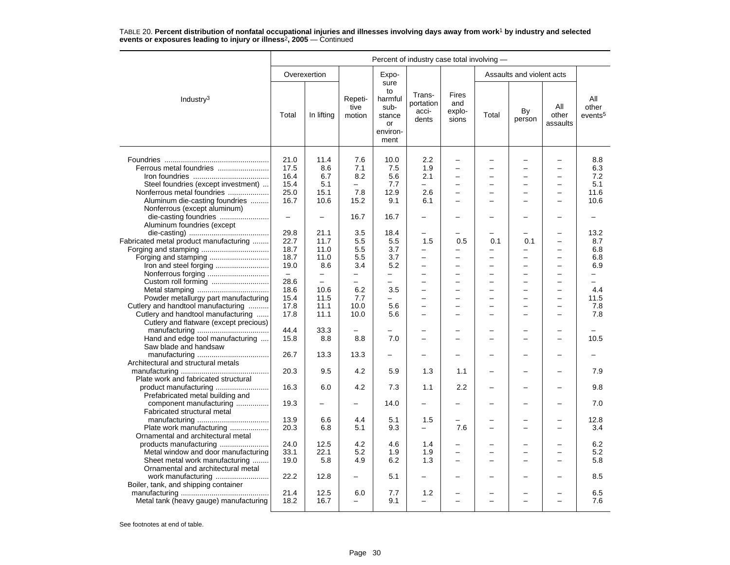|                                        | Percent of industry case total involving - |                          |                           |                                                                   |                                       |                                      |       |                           |                               |                                     |
|----------------------------------------|--------------------------------------------|--------------------------|---------------------------|-------------------------------------------------------------------|---------------------------------------|--------------------------------------|-------|---------------------------|-------------------------------|-------------------------------------|
|                                        |                                            | Overexertion             |                           | Expo-                                                             |                                       |                                      |       | Assaults and violent acts |                               |                                     |
| Industry $3$                           | Total                                      | In lifting               | Repeti-<br>tive<br>motion | sure<br>to<br>harmful<br>sub-<br>stance<br>or<br>environ-<br>ment | Trans-<br>portation<br>acci-<br>dents | Fires<br>and<br>explo-<br>sions      | Total | By<br>person              | All<br>other<br>assaults      | All<br>other<br>events <sup>5</sup> |
|                                        |                                            |                          |                           |                                                                   |                                       |                                      |       |                           |                               |                                     |
|                                        | 21.0                                       | 11.4                     | 7.6                       | 10.0<br>7.5                                                       | $2.2\phantom{0}$                      | $\overline{\phantom{0}}$<br>$\equiv$ |       | L.                        | $\overline{\phantom{0}}$<br>- | 8.8                                 |
| Ferrous metal foundries                | 17.5                                       | 8.6                      | 7.1                       |                                                                   | 1.9                                   |                                      |       |                           |                               | 6.3                                 |
|                                        | 16.4                                       | 6.7                      | 8.2                       | 5.6                                                               | 2.1                                   | -                                    |       | -                         |                               | 7.2                                 |
| Steel foundries (except investment)    | 15.4                                       | 5.1                      | $\equiv$                  | 7.7                                                               | $\overline{\phantom{0}}$              | $\overline{\phantom{0}}$             |       | $\overline{\phantom{0}}$  | $\overline{\phantom{0}}$      | 5.1                                 |
| Nonferrous metal foundries             | 25.0                                       | 15.1                     | 7.8                       | 12.9                                                              | 2.6                                   | $\equiv$                             |       | -                         |                               | 11.6                                |
| Aluminum die-casting foundries         | 16.7                                       | 10.6                     | 15.2                      | 9.1                                                               | 6.1                                   | $\equiv$                             | -     | $\overline{\phantom{0}}$  |                               | 10.6                                |
| Nonferrous (except aluminum)           |                                            |                          |                           |                                                                   |                                       |                                      |       |                           |                               |                                     |
|                                        | $\overline{\phantom{0}}$                   | $\overline{\phantom{0}}$ | 16.7                      | 16.7                                                              |                                       |                                      |       |                           |                               |                                     |
| Aluminum foundries (except             |                                            |                          |                           |                                                                   |                                       |                                      |       |                           |                               |                                     |
|                                        | 29.8                                       | 21.1                     | 3.5                       | 18.4                                                              |                                       |                                      |       |                           |                               | 13.2                                |
| Fabricated metal product manufacturing | 22.7                                       | 11.7                     | 5.5                       | 5.5                                                               | 1.5                                   | 0.5                                  | 0.1   | 0.1                       |                               | 8.7                                 |
|                                        | 18.7                                       | 11.0                     | 5.5                       | 3.7                                                               | -                                     |                                      | —     | -                         | -                             | 6.8                                 |
|                                        | 18.7                                       | 11.0                     | 5.5                       | 3.7                                                               | $\overline{\phantom{0}}$              |                                      |       | -                         |                               | 6.8                                 |
| Iron and steel forging                 | 19.0                                       | 8.6                      | 3.4                       | 5.2                                                               | $\overline{\phantom{0}}$              | $\overline{a}$                       |       | $\overline{\phantom{0}}$  |                               | 6.9                                 |
|                                        | $\qquad \qquad -$                          | $\qquad \qquad -$        | -                         | -                                                                 | -                                     | $\overline{\phantom{0}}$             |       | -                         | $\overline{\phantom{0}}$      | -                                   |
|                                        | 28.6                                       | $\overline{\phantom{0}}$ | $\overline{\phantom{m}}$  | $\equiv$                                                          | $\overline{a}$                        | $\overline{\phantom{0}}$             |       | $\overline{\phantom{0}}$  | $\equiv$                      | $\equiv$                            |
|                                        | 18.6                                       | 10.6                     | 6.2                       | 3.5                                                               | $\equiv$                              | $\overline{a}$                       |       | $\overline{\phantom{0}}$  |                               | 4.4                                 |
| Powder metallurgy part manufacturing   | 15.4                                       | 11.5                     | 7.7                       |                                                                   | $\overline{\phantom{0}}$              | $\overline{\phantom{0}}$             |       | ▃                         |                               | 11.5                                |
| Cutlery and handtool manufacturing     | 17.8                                       | 11.1                     | 10.0                      | 5.6                                                               | $\overline{\phantom{0}}$              | -                                    |       | -                         |                               | 7.8                                 |
| Cutlery and handtool manufacturing     | 17.8                                       | 11.1                     | 10.0                      | 5.6                                                               | $\overline{a}$                        | $\overline{\phantom{0}}$             | ÷.    | -                         |                               | 7.8                                 |
| Cutlery and flatware (except precious) |                                            |                          |                           |                                                                   |                                       |                                      |       |                           |                               |                                     |
|                                        | 44.4                                       | 33.3                     |                           |                                                                   |                                       |                                      |       | -                         |                               |                                     |
| Hand and edge tool manufacturing       | 15.8                                       | 8.8                      | 8.8                       | 7.0                                                               | <u>.</u>                              | $\overline{\phantom{0}}$             |       | ÷                         |                               | 10.5                                |
| Saw blade and handsaw                  |                                            |                          |                           |                                                                   |                                       |                                      |       |                           |                               |                                     |
|                                        | 26.7                                       | 13.3                     | 13.3                      |                                                                   |                                       |                                      |       |                           |                               |                                     |
| Architectural and structural metals    |                                            |                          |                           |                                                                   |                                       |                                      |       |                           |                               |                                     |
|                                        | 20.3                                       | 9.5                      | 4.2                       | 5.9                                                               | 1.3                                   |                                      |       |                           |                               | 7.9                                 |
|                                        |                                            |                          |                           |                                                                   |                                       | 1.1                                  |       |                           |                               |                                     |
| Plate work and fabricated structural   |                                            |                          |                           |                                                                   |                                       |                                      |       |                           |                               |                                     |
|                                        | 16.3                                       | 6.0                      | 4.2                       | 7.3                                                               | 1.1                                   | 2.2                                  |       | -                         |                               | 9.8                                 |
| Prefabricated metal building and       |                                            |                          |                           |                                                                   |                                       |                                      |       |                           |                               |                                     |
| component manufacturing                | 19.3                                       |                          |                           | 14.0                                                              |                                       |                                      |       |                           |                               | 7.0                                 |
| Fabricated structural metal            |                                            |                          |                           |                                                                   |                                       |                                      |       |                           |                               |                                     |
|                                        | 13.9                                       | 6.6                      | 4.4                       | 5.1                                                               | 1.5                                   |                                      |       |                           |                               | 12.8                                |
| Plate work manufacturing               | 20.3                                       | 6.8                      | 5.1                       | 9.3                                                               | $\overline{a}$                        | 7.6                                  |       |                           |                               | 3.4                                 |
| Ornamental and architectural metal     |                                            |                          |                           |                                                                   |                                       |                                      |       |                           |                               |                                     |
| products manufacturing                 | 24.0                                       | 12.5                     | 4.2                       | 4.6                                                               | 1.4                                   |                                      |       |                           |                               | 6.2                                 |
| Metal window and door manufacturing    | 33.1                                       | 22.1                     | 5.2                       | 1.9                                                               | 1.9                                   | $\overline{\phantom{0}}$             |       | -                         |                               | 5.2                                 |
| Sheet metal work manufacturing         | 19.0                                       | 5.8                      | 4.9                       | 6.2                                                               | 1.3                                   | $\equiv$                             |       |                           |                               | 5.8                                 |
| Ornamental and architectural metal     |                                            |                          |                           |                                                                   |                                       |                                      |       |                           |                               |                                     |
| work manufacturing                     | 22.2                                       | 12.8                     | $\overline{\phantom{0}}$  | 5.1                                                               | -                                     | -                                    |       | ÷                         |                               | 8.5                                 |
| Boiler, tank, and shipping container   |                                            |                          |                           |                                                                   |                                       |                                      |       |                           |                               |                                     |
|                                        | 21.4                                       | 12.5                     | 6.0                       | 7.7                                                               | 1.2                                   |                                      |       |                           |                               | 6.5                                 |
| Metal tank (heavy gauge) manufacturing | 18.2                                       | 16.7                     | $\overline{\phantom{0}}$  | 9.1                                                               | -                                     | $\overline{\phantom{0}}$             |       | ▃                         |                               | 7.6                                 |
|                                        |                                            |                          |                           |                                                                   |                                       |                                      |       |                           |                               |                                     |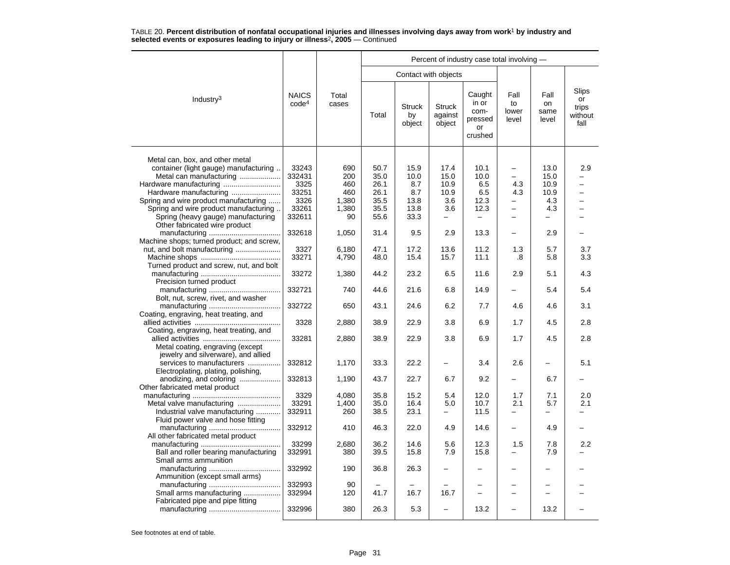|                                                                                                                                                                                                   |                                          |                                   |                                      |                                    |                                     | Percent of industry case total involving -          |                                      |                                     |                                         |
|---------------------------------------------------------------------------------------------------------------------------------------------------------------------------------------------------|------------------------------------------|-----------------------------------|--------------------------------------|------------------------------------|-------------------------------------|-----------------------------------------------------|--------------------------------------|-------------------------------------|-----------------------------------------|
|                                                                                                                                                                                                   |                                          |                                   |                                      |                                    | Contact with objects                |                                                     |                                      |                                     |                                         |
| Industry <sup>3</sup>                                                                                                                                                                             | <b>NAICS</b><br>code <sup>4</sup>        | Total<br>cases                    | Total                                | <b>Struck</b><br>by<br>object      | <b>Struck</b><br>against<br>object  | Caught<br>in or<br>com-<br>pressed<br>or<br>crushed | Fall<br>to<br>lower<br>level         | Fall<br>on<br>same<br>level         | Slips<br>or<br>trips<br>without<br>fall |
| Metal can, box, and other metal<br>container (light gauge) manufacturing.<br>Metal can manufacturing<br>Hardware manufacturing<br>Hardware manufacturing<br>Spring and wire product manufacturing | 33243<br>332431<br>3325<br>33251<br>3326 | 690<br>200<br>460<br>460<br>1,380 | 50.7<br>35.0<br>26.1<br>26.1<br>35.5 | 15.9<br>10.0<br>8.7<br>8.7<br>13.8 | 17.4<br>15.0<br>10.9<br>10.9<br>3.6 | 10.1<br>10.0<br>6.5<br>6.5<br>12.3                  | $\qquad \qquad -$<br>4.3<br>4.3<br>▃ | 13.0<br>15.0<br>10.9<br>10.9<br>4.3 | 2.9                                     |
| Spring and wire product manufacturing.<br>Spring (heavy gauge) manufacturing                                                                                                                      | 33261<br>332611                          | 1,380<br>90                       | 35.5<br>55.6                         | 13.8<br>33.3                       | 3.6<br>$\qquad \qquad -$            | 12.3                                                | $\overline{\phantom{0}}$<br>-        | 4.3                                 |                                         |
| Other fabricated wire product                                                                                                                                                                     | 332618                                   | 1,050                             | 31.4                                 | 9.5                                | 2.9                                 | 13.3                                                |                                      | 2.9                                 |                                         |
| Machine shops; turned product; and screw,<br>Turned product and screw, nut, and bolt                                                                                                              | 3327<br>33271                            | 6,180<br>4,790                    | 47.1<br>48.0                         | 17.2<br>15.4                       | 13.6<br>15.7                        | 11.2<br>11.1                                        | 1.3<br>.8                            | 5.7<br>5.8                          | 3.7<br>3.3                              |
| Precision turned product                                                                                                                                                                          | 33272                                    | 1,380                             | 44.2                                 | 23.2                               | 6.5                                 | 11.6                                                | 2.9                                  | 5.1                                 | 4.3                                     |
| Bolt, nut, screw, rivet, and washer                                                                                                                                                               | 332721                                   | 740                               | 44.6                                 | 21.6                               | 6.8                                 | 14.9                                                |                                      | 5.4                                 | 5.4                                     |
| Coating, engraving, heat treating, and                                                                                                                                                            | 332722                                   | 650                               | 43.1                                 | 24.6                               | 6.2                                 | 7.7                                                 | 4.6                                  | 4.6                                 | 3.1                                     |
| Coating, engraving, heat treating, and                                                                                                                                                            | 3328                                     | 2,880                             | 38.9                                 | 22.9                               | 3.8                                 | 6.9                                                 | 1.7                                  | 4.5                                 | 2.8                                     |
| Metal coating, engraving (except<br>jewelry and silverware), and allied                                                                                                                           | 33281                                    | 2,880                             | 38.9                                 | 22.9                               | 3.8                                 | 6.9                                                 | 1.7                                  | 4.5                                 | 2.8                                     |
| services to manufacturers<br>Electroplating, plating, polishing,                                                                                                                                  | 332812                                   | 1,170                             | 33.3                                 | 22.2                               | $\overline{\phantom{0}}$            | 3.4                                                 | 2.6                                  |                                     | 5.1                                     |
| anodizing, and coloring<br>Other fabricated metal product                                                                                                                                         | 332813                                   | 1,190                             | 43.7                                 | 22.7                               | 6.7                                 | 9.2                                                 |                                      | 6.7                                 |                                         |
| Metal valve manufacturing<br>Industrial valve manufacturing<br>Fluid power valve and hose fitting                                                                                                 | 3329<br>33291<br>332911                  | 4,080<br>1.400<br>260             | 35.8<br>35.0<br>38.5                 | 15.2<br>16.4<br>23.1               | 5.4<br>5.0<br>—                     | 12.0<br>10.7<br>11.5                                | 1.7<br>2.1<br>-                      | 7.1<br>5.7                          | 2.0<br>2.1<br>-                         |
| All other fabricated metal product                                                                                                                                                                | 332912                                   | 410                               | 46.3                                 | 22.0                               | 4.9                                 | 14.6                                                | ▃                                    | 4.9                                 |                                         |
| Ball and roller bearing manufacturing<br>Small arms ammunition                                                                                                                                    | 33299<br>332991                          | 2,680<br>380                      | 36.2<br>39.5                         | 14.6<br>15.8                       | 5.6<br>7.9                          | 12.3<br>15.8                                        | 1.5                                  | 7.8<br>7.9                          | 2.2                                     |
| Ammunition (except small arms)                                                                                                                                                                    | 332992                                   | 190                               | 36.8                                 | 26.3                               | <u>.</u>                            |                                                     | -                                    |                                     |                                         |
| Small arms manufacturing<br>Fabricated pipe and pipe fitting                                                                                                                                      | 332993<br>332994                         | 90<br>120                         | 41.7                                 | 16.7                               | 16.7                                | $\overline{\phantom{0}}$                            |                                      |                                     |                                         |
|                                                                                                                                                                                                   | 332996                                   | 380                               | 26.3                                 | 5.3                                | $\overline{\phantom{0}}$            | 13.2                                                |                                      | 13.2                                |                                         |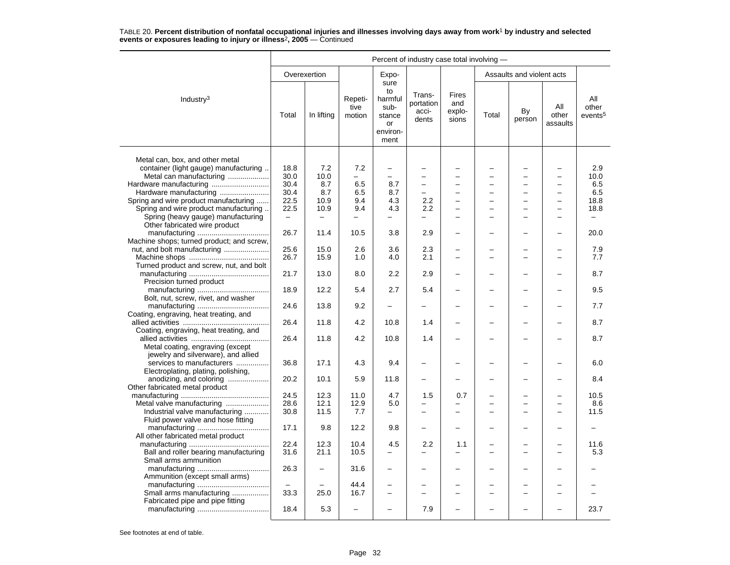|                                                                                                     | Percent of industry case total involving - |              |                           |                                                                   |                                       |                                        |                |                                                      |                                                      |                                     |  |
|-----------------------------------------------------------------------------------------------------|--------------------------------------------|--------------|---------------------------|-------------------------------------------------------------------|---------------------------------------|----------------------------------------|----------------|------------------------------------------------------|------------------------------------------------------|-------------------------------------|--|
|                                                                                                     |                                            | Overexertion |                           | Expo-                                                             |                                       |                                        |                | Assaults and violent acts                            |                                                      |                                     |  |
| Industry $3$                                                                                        | Total                                      | In lifting   | Repeti-<br>tive<br>motion | sure<br>to<br>harmful<br>sub-<br>stance<br>or<br>environ-<br>ment | Trans-<br>portation<br>acci-<br>dents | <b>Fires</b><br>and<br>explo-<br>sions | Total          | By<br>person                                         | All<br>other<br>assaults                             | All<br>other<br>events <sup>5</sup> |  |
| Metal can, box, and other metal<br>container (light gauge) manufacturing<br>Metal can manufacturing | 18.8<br>30.0                               | 7.2<br>10.0  | 7.2                       | $\overline{\phantom{0}}$<br>$\overline{\phantom{0}}$              |                                       |                                        |                |                                                      | $\overline{\phantom{0}}$<br>$\equiv$                 | 2.9<br>10.0                         |  |
|                                                                                                     | 30.4                                       | 8.7          | 6.5                       | 8.7                                                               | $\equiv$                              | $\equiv$                               | $\overline{ }$ | $\equiv$                                             | $\overline{\phantom{0}}$                             | 6.5                                 |  |
| Hardware manufacturing                                                                              | 30.4                                       | 8.7          | 6.5                       | 8.7                                                               | $\overline{\phantom{0}}$              | $\equiv$                               | −              | $\overline{\phantom{0}}$                             | $\overline{\phantom{m}}$                             | 6.5                                 |  |
| Spring and wire product manufacturing                                                               | 22.5                                       | 10.9         | 9.4                       | 4.3                                                               | 2.2                                   |                                        |                |                                                      | -                                                    | 18.8                                |  |
| Spring and wire product manufacturing.                                                              | 22.5                                       | 10.9         | 9.4                       | 4.3                                                               | 2.2                                   | $\overline{a}$                         |                | $\overline{\phantom{0}}$                             | $\overline{\phantom{0}}$                             | 18.8                                |  |
| Spring (heavy gauge) manufacturing<br>Other fabricated wire product                                 | $\equiv$                                   | $\equiv$     | $\qquad \qquad -$         |                                                                   |                                       |                                        |                |                                                      |                                                      | $\equiv$                            |  |
| Machine shops; turned product; and screw,                                                           | 26.7                                       | 11.4         | 10.5                      | 3.8                                                               | 2.9                                   | $\overline{\phantom{0}}$               |                | $\overline{\phantom{0}}$                             | $\overline{\phantom{0}}$                             | 20.0                                |  |
| nut, and bolt manufacturing                                                                         | 25.6                                       | 15.0         | 2.6                       | 3.6                                                               | 2.3                                   |                                        |                |                                                      |                                                      | 7.9                                 |  |
|                                                                                                     | 26.7                                       | 15.9         | 1.0                       | 4.0                                                               | 2.1                                   | $\overline{\phantom{0}}$               |                |                                                      | $\overline{\phantom{0}}$                             | 7.7                                 |  |
|                                                                                                     |                                            |              |                           |                                                                   |                                       |                                        |                |                                                      |                                                      |                                     |  |
| Turned product and screw, nut, and bolt                                                             | 21.7                                       | 13.0         | 8.0                       | 2.2                                                               | 2.9                                   | -                                      |                |                                                      | -                                                    | 8.7                                 |  |
| Precision turned product<br>Bolt, nut, screw, rivet, and washer                                     | 18.9                                       | 12.2         | 5.4                       | 2.7                                                               | 5.4                                   | -                                      |                |                                                      |                                                      | 9.5                                 |  |
|                                                                                                     | 24.6                                       | 13.8         | 9.2                       |                                                                   |                                       |                                        |                |                                                      |                                                      | 7.7                                 |  |
| Coating, engraving, heat treating, and                                                              | 26.4                                       | 11.8         | 4.2                       | 10.8                                                              | 1.4                                   |                                        |                |                                                      |                                                      | 8.7                                 |  |
| Coating, engraving, heat treating, and<br>Metal coating, engraving (except                          | 26.4                                       | 11.8         | 4.2                       | 10.8                                                              | 1.4                                   |                                        |                |                                                      |                                                      | 8.7                                 |  |
| jewelry and silverware), and allied<br>services to manufacturers                                    | 36.8                                       | 17.1         | 4.3                       | 9.4                                                               |                                       |                                        |                |                                                      |                                                      | 6.0                                 |  |
| Electroplating, plating, polishing,<br>anodizing, and coloring                                      | 20.2                                       | 10.1         | 5.9                       | 11.8                                                              | -                                     |                                        |                |                                                      |                                                      | 8.4                                 |  |
| Other fabricated metal product                                                                      |                                            |              |                           |                                                                   |                                       |                                        |                |                                                      |                                                      |                                     |  |
|                                                                                                     | 24.5                                       | 12.3         | 11.0                      | 4.7                                                               | 1.5                                   | 0.7                                    |                |                                                      |                                                      | 10.5                                |  |
| Metal valve manufacturing<br>Industrial valve manufacturing                                         | 28.6<br>30.8                               | 12.1<br>11.5 | 12.9<br>7.7               | 5.0<br>$\overline{\phantom{0}}$                                   | $\equiv$                              | L.                                     |                | $\overline{\phantom{0}}$<br>$\overline{\phantom{0}}$ | $\overline{\phantom{0}}$<br>$\overline{\phantom{a}}$ | 8.6<br>11.5                         |  |
| Fluid power valve and hose fitting                                                                  | 17.1                                       | 9.8          | 12.2                      | 9.8                                                               | -                                     |                                        |                |                                                      |                                                      |                                     |  |
| All other fabricated metal product                                                                  |                                            |              |                           |                                                                   |                                       |                                        |                |                                                      |                                                      |                                     |  |
|                                                                                                     | 22.4                                       | 12.3         | 10.4                      | 4.5                                                               | 2.2                                   | 1.1                                    |                |                                                      |                                                      | 11.6                                |  |
| Ball and roller bearing manufacturing<br>Small arms ammunition                                      | 31.6                                       | 21.1         | 10.5                      | $\overline{\phantom{0}}$                                          | $\equiv$                              | -                                      | ÷              | $\equiv$                                             | $\overline{\phantom{a}}$                             | 5.3                                 |  |
| Ammunition (except small arms)                                                                      | 26.3                                       |              | 31.6                      |                                                                   |                                       |                                        |                |                                                      |                                                      |                                     |  |
|                                                                                                     |                                            |              | 44.4                      | $\overline{\phantom{0}}$                                          |                                       |                                        |                |                                                      |                                                      |                                     |  |
| Small arms manufacturing<br>Fabricated pipe and pipe fitting                                        | 33.3                                       | 25.0         | 16.7                      |                                                                   |                                       |                                        |                |                                                      |                                                      |                                     |  |
|                                                                                                     | 18.4                                       | 5.3          | $\overline{\phantom{0}}$  |                                                                   | 7.9                                   |                                        |                |                                                      |                                                      | 23.7                                |  |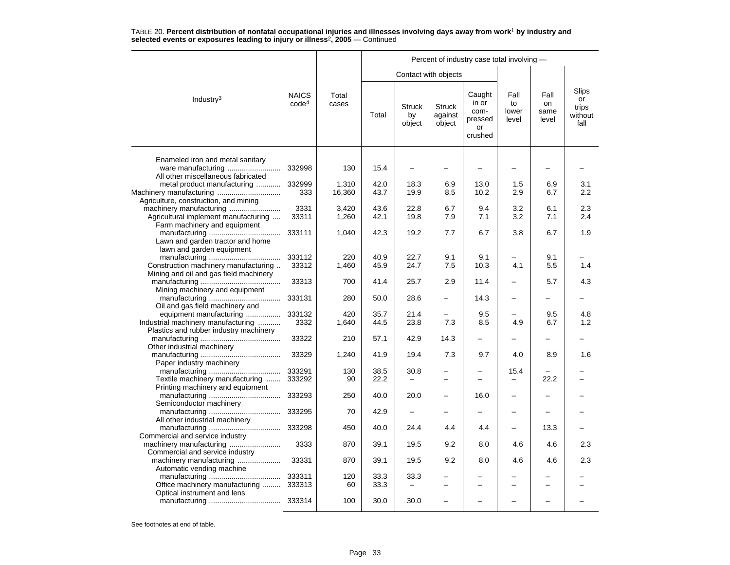|                                                                                         |                                   |                 |              |                               |                                    | Percent of industry case total involving -          |                              |                             |                                         |
|-----------------------------------------------------------------------------------------|-----------------------------------|-----------------|--------------|-------------------------------|------------------------------------|-----------------------------------------------------|------------------------------|-----------------------------|-----------------------------------------|
|                                                                                         |                                   |                 |              | Contact with objects          |                                    |                                                     |                              |                             |                                         |
| Industry <sup>3</sup>                                                                   | <b>NAICS</b><br>code <sup>4</sup> | Total<br>cases  | Total        | <b>Struck</b><br>by<br>object | <b>Struck</b><br>against<br>object | Caught<br>in or<br>com-<br>pressed<br>or<br>crushed | Fall<br>to<br>lower<br>level | Fall<br>on<br>same<br>level | Slips<br>or<br>trips<br>without<br>fall |
| Enameled iron and metal sanitary<br>ware manufacturing                                  | 332998                            | 130             | 15.4         | $\overline{\phantom{0}}$      |                                    |                                                     |                              |                             |                                         |
| All other miscellaneous fabricated                                                      |                                   |                 |              |                               |                                    |                                                     |                              |                             |                                         |
| metal product manufacturing<br>Machinery manufacturing                                  | 332999<br>333                     | 1,310<br>16,360 | 42.0<br>43.7 | 18.3<br>19.9                  | 6.9<br>8.5                         | 13.0<br>10.2                                        | 1.5<br>2.9                   | 6.9<br>6.7                  | 3.1<br>2.2                              |
| Agriculture, construction, and mining<br>Agricultural implement manufacturing           | 3331<br>33311                     | 3,420<br>1,260  | 43.6<br>42.1 | 22.8<br>19.8                  | 6.7<br>7.9                         | 9.4<br>7.1                                          | 3.2<br>3.2                   | 6.1<br>7.1                  | 2.3<br>2.4                              |
| Farm machinery and equipment<br>Lawn and garden tractor and home                        | 333111                            | 1.040           | 42.3         | 19.2                          | 7.7                                | 6.7                                                 | 3.8                          | 6.7                         | 1.9                                     |
| lawn and garden equipment                                                               | 333112                            | 220             | 40.9         | 22.7                          | 9.1                                | 9.1                                                 |                              | 9.1                         |                                         |
| Construction machinery manufacturing<br>Mining and oil and gas field machinery          | 33312<br>33313                    | 1,460<br>700    | 45.9<br>41.4 | 24.7<br>25.7                  | 7.5<br>2.9                         | 10.3<br>11.4                                        | 4.1                          | 5.5<br>5.7                  | 1.4<br>4.3                              |
| Mining machinery and equipment                                                          | 333131                            | 280             | 50.0         | 28.6                          |                                    | 14.3                                                |                              |                             |                                         |
| Oil and gas field machinery and<br>equipment manufacturing                              | 333132                            | 420             | 35.7         | 21.4                          |                                    | 9.5                                                 |                              | 9.5                         | 4.8                                     |
| Industrial machinery manufacturing<br>Plastics and rubber industry machinery            | 3332                              | 1,640           | 44.5         | 23.8                          | 7.3                                | 8.5                                                 | 4.9                          | 6.7                         | 1.2                                     |
| Other industrial machinery                                                              | 33322                             | 210             | 57.1         | 42.9                          | 14.3                               | $\overline{\phantom{0}}$                            | $\overline{\phantom{0}}$     | -                           |                                         |
| Paper industry machinery                                                                | 33329                             | 1,240           | 41.9         | 19.4                          | 7.3                                | 9.7                                                 | 4.0                          | 8.9                         | 1.6                                     |
| Textile machinery manufacturing                                                         | 333291<br>333292                  | 130<br>90       | 38.5<br>22.2 | 30.8                          |                                    |                                                     | 15.4                         | 22.2                        |                                         |
| Printing machinery and equipment                                                        | 333293                            | 250             | 40.0         | 20.0                          |                                    | 16.0                                                |                              |                             |                                         |
| Semiconductor machinery                                                                 | 333295                            | 70              | 42.9         | $\overline{\phantom{0}}$      |                                    |                                                     | -                            |                             |                                         |
| All other industrial machinery                                                          | 333298                            | 450             | 40.0         | 24.4                          | 4.4                                | 4.4                                                 |                              | 13.3                        |                                         |
| Commercial and service industry                                                         | 3333                              | 870             | 39.1         | 19.5                          | 9.2                                | 8.0                                                 | 4.6                          | 4.6                         | 2.3                                     |
| Commercial and service industry<br>machinery manufacturing<br>Automatic vending machine | 33331                             | 870             | 39.1         | 19.5                          | 9.2                                | 8.0                                                 | 4.6                          | 4.6                         | 2.3                                     |
| Office machinery manufacturing                                                          | 333311<br>333313                  | 120<br>60       | 33.3<br>33.3 | 33.3                          |                                    |                                                     |                              |                             |                                         |
| Optical instrument and lens                                                             | 333314                            | 100             | 30.0         | 30.0                          | $\overline{\phantom{0}}$           |                                                     |                              |                             |                                         |
|                                                                                         |                                   |                 |              |                               |                                    |                                                     |                              |                             |                                         |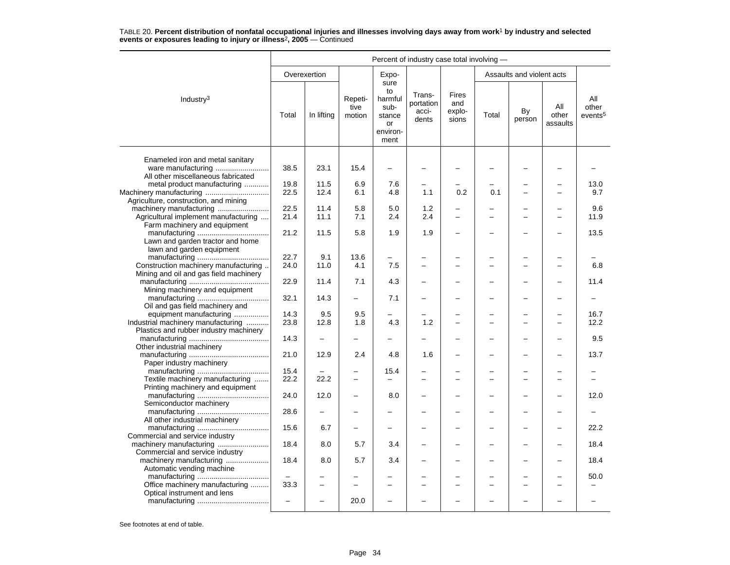|                                                                                                         | Percent of industry case total involving - |                   |                           |                                                                   |                                       |                                 |       |                           |                          |                                     |  |
|---------------------------------------------------------------------------------------------------------|--------------------------------------------|-------------------|---------------------------|-------------------------------------------------------------------|---------------------------------------|---------------------------------|-------|---------------------------|--------------------------|-------------------------------------|--|
|                                                                                                         |                                            | Overexertion      |                           | Expo-                                                             |                                       |                                 |       | Assaults and violent acts |                          |                                     |  |
| Industry <sup>3</sup>                                                                                   | Total                                      | In lifting        | Repeti-<br>tive<br>motion | sure<br>to<br>harmful<br>sub-<br>stance<br>or<br>environ-<br>ment | Trans-<br>portation<br>acci-<br>dents | Fires<br>and<br>explo-<br>sions | Total | By<br>person              | All<br>other<br>assaults | All<br>other<br>events <sup>5</sup> |  |
| Enameled iron and metal sanitary<br>ware manufacturing                                                  | 38.5                                       | 23.1              | 15.4                      | $\overline{\phantom{0}}$                                          |                                       |                                 |       |                           |                          |                                     |  |
| All other miscellaneous fabricated<br>metal product manufacturing                                       | 19.8<br>22.5                               | 11.5<br>12.4      | 6.9<br>6.1                | 7.6<br>4.8                                                        | 1.1                                   | 0.2                             | 0.1   | L,                        |                          | 13.0<br>9.7                         |  |
| Agriculture, construction, and mining<br>Agricultural implement manufacturing                           | 22.5<br>21.4                               | 11.4<br>11.1      | 5.8<br>7.1                | 5.0<br>2.4                                                        | 1.2<br>2.4                            | $\equiv$                        |       | ÷                         |                          | 9.6<br>11.9                         |  |
| Farm machinery and equipment<br>Lawn and garden tractor and home                                        | 21.2                                       | 11.5              | 5.8                       | 1.9                                                               | 1.9                                   | $\overline{\phantom{0}}$        |       |                           |                          | 13.5                                |  |
| lawn and garden equipment<br>Construction machinery manufacturing                                       | 22.7<br>24.0                               | 9.1<br>11.0       | 13.6<br>4.1               | 7.5                                                               | ÷                                     |                                 |       | -                         |                          | 6.8                                 |  |
| Mining and oil and gas field machinery<br>Mining machinery and equipment                                | 22.9                                       | 11.4              | 7.1                       | 4.3                                                               |                                       |                                 |       | -                         |                          | 11.4                                |  |
| Oil and gas field machinery and                                                                         | 32.1                                       | 14.3              |                           | 7.1                                                               | -                                     |                                 |       | -                         |                          |                                     |  |
| equipment manufacturing<br>Industrial machinery manufacturing<br>Plastics and rubber industry machinery | 14.3<br>23.8                               | 9.5<br>12.8       | 9.5<br>1.8                | $\overline{\phantom{0}}$<br>4.3                                   | 1.2                                   | ÷                               |       | L,                        |                          | 16.7<br>12.2                        |  |
| Other industrial machinery                                                                              | 14.3                                       | $\qquad \qquad -$ | —                         | -                                                                 |                                       |                                 |       | ÷                         |                          | 9.5                                 |  |
| Paper industry machinery                                                                                | 21.0<br>15.4                               | 12.9              | 2.4                       | 4.8<br>15.4                                                       | 1.6                                   |                                 |       | -                         |                          | 13.7                                |  |
| Textile machinery manufacturing<br>Printing machinery and equipment                                     | 22.2                                       | 22.2              | $\overline{\phantom{0}}$  | $\equiv$                                                          | $\equiv$                              | $\sim$                          |       | ÷                         | $\sim$                   |                                     |  |
| Semiconductor machinery                                                                                 | 24.0<br>28.6                               | 12.0              |                           | 8.0                                                               |                                       |                                 |       | -                         |                          | 12.0                                |  |
| All other industrial machinery                                                                          | 15.6                                       | 6.7               |                           |                                                                   |                                       |                                 |       | L,                        |                          | 22.2                                |  |
| Commercial and service industry<br>machinery manufacturing<br>Commercial and service industry           | 18.4                                       | 8.0               | 5.7                       | 3.4                                                               |                                       |                                 |       |                           |                          | 18.4                                |  |
| machinery manufacturing<br>Automatic vending machine                                                    | 18.4                                       | 8.0               | 5.7                       | 3.4                                                               | —                                     |                                 |       | -                         |                          | 18.4                                |  |
| Office machinery manufacturing<br>Optical instrument and lens                                           | 33.3                                       | $\equiv$          | $\equiv$                  | ÷                                                                 | $\equiv$                              | $\sim$                          |       | $\overline{\phantom{0}}$  |                          | 50.0                                |  |
|                                                                                                         | $\overline{\phantom{m}}$                   |                   | 20.0                      |                                                                   |                                       |                                 |       |                           |                          |                                     |  |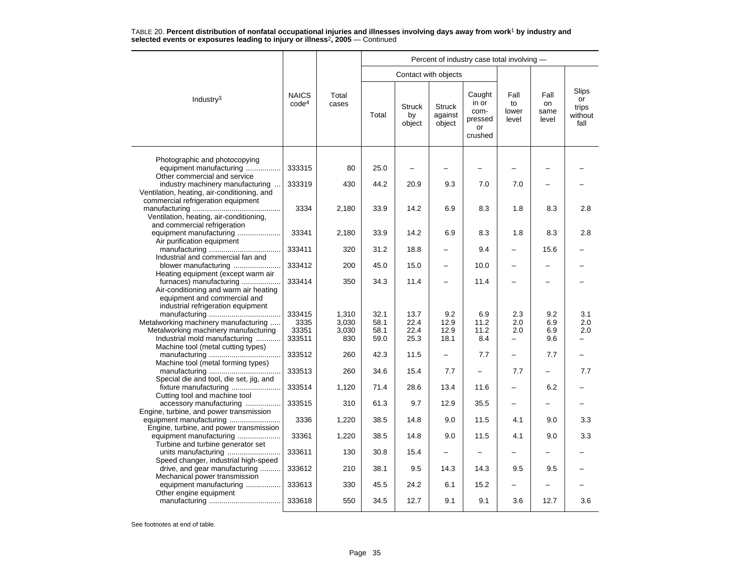|                                                                                                                                        |                                   |                | Percent of industry case total involving - |                               |                                    |                                                     |                              |                             |                                         |  |  |  |
|----------------------------------------------------------------------------------------------------------------------------------------|-----------------------------------|----------------|--------------------------------------------|-------------------------------|------------------------------------|-----------------------------------------------------|------------------------------|-----------------------------|-----------------------------------------|--|--|--|
|                                                                                                                                        |                                   |                |                                            |                               | Contact with objects               |                                                     |                              |                             |                                         |  |  |  |
| Industry <sup>3</sup>                                                                                                                  | <b>NAICS</b><br>code <sup>4</sup> | Total<br>cases | Total                                      | <b>Struck</b><br>by<br>object | <b>Struck</b><br>against<br>object | Caught<br>in or<br>com-<br>pressed<br>or<br>crushed | Fall<br>to<br>lower<br>level | Fall<br>on<br>same<br>level | Slips<br>or<br>trips<br>without<br>fall |  |  |  |
| Photographic and photocopying<br>equipment manufacturing<br>Other commercial and service                                               | 333315                            | 80             | 25.0                                       | -                             |                                    |                                                     |                              |                             |                                         |  |  |  |
| industry machinery manufacturing<br>Ventilation, heating, air-conditioning, and                                                        | 333319                            | 430            | 44.2                                       | 20.9                          | 9.3                                | 7.0                                                 | 7.0                          |                             |                                         |  |  |  |
| commercial refrigeration equipment<br>Ventilation, heating, air-conditioning,                                                          | 3334                              | 2,180          | 33.9                                       | 14.2                          | 6.9                                | 8.3                                                 | 1.8                          | 8.3                         | 2.8                                     |  |  |  |
| and commercial refrigeration<br>equipment manufacturing<br>Air purification equipment                                                  | 33341                             | 2,180          | 33.9                                       | 14.2                          | 6.9                                | 8.3                                                 | 1.8                          | 8.3                         | 2.8                                     |  |  |  |
| Industrial and commercial fan and                                                                                                      | 333411                            | 320            | 31.2                                       | 18.8                          | -                                  | 9.4                                                 | —                            | 15.6                        |                                         |  |  |  |
| blower manufacturing<br>Heating equipment (except warm air                                                                             | 333412                            | 200            | 45.0                                       | 15.0                          | $\overline{\phantom{0}}$           | 10.0                                                | -                            |                             |                                         |  |  |  |
| furnaces) manufacturing<br>Air-conditioning and warm air heating<br>equipment and commercial and<br>industrial refrigeration equipment | 333414                            | 350            | 34.3                                       | 11.4                          |                                    | 11.4                                                |                              |                             |                                         |  |  |  |
|                                                                                                                                        | 333415                            | 1,310          | 32.1                                       | 13.7                          | 9.2                                | 6.9                                                 | 2.3                          | 9.2                         | 3.1                                     |  |  |  |
| Metalworking machinery manufacturing<br>Metalworking machinery manufacturing                                                           | 3335<br>33351                     | 3,030<br>3,030 | 58.1<br>58.1                               | 22.4<br>22.4                  | 12.9<br>12.9                       | 11.2<br>11.2                                        | 2.0<br>2.0                   | 6.9<br>6.9                  | 2.0<br>2.0                              |  |  |  |
| Industrial mold manufacturing<br>Machine tool (metal cutting types)                                                                    | 333511                            | 830            | 59.0                                       | 25.3                          | 18.1                               | 8.4                                                 | -                            | 9.6                         |                                         |  |  |  |
| Machine tool (metal forming types)                                                                                                     | 333512                            | 260            | 42.3                                       | 11.5                          | $\overline{\phantom{0}}$           | 7.7                                                 | -                            | 7.7                         |                                         |  |  |  |
| Special die and tool, die set, jig, and                                                                                                | 333513                            | 260            | 34.6                                       | 15.4                          | 7.7                                |                                                     | 7.7                          |                             | 7.7                                     |  |  |  |
| fixture manufacturing<br>Cutting tool and machine tool                                                                                 | 333514                            | 1,120          | 71.4                                       | 28.6                          | 13.4                               | 11.6                                                | <u>.</u>                     | 6.2                         |                                         |  |  |  |
| accessory manufacturing<br>Engine, turbine, and power transmission                                                                     | 333515                            | 310            | 61.3                                       | 9.7                           | 12.9                               | 35.5                                                | —                            |                             |                                         |  |  |  |
| Engine, turbine, and power transmission                                                                                                | 3336                              | 1,220          | 38.5                                       | 14.8                          | 9.0                                | 11.5                                                | 4.1                          | 9.0                         | 3.3                                     |  |  |  |
| equipment manufacturing<br>Turbine and turbine generator set                                                                           | 33361                             | 1,220          | 38.5                                       | 14.8                          | 9.0                                | 11.5                                                | 4.1                          | 9.0                         | 3.3                                     |  |  |  |
| units manufacturing<br>Speed changer, industrial high-speed                                                                            | 333611                            | 130            | 30.8                                       | 15.4                          |                                    |                                                     |                              |                             |                                         |  |  |  |
| drive, and gear manufacturing<br>Mechanical power transmission                                                                         | 333612                            | 210            | 38.1                                       | 9.5                           | 14.3                               | 14.3                                                | 9.5                          | 9.5                         |                                         |  |  |  |
| equipment manufacturing<br>Other engine equipment                                                                                      | 333613                            | 330            | 45.5                                       | 24.2                          | 6.1                                | 15.2                                                | —                            |                             |                                         |  |  |  |
|                                                                                                                                        | 333618                            | 550            | 34.5                                       | 12.7                          | 9.1                                | 9.1                                                 | 3.6                          | 12.7                        | 3.6                                     |  |  |  |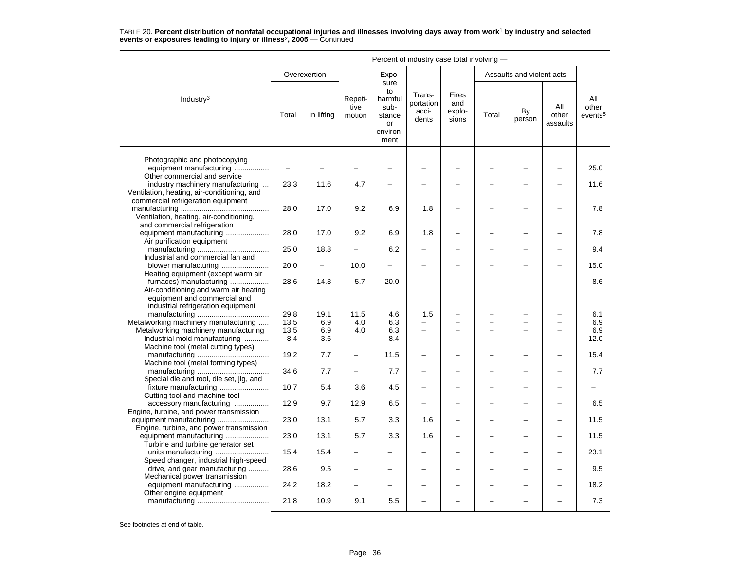|                                                                    | Percent of industry case total involving - |              |                           |                                                                   |                                       |                                 |                |                           |                          |                                     |  |  |
|--------------------------------------------------------------------|--------------------------------------------|--------------|---------------------------|-------------------------------------------------------------------|---------------------------------------|---------------------------------|----------------|---------------------------|--------------------------|-------------------------------------|--|--|
|                                                                    |                                            | Overexertion |                           | Expo-                                                             |                                       |                                 |                | Assaults and violent acts |                          |                                     |  |  |
| Industry $3$                                                       | Total                                      | In lifting   | Repeti-<br>tive<br>motion | sure<br>to<br>harmful<br>sub-<br>stance<br>or<br>environ-<br>ment | Trans-<br>portation<br>acci-<br>dents | Fires<br>and<br>explo-<br>sions | Total          | By<br>person              | All<br>other<br>assaults | All<br>other<br>events <sup>5</sup> |  |  |
| Photographic and photocopying                                      |                                            |              |                           |                                                                   |                                       |                                 |                |                           |                          |                                     |  |  |
| equipment manufacturing                                            |                                            |              |                           |                                                                   |                                       |                                 |                |                           |                          | 25.0                                |  |  |
| Other commercial and service<br>industry machinery manufacturing   | 23.3                                       | 11.6         | 4.7                       |                                                                   |                                       |                                 |                |                           |                          | 11.6                                |  |  |
| Ventilation, heating, air-conditioning, and                        |                                            |              |                           |                                                                   |                                       |                                 |                |                           |                          |                                     |  |  |
| commercial refrigeration equipment                                 |                                            |              |                           |                                                                   |                                       |                                 |                |                           |                          |                                     |  |  |
| Ventilation, heating, air-conditioning,                            | 28.0                                       | 17.0         | 9.2                       | 6.9                                                               | 1.8                                   |                                 |                |                           |                          | 7.8                                 |  |  |
| and commercial refrigeration                                       |                                            |              |                           |                                                                   |                                       |                                 |                |                           |                          |                                     |  |  |
| equipment manufacturing                                            | 28.0                                       | 17.0         | 9.2                       | 6.9                                                               | 1.8                                   |                                 |                |                           |                          | 7.8                                 |  |  |
| Air purification equipment                                         | 25.0                                       | 18.8         |                           | 6.2                                                               |                                       |                                 |                |                           |                          | 9.4                                 |  |  |
| Industrial and commercial fan and                                  |                                            |              |                           |                                                                   |                                       |                                 |                |                           |                          |                                     |  |  |
| blower manufacturing                                               | 20.0                                       | $\equiv$     | 10.0                      | $\equiv$                                                          |                                       |                                 |                |                           | $\overline{\phantom{0}}$ | 15.0                                |  |  |
| Heating equipment (except warm air<br>furnaces) manufacturing      | 28.6                                       | 14.3         | 5.7                       | 20.0                                                              |                                       |                                 |                |                           |                          | 8.6                                 |  |  |
| Air-conditioning and warm air heating                              |                                            |              |                           |                                                                   |                                       |                                 |                |                           |                          |                                     |  |  |
| equipment and commercial and<br>industrial refrigeration equipment |                                            |              |                           |                                                                   |                                       |                                 |                |                           |                          |                                     |  |  |
|                                                                    | 29.8                                       | 19.1         | 11.5                      | 4.6                                                               | 1.5                                   |                                 |                |                           |                          | 6.1                                 |  |  |
| Metalworking machinery manufacturing                               | 13.5                                       | 6.9          | 4.0                       | 6.3                                                               | ÷                                     | $\equiv$                        | $\overline{ }$ | $\overline{\phantom{0}}$  | $\overline{\phantom{0}}$ | 6.9                                 |  |  |
| Metalworking machinery manufacturing                               | 13.5                                       | 6.9          | 4.0                       | 6.3                                                               |                                       |                                 |                | -                         |                          | 6.9                                 |  |  |
| Industrial mold manufacturing                                      | 8.4                                        | 3.6          | $\overline{\phantom{0}}$  | 8.4                                                               | $\equiv$                              |                                 |                |                           |                          | 12.0                                |  |  |
| Machine tool (metal cutting types)                                 |                                            |              |                           |                                                                   |                                       |                                 |                |                           |                          |                                     |  |  |
| Machine tool (metal forming types)                                 | 19.2                                       | 7.7          | $\overline{\phantom{0}}$  | 11.5                                                              |                                       |                                 |                |                           |                          | 15.4                                |  |  |
|                                                                    | 34.6                                       | 7.7          |                           | 7.7                                                               |                                       |                                 |                |                           |                          | 7.7                                 |  |  |
| Special die and tool, die set, jig, and                            |                                            |              |                           | 4.5                                                               |                                       |                                 |                |                           |                          |                                     |  |  |
| Cutting tool and machine tool                                      | 10.7                                       | 5.4          | 3.6                       |                                                                   | -                                     |                                 |                |                           |                          |                                     |  |  |
| accessory manufacturing                                            | 12.9                                       | 9.7          | 12.9                      | 6.5                                                               |                                       |                                 |                |                           |                          | 6.5                                 |  |  |
| Engine, turbine, and power transmission                            |                                            |              |                           |                                                                   |                                       |                                 |                |                           |                          |                                     |  |  |
| Engine, turbine, and power transmission                            | 23.0                                       | 13.1         | 5.7                       | 3.3                                                               | 1.6                                   |                                 |                |                           |                          | 11.5                                |  |  |
| equipment manufacturing                                            | 23.0                                       | 13.1         | 5.7                       | 3.3                                                               | 1.6                                   |                                 |                |                           |                          | 11.5                                |  |  |
| Turbine and turbine generator set                                  |                                            |              |                           |                                                                   |                                       |                                 |                |                           |                          |                                     |  |  |
| Speed changer, industrial high-speed                               | 15.4                                       | 15.4         |                           |                                                                   |                                       |                                 |                |                           |                          | 23.1                                |  |  |
| drive, and gear manufacturing                                      | 28.6                                       | 9.5          |                           |                                                                   |                                       |                                 |                |                           |                          | 9.5                                 |  |  |
| Mechanical power transmission                                      |                                            |              |                           |                                                                   |                                       |                                 |                |                           |                          |                                     |  |  |
| equipment manufacturing<br>Other engine equipment                  | 24.2                                       | 18.2         | $\overline{\phantom{0}}$  |                                                                   |                                       |                                 |                | $\overline{\phantom{0}}$  | $\overline{\phantom{0}}$ | 18.2                                |  |  |
|                                                                    | 21.8                                       | 10.9         | 9.1                       | 5.5                                                               |                                       |                                 |                |                           |                          | 7.3                                 |  |  |
|                                                                    |                                            |              |                           |                                                                   |                                       |                                 |                |                           |                          |                                     |  |  |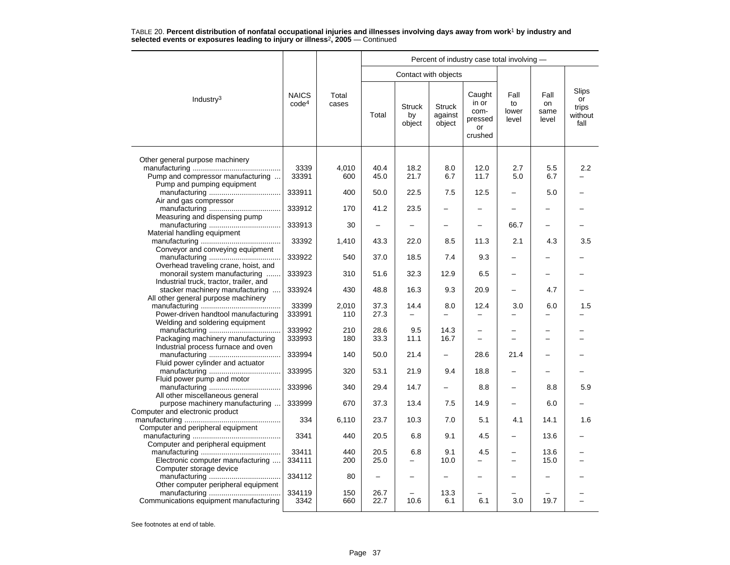|                                         |                                   |                | Percent of industry case total involving - |                               |                                    |                                                     |                              |                             |                                         |  |  |  |
|-----------------------------------------|-----------------------------------|----------------|--------------------------------------------|-------------------------------|------------------------------------|-----------------------------------------------------|------------------------------|-----------------------------|-----------------------------------------|--|--|--|
|                                         |                                   |                |                                            | Contact with objects          |                                    |                                                     |                              |                             |                                         |  |  |  |
| Industry <sup>3</sup>                   | <b>NAICS</b><br>code <sup>4</sup> | Total<br>cases | Total                                      | <b>Struck</b><br>by<br>object | <b>Struck</b><br>against<br>object | Caught<br>in or<br>com-<br>pressed<br>or<br>crushed | Fall<br>to<br>lower<br>level | Fall<br>on<br>same<br>level | Slips<br>or<br>trips<br>without<br>fall |  |  |  |
| Other general purpose machinery         |                                   |                |                                            |                               |                                    |                                                     |                              |                             |                                         |  |  |  |
|                                         | 3339                              | 4,010          | 40.4                                       | 18.2                          | 8.0                                | 12.0                                                | 2.7                          | 5.5                         | 2.2                                     |  |  |  |
| Pump and compressor manufacturing       | 33391                             | 600            | 45.0                                       | 21.7                          | 6.7                                | 11.7                                                | 5.0                          | 6.7                         |                                         |  |  |  |
| Pump and pumping equipment              |                                   |                |                                            |                               |                                    |                                                     |                              |                             |                                         |  |  |  |
|                                         | 333911                            | 400            | 50.0                                       | 22.5                          | 7.5                                | 12.5                                                | $\overline{\phantom{0}}$     | 5.0                         |                                         |  |  |  |
| Air and gas compressor                  |                                   |                |                                            |                               |                                    |                                                     |                              |                             |                                         |  |  |  |
|                                         | 333912                            | 170            | 41.2                                       | 23.5                          |                                    |                                                     |                              |                             |                                         |  |  |  |
| Measuring and dispensing pump           |                                   |                |                                            |                               |                                    |                                                     |                              |                             |                                         |  |  |  |
|                                         | 333913                            | 30             |                                            |                               |                                    |                                                     | 66.7                         |                             |                                         |  |  |  |
| Material handling equipment             |                                   |                |                                            |                               |                                    |                                                     |                              |                             |                                         |  |  |  |
|                                         | 33392                             | 1,410          | 43.3                                       | 22.0                          | 8.5                                | 11.3                                                | 2.1                          | 4.3                         | 3.5                                     |  |  |  |
| Conveyor and conveying equipment        |                                   |                |                                            |                               |                                    |                                                     |                              |                             |                                         |  |  |  |
|                                         | 333922                            | 540            | 37.0                                       | 18.5                          | 7.4                                | 9.3                                                 |                              |                             |                                         |  |  |  |
| Overhead traveling crane, hoist, and    |                                   |                |                                            |                               |                                    |                                                     |                              |                             |                                         |  |  |  |
| monorail system manufacturing           | 333923                            | 310            | 51.6                                       | 32.3                          | 12.9                               | 6.5                                                 | -                            |                             |                                         |  |  |  |
| Industrial truck, tractor, trailer, and |                                   |                |                                            |                               |                                    |                                                     |                              |                             |                                         |  |  |  |
| stacker machinery manufacturing         | 333924                            | 430            | 48.8                                       | 16.3                          | 9.3                                | 20.9                                                | $\overline{\phantom{0}}$     | 4.7                         |                                         |  |  |  |
| All other general purpose machinery     |                                   |                |                                            |                               |                                    |                                                     |                              |                             |                                         |  |  |  |
|                                         | 33399                             | 2,010          | 37.3                                       | 14.4                          | 8.0                                | 12.4                                                | 3.0                          | 6.0                         | 1.5                                     |  |  |  |
| Power-driven handtool manufacturing     | 333991                            | 110            | 27.3                                       |                               |                                    |                                                     |                              |                             |                                         |  |  |  |
| Welding and soldering equipment         |                                   |                |                                            |                               |                                    |                                                     |                              |                             |                                         |  |  |  |
|                                         | 333992                            | 210            | 28.6                                       | 9.5                           | 14.3                               |                                                     |                              |                             |                                         |  |  |  |
| Packaging machinery manufacturing       | 333993                            | 180            | 33.3                                       | 11.1                          | 16.7                               |                                                     |                              |                             |                                         |  |  |  |
| Industrial process furnace and oven     |                                   |                |                                            |                               |                                    |                                                     |                              |                             |                                         |  |  |  |
|                                         | 333994                            | 140            | 50.0                                       | 21.4                          | $\overline{\phantom{0}}$           | 28.6                                                | 21.4                         |                             |                                         |  |  |  |
| Fluid power cylinder and actuator       |                                   |                |                                            |                               |                                    |                                                     |                              |                             |                                         |  |  |  |
|                                         | 333995                            | 320            | 53.1                                       | 21.9                          | 9.4                                | 18.8                                                | $\overline{\phantom{0}}$     |                             |                                         |  |  |  |
| Fluid power pump and motor              |                                   |                |                                            |                               |                                    |                                                     |                              |                             |                                         |  |  |  |
|                                         | 333996                            | 340            | 29.4                                       | 14.7                          | —                                  | 8.8                                                 | -                            | 8.8                         | 5.9                                     |  |  |  |
| All other miscellaneous general         |                                   |                |                                            |                               |                                    |                                                     |                              |                             |                                         |  |  |  |
| purpose machinery manufacturing         | 333999                            | 670            | 37.3                                       | 13.4                          | 7.5                                | 14.9                                                |                              | 6.0                         |                                         |  |  |  |
| Computer and electronic product         |                                   |                |                                            |                               |                                    |                                                     |                              |                             |                                         |  |  |  |
|                                         | 334                               | 6,110          | 23.7                                       | 10.3                          | 7.0                                | 5.1                                                 | 4.1                          | 14.1                        | 1.6                                     |  |  |  |
| Computer and peripheral equipment       | 3341                              | 440            | 20.5                                       | 6.8                           | 9.1                                | 4.5                                                 | $\overline{\phantom{0}}$     | 13.6                        |                                         |  |  |  |
|                                         |                                   |                |                                            |                               |                                    |                                                     |                              |                             |                                         |  |  |  |
| Computer and peripheral equipment       | 33411                             | 440            | 20.5                                       | 6.8                           | 9.1                                | 4.5                                                 |                              | 13.6                        |                                         |  |  |  |
| Electronic computer manufacturing       | 334111                            | 200            | 25.0                                       |                               | 10.0                               |                                                     | $\overline{\phantom{0}}$     | 15.0                        |                                         |  |  |  |
| Computer storage device                 |                                   |                |                                            |                               |                                    |                                                     |                              |                             |                                         |  |  |  |
|                                         | 334112                            | 80             | $\overline{\phantom{0}}$                   |                               |                                    |                                                     |                              |                             |                                         |  |  |  |
| Other computer peripheral equipment     |                                   |                |                                            |                               |                                    |                                                     |                              |                             |                                         |  |  |  |
|                                         | 334119                            | 150            | 26.7                                       |                               | 13.3                               |                                                     |                              |                             |                                         |  |  |  |
| Communications equipment manufacturing  | 3342                              | 660            | 22.7                                       | 10.6                          | 6.1                                | 6.1                                                 | 3.0                          | 19.7                        |                                         |  |  |  |
|                                         |                                   |                |                                            |                               |                                    |                                                     |                              |                             |                                         |  |  |  |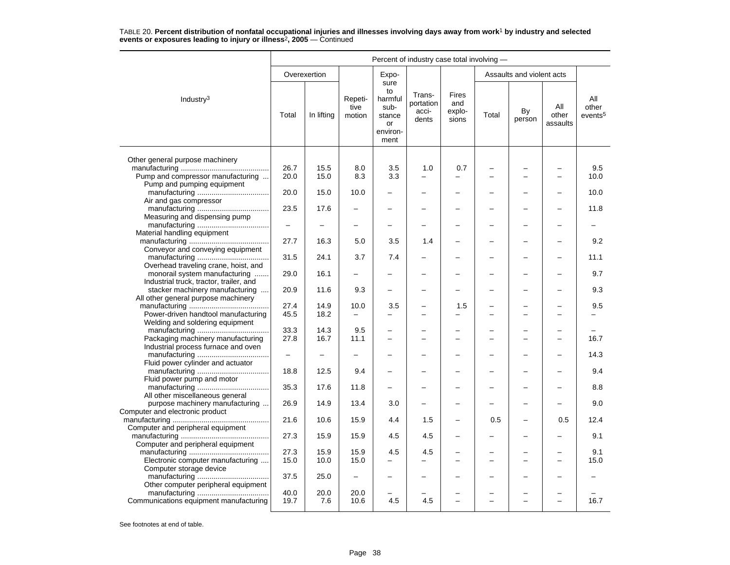|                                                                    | Percent of industry case total involving - |              |                           |                                                                   |                                       |                                 |       |                           |                          |                                     |  |
|--------------------------------------------------------------------|--------------------------------------------|--------------|---------------------------|-------------------------------------------------------------------|---------------------------------------|---------------------------------|-------|---------------------------|--------------------------|-------------------------------------|--|
|                                                                    |                                            | Overexertion |                           | Expo-                                                             |                                       |                                 |       | Assaults and violent acts |                          |                                     |  |
| Industry <sup>3</sup>                                              | Total                                      | In lifting   | Repeti-<br>tive<br>motion | sure<br>to<br>harmful<br>sub-<br>stance<br>or<br>environ-<br>ment | Trans-<br>portation<br>acci-<br>dents | Fires<br>and<br>explo-<br>sions | Total | By<br>person              | All<br>other<br>assaults | All<br>other<br>events <sup>5</sup> |  |
|                                                                    |                                            |              |                           |                                                                   |                                       |                                 |       |                           |                          |                                     |  |
| Other general purpose machinery                                    | 26.7                                       | 15.5         | 8.0                       | 3.5                                                               | 1.0                                   | 0.7                             |       |                           |                          | 9.5                                 |  |
| Pump and compressor manufacturing                                  | 20.0                                       | 15.0         | 8.3                       | 3.3                                                               |                                       |                                 |       | $\overline{\phantom{0}}$  | $\overline{\phantom{0}}$ | 10.0                                |  |
| Pump and pumping equipment                                         |                                            |              |                           |                                                                   |                                       |                                 |       |                           |                          |                                     |  |
|                                                                    | 20.0                                       | 15.0         | 10.0                      |                                                                   |                                       |                                 |       |                           |                          | 10.0                                |  |
| Air and gas compressor                                             |                                            |              |                           |                                                                   |                                       |                                 |       |                           |                          |                                     |  |
|                                                                    | 23.5                                       | 17.6         | $\overline{\phantom{0}}$  | $\overline{\phantom{0}}$                                          |                                       |                                 |       | -                         |                          | 11.8                                |  |
| Measuring and dispensing pump                                      |                                            |              |                           |                                                                   |                                       |                                 |       |                           |                          |                                     |  |
|                                                                    | $\overline{\phantom{0}}$                   |              |                           |                                                                   |                                       |                                 |       |                           |                          |                                     |  |
| Material handling equipment                                        |                                            |              |                           |                                                                   |                                       |                                 |       |                           |                          |                                     |  |
|                                                                    | 27.7                                       | 16.3         | 5.0                       | 3.5                                                               | 1.4                                   |                                 |       |                           |                          | 9.2                                 |  |
| Conveyor and conveying equipment                                   |                                            |              |                           |                                                                   |                                       |                                 |       |                           |                          |                                     |  |
|                                                                    | 31.5                                       | 24.1         | 3.7                       | 7.4                                                               |                                       |                                 |       |                           |                          | 11.1                                |  |
| Overhead traveling crane, hoist, and                               |                                            |              |                           |                                                                   |                                       |                                 |       |                           |                          |                                     |  |
| monorail system manufacturing                                      | 29.0                                       | 16.1         |                           |                                                                   |                                       |                                 |       |                           |                          | 9.7                                 |  |
| Industrial truck, tractor, trailer, and                            |                                            |              |                           |                                                                   |                                       |                                 |       |                           |                          |                                     |  |
| stacker machinery manufacturing                                    | 20.9                                       | 11.6         | 9.3                       |                                                                   |                                       |                                 |       |                           |                          | 9.3                                 |  |
| All other general purpose machinery                                |                                            |              |                           |                                                                   |                                       |                                 |       |                           |                          |                                     |  |
|                                                                    | 27.4                                       | 14.9         | 10.0                      | 3.5                                                               |                                       | 1.5                             |       | —                         |                          | 9.5                                 |  |
| Power-driven handtool manufacturing                                | 45.5                                       | 18.2         |                           |                                                                   |                                       |                                 |       |                           |                          |                                     |  |
| Welding and soldering equipment                                    |                                            |              |                           |                                                                   |                                       |                                 |       |                           |                          |                                     |  |
|                                                                    | 33.3                                       | 14.3         | 9.5                       | -                                                                 |                                       |                                 |       |                           |                          |                                     |  |
| Packaging machinery manufacturing                                  | 27.8                                       | 16.7         | 11.1                      | $\overline{\phantom{0}}$                                          |                                       |                                 |       |                           |                          | 16.7                                |  |
| Industrial process furnace and oven                                |                                            |              |                           |                                                                   |                                       |                                 |       |                           |                          |                                     |  |
|                                                                    | $\overline{\phantom{m}}$                   |              | L,                        |                                                                   |                                       |                                 |       | $\overline{\phantom{0}}$  |                          | 14.3                                |  |
| Fluid power cylinder and actuator                                  |                                            |              |                           |                                                                   |                                       |                                 |       |                           |                          |                                     |  |
|                                                                    | 18.8                                       | 12.5         | 9.4                       | -                                                                 |                                       |                                 |       | ÷                         |                          | 9.4                                 |  |
| Fluid power pump and motor                                         |                                            |              |                           |                                                                   |                                       |                                 |       |                           |                          |                                     |  |
|                                                                    | 35.3                                       | 17.6         | 11.8                      | $\overline{\phantom{0}}$                                          |                                       |                                 |       |                           |                          | 8.8                                 |  |
| All other miscellaneous general                                    | 26.9                                       | 14.9         | 13.4                      |                                                                   |                                       |                                 |       |                           |                          | 9.0                                 |  |
| purpose machinery manufacturing<br>Computer and electronic product |                                            |              |                           | 3.0                                                               |                                       |                                 |       |                           |                          |                                     |  |
|                                                                    | 21.6                                       | 10.6         | 15.9                      | 4.4                                                               | 1.5                                   | $\overline{\phantom{0}}$        | 0.5   | $\overline{\phantom{0}}$  | 0.5                      | 12.4                                |  |
| Computer and peripheral equipment                                  |                                            |              |                           |                                                                   |                                       |                                 |       |                           |                          |                                     |  |
|                                                                    | 27.3                                       | 15.9         | 15.9                      | 4.5                                                               | 4.5                                   |                                 |       |                           |                          | 9.1                                 |  |
| Computer and peripheral equipment                                  |                                            |              |                           |                                                                   |                                       |                                 |       |                           |                          |                                     |  |
|                                                                    | 27.3                                       | 15.9         | 15.9                      | 4.5                                                               | 4.5                                   |                                 |       |                           |                          | 9.1                                 |  |
| Electronic computer manufacturing                                  | 15.0                                       | 10.0         | 15.0                      | $\overline{\phantom{0}}$                                          |                                       |                                 |       |                           |                          | 15.0                                |  |
| Computer storage device                                            |                                            |              |                           |                                                                   |                                       |                                 |       |                           |                          |                                     |  |
|                                                                    | 37.5                                       | 25.0         | $\qquad \qquad -$         |                                                                   |                                       |                                 |       |                           |                          |                                     |  |
| Other computer peripheral equipment                                |                                            |              |                           |                                                                   |                                       |                                 |       |                           |                          |                                     |  |
|                                                                    | 40.0                                       | 20.0         | 20.0                      |                                                                   |                                       |                                 |       |                           |                          |                                     |  |
| Communications equipment manufacturing                             | 19.7                                       | 7.6          | 10.6                      | 4.5                                                               | 4.5                                   |                                 |       | $\overline{\phantom{0}}$  |                          | 16.7                                |  |
|                                                                    |                                            |              |                           |                                                                   |                                       |                                 |       |                           |                          |                                     |  |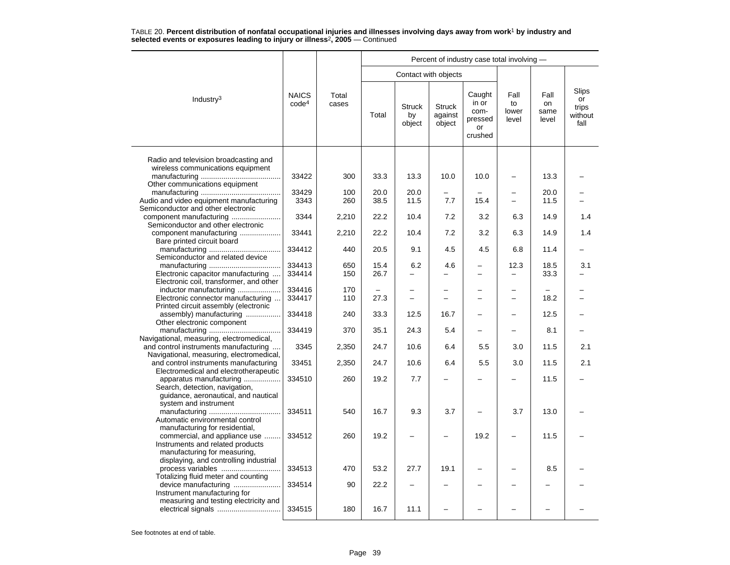|                                                                                                                                     |                                   |                |              |                                 |                                    | Percent of industry case total involving -                 |                                      |                             |                                                |
|-------------------------------------------------------------------------------------------------------------------------------------|-----------------------------------|----------------|--------------|---------------------------------|------------------------------------|------------------------------------------------------------|--------------------------------------|-----------------------------|------------------------------------------------|
|                                                                                                                                     |                                   |                |              | Contact with objects            |                                    |                                                            |                                      |                             |                                                |
| Industry <sup>3</sup>                                                                                                               | <b>NAICS</b><br>code <sup>4</sup> | Total<br>cases | Total        | <b>Struck</b><br>by<br>object   | <b>Struck</b><br>against<br>object | Caught<br>in or<br>com-<br>pressed<br><b>or</b><br>crushed | Fall<br>to<br>lower<br>level         | Fall<br>on<br>same<br>level | <b>Slips</b><br>or<br>trips<br>without<br>fall |
| Radio and television broadcasting and                                                                                               |                                   |                |              |                                 |                                    |                                                            |                                      |                             |                                                |
| wireless communications equipment                                                                                                   | 33422                             | 300            | 33.3         | 13.3                            | 10.0                               | 10.0                                                       | $\overline{\phantom{0}}$             | 13.3                        |                                                |
| Other communications equipment<br>Audio and video equipment manufacturing                                                           | 33429<br>3343                     | 100<br>260     | 20.0<br>38.5 | 20.0<br>11.5                    | 7.7                                | 15.4                                                       | $\equiv$                             | 20.0<br>11.5                |                                                |
| Semiconductor and other electronic<br>component manufacturing                                                                       | 3344                              | 2,210          | 22.2         | 10.4                            | 7.2                                | 3.2                                                        | 6.3                                  | 14.9                        | 1.4                                            |
| Semiconductor and other electronic<br>component manufacturing                                                                       | 33441                             | 2,210          | 22.2         | 10.4                            | 7.2                                | 3.2                                                        | 6.3                                  | 14.9                        | 1.4                                            |
| Bare printed circuit board<br>Semiconductor and related device                                                                      | 334412                            | 440            | 20.5         | 9.1                             | 4.5                                | 4.5                                                        | 6.8                                  | 11.4                        |                                                |
| Electronic capacitor manufacturing                                                                                                  | 334413<br>334414                  | 650<br>150     | 15.4<br>26.7 | 6.2<br>$\overline{\phantom{0}}$ | 4.6                                |                                                            | 12.3<br>$\overline{\phantom{0}}$     | 18.5<br>33.3                | 3.1                                            |
| Electronic coil, transformer, and other<br>inductor manufacturing<br>Electronic connector manufacturing                             | 334416<br>334417                  | 170<br>110     | 27.3         | -<br>$\equiv$                   | L                                  | -<br>$\overline{\phantom{0}}$                              | $\overline{\phantom{0}}$<br>$\equiv$ | 18.2                        |                                                |
| Printed circuit assembly (electronic<br>assembly) manufacturing                                                                     | 334418                            | 240            | 33.3         | 12.5                            | 16.7                               |                                                            | $\overline{\phantom{0}}$             | 12.5                        |                                                |
| Other electronic component<br>Navigational, measuring, electromedical,                                                              | 334419                            | 370            | 35.1         | 24.3                            | 5.4                                |                                                            | $\overline{\phantom{0}}$             | 8.1                         |                                                |
| and control instruments manufacturing<br>Navigational, measuring, electromedical,                                                   | 3345                              | 2,350          | 24.7         | 10.6                            | 6.4                                | 5.5                                                        | 3.0                                  | 11.5                        | 2.1                                            |
| and control instruments manufacturing<br>Electromedical and electrotherapeutic                                                      | 33451                             | 2,350          | 24.7         | 10.6                            | 6.4                                | 5.5                                                        | 3.0                                  | 11.5                        | 2.1                                            |
| apparatus manufacturing<br>Search, detection, navigation,<br>guidance, aeronautical, and nautical                                   | 334510                            | 260            | 19.2         | 7.7                             |                                    |                                                            |                                      | 11.5                        |                                                |
| system and instrument<br>Automatic environmental control                                                                            | 334511                            | 540            | 16.7         | 9.3                             | 3.7                                |                                                            | 3.7                                  | 13.0                        |                                                |
| manufacturing for residential,<br>commercial, and appliance use<br>Instruments and related products<br>manufacturing for measuring, | 334512                            | 260            | 19.2         |                                 |                                    | 19.2                                                       | $\qquad \qquad -$                    | 11.5                        |                                                |
| displaying, and controlling industrial<br>process variables<br>Totalizing fluid meter and counting                                  | 334513                            | 470            | 53.2         | 27.7                            | 19.1                               |                                                            | -                                    | 8.5                         |                                                |
| device manufacturing<br>Instrument manufacturing for                                                                                | 334514                            | 90             | 22.2         |                                 |                                    |                                                            |                                      |                             |                                                |
| measuring and testing electricity and                                                                                               | 334515                            | 180            | 16.7         | 11.1                            |                                    |                                                            |                                      |                             |                                                |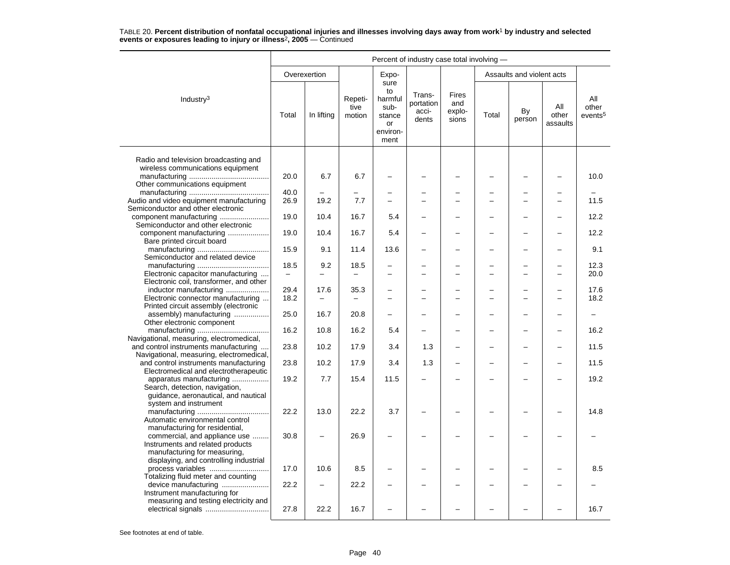|                                                                                                                                    | Percent of industry case total involving - |                          |                           |                                                                   |                                       |                                 |       |                           |                          |                                     |  |
|------------------------------------------------------------------------------------------------------------------------------------|--------------------------------------------|--------------------------|---------------------------|-------------------------------------------------------------------|---------------------------------------|---------------------------------|-------|---------------------------|--------------------------|-------------------------------------|--|
|                                                                                                                                    |                                            | Overexertion             |                           | Expo-                                                             |                                       |                                 |       | Assaults and violent acts |                          |                                     |  |
| Industry $3$                                                                                                                       | Total                                      | In lifting               | Repeti-<br>tive<br>motion | sure<br>to<br>harmful<br>sub-<br>stance<br>or<br>environ-<br>ment | Trans-<br>portation<br>acci-<br>dents | Fires<br>and<br>explo-<br>sions | Total | By<br>person              | All<br>other<br>assaults | All<br>other<br>events <sup>5</sup> |  |
| Radio and television broadcasting and<br>wireless communications equipment                                                         |                                            |                          |                           |                                                                   |                                       |                                 |       |                           |                          |                                     |  |
| Other communications equipment                                                                                                     | 20.0                                       | 6.7                      | 6.7                       |                                                                   |                                       |                                 |       |                           |                          | 10.0                                |  |
|                                                                                                                                    | 40.0                                       |                          |                           |                                                                   |                                       |                                 |       |                           |                          |                                     |  |
| Audio and video equipment manufacturing<br>Semiconductor and other electronic                                                      | 26.9                                       | 19.2                     | 7.7                       | $\overline{a}$                                                    |                                       | $\equiv$                        |       | L,                        | $\overline{\phantom{0}}$ | 11.5                                |  |
| component manufacturing                                                                                                            | 19.0                                       | 10.4                     | 16.7                      | 5.4                                                               |                                       |                                 |       |                           |                          | 12.2                                |  |
| Semiconductor and other electronic<br>component manufacturing                                                                      | 19.0                                       | 10.4                     | 16.7                      | 5.4                                                               |                                       |                                 |       |                           |                          | 12.2                                |  |
| Bare printed circuit board                                                                                                         | 15.9                                       | 9.1                      | 11.4                      | 13.6                                                              | -                                     |                                 |       | -                         | -                        | 9.1                                 |  |
| Semiconductor and related device                                                                                                   | 18.5                                       | 9.2                      | 18.5                      |                                                                   |                                       |                                 |       |                           |                          | 12.3                                |  |
| Electronic capacitor manufacturing<br>Electronic coil, transformer, and other                                                      | $\overline{\phantom{0}}$                   | $\overline{\phantom{0}}$ |                           | -                                                                 | $\overline{\phantom{0}}$              | $\overline{\phantom{0}}$        |       | -                         | $\overline{\phantom{0}}$ | 20.0                                |  |
| inductor manufacturing<br>Electronic connector manufacturing                                                                       | 29.4<br>18.2                               | 17.6                     | 35.3                      | $\overline{\phantom{0}}$                                          |                                       |                                 |       | ÷                         |                          | 17.6<br>18.2                        |  |
| Printed circuit assembly (electronic                                                                                               |                                            |                          |                           |                                                                   |                                       |                                 |       |                           |                          |                                     |  |
| assembly) manufacturing<br>Other electronic component                                                                              | 25.0                                       | 16.7                     | 20.8                      | $\overline{\phantom{0}}$                                          |                                       |                                 |       |                           |                          |                                     |  |
| Navigational, measuring, electromedical,                                                                                           | 16.2                                       | 10.8                     | 16.2                      | 5.4                                                               |                                       |                                 |       |                           |                          | 16.2                                |  |
| and control instruments manufacturing<br>Navigational, measuring, electromedical,                                                  | 23.8                                       | 10.2                     | 17.9                      | 3.4                                                               | 1.3                                   | $\overline{\phantom{0}}$        |       | L,                        |                          | 11.5                                |  |
| and control instruments manufacturing<br>Electromedical and electrotherapeutic                                                     | 23.8                                       | 10.2                     | 17.9                      | 3.4                                                               | 1.3                                   |                                 |       |                           |                          | 11.5                                |  |
| apparatus manufacturing<br>Search, detection, navigation,<br>guidance, aeronautical, and nautical                                  | 19.2                                       | 7.7                      | 15.4                      | 11.5                                                              |                                       |                                 |       | -                         |                          | 19.2                                |  |
| system and instrument<br>Automatic environmental control                                                                           | 22.2                                       | 13.0                     | 22.2                      | 3.7                                                               |                                       |                                 |       |                           |                          | 14.8                                |  |
| manufacturing for residential,<br>commercial, and appliance use<br>Instruments and related products                                | 30.8                                       |                          | 26.9                      | $\overline{\phantom{0}}$                                          |                                       |                                 |       |                           |                          |                                     |  |
| manufacturing for measuring,<br>displaying, and controlling industrial<br>process variables<br>Totalizing fluid meter and counting | 17.0                                       | 10.6                     | 8.5                       |                                                                   |                                       |                                 |       |                           |                          | 8.5                                 |  |
| device manufacturing<br>Instrument manufacturing for                                                                               | 22.2                                       |                          | 22.2                      |                                                                   |                                       |                                 |       |                           |                          |                                     |  |
| measuring and testing electricity and                                                                                              | 27.8                                       | 22.2                     | 16.7                      |                                                                   |                                       |                                 |       |                           |                          | 16.7                                |  |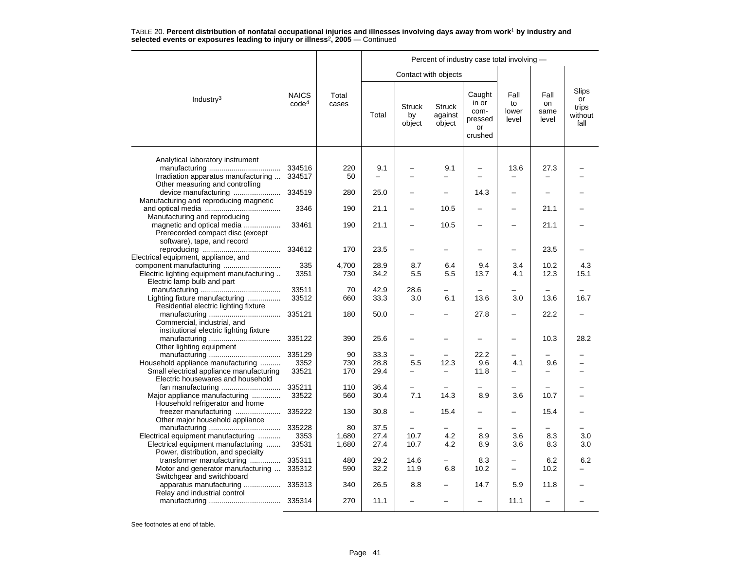|                                           |                                   |                |                          |                               |                                    | Percent of industry case total involving -          |                              |                             |                                         |
|-------------------------------------------|-----------------------------------|----------------|--------------------------|-------------------------------|------------------------------------|-----------------------------------------------------|------------------------------|-----------------------------|-----------------------------------------|
|                                           |                                   |                |                          |                               | Contact with objects               |                                                     |                              |                             |                                         |
| Industry <sup>3</sup>                     | <b>NAICS</b><br>code <sup>4</sup> | Total<br>cases | Total                    | <b>Struck</b><br>by<br>object | <b>Struck</b><br>against<br>object | Caught<br>in or<br>com-<br>pressed<br>or<br>crushed | Fall<br>to<br>lower<br>level | Fall<br>on<br>same<br>level | Slips<br>or<br>trips<br>without<br>fall |
| Analytical laboratory instrument          |                                   |                |                          |                               |                                    |                                                     |                              |                             |                                         |
|                                           | 334516                            | 220            | 9.1                      |                               | 9.1                                |                                                     | 13.6                         | 27.3                        |                                         |
| Irradiation apparatus manufacturing       | 334517                            | 50             | $\overline{\phantom{0}}$ | $\overline{a}$                | -                                  |                                                     |                              |                             |                                         |
| Other measuring and controlling           |                                   |                |                          |                               |                                    |                                                     |                              |                             |                                         |
| device manufacturing                      | 334519                            | 280            | 25.0                     |                               |                                    | 14.3                                                | $\overline{\phantom{0}}$     |                             |                                         |
| Manufacturing and reproducing magnetic    |                                   |                |                          |                               |                                    |                                                     |                              |                             |                                         |
|                                           | 3346                              | 190            | 21.1                     |                               | 10.5                               |                                                     |                              | 21.1                        |                                         |
| Manufacturing and reproducing             |                                   |                |                          |                               |                                    |                                                     |                              |                             |                                         |
| magnetic and optical media                | 33461                             | 190            | 21.1                     |                               | 10.5                               |                                                     |                              | 21.1                        |                                         |
| Prerecorded compact disc (except          |                                   |                |                          |                               |                                    |                                                     |                              |                             |                                         |
| software), tape, and record               |                                   |                |                          |                               |                                    |                                                     |                              |                             |                                         |
|                                           | 334612                            | 170            | 23.5                     |                               | $\overline{\phantom{0}}$           |                                                     |                              | 23.5                        |                                         |
| Electrical equipment, appliance, and      |                                   |                |                          |                               |                                    |                                                     |                              |                             |                                         |
|                                           | 335                               | 4.700          | 28.9                     | 8.7                           | 6.4                                | 9.4                                                 | 3.4                          | 10.2                        | 4.3                                     |
| Electric lighting equipment manufacturing | 3351                              | 730            | 34.2                     | 5.5                           | 5.5                                | 13.7                                                | 4.1                          | 12.3                        | 15.1                                    |
| Electric lamp bulb and part               |                                   |                |                          |                               |                                    |                                                     |                              |                             |                                         |
|                                           | 33511                             | 70             | 42.9                     | 28.6                          |                                    |                                                     |                              |                             |                                         |
| Lighting fixture manufacturing            | 33512                             | 660            | 33.3                     | 3.0                           | 6.1                                | 13.6                                                | 3.0                          | 13.6                        | 16.7                                    |
| Residential electric lighting fixture     |                                   |                |                          |                               |                                    |                                                     |                              |                             |                                         |
|                                           | 335121                            | 180            | 50.0                     |                               |                                    | 27.8                                                | $\overline{a}$               | 22.2                        |                                         |
| Commercial, industrial, and               |                                   |                |                          |                               |                                    |                                                     |                              |                             |                                         |
| institutional electric lighting fixture   |                                   |                |                          |                               |                                    |                                                     |                              |                             |                                         |
|                                           | 335122                            | 390            | 25.6                     | $\overline{\phantom{0}}$      |                                    |                                                     | ÷                            | 10.3                        | 28.2                                    |
| Other lighting equipment                  |                                   |                |                          |                               |                                    |                                                     |                              |                             |                                         |
|                                           | 335129                            | 90             | 33.3                     |                               |                                    | 22.2                                                |                              |                             |                                         |
| Household appliance manufacturing         | 3352                              | 730            | 28.8                     | 5.5                           | 12.3                               | 9.6                                                 | 4.1                          | 9.6                         |                                         |
| Small electrical appliance manufacturing  | 33521                             | 170            | 29.4                     |                               |                                    | 11.8                                                |                              |                             |                                         |
| Electric housewares and household         |                                   |                |                          |                               |                                    |                                                     |                              |                             |                                         |
|                                           | 335211                            | 110            | 36.4                     | -                             |                                    |                                                     |                              |                             |                                         |
| Major appliance manufacturing             | 33522                             | 560            | 30.4                     | 7.1                           | 14.3                               | 8.9                                                 | 3.6                          | 10.7                        |                                         |
| Household refrigerator and home           |                                   |                |                          |                               |                                    |                                                     |                              |                             |                                         |
| freezer manufacturing                     | 335222                            | 130            | 30.8                     | $\overline{\phantom{0}}$      | 15.4                               | $\overline{\phantom{0}}$                            | -                            | 15.4                        |                                         |
| Other major household appliance           |                                   |                |                          |                               |                                    |                                                     |                              |                             |                                         |
|                                           | 335228                            | 80             | 37.5                     |                               |                                    |                                                     |                              |                             |                                         |
| Electrical equipment manufacturing        | 3353                              | 1,680          | 27.4                     | 10.7                          | 4.2                                | 8.9                                                 | 3.6                          | 8.3                         | 3.0                                     |
| Electrical equipment manufacturing        | 33531                             | 1.680          | 27.4                     | 10.7                          | 4.2                                | 8.9                                                 | 3.6                          | 8.3                         | 3.0                                     |
| Power, distribution, and specialty        |                                   |                |                          |                               |                                    |                                                     |                              |                             |                                         |
| transformer manufacturing                 | 335311                            | 480            | 29.2                     | 14.6                          |                                    | 8.3                                                 | -                            | 6.2                         | 6.2                                     |
| Motor and generator manufacturing         | 335312                            | 590            | 32.2                     | 11.9                          | 6.8                                | 10.2                                                | $\equiv$                     | 10.2                        |                                         |
| Switchgear and switchboard                |                                   |                |                          |                               |                                    |                                                     |                              |                             |                                         |
| apparatus manufacturing                   | 335313                            | 340            | 26.5                     | 8.8                           |                                    | 14.7                                                | 5.9                          | 11.8                        |                                         |
| Relay and industrial control              |                                   |                |                          |                               |                                    |                                                     |                              |                             |                                         |
|                                           | 335314                            | 270            | 11.1                     | $\overline{\phantom{0}}$      |                                    |                                                     | 11.1                         |                             |                                         |
|                                           |                                   |                |                          |                               |                                    |                                                     |                              |                             |                                         |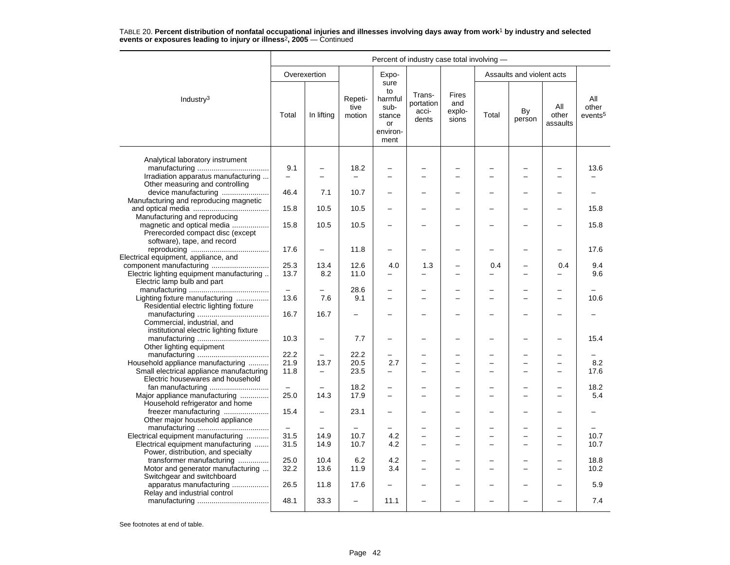|                                                                 |                          | Percent of industry case total involving - |                           |                                                                   |                                       |                                 |       |                           |                          |                                     |  |  |
|-----------------------------------------------------------------|--------------------------|--------------------------------------------|---------------------------|-------------------------------------------------------------------|---------------------------------------|---------------------------------|-------|---------------------------|--------------------------|-------------------------------------|--|--|
|                                                                 |                          | Overexertion                               |                           | Expo-                                                             |                                       |                                 |       | Assaults and violent acts |                          |                                     |  |  |
| Industry <sup>3</sup>                                           | Total                    | In lifting                                 | Repeti-<br>tive<br>motion | sure<br>to<br>harmful<br>sub-<br>stance<br>or<br>environ-<br>ment | Trans-<br>portation<br>acci-<br>dents | Fires<br>and<br>explo-<br>sions | Total | By<br>person              | All<br>other<br>assaults | All<br>other<br>events <sup>5</sup> |  |  |
| Analytical laboratory instrument                                |                          |                                            |                           |                                                                   |                                       |                                 |       |                           |                          |                                     |  |  |
|                                                                 | 9.1                      |                                            | 18.2                      |                                                                   |                                       |                                 |       |                           |                          | 13.6                                |  |  |
| Irradiation apparatus manufacturing                             | ÷                        |                                            |                           |                                                                   |                                       |                                 |       |                           |                          |                                     |  |  |
| Other measuring and controlling                                 |                          |                                            |                           |                                                                   |                                       |                                 |       |                           |                          |                                     |  |  |
| device manufacturing                                            | 46.4                     | 7.1                                        | 10.7                      |                                                                   |                                       |                                 |       | -                         |                          |                                     |  |  |
| Manufacturing and reproducing magnetic                          |                          |                                            |                           |                                                                   |                                       |                                 |       |                           |                          |                                     |  |  |
|                                                                 | 15.8                     | 10.5                                       | 10.5                      |                                                                   |                                       |                                 |       |                           |                          | 15.8                                |  |  |
| Manufacturing and reproducing                                   |                          |                                            |                           |                                                                   |                                       |                                 |       |                           |                          |                                     |  |  |
| magnetic and optical media                                      | 15.8                     | 10.5                                       | 10.5                      |                                                                   |                                       |                                 |       |                           |                          | 15.8                                |  |  |
| Prerecorded compact disc (except<br>software), tape, and record |                          |                                            |                           |                                                                   |                                       |                                 |       |                           |                          |                                     |  |  |
|                                                                 | 17.6                     | $\overline{\phantom{0}}$                   | 11.8                      | $\overline{\phantom{0}}$                                          |                                       |                                 |       | $\overline{\phantom{0}}$  |                          | 17.6                                |  |  |
| Electrical equipment, appliance, and                            |                          |                                            |                           |                                                                   |                                       |                                 |       |                           |                          |                                     |  |  |
|                                                                 | 25.3                     | 13.4                                       | 12.6                      | 4.0                                                               | 1.3                                   |                                 | 0.4   |                           | 0.4                      | 9.4                                 |  |  |
| Electric lighting equipment manufacturing                       | 13.7                     | 8.2                                        | 11.0                      |                                                                   |                                       |                                 |       | -                         |                          | 9.6                                 |  |  |
| Electric lamp bulb and part                                     |                          |                                            |                           |                                                                   |                                       |                                 |       |                           |                          |                                     |  |  |
|                                                                 | $\overline{\phantom{m}}$ |                                            | 28.6                      |                                                                   |                                       |                                 |       |                           |                          |                                     |  |  |
| Lighting fixture manufacturing                                  | 13.6                     | 7.6                                        | 9.1                       |                                                                   |                                       |                                 |       |                           |                          | 10.6                                |  |  |
| Residential electric lighting fixture                           |                          |                                            |                           |                                                                   |                                       |                                 |       |                           |                          |                                     |  |  |
|                                                                 | 16.7                     | 16.7                                       |                           |                                                                   |                                       |                                 |       | -                         |                          |                                     |  |  |
| Commercial, industrial, and                                     |                          |                                            |                           |                                                                   |                                       |                                 |       |                           |                          |                                     |  |  |
| institutional electric lighting fixture                         | 10.3                     | $\overline{\phantom{0}}$                   | 7.7                       | $\overline{\phantom{0}}$                                          | $\overline{\phantom{0}}$              | $\overline{\phantom{0}}$        | -     | L,                        | $\overline{\phantom{0}}$ | 15.4                                |  |  |
| Other lighting equipment                                        |                          |                                            |                           |                                                                   |                                       |                                 |       |                           |                          |                                     |  |  |
|                                                                 | 22.2                     |                                            | 22.2                      |                                                                   |                                       |                                 |       |                           |                          |                                     |  |  |
| Household appliance manufacturing                               | 21.9                     | 13.7                                       | 20.5                      | 2.7                                                               | $\overline{\phantom{0}}$              | $\overline{\phantom{0}}$        |       | ÷                         |                          | 8.2                                 |  |  |
| Small electrical appliance manufacturing                        | 11.8                     |                                            | 23.5                      |                                                                   | $\overline{\phantom{0}}$              |                                 |       | $\overline{a}$            |                          | 17.6                                |  |  |
| Electric housewares and household                               |                          |                                            |                           |                                                                   |                                       |                                 |       |                           |                          |                                     |  |  |
|                                                                 | $\equiv$                 |                                            | 18.2                      | $\overline{\phantom{0}}$                                          | $\overline{\phantom{0}}$              | $\overline{\phantom{0}}$        |       | -                         |                          | 18.2                                |  |  |
| Major appliance manufacturing                                   | 25.0                     | 14.3                                       | 17.9                      |                                                                   |                                       |                                 |       |                           |                          | 5.4                                 |  |  |
| Household refrigerator and home                                 |                          |                                            |                           |                                                                   |                                       |                                 |       |                           |                          |                                     |  |  |
| freezer manufacturing                                           | 15.4                     | $\overline{\phantom{0}}$                   | 23.1                      | $\overline{\phantom{0}}$                                          | -                                     |                                 |       | -                         |                          |                                     |  |  |
| Other major household appliance                                 |                          |                                            |                           |                                                                   |                                       |                                 |       | L,                        |                          |                                     |  |  |
| Electrical equipment manufacturing                              | 31.5                     | 14.9                                       | 10.7                      | 4.2                                                               | $\equiv$                              |                                 |       | $\overline{\phantom{0}}$  | $\overline{\phantom{0}}$ | 10.7                                |  |  |
| Electrical equipment manufacturing                              | 31.5                     | 14.9                                       | 10.7                      | 4.2                                                               | $\overline{\phantom{0}}$              |                                 |       | -                         |                          | 10.7                                |  |  |
| Power, distribution, and specialty                              |                          |                                            |                           |                                                                   |                                       |                                 |       |                           |                          |                                     |  |  |
| transformer manufacturing                                       | 25.0                     | 10.4                                       | 6.2                       | 4.2                                                               | $\overline{\phantom{0}}$              |                                 |       | -                         |                          | 18.8                                |  |  |
| Motor and generator manufacturing                               | 32.2                     | 13.6                                       | 11.9                      | 3.4                                                               | $\equiv$                              | $\overline{\phantom{0}}$        |       | ÷                         |                          | 10.2                                |  |  |
| Switchgear and switchboard                                      |                          |                                            |                           |                                                                   |                                       |                                 |       |                           |                          |                                     |  |  |
| apparatus manufacturing                                         | 26.5                     | 11.8                                       | 17.6                      |                                                                   |                                       |                                 |       |                           |                          | 5.9                                 |  |  |
| Relay and industrial control                                    | 48.1                     | 33.3                                       | $\overline{\phantom{m}}$  | 11.1                                                              | $\overline{\phantom{0}}$              |                                 |       | L,                        |                          | 7.4                                 |  |  |
|                                                                 |                          |                                            |                           |                                                                   |                                       |                                 |       |                           |                          |                                     |  |  |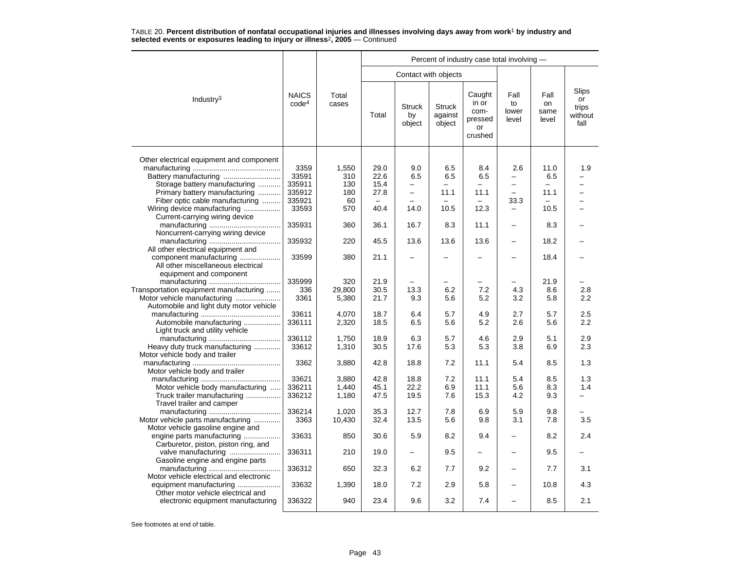|                                          |                                   |                | Percent of industry case total involving - |                               |                                    |                                                     |                              |                             |                                         |  |  |
|------------------------------------------|-----------------------------------|----------------|--------------------------------------------|-------------------------------|------------------------------------|-----------------------------------------------------|------------------------------|-----------------------------|-----------------------------------------|--|--|
|                                          |                                   |                |                                            |                               | Contact with objects               |                                                     |                              |                             |                                         |  |  |
| Industry <sup>3</sup>                    | <b>NAICS</b><br>code <sup>4</sup> | Total<br>cases | Total                                      | <b>Struck</b><br>by<br>object | <b>Struck</b><br>against<br>object | Caught<br>in or<br>com-<br>pressed<br>or<br>crushed | Fall<br>to<br>lower<br>level | Fall<br>on<br>same<br>level | Slips<br>or<br>trips<br>without<br>fall |  |  |
| Other electrical equipment and component |                                   |                |                                            |                               |                                    |                                                     |                              |                             |                                         |  |  |
|                                          | 3359                              | 1,550          | 29.0                                       | 9.0                           | 6.5                                | 8.4                                                 | 2.6                          | 11.0                        | 1.9                                     |  |  |
|                                          | 33591                             | 310            | 22.6                                       | 6.5                           | 6.5                                | 6.5                                                 | -                            | 6.5                         |                                         |  |  |
|                                          |                                   |                |                                            |                               |                                    |                                                     |                              |                             |                                         |  |  |
| Storage battery manufacturing            | 335911                            | 130            | 15.4                                       | -<br>$\equiv$                 |                                    |                                                     | $\equiv$                     |                             |                                         |  |  |
| Primary battery manufacturing            | 335912                            | 180            | 27.8                                       |                               | 11.1                               | 11.1                                                |                              | 11.1                        |                                         |  |  |
| Fiber optic cable manufacturing          | 335921                            | 60             | $\overline{\phantom{0}}$                   |                               |                                    | $\equiv$                                            | 33.3                         | $\overline{\phantom{0}}$    | -                                       |  |  |
| Wiring device manufacturing              | 33593                             | 570            | 40.4                                       | 14.0                          | 10.5                               | 12.3                                                | -                            | 10.5                        |                                         |  |  |
| Current-carrying wiring device           |                                   |                |                                            |                               |                                    |                                                     |                              |                             |                                         |  |  |
|                                          | 335931                            | 360            | 36.1                                       | 16.7                          | 8.3                                | 11.1                                                | $\qquad \qquad -$            | 8.3                         |                                         |  |  |
| Noncurrent-carrying wiring device        |                                   |                |                                            |                               |                                    |                                                     |                              |                             |                                         |  |  |
|                                          | 335932                            | 220            | 45.5                                       | 13.6                          | 13.6                               | 13.6                                                | $\overline{\phantom{0}}$     | 18.2                        |                                         |  |  |
| All other electrical equipment and       |                                   |                |                                            |                               |                                    |                                                     |                              |                             |                                         |  |  |
| component manufacturing                  | 33599                             | 380            | 21.1                                       | -                             |                                    |                                                     |                              | 18.4                        |                                         |  |  |
| All other miscellaneous electrical       |                                   |                |                                            |                               |                                    |                                                     |                              |                             |                                         |  |  |
| equipment and component                  |                                   |                |                                            |                               |                                    |                                                     |                              |                             |                                         |  |  |
|                                          | 335999                            | 320            | 21.9                                       |                               |                                    |                                                     |                              | 21.9                        |                                         |  |  |
| Transportation equipment manufacturing   | 336                               | 29,800         | 30.5                                       | 13.3                          | 6.2                                | 7.2                                                 | 4.3                          | 8.6                         | 2.8                                     |  |  |
| Motor vehicle manufacturing              | 3361                              | 5,380          | 21.7                                       | 9.3                           | 5.6                                | 5.2                                                 | 3.2                          | 5.8                         | 2.2                                     |  |  |
| Automobile and light duty motor vehicle  |                                   |                |                                            |                               |                                    |                                                     |                              |                             |                                         |  |  |
|                                          | 33611                             | 4.070          | 18.7                                       | 6.4                           | 5.7                                | 4.9                                                 | 2.7                          | 5.7                         | 2.5                                     |  |  |
| Automobile manufacturing                 | 336111                            | 2,320          | 18.5                                       | 6.5                           | 5.6                                | 5.2                                                 | 2.6                          | 5.6                         | 2.2                                     |  |  |
| Light truck and utility vehicle          |                                   |                |                                            |                               |                                    |                                                     |                              |                             |                                         |  |  |
|                                          | 336112                            | 1,750          | 18.9                                       | 6.3                           | 5.7                                | 4.6                                                 | 2.9                          | 5.1                         | 2.9                                     |  |  |
| Heavy duty truck manufacturing           | 33612                             | 1,310          | 30.5                                       | 17.6                          | 5.3                                | 5.3                                                 | 3.8                          | 6.9                         | 2.3                                     |  |  |
| Motor vehicle body and trailer           |                                   |                |                                            |                               |                                    |                                                     |                              |                             |                                         |  |  |
|                                          | 3362                              |                | 42.8                                       | 18.8                          | 7.2                                | 11.1                                                |                              | 8.5                         |                                         |  |  |
|                                          |                                   | 3,880          |                                            |                               |                                    |                                                     | 5.4                          |                             | 1.3                                     |  |  |
| Motor vehicle body and trailer           |                                   |                |                                            |                               |                                    |                                                     |                              |                             |                                         |  |  |
|                                          | 33621                             | 3,880          | 42.8                                       | 18.8                          | 7.2                                | 11.1                                                | 5.4                          | 8.5                         | 1.3                                     |  |  |
| Motor vehicle body manufacturing         | 336211                            | 1,440          | 45.1                                       | 22.2                          | 6.9                                | 11.1                                                | 5.6                          | 8.3                         | 1.4                                     |  |  |
| Truck trailer manufacturing              | 336212                            | 1,180          | 47.5                                       | 19.5                          | 7.6                                | 15.3                                                | 4.2                          | 9.3                         |                                         |  |  |
| Travel trailer and camper                |                                   |                |                                            |                               |                                    |                                                     |                              |                             |                                         |  |  |
|                                          | 336214                            | 1,020          | 35.3                                       | 12.7                          | 7.8                                | 6.9                                                 | 5.9                          | 9.8                         |                                         |  |  |
| Motor vehicle parts manufacturing        | 3363                              | 10,430         | 32.4                                       | 13.5                          | 5.6                                | 9.8                                                 | 3.1                          | 7.8                         | 3.5                                     |  |  |
| Motor vehicle gasoline engine and        |                                   |                |                                            |                               |                                    |                                                     |                              |                             |                                         |  |  |
| engine parts manufacturing               | 33631                             | 850            | 30.6                                       | 5.9                           | 8.2                                | 9.4                                                 |                              | 8.2                         | 2.4                                     |  |  |
| Carburetor, piston, piston ring, and     |                                   |                |                                            |                               |                                    |                                                     |                              |                             |                                         |  |  |
| valve manufacturing                      | 336311                            | 210            | 19.0                                       |                               | 9.5                                |                                                     |                              | 9.5                         |                                         |  |  |
| Gasoline engine and engine parts         |                                   |                |                                            |                               |                                    |                                                     |                              |                             |                                         |  |  |
|                                          | 336312                            | 650            | 32.3                                       | 6.2                           | 7.7                                | 9.2                                                 |                              | 7.7                         | 3.1                                     |  |  |
| Motor vehicle electrical and electronic  |                                   |                |                                            |                               |                                    |                                                     |                              |                             |                                         |  |  |
| equipment manufacturing                  | 33632                             | 1,390          | 18.0                                       | 7.2                           | 2.9                                | 5.8                                                 |                              | 10.8                        | 4.3                                     |  |  |
| Other motor vehicle electrical and       |                                   |                |                                            |                               |                                    |                                                     |                              |                             |                                         |  |  |
| electronic equipment manufacturing       | 336322                            | 940            | 23.4                                       | 9.6                           | 3.2                                | 7.4                                                 | $\overline{\phantom{0}}$     | 8.5                         | 2.1                                     |  |  |
|                                          |                                   |                |                                            |                               |                                    |                                                     |                              |                             |                                         |  |  |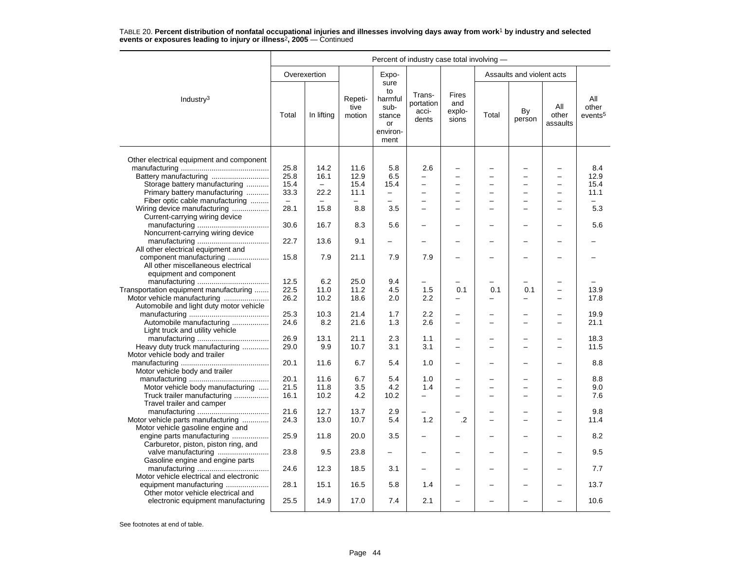|                                                                        | Percent of industry case total involving - |                          |                           |                                                                   |                                            |                                 |       |                           |                          |                                     |
|------------------------------------------------------------------------|--------------------------------------------|--------------------------|---------------------------|-------------------------------------------------------------------|--------------------------------------------|---------------------------------|-------|---------------------------|--------------------------|-------------------------------------|
|                                                                        |                                            | Overexertion             |                           | Expo-                                                             |                                            |                                 |       | Assaults and violent acts |                          |                                     |
| Industry <sup>3</sup>                                                  | Total                                      | In lifting               | Repeti-<br>tive<br>motion | sure<br>to<br>harmful<br>sub-<br>stance<br>or<br>environ-<br>ment | Trans-<br>portation<br>acci-<br>dents      | Fires<br>and<br>explo-<br>sions | Total | By<br>person              | All<br>other<br>assaults | All<br>other<br>events <sup>5</sup> |
|                                                                        |                                            |                          |                           |                                                                   |                                            |                                 |       |                           |                          |                                     |
| Other electrical equipment and component                               | 25.8                                       | 14.2                     | 11.6                      | 5.8                                                               | 2.6                                        |                                 |       |                           |                          | 8.4                                 |
| Battery manufacturing                                                  | 25.8                                       | 16.1                     | 12.9                      | 6.5                                                               |                                            |                                 |       | $\overline{\phantom{0}}$  |                          | 12.9                                |
|                                                                        |                                            | $\overline{\phantom{m}}$ |                           |                                                                   |                                            |                                 |       |                           |                          |                                     |
| Storage battery manufacturing                                          | 15.4                                       |                          | 15.4                      | 15.4<br>$\overline{a}$                                            | $\overline{\phantom{0}}$<br>$\overline{a}$ | $\overline{\phantom{0}}$        |       | L,<br>−                   | $\overline{\phantom{0}}$ | 15.4                                |
| Primary battery manufacturing                                          | 33.3                                       | 22.2                     | 11.1                      |                                                                   |                                            |                                 |       |                           |                          | 11.1                                |
| Fiber optic cable manufacturing                                        | $\overline{\phantom{0}}$                   | $\overline{\phantom{m}}$ |                           | $\overline{\phantom{0}}$                                          | $\equiv$                                   |                                 |       | $\overline{\phantom{0}}$  |                          | $\equiv$                            |
| Wiring device manufacturing<br>Current-carrying wiring device          | 28.1                                       | 15.8                     | 8.8                       | 3.5                                                               | L.                                         |                                 |       |                           |                          | 5.3                                 |
| Noncurrent-carrying wiring device                                      | 30.6                                       | 16.7                     | 8.3                       | 5.6                                                               |                                            |                                 |       | ÷                         |                          | 5.6                                 |
| All other electrical equipment and                                     | 22.7                                       | 13.6                     | 9.1                       | -                                                                 | ▃                                          |                                 |       | L,                        |                          |                                     |
| component manufacturing<br>All other miscellaneous electrical          | 15.8                                       | 7.9                      | 21.1                      | 7.9                                                               | 7.9                                        |                                 |       |                           |                          |                                     |
| equipment and component                                                |                                            |                          |                           |                                                                   |                                            |                                 |       |                           |                          |                                     |
|                                                                        | 12.5                                       | 6.2                      | 25.0                      | 9.4                                                               |                                            |                                 |       |                           |                          |                                     |
| Transportation equipment manufacturing                                 | 22.5                                       | 11.0                     | 11.2                      | 4.5                                                               | 1.5                                        | 0.1                             | 0.1   | 0.1                       |                          | 13.9                                |
| Motor vehicle manufacturing                                            | 26.2                                       | 10.2                     | 18.6                      | 2.0                                                               | 2.2                                        | $\overline{\phantom{0}}$        | -     | ÷                         |                          | 17.8                                |
| Automobile and light duty motor vehicle                                |                                            |                          |                           |                                                                   |                                            |                                 |       |                           |                          |                                     |
|                                                                        | 25.3                                       | 10.3                     | 21.4                      | 1.7                                                               | 2.2                                        |                                 |       |                           |                          | 19.9                                |
| Automobile manufacturing<br>Light truck and utility vehicle            | 24.6                                       | 8.2                      | 21.6                      | 1.3                                                               | 2.6                                        | $\overline{\phantom{0}}$        | -     | L,                        |                          | 21.1                                |
|                                                                        | 26.9                                       | 13.1                     | 21.1                      | 2.3                                                               | 1.1                                        |                                 |       | L,                        |                          | 18.3                                |
| Heavy duty truck manufacturing<br>Motor vehicle body and trailer       | 29.0                                       | 9.9                      | 10.7                      | 3.1                                                               | 3.1                                        | $\overline{\phantom{0}}$        |       |                           |                          | 11.5                                |
| Motor vehicle body and trailer                                         | 20.1                                       | 11.6                     | 6.7                       | 5.4                                                               | 1.0                                        |                                 |       | L,                        |                          | 8.8                                 |
|                                                                        | 20.1                                       | 11.6                     | 6.7                       | 5.4                                                               | 1.0                                        |                                 |       | ▃                         |                          | 8.8                                 |
| Motor vehicle body manufacturing                                       | 21.5                                       | 11.8                     | 3.5                       | 4.2                                                               | 1.4                                        |                                 |       | $\overline{\phantom{0}}$  |                          | 9.0                                 |
| Truck trailer manufacturing                                            | 16.1                                       | 10.2                     | 4.2                       | 10.2                                                              | ▃                                          |                                 |       | <u>.</u>                  |                          | 7.6                                 |
| Travel trailer and camper                                              |                                            |                          |                           |                                                                   |                                            |                                 |       |                           |                          |                                     |
|                                                                        | 21.6                                       | 12.7                     | 13.7                      | 2.9                                                               |                                            |                                 |       | -                         |                          | 9.8                                 |
| Motor vehicle parts manufacturing<br>Motor vehicle gasoline engine and | 24.3                                       | 13.0                     | 10.7                      | 5.4                                                               | 1.2                                        | $\cdot$                         |       | $\overline{\phantom{0}}$  |                          | 11.4                                |
| engine parts manufacturing<br>Carburetor, piston, piston ring, and     | 25.9                                       | 11.8                     | 20.0                      | 3.5                                                               | -                                          |                                 |       | ÷                         |                          | 8.2                                 |
| Gasoline engine and engine parts                                       | 23.8                                       | 9.5                      | 23.8                      |                                                                   |                                            |                                 |       | L,                        |                          | 9.5                                 |
| Motor vehicle electrical and electronic                                | 24.6                                       | 12.3                     | 18.5                      | 3.1                                                               |                                            |                                 |       |                           |                          | 7.7                                 |
| equipment manufacturing<br>Other motor vehicle electrical and          | 28.1                                       | 15.1                     | 16.5                      | 5.8                                                               | 1.4                                        |                                 |       | -                         |                          | 13.7                                |
| electronic equipment manufacturing                                     | 25.5                                       | 14.9                     | 17.0                      | 7.4                                                               | 2.1                                        |                                 |       |                           |                          | 10.6                                |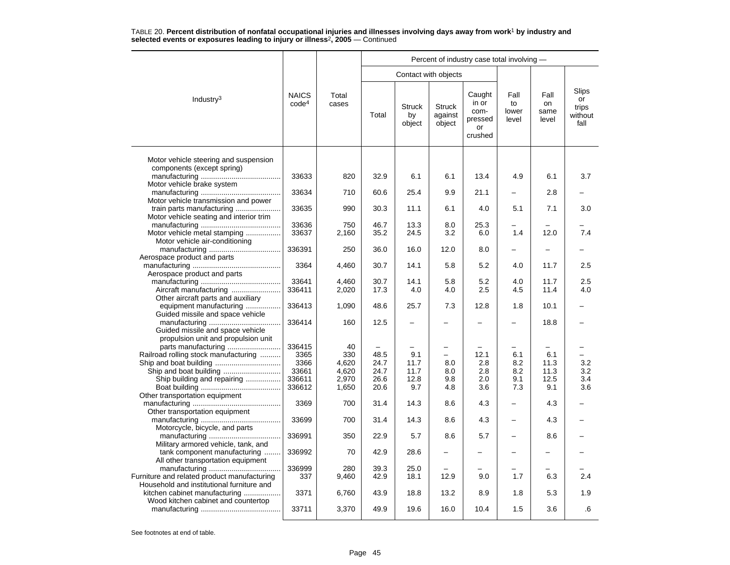|                                      |                                                               | Percent of industry case total involving -                |                                                      |                                                   |                                                     |                                                                         |                                        |                                                    |  |  |  |
|--------------------------------------|---------------------------------------------------------------|-----------------------------------------------------------|------------------------------------------------------|---------------------------------------------------|-----------------------------------------------------|-------------------------------------------------------------------------|----------------------------------------|----------------------------------------------------|--|--|--|
|                                      |                                                               |                                                           |                                                      |                                                   |                                                     |                                                                         |                                        |                                                    |  |  |  |
| <b>NAICS</b><br>code <sup>4</sup>    | Total<br>cases                                                | Total                                                     | <b>Struck</b><br>by<br>object                        | <b>Struck</b><br>against<br>object                | Caught<br>in or<br>com-<br>pressed<br>or<br>crushed | Fall<br>to<br>lower<br>level                                            | Fall<br>on<br>same<br>level            | Slips<br>or<br>trips<br>without<br>fall            |  |  |  |
|                                      |                                                               |                                                           |                                                      |                                                   |                                                     |                                                                         |                                        |                                                    |  |  |  |
| 33633                                | 820                                                           | 32.9                                                      | 6.1                                                  | 6.1                                               | 13.4                                                | 4.9                                                                     | 6.1                                    | 3.7                                                |  |  |  |
| 33634                                | 710                                                           | 60.6                                                      | 25.4                                                 | 9.9                                               | 21.1                                                |                                                                         | 2.8                                    |                                                    |  |  |  |
| 33635                                | 990                                                           | 30.3                                                      | 11.1                                                 | 6.1                                               | 4.0                                                 | 5.1                                                                     | 7.1                                    | 3.0                                                |  |  |  |
| 33636<br>33637                       | 750<br>2,160                                                  | 46.7<br>35.2                                              | 13.3<br>24.5                                         | 8.0<br>3.2                                        | 25.3<br>6.0                                         | 1.4                                                                     | 12.0                                   | 7.4                                                |  |  |  |
| 336391                               | 250                                                           | 36.0                                                      | 16.0                                                 | 12.0                                              | 8.0                                                 | $\overline{\phantom{0}}$                                                | $\overline{\phantom{0}}$               |                                                    |  |  |  |
| 3364                                 | 4,460                                                         | 30.7                                                      | 14.1                                                 | 5.8                                               | 5.2                                                 | 4.0                                                                     | 11.7                                   | 2.5                                                |  |  |  |
| 33641                                | 4,460                                                         | 30.7                                                      | 14.1                                                 | 5.8                                               | 5.2                                                 | 4.0                                                                     | 11.7                                   | 2.5                                                |  |  |  |
|                                      |                                                               |                                                           |                                                      |                                                   |                                                     |                                                                         |                                        | 4.0                                                |  |  |  |
|                                      |                                                               |                                                           |                                                      |                                                   |                                                     | 1.8                                                                     |                                        |                                                    |  |  |  |
| 336414                               | 160                                                           | 12.5                                                      |                                                      |                                                   |                                                     |                                                                         | 18.8                                   |                                                    |  |  |  |
| 336415                               | 40                                                            | $\overline{\phantom{0}}$                                  |                                                      |                                                   |                                                     |                                                                         |                                        |                                                    |  |  |  |
|                                      |                                                               |                                                           |                                                      | $\equiv$                                          |                                                     |                                                                         |                                        |                                                    |  |  |  |
|                                      |                                                               |                                                           |                                                      |                                                   |                                                     |                                                                         |                                        | 3.2<br>3.2                                         |  |  |  |
|                                      |                                                               |                                                           |                                                      |                                                   |                                                     |                                                                         |                                        | 3.4                                                |  |  |  |
|                                      |                                                               |                                                           |                                                      |                                                   |                                                     |                                                                         |                                        | 3.6                                                |  |  |  |
|                                      |                                                               |                                                           |                                                      |                                                   |                                                     |                                                                         |                                        |                                                    |  |  |  |
| 3369                                 | 700                                                           | 31.4                                                      | 14.3                                                 | 8.6                                               | 4.3                                                 |                                                                         | 4.3                                    |                                                    |  |  |  |
| 33699                                | 700                                                           | 31.4                                                      | 14.3                                                 | 8.6                                               | 4.3                                                 |                                                                         | 4.3                                    |                                                    |  |  |  |
| 336991                               | 350                                                           | 22.9                                                      | 5.7                                                  | 8.6                                               | 5.7                                                 | -                                                                       | 8.6                                    |                                                    |  |  |  |
| 336992                               | 70                                                            | 42.9                                                      | 28.6                                                 |                                                   |                                                     |                                                                         |                                        |                                                    |  |  |  |
| 336999<br>337                        | 280<br>9,460                                                  | 39.3<br>42.9                                              | 25.0<br>18.1                                         | 12.9                                              | 9.0                                                 | 1.7                                                                     | 6.3                                    | 2.4                                                |  |  |  |
| 3371                                 | 6,760                                                         | 43.9                                                      | 18.8                                                 | 13.2                                              | 8.9                                                 | 1.8                                                                     | 5.3                                    | 1.9                                                |  |  |  |
| 33711                                | 3,370                                                         | 49.9                                                      | 19.6                                                 | 16.0                                              | 10.4                                                | 1.5                                                                     | 3.6                                    | .6                                                 |  |  |  |
| Railroad rolling stock manufacturing | 336411<br>336413<br>3365<br>3366<br>33661<br>336611<br>336612 | 2,020<br>1,090<br>330<br>4,620<br>4,620<br>2,970<br>1,650 | 17.3<br>48.6<br>48.5<br>24.7<br>24.7<br>26.6<br>20.6 | 4.0<br>25.7<br>9.1<br>11.7<br>11.7<br>12.8<br>9.7 | 4.0<br>7.3<br>8.0<br>8.0<br>9.8<br>4.8              | Contact with objects<br>2.5<br>12.8<br>12.1<br>2.8<br>2.8<br>2.0<br>3.6 | 4.5<br>6.1<br>8.2<br>8.2<br>9.1<br>7.3 | 11.4<br>10.1<br>6.1<br>11.3<br>11.3<br>12.5<br>9.1 |  |  |  |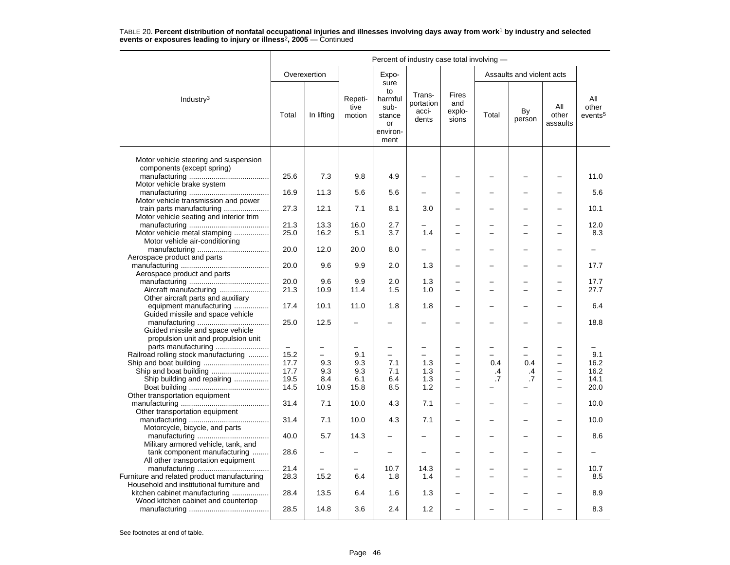|                                                                                                              | Percent of industry case total involving - |              |                           |                                                                   |                                       |                                      |       |                           |                                                      |                                     |  |
|--------------------------------------------------------------------------------------------------------------|--------------------------------------------|--------------|---------------------------|-------------------------------------------------------------------|---------------------------------------|--------------------------------------|-------|---------------------------|------------------------------------------------------|-------------------------------------|--|
|                                                                                                              |                                            | Overexertion |                           | Expo-                                                             |                                       |                                      |       | Assaults and violent acts |                                                      |                                     |  |
| Industry <sup>3</sup>                                                                                        | Total                                      | In lifting   | Repeti-<br>tive<br>motion | sure<br>to<br>harmful<br>sub-<br>stance<br>or<br>environ-<br>ment | Trans-<br>portation<br>acci-<br>dents | Fires<br>and<br>explo-<br>sions      | Total | By<br>person              | All<br>other<br>assaults                             | All<br>other<br>events <sup>5</sup> |  |
| Motor vehicle steering and suspension                                                                        |                                            |              |                           |                                                                   |                                       |                                      |       |                           |                                                      |                                     |  |
| components (except spring)                                                                                   | 25.6                                       | 7.3          | 9.8                       | 4.9                                                               |                                       |                                      |       |                           |                                                      | 11.0                                |  |
| Motor vehicle brake system                                                                                   |                                            |              |                           |                                                                   |                                       |                                      |       |                           |                                                      |                                     |  |
|                                                                                                              | 16.9                                       | 11.3         | 5.6                       | 5.6                                                               |                                       |                                      |       |                           |                                                      | 5.6                                 |  |
| Motor vehicle transmission and power<br>train parts manufacturing<br>Motor vehicle seating and interior trim | 27.3                                       | 12.1         | 7.1                       | 8.1                                                               | 3.0                                   |                                      |       | -                         |                                                      | 10.1                                |  |
|                                                                                                              | 21.3                                       | 13.3         | 16.0                      | 2.7                                                               |                                       |                                      |       |                           |                                                      | 12.0                                |  |
| Motor vehicle metal stamping                                                                                 | 25.0                                       | 16.2         | 5.1                       | 3.7                                                               | 1.4                                   |                                      |       |                           |                                                      | 8.3                                 |  |
| Motor vehicle air-conditioning                                                                               |                                            |              |                           |                                                                   |                                       |                                      |       |                           |                                                      |                                     |  |
| Aerospace product and parts                                                                                  | 20.0                                       | 12.0         | 20.0                      | 8.0                                                               |                                       |                                      |       |                           |                                                      |                                     |  |
|                                                                                                              | 20.0                                       | 9.6          | 9.9                       | 2.0                                                               | 1.3                                   |                                      |       |                           |                                                      | 17.7                                |  |
| Aerospace product and parts                                                                                  |                                            |              |                           |                                                                   |                                       |                                      |       |                           |                                                      |                                     |  |
|                                                                                                              | 20.0                                       | 9.6          | 9.9                       | 2.0                                                               | 1.3                                   |                                      |       |                           |                                                      | 17.7                                |  |
| Other aircraft parts and auxiliary                                                                           | 21.3                                       | 10.9         | 11.4                      | 1.5                                                               | 1.0                                   |                                      |       |                           |                                                      | 27.7                                |  |
| equipment manufacturing<br>Guided missile and space vehicle                                                  | 17.4                                       | 10.1         | 11.0                      | 1.8                                                               | 1.8                                   |                                      |       |                           |                                                      | 6.4                                 |  |
| Guided missile and space vehicle<br>propulsion unit and propulsion unit                                      | 25.0                                       | 12.5         |                           |                                                                   |                                       |                                      |       |                           |                                                      | 18.8                                |  |
|                                                                                                              |                                            |              |                           |                                                                   |                                       |                                      |       | -                         |                                                      |                                     |  |
| Railroad rolling stock manufacturing                                                                         | 15.2                                       | $\equiv$     | 9.1                       | $\equiv$                                                          | -                                     | $\equiv$                             |       | -                         | $\sim$                                               | 9.1                                 |  |
|                                                                                                              | 17.7                                       | 9.3          | 9.3                       | 7.1                                                               | 1.3                                   |                                      | 0.4   | 0.4                       |                                                      | 16.2                                |  |
| Ship and boat building                                                                                       | 17.7                                       | 9.3          | 9.3                       | 7.1                                                               | 1.3                                   | $\equiv$                             | .4    | .4                        | $\overline{\phantom{0}}$                             | 16.2                                |  |
| Ship building and repairing                                                                                  | 19.5<br>14.5                               | 8.4<br>10.9  | 6.1<br>15.8               | 6.4<br>8.5                                                        | 1.3<br>1.2                            | $\overline{\phantom{0}}$<br>$\equiv$ | .7    | .7                        | $\overline{\phantom{0}}$<br>$\overline{\phantom{0}}$ | 14.1<br>20.0                        |  |
| Other transportation equipment                                                                               |                                            |              |                           |                                                                   |                                       |                                      |       |                           |                                                      |                                     |  |
| Other transportation equipment                                                                               | 31.4                                       | 7.1          | 10.0                      | 4.3                                                               | 7.1                                   | $\overline{\phantom{0}}$             |       | -                         |                                                      | 10.0                                |  |
| Motorcycle, bicycle, and parts                                                                               | 31.4                                       | 7.1          | 10.0                      | 4.3                                                               | 7.1                                   |                                      |       | -                         |                                                      | 10.0                                |  |
| Military armored vehicle, tank, and                                                                          | 40.0                                       | 5.7          | 14.3                      |                                                                   |                                       |                                      |       | -                         |                                                      | 8.6                                 |  |
| tank component manufacturing<br>All other transportation equipment                                           | 28.6                                       |              |                           |                                                                   | L.                                    |                                      |       | -                         |                                                      |                                     |  |
|                                                                                                              | 21.4                                       |              |                           | 10.7                                                              | 14.3                                  |                                      |       |                           |                                                      | 10.7                                |  |
| Furniture and related product manufacturing                                                                  | 28.3                                       | 15.2         | 6.4                       | 1.8                                                               | 1.4                                   |                                      |       |                           |                                                      | 8.5                                 |  |
| Household and institutional furniture and                                                                    |                                            |              |                           |                                                                   |                                       |                                      |       |                           |                                                      |                                     |  |
| kitchen cabinet manufacturing<br>Wood kitchen cabinet and countertop                                         | 28.4                                       | 13.5         | 6.4                       | 1.6                                                               | 1.3                                   |                                      |       |                           |                                                      | 8.9                                 |  |
|                                                                                                              | 28.5                                       | 14.8         | 3.6                       | 2.4                                                               | 1.2                                   |                                      |       |                           |                                                      | 8.3                                 |  |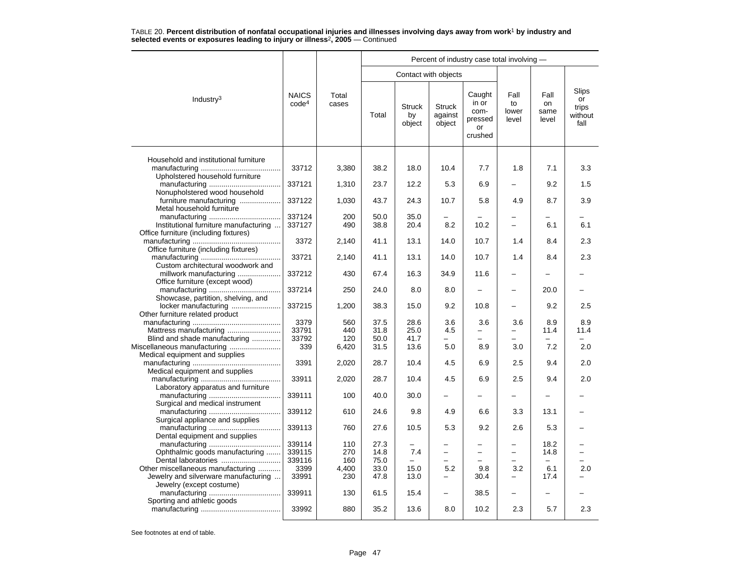|                                                                           |                                   |                | Percent of industry case total involving - |                               |                                    |                                                     |                                     |                             |                                                |  |  |  |
|---------------------------------------------------------------------------|-----------------------------------|----------------|--------------------------------------------|-------------------------------|------------------------------------|-----------------------------------------------------|-------------------------------------|-----------------------------|------------------------------------------------|--|--|--|
|                                                                           |                                   |                |                                            | Contact with objects          |                                    |                                                     |                                     |                             |                                                |  |  |  |
| Industry <sup>3</sup>                                                     | <b>NAICS</b><br>code <sup>4</sup> | Total<br>cases | Total                                      | <b>Struck</b><br>by<br>object | <b>Struck</b><br>against<br>object | Caught<br>in or<br>com-<br>pressed<br>or<br>crushed | Fall<br>to<br>lower<br>level        | Fall<br>on<br>same<br>level | <b>Slips</b><br>or<br>trips<br>without<br>fall |  |  |  |
| Household and institutional furniture                                     |                                   |                |                                            |                               |                                    |                                                     |                                     |                             |                                                |  |  |  |
| Upholstered household furniture                                           | 33712                             | 3,380          | 38.2                                       | 18.0                          | 10.4                               | 7.7                                                 | 1.8                                 | 7.1                         | 3.3                                            |  |  |  |
| Nonupholstered wood household                                             | 337121                            | 1,310          | 23.7                                       | 12.2                          | 5.3                                | 6.9                                                 |                                     | 9.2                         | 1.5                                            |  |  |  |
| furniture manufacturing<br>Metal household furniture                      | 337122                            | 1,030          | 43.7                                       | 24.3                          | 10.7                               | 5.8                                                 | 4.9                                 | 8.7                         | 3.9                                            |  |  |  |
|                                                                           | 337124                            | 200            | 50.0                                       | 35.0                          |                                    |                                                     |                                     |                             |                                                |  |  |  |
| Institutional furniture manufacturing                                     | 337127                            | 490            | 38.8                                       | 20.4                          | 8.2                                | 10.2                                                | $\overline{\phantom{0}}$            | 6.1                         | 6.1                                            |  |  |  |
| Office furniture (including fixtures)                                     | 3372                              | 2,140          | 41.1                                       | 13.1                          | 14.0                               | 10.7                                                | 1.4                                 | 8.4                         | 2.3                                            |  |  |  |
| Office furniture (including fixtures)                                     |                                   |                |                                            |                               |                                    |                                                     |                                     |                             |                                                |  |  |  |
| Custom architectural woodwork and                                         | 33721                             | 2.140          | 41.1                                       | 13.1                          | 14.0                               | 10.7                                                | 1.4                                 | 8.4                         | 2.3                                            |  |  |  |
| millwork manufacturing<br>Office furniture (except wood)                  | 337212                            | 430            | 67.4                                       | 16.3                          | 34.9                               | 11.6                                                | -                                   |                             |                                                |  |  |  |
| Showcase, partition, shelving, and                                        | 337214                            | 250            | 24.0                                       | 8.0                           | 8.0                                |                                                     | $\overline{a}$                      | 20.0                        |                                                |  |  |  |
| locker manufacturing<br>Other furniture related product                   | 337215                            | 1,200          | 38.3                                       | 15.0                          | 9.2                                | 10.8                                                | $\equiv$                            | 9.2                         | 2.5                                            |  |  |  |
|                                                                           | 3379                              | 560            | 37.5                                       | 28.6                          | 3.6                                | 3.6                                                 | 3.6                                 | 8.9                         | 8.9                                            |  |  |  |
| Mattress manufacturing                                                    | 33791                             | 440            | 31.8                                       | 25.0                          | 4.5                                | $\overline{\phantom{0}}$                            | $\overline{\phantom{0}}$            | 11.4                        | 11.4                                           |  |  |  |
| Blind and shade manufacturing                                             | 33792                             | 120            | 50.0                                       | 41.7                          |                                    |                                                     |                                     |                             |                                                |  |  |  |
| Miscellaneous manufacturing<br>Medical equipment and supplies             | 339                               | 6,420          | 31.5                                       | 13.6                          | 5.0                                | 8.9                                                 | 3.0                                 | 7.2                         | 2.0                                            |  |  |  |
| Medical equipment and supplies                                            | 3391                              | 2,020          | 28.7                                       | 10.4                          | 4.5                                | 6.9                                                 | 2.5                                 | 9.4                         | 2.0                                            |  |  |  |
|                                                                           | 33911                             | 2,020          | 28.7                                       | 10.4                          | 4.5                                | 6.9                                                 | 2.5                                 | 9.4                         | 2.0                                            |  |  |  |
| Laboratory apparatus and furniture                                        | 339111                            | 100            | 40.0                                       | 30.0                          |                                    |                                                     |                                     |                             |                                                |  |  |  |
| Surgical and medical instrument                                           | 339112                            | 610            | 24.6                                       | 9.8                           | 4.9                                | 6.6                                                 | 3.3                                 | 13.1                        |                                                |  |  |  |
| Surgical appliance and supplies                                           | 339113                            | 760            | 27.6                                       | 10.5                          | 5.3                                | 9.2                                                 | 2.6                                 | 5.3                         |                                                |  |  |  |
| Dental equipment and supplies                                             |                                   |                |                                            |                               |                                    |                                                     |                                     |                             |                                                |  |  |  |
|                                                                           | 339114                            | 110            | 27.3                                       |                               |                                    |                                                     | -                                   | 18.2                        |                                                |  |  |  |
| Ophthalmic goods manufacturing                                            | 339115                            | 270            | 14.8                                       | 7.4                           |                                    | $\overline{\phantom{0}}$                            | $\qquad \qquad -$<br>$\overline{a}$ | 14.8                        |                                                |  |  |  |
| Dental laboratories                                                       | 339116                            | 160            | 75.0                                       |                               |                                    |                                                     |                                     | $\overline{\phantom{0}}$    |                                                |  |  |  |
| Other miscellaneous manufacturing<br>Jewelry and silverware manufacturing | 3399<br>33991                     | 4,400<br>230   | 33.0<br>47.8                               | 15.0<br>13.0                  | 5.2<br>$\overline{\phantom{0}}$    | 9.8<br>30.4                                         | 3.2<br>-                            | 6.1<br>17.4                 | 2.0                                            |  |  |  |
| Jewelry (except costume)                                                  |                                   |                |                                            |                               |                                    |                                                     |                                     |                             |                                                |  |  |  |
|                                                                           | 339911                            | 130            | 61.5                                       | 15.4                          |                                    | 38.5                                                | $\overline{\phantom{0}}$            | $\overline{\phantom{0}}$    |                                                |  |  |  |
| Sporting and athletic goods                                               | 33992                             | 880            | 35.2                                       | 13.6                          | 8.0                                | 10.2                                                | 2.3                                 | 5.7                         | 2.3                                            |  |  |  |
|                                                                           |                                   |                |                                            |                               |                                    |                                                     |                                     |                             |                                                |  |  |  |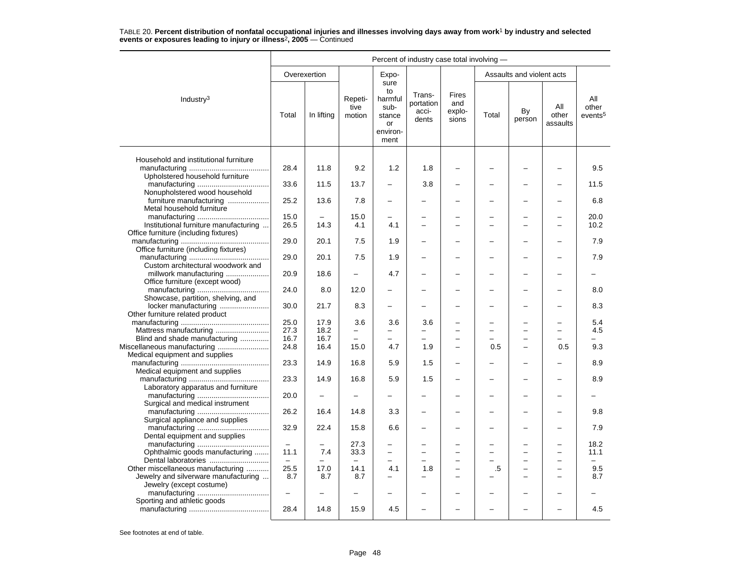|                                                                                |                   |              |                           | Percent of industry case total involving -                        |                                       |                                        |       |                               |                          |                                     |  |
|--------------------------------------------------------------------------------|-------------------|--------------|---------------------------|-------------------------------------------------------------------|---------------------------------------|----------------------------------------|-------|-------------------------------|--------------------------|-------------------------------------|--|
|                                                                                |                   | Overexertion |                           | Expo-                                                             |                                       |                                        |       | Assaults and violent acts     |                          |                                     |  |
| Industry <sup>3</sup>                                                          | Total             | In lifting   | Repeti-<br>tive<br>motion | sure<br>to<br>harmful<br>sub-<br>stance<br>or<br>environ-<br>ment | Trans-<br>portation<br>acci-<br>dents | <b>Fires</b><br>and<br>explo-<br>sions | Total | By<br>person                  | All<br>other<br>assaults | All<br>other<br>events <sup>5</sup> |  |
|                                                                                |                   |              |                           |                                                                   |                                       |                                        |       |                               |                          |                                     |  |
| Household and institutional furniture<br>Upholstered household furniture       | 28.4              | 11.8         | 9.2                       | 1.2                                                               | 1.8                                   |                                        |       |                               |                          | 9.5                                 |  |
| Nonupholstered wood household                                                  | 33.6              | 11.5         | 13.7                      |                                                                   | 3.8                                   |                                        |       |                               |                          | 11.5                                |  |
| furniture manufacturing<br>Metal household furniture                           | 25.2              | 13.6         | 7.8                       |                                                                   |                                       |                                        |       |                               |                          | 6.8                                 |  |
|                                                                                | 15.0              |              | 15.0                      |                                                                   |                                       |                                        |       |                               |                          | 20.0                                |  |
| Institutional furniture manufacturing<br>Office furniture (including fixtures) | 26.5              | 14.3         | 4.1                       | 4.1                                                               |                                       |                                        |       | $\overline{a}$                |                          | 10.2                                |  |
| Office furniture (including fixtures)                                          | 29.0              | 20.1         | 7.5                       | 1.9                                                               |                                       |                                        |       | ▃                             |                          | 7.9                                 |  |
| Custom architectural woodwork and                                              | 29.0              | 20.1         | 7.5                       | 1.9                                                               |                                       |                                        |       |                               |                          | 7.9                                 |  |
| millwork manufacturing<br>Office furniture (except wood)                       | 20.9              | 18.6         |                           | 4.7                                                               |                                       |                                        |       |                               |                          |                                     |  |
| Showcase, partition, shelving, and                                             | 24.0              | 8.0          | 12.0                      |                                                                   |                                       |                                        |       |                               |                          | 8.0                                 |  |
| locker manufacturing<br>Other furniture related product                        | 30.0              | 21.7         | 8.3                       |                                                                   |                                       |                                        |       |                               |                          | 8.3                                 |  |
|                                                                                | 25.0              | 17.9         | 3.6                       | 3.6                                                               | 3.6                                   |                                        |       |                               |                          | 5.4                                 |  |
|                                                                                | 27.3              | 18.2         | $\overline{\phantom{0}}$  | $\overline{\phantom{0}}$                                          | —                                     |                                        |       | ÷,                            |                          | 4.5                                 |  |
| Blind and shade manufacturing                                                  | 16.7              | 16.7         |                           |                                                                   |                                       |                                        |       |                               |                          |                                     |  |
|                                                                                | 24.8              | 16.4         | 15.0                      | 4.7                                                               | 1.9                                   |                                        | 0.5   | $\overline{\phantom{0}}$      | 0.5                      | 9.3                                 |  |
| Miscellaneous manufacturing<br>Medical equipment and supplies                  |                   |              |                           |                                                                   |                                       |                                        |       |                               |                          |                                     |  |
| Medical equipment and supplies                                                 | 23.3              | 14.9         | 16.8                      | 5.9                                                               | 1.5                                   |                                        |       |                               |                          | 8.9                                 |  |
| Laboratory apparatus and furniture                                             | 23.3              | 14.9         | 16.8                      | 5.9                                                               | 1.5                                   | $\overline{\phantom{0}}$               |       | <u>.</u>                      |                          | 8.9                                 |  |
| Surgical and medical instrument                                                | 20.0              |              |                           |                                                                   |                                       |                                        |       | -                             |                          |                                     |  |
| Surgical appliance and supplies                                                | 26.2              | 16.4         | 14.8                      | 3.3                                                               |                                       |                                        |       | -                             |                          | 9.8                                 |  |
| Dental equipment and supplies                                                  | 32.9              | 22.4         | 15.8                      | 6.6                                                               |                                       |                                        |       | ▃                             |                          | 7.9                                 |  |
|                                                                                |                   |              | 27.3                      |                                                                   |                                       |                                        |       |                               |                          | 18.2                                |  |
| Ophthalmic goods manufacturing                                                 | 11.1<br>$\equiv$  | 7.4          | 33.3                      | $\overline{\phantom{0}}$                                          | $\overline{\phantom{0}}$              |                                        |       | -<br>$\overline{\phantom{0}}$ |                          | 11.1                                |  |
| Other miscellaneous manufacturing                                              | 25.5              | 17.0         | 14.1                      | 4.1                                                               | 1.8                                   | $\overline{\phantom{0}}$               | .5    | -                             |                          | 9.5                                 |  |
| Jewelry and silverware manufacturing<br>Jewelry (except costume)               | 8.7               | 8.7          | 8.7                       |                                                                   |                                       | $\equiv$                               |       | -                             |                          | 8.7                                 |  |
| Sporting and athletic goods                                                    | $\qquad \qquad -$ |              |                           |                                                                   |                                       |                                        |       |                               |                          |                                     |  |
|                                                                                | 28.4              | 14.8         | 15.9                      | 4.5                                                               |                                       |                                        |       |                               |                          | 4.5                                 |  |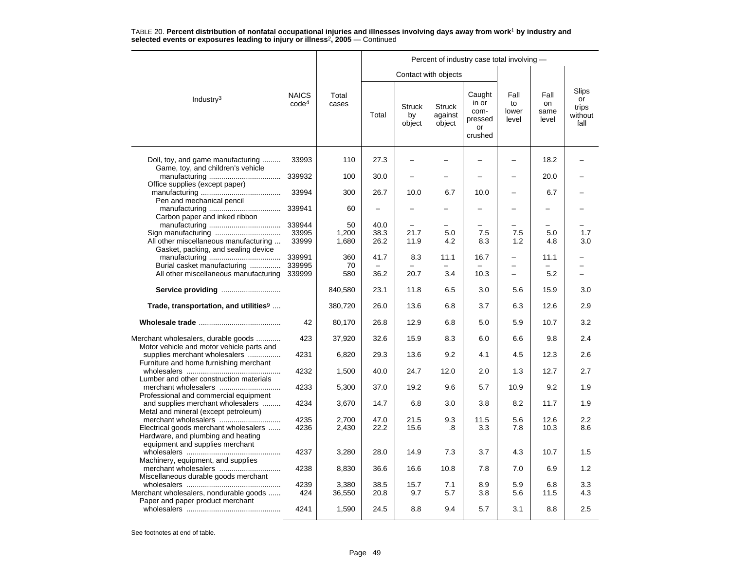|                                                                                  |                                   |                 |                          |                               |                                    | Percent of industry case total involving -          |                              |                             |                                                |
|----------------------------------------------------------------------------------|-----------------------------------|-----------------|--------------------------|-------------------------------|------------------------------------|-----------------------------------------------------|------------------------------|-----------------------------|------------------------------------------------|
|                                                                                  |                                   |                 |                          | Contact with objects          |                                    |                                                     |                              |                             |                                                |
| Industry <sup>3</sup>                                                            | <b>NAICS</b><br>code <sup>4</sup> | Total<br>cases  | Total                    | <b>Struck</b><br>by<br>object | <b>Struck</b><br>against<br>object | Caught<br>in or<br>com-<br>pressed<br>or<br>crushed | Fall<br>to<br>lower<br>level | Fall<br>on<br>same<br>level | <b>Slips</b><br>or<br>trips<br>without<br>fall |
| Doll, toy, and game manufacturing<br>Game, toy, and children's vehicle           | 33993                             | 110             | 27.3                     |                               |                                    |                                                     |                              | 18.2                        |                                                |
| Office supplies (except paper)                                                   | 339932                            | 100             | 30.0                     |                               |                                    |                                                     |                              | 20.0                        |                                                |
| Pen and mechanical pencil                                                        | 33994                             | 300             | 26.7                     | 10.0                          | 6.7                                | 10.0                                                |                              | 6.7                         |                                                |
| Carbon paper and inked ribbon                                                    | 339941                            | 60              |                          |                               |                                    |                                                     |                              |                             |                                                |
|                                                                                  | 339944                            | 50              | 40.0                     |                               |                                    |                                                     |                              |                             |                                                |
|                                                                                  | 33995                             | 1,200           | 38.3                     | 21.7                          | 5.0                                | 7.5                                                 | 7.5                          | 5.0                         | 1.7                                            |
| All other miscellaneous manufacturing<br>Gasket, packing, and sealing device     | 33999                             | 1,680           | 26.2                     | 11.9                          | 4.2                                | 8.3                                                 | 1.2                          | 4.8                         | 3.0                                            |
|                                                                                  | 339991                            | 360             | 41.7                     | 8.3                           | 11.1                               | 16.7                                                |                              | 11.1                        |                                                |
| Burial casket manufacturing                                                      | 339995                            | 70              | $\overline{\phantom{0}}$ |                               |                                    |                                                     | $\overline{\phantom{0}}$     |                             | $=$                                            |
| All other miscellaneous manufacturing                                            | 339999                            | 580             | 36.2                     | 20.7                          | 3.4                                | 10.3                                                | $\equiv$                     | 5.2                         |                                                |
| Service providing                                                                |                                   | 840,580         | 23.1                     | 11.8                          | 6.5                                | 3.0                                                 | 5.6                          | 15.9                        | 3.0                                            |
| Trade, transportation, and utilities <sup>9</sup>                                |                                   | 380,720         | 26.0                     | 13.6                          | 6.8                                | 3.7                                                 | 6.3                          | 12.6                        | 2.9                                            |
|                                                                                  | 42                                | 80,170          | 26.8                     | 12.9                          | 6.8                                | 5.0                                                 | 5.9                          | 10.7                        | 3.2                                            |
| Merchant wholesalers, durable goods<br>Motor vehicle and motor vehicle parts and | 423                               | 37,920          | 32.6                     | 15.9                          | 8.3                                | 6.0                                                 | 6.6                          | 9.8                         | 2.4                                            |
| supplies merchant wholesalers<br>Furniture and home furnishing merchant          | 4231                              | 6,820           | 29.3                     | 13.6                          | 9.2                                | 4.1                                                 | 4.5                          | 12.3                        | 2.6                                            |
| Lumber and other construction materials                                          | 4232                              | 1,500           | 40.0                     | 24.7                          | 12.0                               | 2.0                                                 | 1.3                          | 12.7                        | 2.7                                            |
| Professional and commercial equipment                                            | 4233                              | 5,300           | 37.0                     | 19.2                          | 9.6                                | 5.7                                                 | 10.9                         | 9.2                         | 1.9                                            |
| and supplies merchant wholesalers<br>Metal and mineral (except petroleum)        | 4234                              | 3,670           | 14.7                     | 6.8                           | 3.0                                | 3.8                                                 | 8.2                          | 11.7                        | 1.9                                            |
|                                                                                  | 4235                              | 2,700           | 47.0                     | 21.5                          | 9.3                                | 11.5                                                | 5.6                          | 12.6                        | 2.2                                            |
| Electrical goods merchant wholesalers<br>Hardware, and plumbing and heating      | 4236                              | 2,430           | 22.2                     | 15.6                          | .8                                 | 3.3                                                 | 7.8                          | 10.3                        | 8.6                                            |
| equipment and supplies merchant<br>Machinery, equipment, and supplies            | 4237                              | 3,280           | 28.0                     | 14.9                          | 7.3                                | 3.7                                                 | 4.3                          | 10.7                        | 1.5                                            |
| merchant wholesalers<br>Miscellaneous durable goods merchant                     | 4238                              | 8,830           | 36.6                     | 16.6                          | 10.8                               | 7.8                                                 | 7.0                          | 6.9                         | 1.2                                            |
| Merchant wholesalers, nondurable goods                                           | 4239<br>424                       | 3,380<br>36,550 | 38.5<br>20.8             | 15.7<br>9.7                   | 7.1<br>5.7                         | 8.9<br>3.8                                          | 5.9<br>5.6                   | 6.8<br>11.5                 | 3.3<br>4.3                                     |
| Paper and paper product merchant                                                 | 4241                              | 1,590           | 24.5                     | 8.8                           | 9.4                                | 5.7                                                 | 3.1                          | 8.8                         | 2.5                                            |
|                                                                                  |                                   |                 |                          |                               |                                    |                                                     |                              |                             |                                                |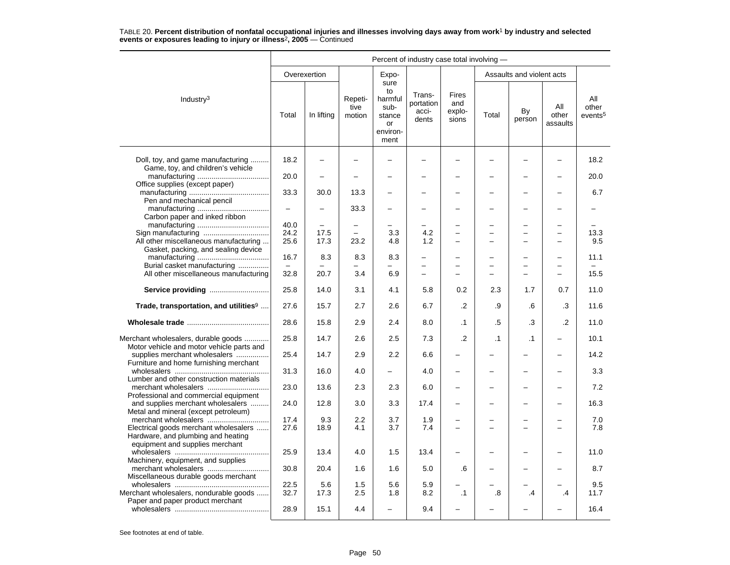|                                                                                                                | Percent of industry case total involving - |              |                           |                                                                   |                                       |                                        |           |                                      |                          |                                     |  |
|----------------------------------------------------------------------------------------------------------------|--------------------------------------------|--------------|---------------------------|-------------------------------------------------------------------|---------------------------------------|----------------------------------------|-----------|--------------------------------------|--------------------------|-------------------------------------|--|
|                                                                                                                |                                            | Overexertion |                           | Expo-                                                             |                                       |                                        |           | Assaults and violent acts            |                          |                                     |  |
| Industry <sup>3</sup>                                                                                          | Total                                      | In lifting   | Repeti-<br>tive<br>motion | sure<br>to<br>harmful<br>sub-<br>stance<br>or<br>environ-<br>ment | Trans-<br>portation<br>acci-<br>dents | <b>Fires</b><br>and<br>explo-<br>sions | Total     | By<br>person                         | All<br>other<br>assaults | All<br>other<br>events <sup>5</sup> |  |
| Doll, toy, and game manufacturing<br>Game, toy, and children's vehicle                                         | 18.2                                       |              |                           |                                                                   |                                       |                                        |           |                                      |                          | 18.2                                |  |
| Office supplies (except paper)                                                                                 | 20.0                                       |              |                           |                                                                   |                                       |                                        |           |                                      |                          | 20.0                                |  |
| Pen and mechanical pencil                                                                                      | 33.3                                       | 30.0         | 13.3                      |                                                                   |                                       |                                        |           | $\overline{\phantom{0}}$             |                          | 6.7                                 |  |
| Carbon paper and inked ribbon                                                                                  | $\qquad \qquad -$                          |              | 33.3                      |                                                                   |                                       |                                        |           | L,                                   |                          |                                     |  |
|                                                                                                                | 40.0                                       |              |                           |                                                                   |                                       |                                        |           |                                      |                          |                                     |  |
|                                                                                                                | 24.2                                       | 17.5         |                           | 3.3                                                               | 4.2                                   | $\overline{\phantom{0}}$               |           | $\overline{\phantom{0}}$<br>$\equiv$ |                          | 13.3                                |  |
| All other miscellaneous manufacturing<br>Gasket, packing, and sealing device                                   | 25.6                                       | 17.3         | 23.2                      | 4.8                                                               | 1.2                                   | $\equiv$                               |           |                                      | $\sim$                   | 9.5                                 |  |
| Burial casket manufacturing                                                                                    | 16.7                                       | 8.3          | 8.3                       | 8.3                                                               | $\overline{\phantom{0}}$              | $\overline{\phantom{0}}$               |           | $\overline{\phantom{0}}$             |                          | 11.1                                |  |
| All other miscellaneous manufacturing                                                                          | 32.8                                       | 20.7         | 3.4                       | 6.9                                                               | $\overline{\phantom{0}}$              | $\equiv$                               |           | $\overline{\phantom{0}}$             | $\equiv$                 | 15.5                                |  |
| Service providing                                                                                              | 25.8                                       | 14.0         | 3.1                       | 4.1                                                               | 5.8                                   | 0.2                                    | 2.3       | 1.7                                  | 0.7                      | 11.0                                |  |
| Trade, transportation, and utilities <sup>9</sup>                                                              | 27.6                                       | 15.7         | 2.7                       | 2.6                                                               | 6.7                                   | $\cdot$                                | .9        | .6                                   | .3                       | 11.6                                |  |
|                                                                                                                | 28.6                                       | 15.8         | 2.9                       | 2.4                                                               | 8.0                                   | .1                                     | .5        | .3                                   | .2                       | 11.0                                |  |
| Merchant wholesalers, durable goods<br>Motor vehicle and motor vehicle parts and                               | 25.8                                       | 14.7         | 2.6                       | 2.5                                                               | 7.3                                   | .2                                     | $\cdot$ 1 | $\cdot$ 1                            |                          | 10.1                                |  |
| supplies merchant wholesalers<br>Furniture and home furnishing merchant                                        | 25.4                                       | 14.7         | 2.9                       | 2.2                                                               | 6.6                                   | $\overline{\phantom{0}}$               |           | $\overline{\phantom{0}}$             |                          | 14.2                                |  |
| Lumber and other construction materials                                                                        | 31.3                                       | 16.0         | 4.0                       |                                                                   | 4.0                                   | $\overline{\phantom{0}}$               |           | $\overline{\phantom{0}}$             |                          | 3.3                                 |  |
| Professional and commercial equipment                                                                          | 23.0                                       | 13.6         | 2.3                       | 2.3                                                               | 6.0                                   | $\overline{\phantom{0}}$               |           |                                      |                          | 7.2                                 |  |
| and supplies merchant wholesalers<br>Metal and mineral (except petroleum)                                      | 24.0                                       | 12.8         | 3.0                       | 3.3                                                               | 17.4                                  |                                        |           |                                      |                          | 16.3                                |  |
|                                                                                                                | 17.4                                       | 9.3          | 2.2                       | 3.7                                                               | 1.9                                   |                                        |           |                                      |                          | 7.0                                 |  |
| Electrical goods merchant wholesalers<br>Hardware, and plumbing and heating<br>equipment and supplies merchant | 27.6                                       | 18.9         | 4.1                       | 3.7                                                               | 7.4                                   | $\overline{\phantom{0}}$               |           |                                      |                          | 7.8                                 |  |
| Machinery, equipment, and supplies                                                                             | 25.9                                       | 13.4         | 4.0                       | 1.5                                                               | 13.4                                  |                                        |           |                                      |                          | 11.0                                |  |
| Miscellaneous durable goods merchant                                                                           | 30.8                                       | 20.4         | 1.6                       | 1.6                                                               | 5.0                                   | .6                                     |           |                                      |                          | 8.7                                 |  |
|                                                                                                                | 22.5                                       | 5.6          | 1.5                       | 5.6                                                               | 5.9                                   |                                        |           |                                      |                          | 9.5                                 |  |
| Merchant wholesalers, nondurable goods<br>Paper and paper product merchant                                     | 32.7                                       | 17.3         | 2.5                       | 1.8                                                               | 8.2                                   | $\cdot$ 1                              | .8        | .4                                   | .4                       | 11.7                                |  |
|                                                                                                                | 28.9                                       | 15.1         | 4.4                       |                                                                   | 9.4                                   |                                        |           |                                      |                          | 16.4                                |  |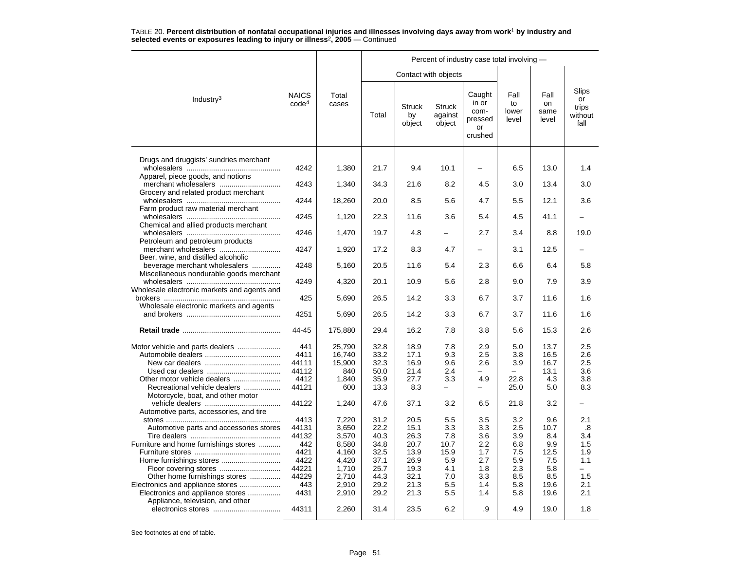|                                                                                                          |                                       |                                            |                                      |                                      |                                    | Percent of industry case total involving -          |                                 |                                     |                                                      |
|----------------------------------------------------------------------------------------------------------|---------------------------------------|--------------------------------------------|--------------------------------------|--------------------------------------|------------------------------------|-----------------------------------------------------|---------------------------------|-------------------------------------|------------------------------------------------------|
|                                                                                                          |                                       |                                            |                                      | Contact with objects                 |                                    |                                                     |                                 |                                     |                                                      |
| Industry <sup>3</sup>                                                                                    | <b>NAICS</b><br>code <sup>4</sup>     | Total<br>cases                             | Total                                | <b>Struck</b><br>by<br>object        | <b>Struck</b><br>against<br>object | Caught<br>in or<br>com-<br>pressed<br>or<br>crushed | Fall<br>to<br>lower<br>level    | Fall<br>on<br>same<br>level         | Slips<br>or<br>trips<br>without<br>fall              |
| Drugs and druggists' sundries merchant                                                                   | 4242                                  | 1,380                                      | 21.7                                 | 9.4                                  | 10.1                               |                                                     | 6.5                             | 13.0                                | 1.4                                                  |
| Apparel, piece goods, and notions                                                                        | 4243                                  | 1,340                                      | 34.3                                 | 21.6                                 | 8.2                                | 4.5                                                 | 3.0                             | 13.4                                | 3.0                                                  |
| Grocery and related product merchant                                                                     | 4244                                  | 18,260                                     | 20.0                                 | 8.5                                  | 5.6                                | 4.7                                                 | 5.5                             | 12.1                                | 3.6                                                  |
| Farm product raw material merchant<br>Chemical and allied products merchant                              | 4245                                  | 1,120                                      | 22.3                                 | 11.6                                 | 3.6                                | 5.4                                                 | 4.5                             | 41.1                                |                                                      |
| Petroleum and petroleum products                                                                         | 4246                                  | 1,470                                      | 19.7                                 | 4.8                                  |                                    | 2.7                                                 | 3.4                             | 8.8                                 | 19.0                                                 |
| merchant wholesalers<br>Beer, wine, and distilled alcoholic                                              | 4247                                  | 1,920                                      | 17.2                                 | 8.3                                  | 4.7                                |                                                     | 3.1                             | 12.5                                |                                                      |
| beverage merchant wholesalers<br>Miscellaneous nondurable goods merchant                                 | 4248                                  | 5,160                                      | 20.5                                 | 11.6                                 | 5.4                                | 2.3                                                 | 6.6                             | 6.4                                 | 5.8                                                  |
| Wholesale electronic markets and agents and                                                              | 4249                                  | 4,320                                      | 20.1                                 | 10.9                                 | 5.6                                | 2.8                                                 | 9.0                             | 7.9                                 | 3.9                                                  |
| Wholesale electronic markets and agents                                                                  | 425                                   | 5,690                                      | 26.5                                 | 14.2                                 | 3.3                                | 6.7                                                 | 3.7                             | 11.6                                | 1.6                                                  |
|                                                                                                          | 4251                                  | 5,690                                      | 26.5                                 | 14.2                                 | 3.3                                | 6.7                                                 | 3.7                             | 11.6                                | 1.6                                                  |
|                                                                                                          | 44-45                                 | 175,880                                    | 29.4                                 | 16.2                                 | 7.8                                | 3.8                                                 | 5.6                             | 15.3                                | 2.6                                                  |
| Other motor vehicle dealers                                                                              | 441<br>4411<br>44111<br>44112<br>4412 | 25,790<br>16,740<br>15,900<br>840<br>1.840 | 32.8<br>33.2<br>32.3<br>50.0<br>35.9 | 18.9<br>17.1<br>16.9<br>21.4<br>27.7 | 7.8<br>9.3<br>9.6<br>2.4<br>3.3    | 2.9<br>2.5<br>2.6<br>4.9                            | 5.0<br>3.8<br>3.9<br>22.8       | 13.7<br>16.5<br>16.7<br>13.1<br>4.3 | 2.5<br>2.6<br>2.5<br>3.6<br>3.8                      |
| Recreational vehicle dealers<br>Motorcycle, boat, and other motor                                        | 44121<br>44122                        | 600<br>1,240                               | 13.3<br>47.6                         | 8.3<br>37.1                          | $\overline{\phantom{0}}$<br>3.2    | -<br>6.5                                            | 25.0<br>21.8                    | 5.0<br>3.2                          | 8.3                                                  |
| Automotive parts, accessories, and tire                                                                  | 4413                                  | 7,220                                      | 31.2                                 | 20.5                                 | 5.5                                | 3.5                                                 | 3.2                             | 9.6                                 | 2.1                                                  |
| Automotive parts and accessories stores                                                                  | 44131<br>44132                        | 3.650<br>3,570                             | 22.2<br>40.3                         | 15.1<br>26.3                         | 3.3<br>7.8                         | 3.3<br>3.6                                          | 2.5<br>3.9                      | 10.7<br>8.4                         | .8<br>3.4                                            |
| Furniture and home furnishings stores<br>Other home furnishings stores                                   | 442<br>4421<br>4422<br>44221<br>44229 | 8,580<br>4,160<br>4,420<br>1,710<br>2,710  | 34.8<br>32.5<br>37.1<br>25.7<br>44.3 | 20.7<br>13.9<br>26.9<br>19.3<br>32.1 | 10.7<br>15.9<br>5.9<br>4.1<br>7.0  | 2.2<br>1.7<br>2.7<br>1.8<br>3.3                     | 6.8<br>7.5<br>5.9<br>2.3<br>8.5 | 9.9<br>12.5<br>7.5<br>5.8<br>8.5    | 1.5<br>1.9<br>1.1<br>$\overline{\phantom{0}}$<br>1.5 |
| Electronics and appliance stores<br>Electronics and appliance stores<br>Appliance, television, and other | 443<br>4431                           | 2,910<br>2,910                             | 29.2<br>29.2                         | 21.3<br>21.3                         | 5.5<br>5.5                         | 1.4<br>1.4                                          | 5.8<br>5.8                      | 19.6<br>19.6                        | 2.1<br>2.1                                           |
|                                                                                                          | 44311                                 | 2,260                                      | 31.4                                 | 23.5                                 | 6.2                                | .9                                                  | 4.9                             | 19.0                                | 1.8                                                  |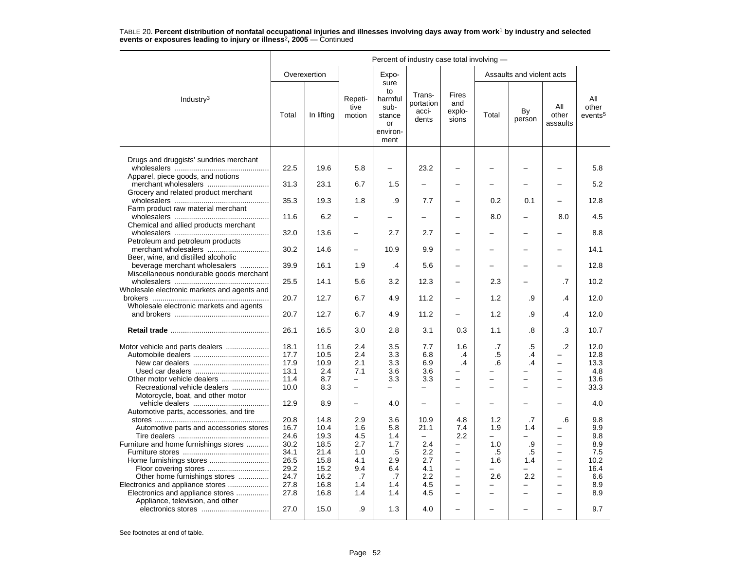|                                                                                                                                                                                                                               |                                                                              | Percent of industry case total involving -                                   |                                                                           |                                                                   |                                                                                    |                                                                                                                                                                |                                                                                                                                 |                                                                                                  |                                                                                                                                                                        |                                                                      |  |  |  |
|-------------------------------------------------------------------------------------------------------------------------------------------------------------------------------------------------------------------------------|------------------------------------------------------------------------------|------------------------------------------------------------------------------|---------------------------------------------------------------------------|-------------------------------------------------------------------|------------------------------------------------------------------------------------|----------------------------------------------------------------------------------------------------------------------------------------------------------------|---------------------------------------------------------------------------------------------------------------------------------|--------------------------------------------------------------------------------------------------|------------------------------------------------------------------------------------------------------------------------------------------------------------------------|----------------------------------------------------------------------|--|--|--|
|                                                                                                                                                                                                                               |                                                                              | Overexertion                                                                 |                                                                           | Expo-                                                             |                                                                                    |                                                                                                                                                                |                                                                                                                                 | Assaults and violent acts                                                                        |                                                                                                                                                                        |                                                                      |  |  |  |
| Industry $3$                                                                                                                                                                                                                  | Total                                                                        | In lifting                                                                   | Repeti-<br>tive<br>motion                                                 | sure<br>to<br>harmful<br>sub-<br>stance<br>or<br>environ-<br>ment | Trans-<br>portation<br>acci-<br>dents                                              | Fires<br>and<br>explo-<br>sions                                                                                                                                | Total                                                                                                                           | By<br>person                                                                                     | All<br>other<br>assaults                                                                                                                                               | All<br>other<br>events <sup>5</sup>                                  |  |  |  |
| Drugs and druggists' sundries merchant                                                                                                                                                                                        | 22.5                                                                         | 19.6                                                                         | 5.8                                                                       | —                                                                 | 23.2                                                                               |                                                                                                                                                                |                                                                                                                                 |                                                                                                  |                                                                                                                                                                        | 5.8                                                                  |  |  |  |
| Apparel, piece goods, and notions<br>merchant wholesalers                                                                                                                                                                     | 31.3                                                                         | 23.1                                                                         | 6.7                                                                       | 1.5                                                               |                                                                                    |                                                                                                                                                                |                                                                                                                                 |                                                                                                  |                                                                                                                                                                        | 5.2                                                                  |  |  |  |
| Grocery and related product merchant                                                                                                                                                                                          | 35.3                                                                         | 19.3                                                                         | 1.8                                                                       | .9                                                                | 7.7                                                                                | $\overline{\phantom{0}}$                                                                                                                                       | 0.2                                                                                                                             | 0.1                                                                                              |                                                                                                                                                                        | 12.8                                                                 |  |  |  |
| Farm product raw material merchant<br>Chemical and allied products merchant                                                                                                                                                   | 11.6                                                                         | 6.2                                                                          |                                                                           |                                                                   |                                                                                    |                                                                                                                                                                | 8.0                                                                                                                             |                                                                                                  | 8.0                                                                                                                                                                    | 4.5                                                                  |  |  |  |
| Petroleum and petroleum products                                                                                                                                                                                              | 32.0                                                                         | 13.6                                                                         |                                                                           | 2.7                                                               | 2.7                                                                                |                                                                                                                                                                |                                                                                                                                 |                                                                                                  |                                                                                                                                                                        | 8.8                                                                  |  |  |  |
| Beer, wine, and distilled alcoholic                                                                                                                                                                                           | 30.2                                                                         | 14.6                                                                         | $\overline{\phantom{0}}$                                                  | 10.9                                                              | 9.9                                                                                |                                                                                                                                                                |                                                                                                                                 |                                                                                                  |                                                                                                                                                                        | 14.1                                                                 |  |  |  |
| beverage merchant wholesalers<br>Miscellaneous nondurable goods merchant                                                                                                                                                      | 39.9                                                                         | 16.1                                                                         | 1.9                                                                       | $\cdot$                                                           | 5.6                                                                                | -                                                                                                                                                              |                                                                                                                                 |                                                                                                  |                                                                                                                                                                        | 12.8                                                                 |  |  |  |
| Wholesale electronic markets and agents and                                                                                                                                                                                   | 25.5                                                                         | 14.1                                                                         | 5.6                                                                       | 3.2                                                               | 12.3                                                                               | $\overline{\phantom{0}}$                                                                                                                                       | 2.3                                                                                                                             |                                                                                                  | .7                                                                                                                                                                     | 10.2                                                                 |  |  |  |
| Wholesale electronic markets and agents                                                                                                                                                                                       | 20.7                                                                         | 12.7                                                                         | 6.7                                                                       | 4.9                                                               | 11.2                                                                               | -                                                                                                                                                              | 1.2                                                                                                                             | .9                                                                                               | .4                                                                                                                                                                     | 12.0                                                                 |  |  |  |
|                                                                                                                                                                                                                               | 20.7                                                                         | 12.7                                                                         | 6.7                                                                       | 4.9                                                               | 11.2                                                                               |                                                                                                                                                                | 1.2                                                                                                                             | .9                                                                                               | .4                                                                                                                                                                     | 12.0                                                                 |  |  |  |
|                                                                                                                                                                                                                               | 26.1                                                                         | 16.5                                                                         | 3.0                                                                       | 2.8                                                               | 3.1                                                                                | 0.3                                                                                                                                                            | 1.1                                                                                                                             | .8                                                                                               | .3                                                                                                                                                                     | 10.7                                                                 |  |  |  |
| Other motor vehicle dealers<br>Recreational vehicle dealers                                                                                                                                                                   | 18.1<br>17.7<br>17.9<br>13.1<br>11.4<br>10.0                                 | 11.6<br>10.5<br>10.9<br>2.4<br>8.7<br>8.3                                    | 2.4<br>2.4<br>2.1<br>7.1<br>$\overline{\phantom{0}}$<br>$\qquad \qquad -$ | 3.5<br>3.3<br>3.3<br>3.6<br>3.3<br>—                              | 7.7<br>6.8<br>6.9<br>3.6<br>3.3<br>$\overline{\phantom{0}}$                        | 1.6<br>.4<br>.4<br>$\overline{\phantom{0}}$<br>$\overline{\phantom{0}}$<br>$\overline{\phantom{0}}$                                                            | .7<br>$.5\,$<br>.6<br>$\overline{\phantom{0}}$<br>÷,                                                                            | $.5\,$<br>.4<br>.4<br>$\overline{\phantom{0}}$<br>$\overline{a}$<br>$\overline{\phantom{0}}$     | $\cdot$<br>$\equiv$<br>$\overline{\phantom{0}}$<br>$\equiv$<br>$\overline{\phantom{0}}$                                                                                | 12.0<br>12.8<br>13.3<br>4.8<br>13.6<br>33.3                          |  |  |  |
| Motorcycle, boat, and other motor<br>Automotive parts, accessories, and tire                                                                                                                                                  | 12.9                                                                         | 8.9                                                                          | $\overline{\phantom{0}}$                                                  | 4.0                                                               |                                                                                    |                                                                                                                                                                |                                                                                                                                 |                                                                                                  |                                                                                                                                                                        | 4.0                                                                  |  |  |  |
| Automotive parts and accessories stores<br>Furniture and home furnishings stores<br>Other home furnishings stores<br>Electronics and appliance stores<br>Electronics and appliance stores<br>Appliance, television, and other | 20.8<br>16.7<br>24.6<br>30.2<br>34.1<br>26.5<br>29.2<br>24.7<br>27.8<br>27.8 | 14.8<br>10.4<br>19.3<br>18.5<br>21.4<br>15.8<br>15.2<br>16.2<br>16.8<br>16.8 | 2.9<br>1.6<br>4.5<br>2.7<br>1.0<br>4.1<br>9.4<br>.7<br>1.4<br>1.4         | 3.6<br>5.8<br>1.4<br>1.7<br>.5<br>2.9<br>6.4<br>.7<br>1.4<br>1.4  | 10.9<br>21.1<br>$\qquad \qquad -$<br>2.4<br>2.2<br>2.7<br>4.1<br>2.2<br>4.5<br>4.5 | 4.8<br>7.4<br>2.2<br>$\overline{\phantom{0}}$<br>-<br>$\equiv$<br>$\overline{\phantom{0}}$<br>$\overline{\phantom{0}}$<br>$\equiv$<br>$\overline{\phantom{0}}$ | 1.2<br>1.9<br>$\overline{\phantom{0}}$<br>1.0<br>.5<br>1.6<br>$\overline{\phantom{0}}$<br>2.6<br>$\overline{\phantom{0}}$<br>L. | .7<br>1.4<br>.9<br>.5<br>1.4<br>$\overline{\phantom{0}}$<br>2.2<br>÷<br>$\overline{\phantom{0}}$ | .6<br>$\overline{\phantom{0}}$<br>$\overline{\phantom{0}}$<br>$\equiv$<br>$\overline{\phantom{0}}$<br>$\overline{\phantom{m}}$<br>$\equiv$<br>$\overline{\phantom{0}}$ | 9.8<br>9.9<br>9.8<br>8.9<br>7.5<br>10.2<br>16.4<br>6.6<br>8.9<br>8.9 |  |  |  |
|                                                                                                                                                                                                                               | 27.0                                                                         | 15.0                                                                         | .9                                                                        | 1.3                                                               | 4.0                                                                                |                                                                                                                                                                |                                                                                                                                 |                                                                                                  |                                                                                                                                                                        | 9.7                                                                  |  |  |  |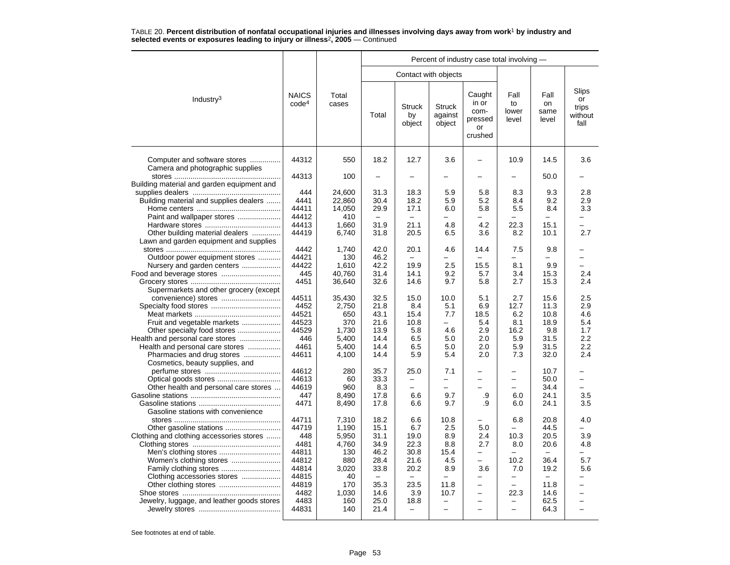|                                                                                                                                 |                                                          |                                                         |                                                          |                                                     |                                                 | Percent of industry case total involving -                                            |                                                    |                                                                          |                                         |
|---------------------------------------------------------------------------------------------------------------------------------|----------------------------------------------------------|---------------------------------------------------------|----------------------------------------------------------|-----------------------------------------------------|-------------------------------------------------|---------------------------------------------------------------------------------------|----------------------------------------------------|--------------------------------------------------------------------------|-----------------------------------------|
|                                                                                                                                 |                                                          |                                                         |                                                          |                                                     | Contact with objects                            |                                                                                       |                                                    |                                                                          |                                         |
| Industry <sup>3</sup>                                                                                                           | <b>NAICS</b><br>code <sup>4</sup>                        | Total<br>cases                                          | Total                                                    | <b>Struck</b><br>by<br>object                       | <b>Struck</b><br>against<br>object              | Caught<br>in or<br>com-<br>pressed<br>or<br>crushed                                   | Fall<br>to<br>lower<br>level                       | Fall<br>on<br>same<br>level                                              | Slips<br>or<br>trips<br>without<br>fall |
| Computer and software stores<br>Camera and photographic supplies                                                                | 44312                                                    | 550                                                     | 18.2                                                     | 12.7                                                | 3.6                                             |                                                                                       | 10.9                                               | 14.5                                                                     | 3.6                                     |
| Building material and garden equipment and                                                                                      | 44313                                                    | 100                                                     |                                                          |                                                     |                                                 |                                                                                       |                                                    | 50.0                                                                     |                                         |
| Building material and supplies dealers<br>Paint and wallpaper stores                                                            | 444<br>4441<br>44411<br>44412                            | 24,600<br>22,860<br>14,050<br>410                       | 31.3<br>30.4<br>29.9<br>$\overline{\phantom{m}}$         | 18.3<br>18.2<br>17.1<br>$\overline{\phantom{0}}$    | 5.9<br>5.9<br>6.0                               | 5.8<br>5.2<br>5.8<br>$\overline{\phantom{0}}$                                         | 8.3<br>8.4<br>5.5<br>÷.                            | 9.3<br>9.2<br>8.4                                                        | 2.8<br>2.9<br>3.3                       |
| Other building material dealers<br>Lawn and garden equipment and supplies                                                       | 44413<br>44419                                           | 1,660<br>6,740                                          | 31.9<br>31.8                                             | 21.1<br>20.5                                        | 4.8<br>6.5                                      | 4.2<br>3.6                                                                            | 22.3<br>8.2                                        | 15.1<br>10.1                                                             | $\overline{\phantom{0}}$<br>2.7         |
| Outdoor power equipment stores<br>Nursery and garden centers                                                                    | 4442<br>44421<br>44422                                   | 1,740<br>130<br>1,610                                   | 42.0<br>46.2<br>42.2                                     | 20.1<br>19.9                                        | 4.6<br>2.5                                      | 14.4<br>15.5                                                                          | 7.5<br>8.1                                         | 9.8<br>9.9                                                               | $\overline{\phantom{0}}$                |
| Supermarkets and other grocery (except                                                                                          | 445<br>4451                                              | 40.760<br>36,640                                        | 31.4<br>32.6                                             | 14.1<br>14.6                                        | 9.2<br>9.7                                      | 5.7<br>5.8                                                                            | 3.4<br>2.7                                         | 15.3<br>15.3                                                             | 2.4<br>2.4                              |
| Fruit and vegetable markets                                                                                                     | 44511<br>4452<br>44521<br>44523                          | 35,430<br>2,750<br>650<br>370                           | 32.5<br>21.8<br>43.1<br>21.6                             | 15.0<br>8.4<br>15.4<br>10.8                         | 10.0<br>5.1<br>7.7<br>$\equiv$                  | 5.1<br>6.9<br>18.5<br>5.4                                                             | 2.7<br>12.7<br>6.2<br>8.1                          | 15.6<br>11.3<br>10.8<br>18.9                                             | 2.5<br>2.9<br>4.6<br>5.4                |
| Other specialty food stores<br>Health and personal care stores<br>Pharmacies and drug stores<br>Cosmetics, beauty supplies, and | 44529<br>446<br>4461<br>44611                            | 1,730<br>5.400<br>5,400<br>4,100                        | 13.9<br>14.4<br>14.4<br>14.4                             | 5.8<br>6.5<br>6.5<br>5.9                            | 4.6<br>5.0<br>5.0<br>5.4                        | 2.9<br>2.0<br>2.0<br>2.0                                                              | 16.2<br>5.9<br>5.9<br>7.3                          | 9.8<br>31.5<br>31.5<br>32.0                                              | 1.7<br>$2.2\phantom{0}$<br>2.2<br>2.4   |
| Other health and personal care stores                                                                                           | 44612<br>44613<br>44619<br>447<br>4471                   | 280<br>60<br>960<br>8,490<br>8,490                      | 35.7<br>33.3<br>8.3<br>17.8<br>17.8                      | 25.0<br>-<br>$\overline{\phantom{0}}$<br>6.6<br>6.6 | 7.1<br>-<br>9.7<br>9.7                          | -<br>$\overline{\phantom{0}}$<br>.9<br>.9                                             | -<br>6.0<br>6.0                                    | 10.7<br>50.0<br>34.4<br>24.1<br>24.1                                     | 3.5<br>3.5                              |
| Gasoline stations with convenience<br>Clothing and clothing accessories stores                                                  | 44711<br>44719<br>448<br>4481<br>44811<br>44812<br>44814 | 7,310<br>1,190<br>5,950<br>4,760<br>130<br>880<br>3,020 | 18.2<br>15.1<br>31.1<br>34.9<br>46.2<br>28.4<br>33.8     | 6.6<br>6.7<br>19.0<br>22.3<br>30.8<br>21.6<br>20.2  | 10.8<br>2.5<br>8.9<br>8.8<br>15.4<br>4.5<br>8.9 | 5.0<br>2.4<br>2.7<br>$\overline{\phantom{0}}$<br>$\overline{\phantom{0}}$<br>3.6      | 6.8<br>$\equiv$<br>10.3<br>8.0<br>-<br>10.2<br>7.0 | 20.8<br>44.5<br>20.5<br>20.6<br>$\overline{\phantom{m}}$<br>36.4<br>19.2 | 4.0<br>3.9<br>4.8<br>-<br>5.7<br>5.6    |
| Clothing accessories stores<br>Jewelry, luggage, and leather goods stores                                                       | 44815<br>44819<br>4482<br>4483<br>44831                  | 40<br>170<br>1,030<br>160<br>140                        | $\overline{\phantom{m}}$<br>35.3<br>14.6<br>25.0<br>21.4 | 23.5<br>3.9<br>18.8<br>$\equiv$                     | 11.8<br>10.7<br>$\overline{a}$                  | -<br>$\overline{\phantom{0}}$<br>$\overline{\phantom{0}}$<br>$\overline{\phantom{0}}$ | $\equiv$<br>22.3<br>$\overline{\phantom{0}}$       | 11.8<br>14.6<br>62.5<br>64.3                                             | ÷                                       |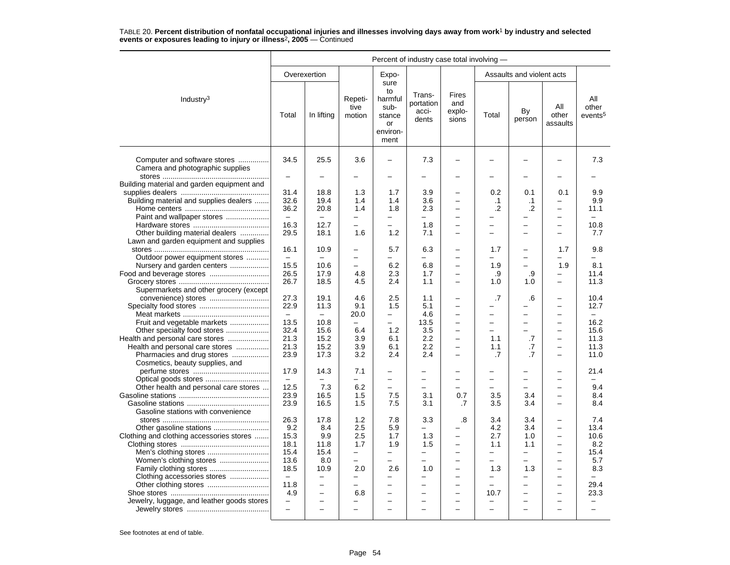|                                                                     | Percent of industry case total involving - |                          |                           |                                                                   |                                       |                                 |                          |                           |                          |                                     |  |
|---------------------------------------------------------------------|--------------------------------------------|--------------------------|---------------------------|-------------------------------------------------------------------|---------------------------------------|---------------------------------|--------------------------|---------------------------|--------------------------|-------------------------------------|--|
|                                                                     |                                            | Overexertion             |                           | Expo-                                                             |                                       |                                 |                          | Assaults and violent acts |                          |                                     |  |
| Industry $3$                                                        | Total                                      | In lifting               | Repeti-<br>tive<br>motion | sure<br>to<br>harmful<br>sub-<br>stance<br>or<br>environ-<br>ment | Trans-<br>portation<br>acci-<br>dents | Fires<br>and<br>explo-<br>sions | Total                    | By<br>person              | All<br>other<br>assaults | All<br>other<br>events <sup>5</sup> |  |
| Computer and software stores<br>Camera and photographic supplies    | 34.5<br>$\overline{\phantom{0}}$           | 25.5                     | 3.6                       |                                                                   | 7.3                                   |                                 |                          |                           |                          | 7.3                                 |  |
| Building material and garden equipment and                          |                                            |                          |                           |                                                                   |                                       |                                 |                          |                           |                          |                                     |  |
|                                                                     | 31.4                                       | 18.8                     | 1.3                       | 1.7                                                               | 3.9                                   |                                 | 0.2                      | 0.1                       | 0.1                      | 9.9                                 |  |
| Building material and supplies dealers                              | 32.6                                       | 19.4                     | 1.4                       | 1.4                                                               | 3.6                                   | $\overline{\phantom{0}}$        | .1                       | $\cdot$ 1                 | $\overline{\phantom{0}}$ | 9.9                                 |  |
|                                                                     | 36.2                                       | 20.8                     | 1.4                       | 1.8                                                               | 2.3                                   | $\overline{\phantom{0}}$        | .2                       | $\cdot$                   | $\overline{\phantom{0}}$ | 11.1                                |  |
| Paint and wallpaper stores                                          | $\equiv$                                   | $\overline{\phantom{a}}$ | -                         | -                                                                 | $\overline{\phantom{0}}$              | $\equiv$                        |                          |                           | $\equiv$                 | $\equiv$                            |  |
|                                                                     | 16.3                                       | 12.7                     | $\overline{a}$            |                                                                   | 1.8                                   | -                               | ۰                        | $\overline{\phantom{0}}$  | $\overline{\phantom{0}}$ | 10.8                                |  |
| Other building material dealers                                     | 29.5                                       | 18.1                     | 1.6                       | 1.2                                                               | 7.1                                   |                                 | $\overline{\phantom{0}}$ |                           |                          | 7.7                                 |  |
| Lawn and garden equipment and supplies                              |                                            |                          |                           |                                                                   |                                       |                                 |                          |                           |                          |                                     |  |
|                                                                     | 16.1                                       | 10.9                     | $\overline{\phantom{0}}$  | 5.7                                                               | 6.3                                   | $\overline{\phantom{0}}$        | 1.7                      | $\overline{\phantom{m}}$  | 1.7                      | 9.8                                 |  |
| Outdoor power equipment stores                                      | $\equiv$                                   |                          | $\overline{a}$            |                                                                   |                                       |                                 |                          | $\overline{a}$            |                          |                                     |  |
| Nursery and garden centers                                          | 15.5                                       | 10.6                     | -                         | 6.2                                                               | 6.8                                   | -                               | 1.9                      |                           | 1.9                      | 8.1                                 |  |
|                                                                     | 26.5                                       | 17.9                     | 4.8                       | 2.3                                                               | 1.7                                   | $\overline{\phantom{0}}$        | .9                       | .9                        | -<br>$\overline{a}$      | 11.4                                |  |
|                                                                     | 26.7                                       | 18.5                     | 4.5                       | 2.4                                                               | 1.1                                   | $\equiv$                        | 1.0                      | 1.0                       |                          | 11.3                                |  |
| Supermarkets and other grocery (except                              | 27.3                                       | 19.1                     | 4.6                       | 2.5                                                               | 1.1                                   |                                 | .7                       | .6                        |                          | 10.4                                |  |
|                                                                     | 22.9                                       | 11.3                     | 9.1                       | 1.5                                                               | 5.1                                   |                                 |                          |                           |                          | 12.7                                |  |
|                                                                     | $\overline{\phantom{a}}$                   |                          | 20.0                      |                                                                   | 4.6                                   |                                 |                          |                           |                          | $\overline{\phantom{0}}$            |  |
| Fruit and vegetable markets                                         | 13.5                                       | 10.8                     | $\equiv$                  | $\equiv$                                                          | 13.5                                  | $\equiv$                        | L.                       | $\equiv$                  | $\overline{\phantom{0}}$ | 16.2                                |  |
| Other specialty food stores                                         | 32.4                                       | 15.6                     | 6.4                       | 1.2                                                               | 3.5                                   | $\overline{\phantom{0}}$        | —                        |                           | $\overline{\phantom{0}}$ | 15.6                                |  |
| Health and personal care stores                                     | 21.3                                       | 15.2                     | 3.9                       | 6.1                                                               | 2.2                                   | $\equiv$                        | 1.1                      | .7                        | $\equiv$                 | 11.3                                |  |
| Health and personal care stores                                     | 21.3                                       | 15.2                     | 3.9                       | 6.1                                                               | 2.2                                   |                                 | 1.1                      | .7                        | $\overline{\phantom{0}}$ | 11.3                                |  |
| Pharmacies and drug stores                                          | 23.9                                       | 17.3                     | 3.2                       | 2.4                                                               | 2.4                                   | $\overline{\phantom{0}}$        | .7                       | .7                        | $\overline{\phantom{0}}$ | 11.0                                |  |
| Cosmetics, beauty supplies, and                                     |                                            |                          |                           |                                                                   |                                       |                                 |                          |                           |                          |                                     |  |
|                                                                     | 17.9                                       | 14.3                     | 7.1                       | $\overline{\phantom{m}}$                                          |                                       |                                 |                          | $\overline{\phantom{0}}$  |                          | 21.4                                |  |
|                                                                     | $\equiv$                                   | $=$                      | -                         |                                                                   | $\equiv$                              | $\equiv$                        | $\overline{\phantom{0}}$ | $\equiv$                  |                          |                                     |  |
| Other health and personal care stores                               | 12.5                                       | 7.3                      | 6.2                       | $\overline{\phantom{0}}$                                          |                                       |                                 |                          |                           | $\overline{\phantom{0}}$ | 9.4                                 |  |
|                                                                     | 23.9                                       | 16.5                     | 1.5                       | $7.5$                                                             | 3.1                                   | 0.7                             | 3.5                      | 3.4                       |                          | 8.4                                 |  |
|                                                                     | 23.9                                       | 16.5                     | 1.5                       | 7.5                                                               | 3.1                                   | .7                              | 3.5                      | 3.4                       | $\overline{a}$           | 8.4                                 |  |
| Gasoline stations with convenience                                  |                                            |                          |                           |                                                                   |                                       |                                 |                          |                           |                          |                                     |  |
|                                                                     | 26.3<br>9.2                                | 17.8<br>8.4              | 1.2<br>2.5                | 7.8<br>5.9                                                        | 3.3<br>÷,                             | .8                              | 3.4<br>4.2               | 3.4<br>3.4                | $\overline{\phantom{0}}$ | 7.4<br>13.4                         |  |
| Other gasoline stations<br>Clothing and clothing accessories stores | 15.3                                       | 9.9                      | 2.5                       | 1.7                                                               | 1.3                                   | $\overline{a}$                  | 2.7                      | 1.0                       | $\qquad \qquad -$        | 10.6                                |  |
|                                                                     | 18.1                                       | 11.8                     | 1.7                       | 1.9                                                               | 1.5                                   | ÷                               | 1.1                      | 1.1                       | $\overline{\phantom{0}}$ | 8.2                                 |  |
|                                                                     | 15.4                                       | 15.4                     | $\overline{\phantom{0}}$  | $\qquad \qquad -$                                                 | -                                     | $\overline{\phantom{0}}$        | -                        | $\overline{\phantom{m}}$  | $\overline{\phantom{0}}$ | 15.4                                |  |
|                                                                     | 13.6                                       | 8.0                      | $\equiv$                  | $\overline{\phantom{0}}$                                          | L.                                    | $\equiv$                        | -                        | $\overline{\phantom{0}}$  | $\sim$                   | 5.7                                 |  |
|                                                                     | 18.5                                       | 10.9                     | 2.0                       | 2.6                                                               | 1.0                                   | -                               | 1.3                      | 1.3                       | $\qquad \qquad -$        | 8.3                                 |  |
| Clothing accessories stores                                         | $\overline{\phantom{m}}$                   | -                        | -                         |                                                                   |                                       | -                               | -                        | -                         | $\overline{\phantom{0}}$ |                                     |  |
|                                                                     | 11.8                                       | $\overline{\phantom{0}}$ | $\overline{a}$            |                                                                   |                                       | $\overline{\phantom{0}}$        | ÷                        | $\overline{a}$            | $\overline{\phantom{0}}$ | 29.4                                |  |
|                                                                     | 4.9                                        | $\overline{\phantom{a}}$ | 6.8                       | $\overline{\phantom{0}}$                                          |                                       | $\overline{\phantom{0}}$        | 10.7                     | $\overline{\phantom{0}}$  | $\overline{\phantom{0}}$ | 23.3                                |  |
| Jewelry, luggage, and leather goods stores                          | -                                          | ÷                        |                           | $\overline{\phantom{0}}$                                          |                                       | -                               |                          |                           |                          |                                     |  |
|                                                                     | $\equiv$                                   | ÷                        | $\overline{a}$            |                                                                   |                                       | -                               | $\overline{a}$           | $\equiv$                  | $\overline{\phantom{0}}$ | -                                   |  |
|                                                                     |                                            |                          |                           |                                                                   |                                       |                                 |                          |                           |                          |                                     |  |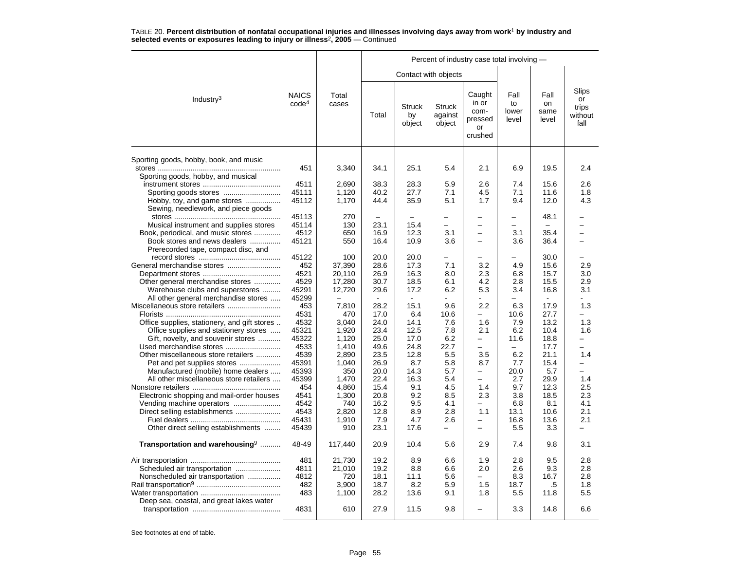|                                                                             |                                   |                | Percent of industry case total involving - |                               |                                    |                                                     |                              |                             |                                         |  |  |
|-----------------------------------------------------------------------------|-----------------------------------|----------------|--------------------------------------------|-------------------------------|------------------------------------|-----------------------------------------------------|------------------------------|-----------------------------|-----------------------------------------|--|--|
|                                                                             |                                   |                |                                            |                               | Contact with objects               |                                                     |                              |                             |                                         |  |  |
| Industry <sup>3</sup>                                                       | <b>NAICS</b><br>code <sup>4</sup> | Total<br>cases | Total                                      | <b>Struck</b><br>by<br>object | <b>Struck</b><br>against<br>object | Caught<br>in or<br>com-<br>pressed<br>or<br>crushed | Fall<br>to<br>lower<br>level | Fall<br>on<br>same<br>level | Slips<br>or<br>trips<br>without<br>fall |  |  |
| Sporting goods, hobby, book, and music                                      |                                   |                |                                            |                               |                                    |                                                     |                              |                             |                                         |  |  |
| Sporting goods, hobby, and musical                                          | 451                               | 3,340          | 34.1                                       | 25.1                          | 5.4                                | 2.1                                                 | 6.9                          | 19.5                        | 2.4                                     |  |  |
|                                                                             | 4511                              | 2,690          | 38.3                                       | 28.3                          | 5.9                                | 2.6                                                 | 7.4                          | 15.6                        | 2.6                                     |  |  |
| Sporting goods stores                                                       | 45111                             | 1,120          | 40.2                                       | 27.7                          | 7.1                                | 4.5                                                 | 7.1                          | 11.6                        | 1.8                                     |  |  |
| Hobby, toy, and game stores                                                 | 45112                             | 1,170          | 44.4                                       | 35.9                          | 5.1                                | 1.7                                                 | 9.4                          | 12.0                        | 4.3                                     |  |  |
| Sewing, needlework, and piece goods                                         |                                   |                |                                            |                               |                                    |                                                     |                              |                             |                                         |  |  |
|                                                                             | 45113                             | 270            | $\overline{\phantom{0}}$                   |                               |                                    |                                                     | $\overline{\phantom{0}}$     | 48.1                        |                                         |  |  |
| Musical instrument and supplies stores                                      | 45114                             | 130            | 23.1                                       | 15.4                          | $\overline{\phantom{0}}$           | $\overline{a}$                                      | $\equiv$                     |                             | $\overline{\phantom{0}}$                |  |  |
| Book, periodical, and music stores                                          | 4512                              | 650            | 16.9                                       | 12.3                          | 3.1                                | $\overline{\phantom{0}}$                            | 3.1                          | 35.4                        |                                         |  |  |
| Book stores and news dealers<br>Prerecorded tape, compact disc, and         | 45121                             | 550            | 16.4                                       | 10.9                          | 3.6                                | $\overline{a}$                                      | 3.6                          | 36.4                        | $\overline{\phantom{0}}$                |  |  |
|                                                                             | 45122                             | 100            | 20.0                                       | 20.0                          |                                    |                                                     |                              | 30.0                        |                                         |  |  |
|                                                                             | 452                               | 37,390         | 28.6                                       | 17.3                          | 7.1                                | 3.2                                                 | 4.9                          | 15.6                        | 2.9                                     |  |  |
|                                                                             | 4521                              | 20,110         | 26.9                                       | 16.3                          | 8.0                                | 2.3                                                 | 6.8                          | 15.7                        | 3.0                                     |  |  |
| Other general merchandise stores                                            | 4529                              | 17,280         | 30.7                                       | 18.5                          | 6.1                                | 4.2                                                 | 2.8                          | 15.5                        | 2.9                                     |  |  |
| Warehouse clubs and superstores                                             | 45291                             | 12,720         | 29.6                                       | 17.2                          | 6.2                                | 5.3                                                 | 3.4                          | 16.8                        | 3.1                                     |  |  |
| All other general merchandise stores                                        | 45299                             |                |                                            | ÷                             |                                    |                                                     |                              | $\sim$                      |                                         |  |  |
|                                                                             | 453<br>4531                       | 7,810<br>470   | 28.2                                       | 15.1<br>6.4                   | 9.6                                | 2.2                                                 | 6.3<br>10.6                  | 17.9                        | 1.3                                     |  |  |
|                                                                             |                                   |                | 17.0                                       |                               | 10.6                               |                                                     |                              | 27.7                        |                                         |  |  |
| Office supplies, stationery, and gift stores                                | 4532                              | 3,040          | 24.0<br>23.4                               | 14.1<br>12.5                  | 7.6<br>7.8                         | 1.6<br>2.1                                          | 7.9<br>6.2                   | 13.2<br>10.4                | 1.3<br>1.6                              |  |  |
| Office supplies and stationery stores<br>Gift, novelty, and souvenir stores | 45321<br>45322                    | 1,920<br>1,120 | 25.0                                       | 17.0                          | 6.2                                | -                                                   | 11.6                         | 18.8                        |                                         |  |  |
| Used merchandise stores                                                     | 4533                              | 1,410          | 49.6                                       | 24.8                          | 22.7                               | $\overline{a}$                                      | $\overline{\phantom{0}}$     | 17.7                        | -                                       |  |  |
| Other miscellaneous store retailers                                         | 4539                              | 2,890          | 23.5                                       | 12.8                          | 5.5                                | 3.5                                                 | 6.2                          | 21.1                        | 1.4                                     |  |  |
| Pet and pet supplies stores                                                 | 45391                             | 1,040          | 26.9                                       | 8.7                           | 5.8                                | 8.7                                                 | 7.7                          | 15.4                        | $\overline{\phantom{0}}$                |  |  |
| Manufactured (mobile) home dealers                                          | 45393                             | 350            | 20.0                                       | 14.3                          | 5.7                                | $\overline{\phantom{0}}$                            | 20.0                         | 5.7                         | $\overline{\phantom{0}}$                |  |  |
| All other miscellaneous store retailers                                     | 45399                             | 1.470          | 22.4                                       | 16.3                          | 5.4                                | $\overline{\phantom{0}}$                            | 2.7                          | 29.9                        | 1.4                                     |  |  |
|                                                                             | 454                               | 4,860          | 15.4                                       | 9.1                           | 4.5                                | 1.4                                                 | 9.7                          | 12.3                        | 2.5                                     |  |  |
| Electronic shopping and mail-order houses                                   | 4541                              | 1,300          | 20.8                                       | 9.2                           | 8.5                                | 2.3                                                 | 3.8                          | 18.5                        | 2.3                                     |  |  |
|                                                                             | 4542                              | 740            | 16.2                                       | 9.5                           | 4.1                                | $\overline{\phantom{0}}$                            | 6.8                          | 8.1                         | 4.1                                     |  |  |
| Direct selling establishments                                               | 4543                              | 2,820          | 12.8                                       | 8.9                           | 2.8                                | 1.1                                                 | 13.1                         | 10.6                        | 2.1                                     |  |  |
|                                                                             | 45431                             | 1,910          | 7.9                                        | 4.7                           | 2.6                                | -                                                   | 16.8                         | 13.6                        | 2.1                                     |  |  |
| Other direct selling establishments                                         | 45439                             | 910            | 23.1                                       | 17.6                          | $\overline{\phantom{0}}$           | -                                                   | 5.5                          | 3.3                         | —                                       |  |  |
| Transportation and warehousing <sup>9</sup>                                 | 48-49                             | 117,440        | 20.9                                       | 10.4                          | 5.6                                | 2.9                                                 | 7.4                          | 9.8                         | 3.1                                     |  |  |
|                                                                             | 481                               | 21,730         | 19.2                                       | 8.9                           | 6.6                                | 1.9                                                 | 2.8                          | 9.5                         | 2.8                                     |  |  |
|                                                                             | 4811                              | 21,010         | 19.2                                       | 8.8                           | 6.6                                | 2.0                                                 | 2.6                          | 9.3                         | 2.8                                     |  |  |
| Nonscheduled air transportation                                             | 4812                              | 720            | 18.1                                       | 11.1                          | 5.6                                |                                                     | 8.3                          | 16.7                        | 2.8                                     |  |  |
|                                                                             | 482                               | 3,900          | 18.7                                       | 8.2                           | 5.9                                | 1.5                                                 | 18.7                         | .5                          | 1.8                                     |  |  |
|                                                                             | 483                               | 1,100          | 28.2                                       | 13.6                          | 9.1                                | 1.8                                                 | 5.5                          | 11.8                        | 5.5                                     |  |  |
| Deep sea, coastal, and great lakes water                                    |                                   |                |                                            |                               |                                    |                                                     |                              |                             |                                         |  |  |
|                                                                             | 4831                              | 610            | 27.9                                       | 11.5                          | 9.8                                |                                                     | 3.3                          | 14.8                        | 6.6                                     |  |  |
|                                                                             |                                   |                |                                            |                               |                                    |                                                     |                              |                             |                                         |  |  |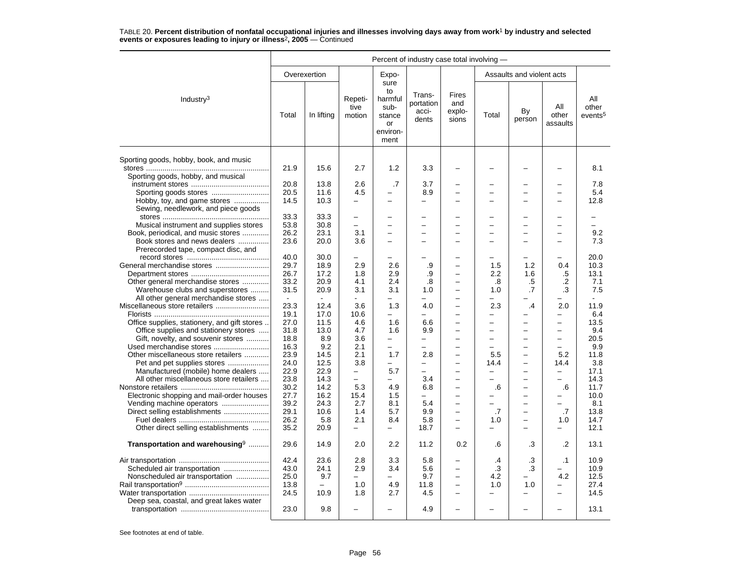|                                              | Percent of industry case total involving - |              |                           |                                                                   |                                       |                                      |          |                           |                                 |                                     |  |
|----------------------------------------------|--------------------------------------------|--------------|---------------------------|-------------------------------------------------------------------|---------------------------------------|--------------------------------------|----------|---------------------------|---------------------------------|-------------------------------------|--|
|                                              |                                            | Overexertion |                           | Expo-                                                             |                                       |                                      |          | Assaults and violent acts |                                 |                                     |  |
| Industry $3$                                 | Total                                      | In lifting   | Repeti-<br>tive<br>motion | sure<br>to<br>harmful<br>sub-<br>stance<br>or<br>environ-<br>ment | Trans-<br>portation<br>acci-<br>dents | Fires<br>and<br>explo-<br>sions      | Total    | By<br>person              | All<br>other<br>assaults        | All<br>other<br>events <sup>5</sup> |  |
| Sporting goods, hobby, book, and music       |                                            |              |                           |                                                                   |                                       |                                      |          |                           |                                 |                                     |  |
| Sporting goods, hobby, and musical           | 21.9                                       | 15.6         | 2.7                       | 1.2                                                               | 3.3                                   |                                      |          |                           |                                 | 8.1                                 |  |
|                                              | 20.8                                       | 13.8         | 2.6                       | .7                                                                | 3.7                                   | $\overline{\phantom{0}}$             |          | $\overline{\phantom{0}}$  | $\overline{\phantom{0}}$        | 7.8                                 |  |
| Sporting goods stores                        | 20.5                                       | 11.6         | 4.5                       |                                                                   | 8.9                                   | -                                    |          | $\overline{\phantom{0}}$  | $\overline{\phantom{0}}$        | 5.4                                 |  |
| Hobby, toy, and game stores                  | 14.5                                       | 10.3         | $\overline{\phantom{0}}$  |                                                                   | $\overline{\phantom{0}}$              |                                      |          |                           |                                 | 12.8                                |  |
| Sewing, needlework, and piece goods          |                                            |              |                           |                                                                   |                                       |                                      |          |                           |                                 |                                     |  |
|                                              | 33.3                                       | 33.3         | $\overline{a}$            |                                                                   |                                       |                                      |          |                           |                                 |                                     |  |
| Musical instrument and supplies stores       | 53.8                                       | 30.8         | $\equiv$                  | $\equiv$                                                          | $\sim$                                | $\equiv$                             | -        | $\equiv$                  | $\equiv$                        |                                     |  |
| Book, periodical, and music stores           | 26.2                                       | 23.1         | 3.1                       | $\equiv$                                                          | $\sim$                                | $\equiv$                             |          | $\overline{\phantom{0}}$  | $\equiv$                        | 9.2                                 |  |
| Book stores and news dealers                 | 23.6                                       | 20.0         | 3.6                       | -                                                                 |                                       |                                      |          |                           |                                 | 7.3                                 |  |
| Prerecorded tape, compact disc, and          |                                            |              |                           |                                                                   |                                       |                                      |          |                           |                                 |                                     |  |
|                                              | 40.0                                       | 30.0         | $\overline{\phantom{0}}$  | -                                                                 |                                       |                                      |          |                           |                                 | 20.0                                |  |
| General merchandise stores                   | 29.7                                       | 18.9         | 2.9                       | 2.6                                                               | .9                                    | $\overline{\phantom{0}}$             | 1.5      | 1.2                       | 0.4                             | 10.3                                |  |
|                                              | 26.7                                       | 17.2         | 1.8                       | 2.9                                                               | .9                                    | $\overline{\phantom{0}}$             | 2.2      | 1.6                       | .5                              | 13.1                                |  |
| Other general merchandise stores             | 33.2                                       | 20.9         | 4.1                       | 2.4                                                               | .8                                    | $\overline{a}$                       | .8       | .5                        | $\cdot$                         | 7.1                                 |  |
| Warehouse clubs and superstores              | 31.5                                       | 20.9         | 3.1                       | 3.1                                                               | 1.0                                   |                                      | 1.0      | .7                        | .3                              | 7.5                                 |  |
| All other general merchandise stores         |                                            | $\sim$       |                           |                                                                   |                                       | $\overline{\phantom{0}}$<br>$\equiv$ | -        |                           |                                 |                                     |  |
|                                              | 23.3<br>19.1                               | 12.4<br>17.0 | 3.6<br>10.6               | 1.3                                                               | 4.0                                   | $\equiv$                             | 2.3<br>÷ | .4                        | 2.0<br>$\overline{\phantom{0}}$ | 11.9<br>6.4                         |  |
| Office supplies, stationery, and gift stores | 27.0                                       | 11.5         | 4.6                       | 1.6                                                               | 6.6                                   | $\overline{\phantom{0}}$             | -        | $\overline{\phantom{0}}$  | $\equiv$                        | 13.5                                |  |
| Office supplies and stationery stores        | 31.8                                       | 13.0         | 4.7                       | 1.6                                                               | 9.9                                   |                                      | -        |                           | $\overline{\phantom{0}}$        | 9.4                                 |  |
| Gift, novelty, and souvenir stores           | 18.8                                       | 8.9          | 3.6                       | $\equiv$                                                          | $\overline{\phantom{0}}$              |                                      | -        |                           | $\equiv$                        | 20.5                                |  |
| Used merchandise stores                      | 16.3                                       | 9.2          | 2.1                       | $\overline{\phantom{0}}$                                          |                                       |                                      | −        | $\overline{\phantom{0}}$  | $\overline{\phantom{m}}$        | 9.9                                 |  |
| Other miscellaneous store retailers          | 23.9                                       | 14.5         | 2.1                       | 1.7                                                               | 2.8                                   | $\overline{a}$                       | 5.5      | $\overline{\phantom{0}}$  | 5.2                             | 11.8                                |  |
| Pet and pet supplies stores                  | 24.0                                       | 12.5         | 3.8                       | $\overline{\phantom{0}}$                                          | -                                     | $\overline{a}$                       | 14.4     | $\qquad \qquad -$         | 14.4                            | 3.8                                 |  |
| Manufactured (mobile) home dealers           | 22.9                                       | 22.9         | $\overline{\phantom{0}}$  | 5.7                                                               | $\overline{\phantom{m}}$              |                                      |          |                           | $\overline{\phantom{0}}$        | 17.1                                |  |
| All other miscellaneous store retailers      | 23.8                                       | 14.3         | $\overline{\phantom{0}}$  | $\overline{a}$                                                    | 3.4                                   |                                      | −        | $\overline{\phantom{0}}$  | $\overline{\phantom{0}}$        | 14.3                                |  |
|                                              | 30.2                                       | 14.2         | 5.3                       | 4.9                                                               | 6.8                                   |                                      | .6       | $\overline{\phantom{0}}$  | .6                              | 11.7                                |  |
| Electronic shopping and mail-order houses    | 27.7                                       | 16.2         | 15.4                      | 1.5                                                               | ÷                                     | -                                    |          | $\equiv$                  |                                 | 10.0                                |  |
| Vending machine operators                    | 39.2                                       | 24.3         | 2.7                       | 8.1                                                               | 5.4                                   | -                                    | −        | $\overline{\phantom{0}}$  | $\equiv$                        | 8.1                                 |  |
| Direct selling establishments                | 29.1                                       | 10.6         | 1.4                       | 5.7                                                               | 9.9                                   | $\overline{\phantom{0}}$             | .7       | $\overline{\phantom{0}}$  | .7                              | 13.8                                |  |
|                                              | 26.2                                       | 5.8          | 2.1                       | 8.4                                                               | 5.8                                   |                                      | 1.0      | $\overline{\phantom{0}}$  | 1.0                             | 14.7                                |  |
| Other direct selling establishments          | 35.2                                       | 20.9         | $\overline{\phantom{0}}$  | $\overline{\phantom{0}}$                                          | 18.7                                  | -                                    | -        | $\overline{\phantom{0}}$  | -                               | 12.1                                |  |
| Transportation and warehousing <sup>9</sup>  | 29.6                                       | 14.9         | 2.0                       | 2.2                                                               | 11.2                                  | 0.2                                  | .6       | .3                        | $\cdot$                         | 13.1                                |  |
|                                              | 42.4                                       | 23.6         | 2.8                       | 3.3                                                               | 5.8                                   | -                                    | $\cdot$  | .3                        | $\cdot$ 1                       | 10.9                                |  |
| Scheduled air transportation                 | 43.0                                       | 24.1         | 2.9                       | 3.4                                                               | 5.6                                   | $\overline{a}$                       | .3       | .3                        |                                 | 10.9                                |  |
| Nonscheduled air transportation              | 25.0                                       | 9.7          | $\overline{\phantom{0}}$  | $\equiv$                                                          | 9.7                                   | L.                                   | 4.2      |                           | 4.2                             | 12.5                                |  |
|                                              | 13.8                                       | $\equiv$     | 1.0                       | 4.9                                                               | 11.8                                  | $\overline{\phantom{0}}$             | 1.0      | 1.0                       |                                 | 27.4                                |  |
|                                              | 24.5                                       | 10.9         | 1.8                       | 2.7                                                               | 4.5                                   | ÷                                    |          |                           | L.                              | 14.5                                |  |
| Deep sea, coastal, and great lakes water     |                                            |              |                           |                                                                   |                                       |                                      |          |                           |                                 |                                     |  |
|                                              | 23.0                                       | 9.8          |                           |                                                                   | 4.9                                   |                                      |          |                           |                                 | 13.1                                |  |
|                                              |                                            |              |                           |                                                                   |                                       |                                      |          |                           |                                 |                                     |  |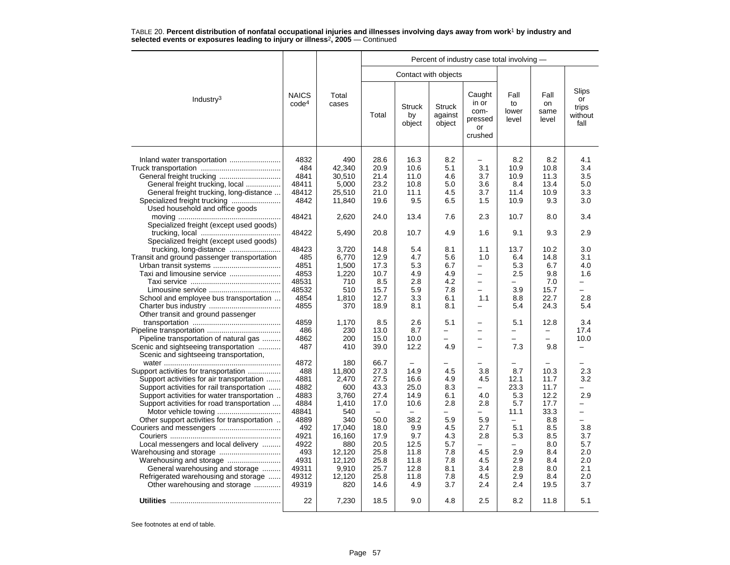|                                                                                                                                                                                                                               |                                                              |                                                                       |                                                                  |                                                            |                                                      | Percent of industry case total involving -                |                                             |                                                      |                                                                                |
|-------------------------------------------------------------------------------------------------------------------------------------------------------------------------------------------------------------------------------|--------------------------------------------------------------|-----------------------------------------------------------------------|------------------------------------------------------------------|------------------------------------------------------------|------------------------------------------------------|-----------------------------------------------------------|---------------------------------------------|------------------------------------------------------|--------------------------------------------------------------------------------|
|                                                                                                                                                                                                                               |                                                              |                                                                       |                                                                  |                                                            | Contact with objects                                 |                                                           |                                             |                                                      |                                                                                |
| Industry <sup>3</sup>                                                                                                                                                                                                         | <b>NAICS</b><br>code <sup>4</sup>                            | Total<br>cases                                                        | Total                                                            | <b>Struck</b><br>by<br>object                              | <b>Struck</b><br>against<br>object                   | Caught<br>in or<br>com-<br>pressed<br>or<br>crushed       | Fall<br>to<br>lower<br>level                | Fall<br>on<br>same<br>level                          | Slips<br>or<br>trips<br>without<br>fall                                        |
| General freight trucking, local<br>General freight trucking, long-distance                                                                                                                                                    | 4832<br>484<br>4841<br>48411<br>48412                        | 490<br>42.340<br>30.510<br>5,000<br>25,510                            | 28.6<br>20.9<br>21.4<br>23.2<br>21.0                             | 16.3<br>10.6<br>11.0<br>10.8<br>11.1                       | 8.2<br>5.1<br>4.6<br>5.0<br>4.5                      | 3.1<br>3.7<br>3.6<br>3.7                                  | 8.2<br>10.9<br>10.9<br>8.4<br>11.4          | 8.2<br>10.8<br>11.3<br>13.4<br>10.9                  | 4.1<br>3.4<br>3.5<br>5.0<br>3.3                                                |
| Specialized freight trucking<br>Used household and office goods                                                                                                                                                               | 4842                                                         | 11,840                                                                | 19.6                                                             | 9.5                                                        | 6.5                                                  | 1.5                                                       | 10.9                                        | 9.3                                                  | 3.0                                                                            |
| Specialized freight (except used goods)                                                                                                                                                                                       | 48421                                                        | 2,620                                                                 | 24.0                                                             | 13.4                                                       | 7.6                                                  | 2.3                                                       | 10.7                                        | 8.0                                                  | 3.4                                                                            |
| Specialized freight (except used goods)                                                                                                                                                                                       | 48422                                                        | 5,490                                                                 | 20.8                                                             | 10.7                                                       | 4.9                                                  | 1.6                                                       | 9.1                                         | 9.3                                                  | 2.9                                                                            |
| Transit and ground passenger transportation                                                                                                                                                                                   | 48423<br>485<br>4851                                         | 3,720<br>6.770<br>1,500                                               | 14.8<br>12.9<br>17.3                                             | 5.4<br>4.7<br>5.3                                          | 8.1<br>5.6<br>6.7                                    | 1.1<br>1.0<br>$\overline{\phantom{0}}$                    | 13.7<br>6.4<br>5.3                          | 10.2<br>14.8<br>6.7                                  | 3.0<br>3.1<br>4.0                                                              |
|                                                                                                                                                                                                                               | 4853<br>48531<br>48532                                       | 1,220<br>710<br>510                                                   | 10.7<br>8.5<br>15.7                                              | 4.9<br>2.8<br>5.9                                          | 4.9<br>4.2<br>7.8                                    | -<br>$\overline{\phantom{0}}$<br>$\overline{\phantom{0}}$ | 2.5<br>$\overline{\phantom{0}}$<br>3.9      | 9.8<br>7.0<br>15.7                                   | 1.6                                                                            |
| School and employee bus transportation<br>Other transit and ground passenger                                                                                                                                                  | 4854<br>4855                                                 | 1,810<br>370                                                          | 12.7<br>18.9                                                     | 3.3<br>8.1                                                 | 6.1<br>8.1                                           | 1.1<br>$\overline{\phantom{0}}$                           | 8.8<br>5.4                                  | 22.7<br>24.3                                         | 2.8<br>5.4                                                                     |
| Pipeline transportation of natural gas                                                                                                                                                                                        | 4859<br>486<br>4862                                          | 1,170<br>230<br>200                                                   | 8.5<br>13.0<br>15.0                                              | 2.6<br>8.7<br>10.0                                         | 5.1<br>-<br>$\overline{\phantom{0}}$                 | -<br>-                                                    | 5.1<br>-<br>$\equiv$                        | 12.8<br>$\overline{\phantom{0}}$                     | 3.4<br>17.4<br>10.0                                                            |
| Scenic and sightseeing transportation<br>Scenic and sightseeing transportation,                                                                                                                                               | 487<br>4872                                                  | 410<br>180                                                            | 39.0<br>66.7                                                     | 12.2<br>$\overline{\phantom{0}}$                           | 4.9<br>▃                                             | -                                                         | 7.3<br>-                                    | 9.8                                                  | -<br>$\overline{\phantom{0}}$                                                  |
| Support activities for transportation<br>Support activities for air transportation<br>Support activities for rail transportation<br>Support activities for water transportation<br>Support activities for road transportation | 488<br>4881<br>4882<br>4883<br>4884<br>48841                 | 11,800<br>2,470<br>600<br>3.760<br>1,410<br>540                       | 27.3<br>27.5<br>43.3<br>27.4<br>17.0<br>$\overline{\phantom{0}}$ | 14.9<br>16.6<br>25.0<br>14.9<br>10.6<br>$\equiv$           | 4.5<br>4.9<br>8.3<br>6.1<br>2.8<br>—                 | 3.8<br>4.5<br>-<br>4.0<br>2.8<br>-                        | 8.7<br>12.1<br>23.3<br>5.3<br>5.7<br>11.1   | 10.3<br>11.7<br>11.7<br>12.2<br>17.7<br>33.3         | 2.3<br>3.2<br>-<br>2.9<br>$\overline{\phantom{0}}$<br>$\overline{\phantom{0}}$ |
| Other support activities for transportation<br>Local messengers and local delivery<br>General warehousing and storage<br>Refrigerated warehousing and storage                                                                 | 4889<br>492<br>4921<br>4922<br>493<br>4931<br>49311<br>49312 | 340<br>17,040<br>16,160<br>880<br>12,120<br>12,120<br>9,910<br>12,120 | 50.0<br>18.0<br>17.9<br>20.5<br>25.8<br>25.8<br>25.7<br>25.8     | 38.2<br>9.9<br>9.7<br>12.5<br>11.8<br>11.8<br>12.8<br>11.8 | 5.9<br>4.5<br>4.3<br>5.7<br>7.8<br>7.8<br>8.1<br>7.8 | 5.9<br>2.7<br>2.8<br>-<br>4.5<br>4.5<br>3.4<br>4.5        | 5.1<br>5.3<br>-<br>2.9<br>2.9<br>2.8<br>2.9 | 8.8<br>8.5<br>8.5<br>8.0<br>8.4<br>8.4<br>8.0<br>8.4 | $\overline{\phantom{0}}$<br>3.8<br>3.7<br>5.7<br>2.0<br>2.0<br>2.1<br>2.0      |
| Other warehousing and storage                                                                                                                                                                                                 | 49319<br>22                                                  | 820<br>7,230                                                          | 14.6<br>18.5                                                     | 4.9<br>9.0                                                 | 3.7<br>4.8                                           | 2.4<br>2.5                                                | 2.4<br>8.2                                  | 19.5<br>11.8                                         | 3.7<br>5.1                                                                     |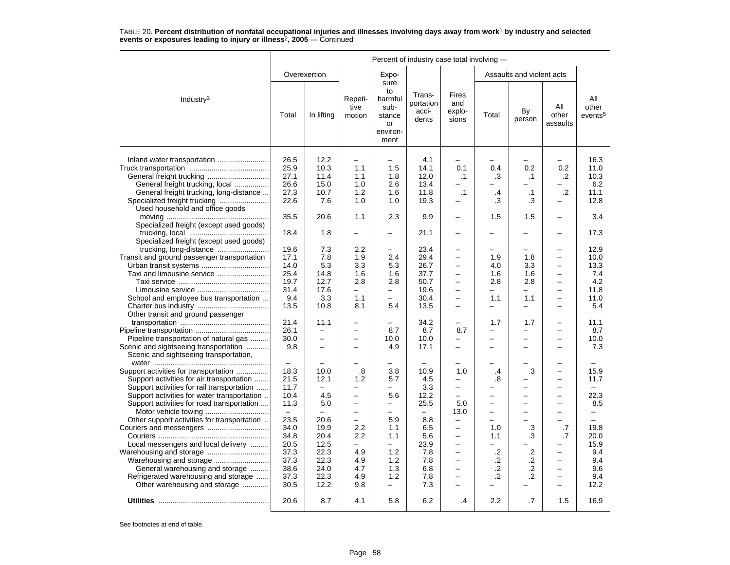|                                                                                                                                                                                                                                                                                                                                                                                                                                                                                                   | Percent of industry case total involving -                                                                                                           |                                                                                                                                            |                                                                                                                                                                                                        |                                                                                                                                                                                                                |                                                                                                           |                                                                                                                                                                                                                     |                                                                                                                                            |                                                                                                                                    |                                                                                                                                                                                                                                                                       |                                                                                                                               |  |  |
|---------------------------------------------------------------------------------------------------------------------------------------------------------------------------------------------------------------------------------------------------------------------------------------------------------------------------------------------------------------------------------------------------------------------------------------------------------------------------------------------------|------------------------------------------------------------------------------------------------------------------------------------------------------|--------------------------------------------------------------------------------------------------------------------------------------------|--------------------------------------------------------------------------------------------------------------------------------------------------------------------------------------------------------|----------------------------------------------------------------------------------------------------------------------------------------------------------------------------------------------------------------|-----------------------------------------------------------------------------------------------------------|---------------------------------------------------------------------------------------------------------------------------------------------------------------------------------------------------------------------|--------------------------------------------------------------------------------------------------------------------------------------------|------------------------------------------------------------------------------------------------------------------------------------|-----------------------------------------------------------------------------------------------------------------------------------------------------------------------------------------------------------------------------------------------------------------------|-------------------------------------------------------------------------------------------------------------------------------|--|--|
|                                                                                                                                                                                                                                                                                                                                                                                                                                                                                                   |                                                                                                                                                      | Overexertion                                                                                                                               |                                                                                                                                                                                                        | Expo-                                                                                                                                                                                                          |                                                                                                           |                                                                                                                                                                                                                     |                                                                                                                                            | Assaults and violent acts                                                                                                          |                                                                                                                                                                                                                                                                       |                                                                                                                               |  |  |
| Industry <sup>3</sup>                                                                                                                                                                                                                                                                                                                                                                                                                                                                             | Total                                                                                                                                                | In lifting                                                                                                                                 | Repeti-<br>tive<br>motion                                                                                                                                                                              | sure<br>to<br>harmful<br>sub-<br>stance<br>or<br>environ-<br>ment                                                                                                                                              | Trans-<br>portation<br>acci-<br>dents                                                                     | Fires<br>and<br>explo-<br>sions                                                                                                                                                                                     | Total                                                                                                                                      | By<br>person                                                                                                                       | All<br>other<br>assaults                                                                                                                                                                                                                                              | All<br>other<br>events <sup>5</sup>                                                                                           |  |  |
| General freight trucking, local                                                                                                                                                                                                                                                                                                                                                                                                                                                                   | 26.5<br>25.9<br>27.1<br>26.6                                                                                                                         | 12.2<br>10.3<br>11.4<br>15.0                                                                                                               | $\overline{\phantom{0}}$<br>1.1<br>1.1<br>1.0                                                                                                                                                          | $\overline{\phantom{0}}$<br>1.5<br>1.8<br>2.6                                                                                                                                                                  | 4.1<br>14.1<br>12.0<br>13.4                                                                               | 0.1<br>.1                                                                                                                                                                                                           | 0.4<br>.3                                                                                                                                  | 0.2<br>$\cdot$ 1                                                                                                                   | 0.2<br>.2                                                                                                                                                                                                                                                             | 16.3<br>11.0<br>10.3<br>6.2                                                                                                   |  |  |
| General freight trucking, long-distance                                                                                                                                                                                                                                                                                                                                                                                                                                                           | 27.3<br>22.6                                                                                                                                         | 10.7<br>7.6                                                                                                                                | 1.2<br>1.0                                                                                                                                                                                             | 1.6<br>1.0                                                                                                                                                                                                     | 11.8<br>19.3                                                                                              | $\cdot$ 1<br>-                                                                                                                                                                                                      | $\cdot$<br>.3                                                                                                                              | $\cdot$ 1<br>.3                                                                                                                    | $\cdot$ .2<br>$\overline{\phantom{0}}$                                                                                                                                                                                                                                | 11.1<br>12.8                                                                                                                  |  |  |
| Used household and office goods<br>Specialized freight (except used goods)                                                                                                                                                                                                                                                                                                                                                                                                                        | 35.5                                                                                                                                                 | 20.6                                                                                                                                       | 1.1                                                                                                                                                                                                    | 2.3                                                                                                                                                                                                            | 9.9                                                                                                       | $\equiv$                                                                                                                                                                                                            | 1.5                                                                                                                                        | 1.5                                                                                                                                | $\equiv$                                                                                                                                                                                                                                                              | 3.4                                                                                                                           |  |  |
| Specialized freight (except used goods)                                                                                                                                                                                                                                                                                                                                                                                                                                                           | 18.4                                                                                                                                                 | 1.8                                                                                                                                        | -                                                                                                                                                                                                      | -                                                                                                                                                                                                              | 21.1                                                                                                      | -                                                                                                                                                                                                                   |                                                                                                                                            |                                                                                                                                    |                                                                                                                                                                                                                                                                       | 17.3                                                                                                                          |  |  |
| Transit and ground passenger transportation<br>Taxi and limousine service<br>School and employee bus transportation                                                                                                                                                                                                                                                                                                                                                                               | 19.6<br>17.1<br>14.0<br>25.4<br>19.7<br>31.4<br>9.4<br>13.5                                                                                          | 7.3<br>7.8<br>5.3<br>14.8<br>12.7<br>17.6<br>3.3<br>10.8                                                                                   | 2.2<br>1.9<br>3.3<br>1.6<br>2.8<br>$\equiv$<br>1.1<br>8.1                                                                                                                                              | -<br>2.4<br>5.3<br>1.6<br>2.8<br>-<br>-<br>5.4                                                                                                                                                                 | 23.4<br>29.4<br>26.7<br>37.7<br>50.7<br>19.6<br>30.4<br>13.5                                              | $\overline{\phantom{0}}$<br>-<br>$\overline{\phantom{0}}$<br>$\overline{\phantom{0}}$<br>$\overline{\phantom{0}}$<br>$\equiv$<br>-<br>$\overline{\phantom{0}}$                                                      | 1.9<br>4.0<br>1.6<br>2.8<br>$\overline{\phantom{0}}$<br>1.1<br>-                                                                           | 1.8<br>3.3<br>1.6<br>2.8<br>$\overline{a}$<br>1.1<br>÷                                                                             | $\overline{\phantom{0}}$<br>$\overline{\phantom{0}}$<br>$\overline{\phantom{0}}$<br>$\overline{\phantom{0}}$<br>$\overline{\phantom{0}}$<br>$\overline{a}$<br>$\overline{\phantom{0}}$                                                                                | 12.9<br>10.0<br>13.3<br>7.4<br>4.2<br>11.8<br>11.0<br>5.4                                                                     |  |  |
| Other transit and ground passenger<br>Pipeline transportation of natural gas<br>Scenic and sightseeing transportation                                                                                                                                                                                                                                                                                                                                                                             | 21.4<br>26.1<br>30.0<br>9.8                                                                                                                          | 11.1<br>$\equiv$<br>$\overline{\phantom{0}}$                                                                                               | -<br>$\overline{\phantom{0}}$<br>$\overline{\phantom{0}}$<br>÷                                                                                                                                         | 8.7<br>10.0<br>4.9                                                                                                                                                                                             | 34.2<br>8.7<br>10.0<br>17.1                                                                               | $\overline{\phantom{0}}$<br>8.7<br>-<br>$\equiv$                                                                                                                                                                    | 1.7<br>$\overline{\phantom{0}}$<br>÷,<br>$\overline{\phantom{0}}$                                                                          | 1.7<br>$\overline{\phantom{0}}$<br>$\overline{\phantom{0}}$<br>$\equiv$                                                            | $\overline{\phantom{0}}$<br>$\overline{\phantom{0}}$<br>$\overline{\phantom{0}}$<br>$\sim$                                                                                                                                                                            | 11.1<br>8.7<br>10.0<br>7.3                                                                                                    |  |  |
| Scenic and sightseeing transportation,<br>Support activities for transportation<br>Support activities for air transportation<br>Support activities for rail transportation<br>Support activities for water transportation<br>Support activities for road transportation<br>Motor vehicle towing<br>Other support activities for transportation<br>Local messengers and local delivery<br>General warehousing and storage<br>Refrigerated warehousing and storage<br>Other warehousing and storage | $\overline{\phantom{0}}$<br>18.3<br>21.5<br>11.7<br>10.4<br>11.3<br>$\equiv$<br>23.5<br>34.0<br>34.8<br>20.5<br>37.3<br>37.3<br>38.6<br>37.3<br>30.5 | 10.0<br>12.1<br>$\equiv$<br>4.5<br>5.0<br>$\overline{\phantom{0}}$<br>20.6<br>19.9<br>20.4<br>12.5<br>22.3<br>22.3<br>24.0<br>22.3<br>12.2 | .8<br>1.2<br>$\overline{\phantom{0}}$<br>$\overline{\phantom{0}}$<br>$\overline{\phantom{0}}$<br>$\overline{\phantom{0}}$<br>$\overline{\phantom{0}}$<br>2.2<br>2.2<br>4.9<br>4.9<br>4.7<br>4.9<br>9.8 | $\overline{\phantom{0}}$<br>3.8<br>5.7<br>$\overline{\phantom{0}}$<br>5.6<br>$\overline{\phantom{0}}$<br>$\overline{\phantom{0}}$<br>5.9<br>1.1<br>1.1<br>1.2<br>1.2<br>1.3<br>1.2<br>$\overline{\phantom{0}}$ | 10.9<br>4.5<br>3.3<br>12.2<br>25.5<br>$-$<br>8.8<br>6.5<br>5.6<br>23.9<br>7.8<br>7.8<br>6.8<br>7.8<br>7.3 | 1.0<br>$\overline{\phantom{0}}$<br>$\equiv$<br>5.0<br>13.0<br>-<br>$\equiv$<br>$\overline{\phantom{0}}$<br>$\overline{\phantom{0}}$<br>$\equiv$<br>$\overline{\phantom{0}}$<br>$\equiv$<br>$\overline{\phantom{0}}$ | .4<br>.8<br>—<br>$\overline{\phantom{0}}$<br>$\overline{a}$<br>$\overline{\phantom{0}}$<br>1.0<br>1.1<br>$\cdot$<br>.2<br>.2<br>$\cdot$ .2 | .3<br>-<br>$\overline{a}$<br>$\overline{a}$<br>$\overline{\phantom{0}}$<br>.3<br>.3<br>$\cdot$<br>$\cdot$<br>$\cdot$ .2<br>$\cdot$ | -<br>$\overline{\phantom{0}}$<br>$\overline{\phantom{0}}$<br>$\overline{\phantom{0}}$<br>$\overline{\phantom{0}}$<br>$\overline{\phantom{0}}$<br>.7<br>.7<br>$\overline{\phantom{m}}$<br>$\overline{\phantom{0}}$<br>$\equiv$<br>$\equiv$<br>$\overline{\phantom{0}}$ | 15.9<br>11.7<br>$\sim$<br>22.3<br>8.5<br>$\overline{\phantom{0}}$<br>19.8<br>20.0<br>15.9<br>9.4<br>9.4<br>9.6<br>9.4<br>12.2 |  |  |
|                                                                                                                                                                                                                                                                                                                                                                                                                                                                                                   | 20.6                                                                                                                                                 | 8.7                                                                                                                                        | 4.1                                                                                                                                                                                                    | 5.8                                                                                                                                                                                                            | 6.2                                                                                                       | .4                                                                                                                                                                                                                  | 2.2                                                                                                                                        | .7                                                                                                                                 | 1.5                                                                                                                                                                                                                                                                   | 16.9                                                                                                                          |  |  |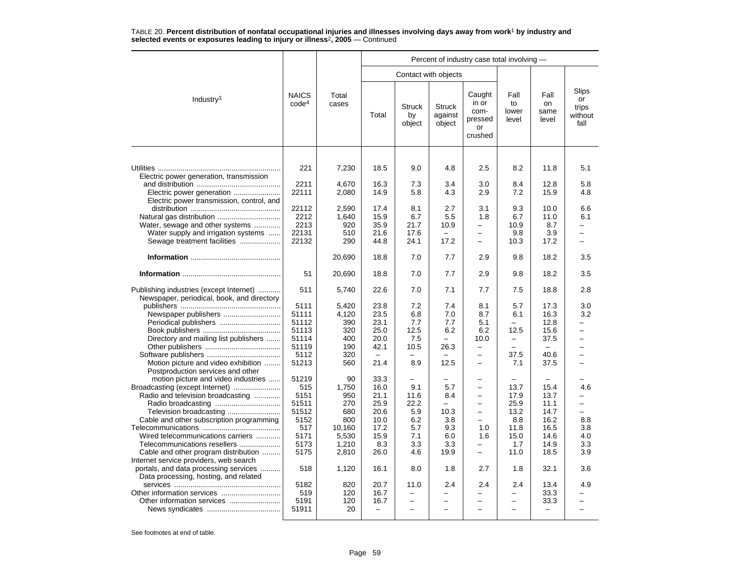|                                                                                                                                                     |                                                           |                                                   | Percent of industry case total involving -                               |                                              |                                       |                                                                                                                                |                                                                                                |                                                                          |                                         |  |  |  |
|-----------------------------------------------------------------------------------------------------------------------------------------------------|-----------------------------------------------------------|---------------------------------------------------|--------------------------------------------------------------------------|----------------------------------------------|---------------------------------------|--------------------------------------------------------------------------------------------------------------------------------|------------------------------------------------------------------------------------------------|--------------------------------------------------------------------------|-----------------------------------------|--|--|--|
|                                                                                                                                                     |                                                           |                                                   |                                                                          |                                              | Contact with objects                  |                                                                                                                                |                                                                                                |                                                                          |                                         |  |  |  |
| Industry <sup>3</sup>                                                                                                                               | <b>NAICS</b><br>code <sup>4</sup>                         | Total<br>cases                                    | Total                                                                    | <b>Struck</b><br>by<br>object                | <b>Struck</b><br>against<br>object    | Caught<br>in or<br>com-<br>pressed<br>or<br>crushed                                                                            | Fall<br>to<br>lower<br>level                                                                   | Fall<br>on<br>same<br>level                                              | Slips<br>or<br>trips<br>without<br>fall |  |  |  |
| Electric power generation, transmission                                                                                                             | 221                                                       | 7,230                                             | 18.5                                                                     | 9.0                                          | 4.8                                   | 2.5                                                                                                                            | 8.2                                                                                            | 11.8                                                                     | 5.1                                     |  |  |  |
| Electric power transmission, control, and                                                                                                           | 2211<br>22111                                             | 4.670<br>2,080                                    | 16.3<br>14.9                                                             | 7.3<br>5.8                                   | 3.4<br>4.3                            | 3.0<br>2.9                                                                                                                     | 8.4<br>7.2                                                                                     | 12.8<br>15.9                                                             | 5.8<br>4.8                              |  |  |  |
| Water, sewage and other systems<br>Water supply and irrigation systems<br>Sewage treatment facilities                                               | 22112<br>2212<br>2213<br>22131<br>22132                   | 2,590<br>1,640<br>920<br>510<br>290               | 17.4<br>15.9<br>35.9<br>21.6<br>44.8                                     | 8.1<br>6.7<br>21.7<br>17.6<br>24.1           | 2.7<br>5.5<br>10.9<br>17.2            | 3.1<br>1.8<br>$\overline{\phantom{0}}$<br>$\overline{\phantom{0}}$<br>$\overline{\phantom{0}}$                                 | 9.3<br>6.7<br>10.9<br>9.8<br>10.3                                                              | 10.0<br>11.0<br>8.7<br>3.9<br>17.2                                       | 6.6<br>6.1                              |  |  |  |
|                                                                                                                                                     |                                                           | 20,690                                            | 18.8                                                                     | 7.0                                          | 7.7                                   | 2.9                                                                                                                            | 9.8                                                                                            | 18.2                                                                     | 3.5                                     |  |  |  |
|                                                                                                                                                     | 51                                                        | 20,690                                            | 18.8                                                                     | 7.0                                          | 7.7                                   | 2.9                                                                                                                            | 9.8                                                                                            | 18.2                                                                     | 3.5                                     |  |  |  |
| Publishing industries (except Internet)<br>Newspaper, periodical, book, and directory                                                               | 511                                                       | 5,740                                             | 22.6                                                                     | 7.0                                          | 7.1                                   | 7.7                                                                                                                            | 7.5                                                                                            | 18.8                                                                     | 2.8                                     |  |  |  |
| Newspaper publishers<br>Directory and mailing list publishers                                                                                       | 5111<br>51111<br>51112<br>51113<br>51114<br>51119<br>5112 | 5,420<br>4,120<br>390<br>320<br>400<br>190<br>320 | 23.8<br>23.5<br>23.1<br>25.0<br>20.0<br>42.1<br>$\overline{\phantom{m}}$ | 7.2<br>6.8<br>7.7<br>12.5<br>7.5<br>10.5     | 7.4<br>7.0<br>7.7<br>6.2<br>26.3      | 8.1<br>8.7<br>5.1<br>6.2<br>10.0<br>$\overline{\phantom{0}}$<br>$\overline{\phantom{0}}$                                       | 5.7<br>6.1<br>$\equiv$<br>12.5<br>$\overline{\phantom{0}}$<br>$\overline{\phantom{0}}$<br>37.5 | 17.3<br>16.3<br>12.8<br>15.6<br>37.5<br>$\overline{\phantom{0}}$<br>40.6 | 3.0<br>3.2                              |  |  |  |
| Motion picture and video exhibition<br>Postproduction services and other<br>motion picture and video industries                                     | 51213<br>51219                                            | 560<br>90                                         | 21.4<br>33.3                                                             | 8.9                                          | 12.5                                  | $\overline{\phantom{0}}$                                                                                                       | 7.1                                                                                            | 37.5                                                                     |                                         |  |  |  |
| Broadcasting (except Internet)<br>Radio and television broadcasting<br>Television broadcasting<br>Cable and other subscription programming          | 515<br>5151<br>51511<br>51512<br>5152                     | 1.750<br>950<br>270<br>680<br>800                 | 16.0<br>21.1<br>25.9<br>20.6<br>10.0                                     | 9.1<br>11.6<br>22.2<br>5.9<br>6.2            | 5.7<br>8.4<br>$\equiv$<br>10.3<br>3.8 | $\overline{\phantom{0}}$<br>$\overline{\phantom{0}}$<br>$\overline{\phantom{0}}$<br>$\overline{\phantom{0}}$<br>$\overline{a}$ | 13.7<br>17.9<br>25.9<br>13.2<br>8.8                                                            | 15.4<br>13.7<br>11.1<br>14.7<br>16.2                                     | 4.6<br>8.8                              |  |  |  |
| Wired telecommunications carriers<br>Telecommunications resellers<br>Cable and other program distribution<br>Internet service providers, web search | 517<br>5171<br>5173<br>5175                               | 10,160<br>5,530<br>1,210<br>2,810                 | 17.2<br>15.9<br>8.3<br>26.0                                              | 5.7<br>7.1<br>3.3<br>4.6                     | 9.3<br>6.0<br>3.3<br>19.9             | 1.0<br>1.6<br>$\overline{\phantom{0}}$<br>$\overline{\phantom{0}}$                                                             | 11.8<br>15.0<br>1.7<br>11.0                                                                    | 16.5<br>14.6<br>14.9<br>18.5                                             | 3.8<br>4.0<br>3.3<br>3.9                |  |  |  |
| portals, and data processing services<br>.<br>Data processing, hosting, and related                                                                 | 518                                                       | 1,120                                             | 16.1                                                                     | 8.0                                          | 1.8                                   | 2.7                                                                                                                            | 1.8                                                                                            | 32.1                                                                     | 3.6                                     |  |  |  |
| Other information services                                                                                                                          | 5182<br>519<br>5191<br>51911                              | 820<br>120<br>120<br>20                           | 20.7<br>16.7<br>16.7<br>$\equiv$                                         | 11.0<br>$\overline{\phantom{0}}$<br>$\equiv$ | 2.4<br>-                              | 2.4<br>$\overline{\phantom{0}}$                                                                                                | 2.4<br>-<br>$\overline{a}$                                                                     | 13.4<br>33.3<br>33.3<br>$\overline{\phantom{0}}$                         | 4.9<br>$\overline{\phantom{0}}$         |  |  |  |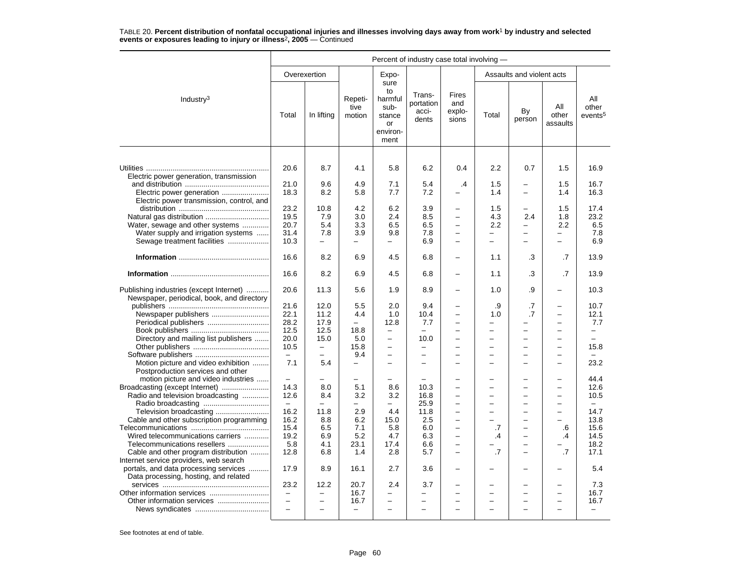|                                                                                                                                                        | Percent of industry case total involving -                               |                                                                  |                                                                        |                                                                                                             |                                                                    |                                                                                                   |                                                       |                                                                                              |                                                                                                                                                                 |                                                                     |  |
|--------------------------------------------------------------------------------------------------------------------------------------------------------|--------------------------------------------------------------------------|------------------------------------------------------------------|------------------------------------------------------------------------|-------------------------------------------------------------------------------------------------------------|--------------------------------------------------------------------|---------------------------------------------------------------------------------------------------|-------------------------------------------------------|----------------------------------------------------------------------------------------------|-----------------------------------------------------------------------------------------------------------------------------------------------------------------|---------------------------------------------------------------------|--|
|                                                                                                                                                        |                                                                          | Overexertion                                                     |                                                                        | Expo-                                                                                                       |                                                                    |                                                                                                   |                                                       | Assaults and violent acts                                                                    |                                                                                                                                                                 |                                                                     |  |
| Industry $3$                                                                                                                                           | Total                                                                    | In lifting                                                       | Repeti-<br>tive<br>motion                                              | sure<br>to<br>harmful<br>sub-<br>stance<br>or<br>environ-<br>ment                                           | Trans-<br>portation<br>acci-<br>dents                              | <b>Fires</b><br>and<br>explo-<br>sions                                                            | Total                                                 | By<br>person                                                                                 | All<br>other<br>assaults                                                                                                                                        | All<br>other<br>events <sup>5</sup>                                 |  |
| Electric power generation, transmission                                                                                                                | 20.6<br>21.0                                                             | 8.7<br>9.6                                                       | 4.1<br>4.9                                                             | 5.8<br>7.1                                                                                                  | 6.2<br>5.4                                                         | 0.4                                                                                               | 2.2<br>1.5                                            | 0.7                                                                                          | 1.5<br>1.5                                                                                                                                                      | 16.9<br>16.7                                                        |  |
| Electric power generation<br>Electric power transmission, control, and                                                                                 | 18.3                                                                     | 8.2                                                              | 5.8                                                                    | 7.7                                                                                                         | 7.2                                                                | $\cdot$                                                                                           | 1.4                                                   | -                                                                                            | 1.4                                                                                                                                                             | 16.3                                                                |  |
| Natural gas distribution<br>Water, sewage and other systems<br>Water supply and irrigation systems<br>Sewage treatment facilities                      | 23.2<br>19.5<br>20.7<br>31.4<br>10.3                                     | 10.8<br>7.9<br>5.4<br>7.8<br>$\equiv$                            | 4.2<br>3.0<br>3.3<br>3.9<br>$\overline{\phantom{0}}$                   | 6.2<br>2.4<br>6.5<br>9.8<br>-                                                                               | 3.9<br>8.5<br>6.5<br>7.8<br>6.9                                    | $\overline{\phantom{0}}$<br>$\equiv$<br>$\overline{\phantom{0}}$<br>$\equiv$                      | 1.5<br>4.3<br>2.2<br>-                                | $\overline{\phantom{0}}$<br>2.4<br>$\overline{\phantom{0}}$<br>-<br>$\overline{\phantom{0}}$ | 1.5<br>1.8<br>2.2<br>$\qquad \qquad -$<br>$\equiv$                                                                                                              | 17.4<br>23.2<br>6.5<br>7.8<br>6.9                                   |  |
|                                                                                                                                                        | 16.6                                                                     | 8.2                                                              | 6.9                                                                    | 4.5                                                                                                         | 6.8                                                                | $\overline{\phantom{0}}$                                                                          | 1.1                                                   | .3                                                                                           | .7                                                                                                                                                              | 13.9                                                                |  |
|                                                                                                                                                        | 16.6                                                                     | 8.2                                                              | 6.9                                                                    | 4.5                                                                                                         | 6.8                                                                | $\overline{\phantom{0}}$                                                                          | 1.1                                                   | .3                                                                                           | .7                                                                                                                                                              | 13.9                                                                |  |
| Publishing industries (except Internet)<br>Newspaper, periodical, book, and directory                                                                  | 20.6                                                                     | 11.3                                                             | 5.6                                                                    | 1.9                                                                                                         | 8.9                                                                | $\overline{\phantom{0}}$                                                                          | 1.0                                                   | .9                                                                                           | $\overline{\phantom{0}}$                                                                                                                                        | 10.3                                                                |  |
| Newspaper publishers<br>Directory and mailing list publishers                                                                                          | 21.6<br>22.1<br>28.2<br>12.5<br>20.0<br>10.5<br>$\overline{\phantom{m}}$ | 12.0<br>11.2<br>17.9<br>12.5<br>15.0<br>$\overline{\phantom{m}}$ | 5.5<br>4.4<br>$\overline{\phantom{0}}$<br>18.8<br>5.0<br>15.8<br>9.4   | 2.0<br>1.0<br>12.8<br>$\overline{\phantom{0}}$<br>$\overline{\phantom{0}}$<br>$\overline{\phantom{0}}$<br>- | 9.4<br>10.4<br>7.7<br>$\equiv$<br>10.0<br>$\overline{\phantom{0}}$ | -<br>$\overline{\phantom{0}}$<br>$\overline{\phantom{0}}$<br>$\equiv$<br>$\overline{\phantom{0}}$ | .9<br>1.0<br>$\overline{\phantom{0}}$<br>-<br>L.<br>- | .7<br>$\cdot$ 7<br>-<br>$\overline{a}$<br>$\equiv$<br>$\overline{\phantom{0}}$<br>-          | $\overline{\phantom{0}}$<br>$\overline{\phantom{0}}$<br>$\overline{a}$<br>$\overline{\phantom{0}}$<br>$\overline{\phantom{0}}$<br>$\overline{\phantom{0}}$<br>- | 10.7<br>12.1<br>7.7<br>$\overline{\phantom{0}}$<br>$\equiv$<br>15.8 |  |
| Motion picture and video exhibition<br>Postproduction services and other                                                                               | 7.1                                                                      | 5.4                                                              | $\overline{\phantom{0}}$                                               | $\overline{\phantom{0}}$                                                                                    |                                                                    | $\overline{a}$                                                                                    |                                                       | $\overline{a}$                                                                               | $\overline{\phantom{0}}$                                                                                                                                        | 23.2                                                                |  |
| motion picture and video industries<br>Broadcasting (except Internet)<br>Radio and television broadcasting<br>Cable and other subscription programming | $\equiv$<br>14.3<br>12.6<br>$\equiv$<br>16.2<br>16.2                     | 8.0<br>8.4<br>$\equiv$<br>11.8<br>8.8                            | $\overline{\phantom{0}}$<br>5.1<br>3.2<br>$\overline{a}$<br>2.9<br>6.2 | 8.6<br>3.2<br>$\overline{a}$<br>4.4<br>15.0                                                                 | 10.3<br>16.8<br>25.9<br>11.8<br>2.5                                | $\overline{\phantom{0}}$<br>$\overline{\phantom{0}}$<br>$\equiv$<br>$\equiv$                      | -<br>-                                                | ÷<br>$\overline{\phantom{0}}$<br>$\overline{a}$<br>-<br>$\overline{\phantom{0}}$             | $\overline{\phantom{0}}$<br>$\overline{\phantom{0}}$<br>$\overline{\phantom{0}}$<br>$\overline{a}$<br>$\overline{\phantom{0}}$<br>$\sim$                        | 44.4<br>12.6<br>10.5<br>$\frac{1}{2}$<br>14.7<br>13.8               |  |
| Wired telecommunications carriers<br>Telecommunications resellers<br>Cable and other program distribution                                              | 15.4<br>19.2<br>5.8<br>12.8                                              | 6.5<br>6.9<br>4.1<br>6.8                                         | 7.1<br>5.2<br>23.1<br>1.4                                              | 5.8<br>4.7<br>17.4<br>2.8                                                                                   | 6.0<br>6.3<br>6.6<br>5.7                                           | -<br>$\overline{\phantom{0}}$<br>÷<br>$\equiv$                                                    | .7<br>.4<br>.7                                        | -<br>$\overline{\phantom{0}}$<br>$\overline{\phantom{0}}$<br>$\overline{\phantom{0}}$        | .6<br>.4<br>$\cdot$ 7                                                                                                                                           | 15.6<br>14.5<br>18.2<br>17.1                                        |  |
| Internet service providers, web search<br>portals, and data processing services<br>Data processing, hosting, and related                               | 17.9                                                                     | 8.9                                                              | 16.1                                                                   | 2.7                                                                                                         | 3.6                                                                | $\overline{\phantom{0}}$                                                                          |                                                       | ÷                                                                                            |                                                                                                                                                                 | 5.4                                                                 |  |
|                                                                                                                                                        | 23.2<br>$\equiv$<br>$\overline{\phantom{0}}$<br>$\equiv$                 | 12.2<br>$\overline{\phantom{0}}$<br>$\equiv$<br>$\equiv$         | 20.7<br>16.7<br>16.7<br>$\overline{\phantom{0}}$                       | 2.4<br>$\qquad \qquad -$<br>-<br>$\overline{a}$                                                             | 3.7<br>$\overline{\phantom{0}}$                                    | $\overline{\phantom{0}}$<br>$\overline{\phantom{0}}$<br>÷                                         | −                                                     | $\overline{\phantom{0}}$<br>$\overline{\phantom{0}}$<br>L,                                   | $\overline{\phantom{0}}$<br>$\overline{\phantom{0}}$<br>$\overline{\phantom{0}}$                                                                                | 7.3<br>16.7<br>16.7<br>$\overline{\phantom{0}}$                     |  |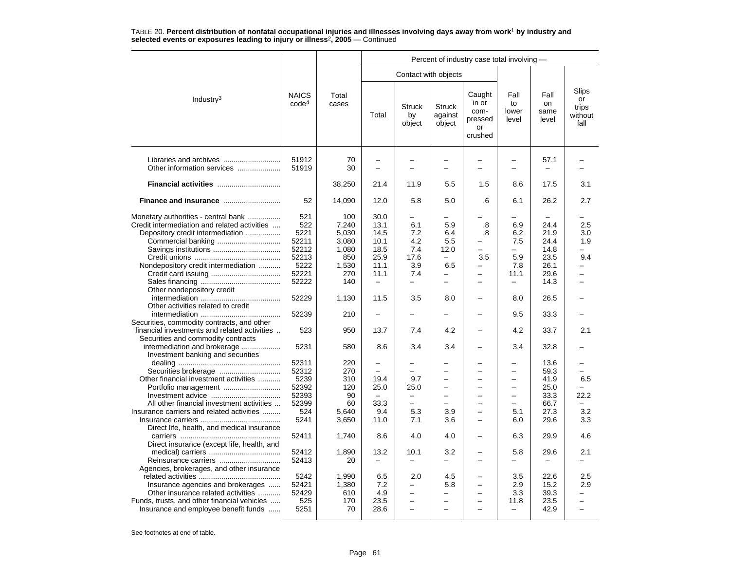|                                                                                                                                                                |                                          |                                     | Percent of industry case total involving -               |                                                                              |                                                                         |                                                                                                                   |                                                            |                                      |                                         |  |  |
|----------------------------------------------------------------------------------------------------------------------------------------------------------------|------------------------------------------|-------------------------------------|----------------------------------------------------------|------------------------------------------------------------------------------|-------------------------------------------------------------------------|-------------------------------------------------------------------------------------------------------------------|------------------------------------------------------------|--------------------------------------|-----------------------------------------|--|--|
|                                                                                                                                                                |                                          |                                     |                                                          |                                                                              | Contact with objects                                                    |                                                                                                                   |                                                            |                                      |                                         |  |  |
| Industry <sup>3</sup>                                                                                                                                          | <b>NAICS</b><br>code <sup>4</sup>        | Total<br>cases                      | Total                                                    | <b>Struck</b><br>by<br>object                                                | <b>Struck</b><br>against<br>object                                      | Caught<br>in or<br>com-<br>pressed<br>or<br>crushed                                                               | Fall<br>to<br>lower<br>level                               | Fall<br>on<br>same<br>level          | Slips<br>or<br>trips<br>without<br>fall |  |  |
| Other information services                                                                                                                                     | 51912<br>51919                           | 70<br>30                            | $\overline{\phantom{0}}$                                 | $\equiv$                                                                     | -<br>$\overline{\phantom{0}}$                                           |                                                                                                                   | $\overline{\phantom{0}}$<br>$\overline{\phantom{0}}$       | 57.1                                 |                                         |  |  |
|                                                                                                                                                                |                                          | 38,250                              | 21.4                                                     | 11.9                                                                         | 5.5                                                                     | 1.5                                                                                                               | 8.6                                                        | 17.5                                 | 3.1                                     |  |  |
|                                                                                                                                                                | 52                                       | 14,090                              | 12.0                                                     | 5.8                                                                          | 5.0                                                                     | .6                                                                                                                | 6.1                                                        | 26.2                                 | 2.7                                     |  |  |
| Monetary authorities - central bank<br>Credit intermediation and related activities<br>Depository credit intermediation                                        | 521<br>522<br>5221<br>52211              | 100<br>7.240<br>5,030<br>3,080      | 30.0<br>13.1<br>14.5<br>10.1                             | 6.1<br>7.2<br>4.2                                                            | 5.9<br>6.4<br>5.5                                                       | .8<br>.8<br>$\equiv$                                                                                              | 6.9<br>6.2<br>7.5                                          | 24.4<br>21.9<br>24.4                 | 2.5<br>3.0<br>1.9                       |  |  |
| Nondepository credit intermediation                                                                                                                            | 52212<br>52213<br>5222<br>52221<br>52222 | 1,080<br>850<br>1,530<br>270<br>140 | 18.5<br>25.9<br>11.1<br>11.1<br>$\overline{\phantom{0}}$ | 7.4<br>17.6<br>3.9<br>7.4<br>$\overline{\phantom{0}}$                        | 12.0<br>6.5<br>-<br>$\overline{a}$                                      | $\overline{\phantom{0}}$<br>3.5<br>-<br>$\overline{\phantom{0}}$<br>÷                                             | $\overline{\phantom{0}}$<br>5.9<br>7.8<br>11.1<br>$\equiv$ | 14.8<br>23.5<br>26.1<br>29.6<br>14.3 | 9.4                                     |  |  |
| Other nondepository credit<br>Other activities related to credit                                                                                               | 52229                                    | 1,130                               | 11.5                                                     | 3.5                                                                          | 8.0                                                                     |                                                                                                                   | 8.0                                                        | 26.5                                 |                                         |  |  |
| Securities, commodity contracts, and other                                                                                                                     | 52239                                    | 210                                 |                                                          |                                                                              |                                                                         |                                                                                                                   | 9.5                                                        | 33.3                                 |                                         |  |  |
| financial investments and related activities<br>Securities and commodity contracts                                                                             | 523                                      | 950                                 | 13.7                                                     | 7.4                                                                          | 4.2                                                                     | $\overline{\phantom{0}}$                                                                                          | 4.2                                                        | 33.7                                 | 2.1                                     |  |  |
| intermediation and brokerage<br>Investment banking and securities                                                                                              | 5231                                     | 580                                 | 8.6                                                      | 3.4                                                                          | 3.4                                                                     |                                                                                                                   | 3.4                                                        | 32.8                                 |                                         |  |  |
| Other financial investment activities                                                                                                                          | 52311<br>52312<br>5239<br>52392          | 220<br>270<br>310<br>120            | $\overline{\phantom{0}}$<br>19.4<br>25.0                 | -<br>9.7<br>25.0                                                             | -<br>-                                                                  | -<br>$\overline{\phantom{0}}$<br>$\overline{\phantom{0}}$                                                         | —                                                          | 13.6<br>59.3<br>41.9<br>25.0         | 6.5                                     |  |  |
| All other financial investment activities<br>Insurance carriers and related activities<br>Direct life, health, and medical insurance                           | 52393<br>52399<br>524<br>5241            | 90<br>60<br>5.640<br>3,650          | $\overline{\phantom{0}}$<br>33.3<br>9.4<br>11.0          | $\overline{\phantom{0}}$<br>$\overline{\phantom{0}}$<br>5.3<br>7.1           | -<br>3.9<br>3.6                                                         | -<br>$\equiv$<br>-                                                                                                | -<br>$\equiv$<br>5.1<br>6.0                                | 33.3<br>66.7<br>27.3<br>29.6         | 22.2<br>3.2<br>3.3                      |  |  |
| Direct insurance (except life, health, and                                                                                                                     | 52411                                    | 1,740                               | 8.6                                                      | 4.0                                                                          | 4.0                                                                     | $\overline{\phantom{0}}$                                                                                          | 6.3                                                        | 29.9                                 | 4.6                                     |  |  |
| Agencies, brokerages, and other insurance                                                                                                                      | 52412<br>52413                           | 1,890<br>20                         | 13.2<br>$\overline{\phantom{0}}$                         | 10.1<br>$\overline{\phantom{0}}$                                             | 3.2<br>-                                                                | -<br>$\overline{\phantom{0}}$                                                                                     | 5.8<br>$\overline{\phantom{0}}$                            | 29.6                                 | 2.1                                     |  |  |
| Insurance agencies and brokerages<br>Other insurance related activities<br>Funds, trusts, and other financial vehicles<br>Insurance and employee benefit funds | 5242<br>52421<br>52429<br>525<br>5251    | 1,990<br>1,380<br>610<br>170<br>70  | 6.5<br>7.2<br>4.9<br>23.5<br>28.6                        | 2.0<br>—<br>$\overline{\phantom{0}}$<br>$\overline{\phantom{0}}$<br>$\equiv$ | 4.5<br>5.8<br>$\overline{\phantom{0}}$<br>▃<br>$\overline{\phantom{0}}$ | $\overline{\phantom{0}}$<br>-<br>$\overline{\phantom{0}}$<br>$\overline{\phantom{0}}$<br>$\overline{\phantom{0}}$ | 3.5<br>2.9<br>3.3<br>11.8<br>$\overline{\phantom{0}}$      | 22.6<br>15.2<br>39.3<br>23.5<br>42.9 | 2.5<br>2.9<br>$\overline{\phantom{0}}$  |  |  |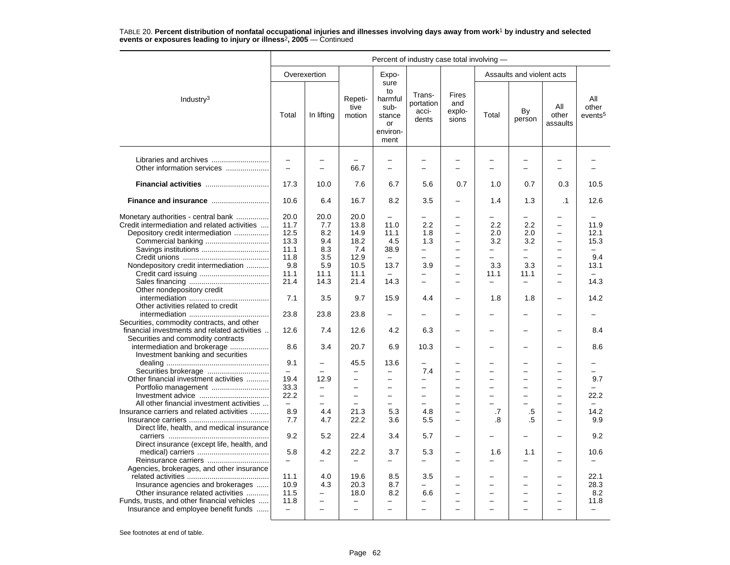|                                                                   |                          |                          | Percent of industry case total involving - |                                                                   |                                       |                                 |                          |                           |                          |                                     |  |
|-------------------------------------------------------------------|--------------------------|--------------------------|--------------------------------------------|-------------------------------------------------------------------|---------------------------------------|---------------------------------|--------------------------|---------------------------|--------------------------|-------------------------------------|--|
|                                                                   |                          | Overexertion             |                                            | Expo-                                                             |                                       |                                 |                          | Assaults and violent acts |                          |                                     |  |
| Industry <sup>3</sup>                                             | Total                    | In lifting               | Repeti-<br>tive<br>motion                  | sure<br>to<br>harmful<br>sub-<br>stance<br>or<br>environ-<br>ment | Trans-<br>portation<br>acci-<br>dents | Fires<br>and<br>explo-<br>sions | Total                    | By<br>person              | All<br>other<br>assaults | All<br>other<br>events <sup>5</sup> |  |
|                                                                   | $\overline{\phantom{0}}$ | $\overline{\phantom{0}}$ |                                            | $\overline{\phantom{0}}$                                          |                                       |                                 |                          |                           | $\overline{\phantom{0}}$ |                                     |  |
| Other information services                                        | $\overline{\phantom{0}}$ | $\overline{\phantom{0}}$ | 66.7                                       | $\overline{a}$                                                    | $\equiv$                              |                                 | ÷                        | $\equiv$                  | $\equiv$                 |                                     |  |
| Financial activities                                              | 17.3                     | 10.0                     | 7.6                                        | 6.7                                                               | 5.6                                   | 0.7                             | 1.0                      | 0.7                       | 0.3                      | 10.5                                |  |
|                                                                   | 10.6                     | 6.4                      | 16.7                                       | 8.2                                                               | 3.5                                   | $\overline{\phantom{0}}$        | 1.4                      | 1.3                       | $\cdot$ 1                | 12.6                                |  |
| Monetary authorities - central bank                               | 20.0                     | 20.0                     | 20.0                                       |                                                                   |                                       |                                 |                          |                           |                          |                                     |  |
| Credit intermediation and related activities                      | 11.7                     | 7.7                      | 13.8                                       | 11.0                                                              | 2.2                                   |                                 | 2.2                      | 2.2                       | $\overline{\phantom{0}}$ | 11.9                                |  |
| Depository credit intermediation                                  | 12.5                     | 8.2                      | 14.9                                       | 11.1                                                              | 1.8                                   |                                 | 2.0                      | 2.0                       | $\equiv$                 | 12.1                                |  |
|                                                                   | 13.3                     | 9.4                      | 18.2                                       | 4.5                                                               | 1.3                                   | $\overline{\phantom{0}}$        | 3.2                      | 3.2                       | $\overline{\phantom{0}}$ | 15.3                                |  |
|                                                                   | 11.1                     | 8.3                      | 7.4                                        | 38.9                                                              | $\overline{\phantom{0}}$              | $\equiv$                        | $\overline{\phantom{0}}$ | $\overline{\phantom{0}}$  | $\equiv$                 | $\equiv$                            |  |
|                                                                   | 11.8                     | 3.5                      | 12.9                                       |                                                                   |                                       |                                 |                          |                           |                          | 9.4                                 |  |
| Nondepository credit intermediation                               | 9.8                      | 5.9                      | 10.5                                       | 13.7                                                              | 3.9                                   | $\overline{\phantom{0}}$        | 3.3                      | 3.3                       | $\qquad \qquad -$        | 13.1                                |  |
|                                                                   | 11.1                     | 11.1                     | 11.1                                       | $\equiv$                                                          | $\overline{\phantom{0}}$              |                                 | 11.1                     | 11.1                      | $\overline{\phantom{0}}$ |                                     |  |
|                                                                   | 21.4                     | 14.3                     | 21.4                                       | 14.3                                                              | $\equiv$                              | $\equiv$                        | $\overline{\phantom{0}}$ |                           | $\equiv$                 | 14.3                                |  |
| Other nondepository credit                                        |                          |                          |                                            |                                                                   |                                       |                                 |                          |                           |                          |                                     |  |
| Other activities related to credit                                | 7.1                      | 3.5                      | 9.7                                        | 15.9                                                              | 4.4                                   |                                 | 1.8                      | 1.8                       |                          | 14.2                                |  |
|                                                                   | 23.8                     | 23.8                     | 23.8                                       |                                                                   |                                       |                                 |                          |                           |                          |                                     |  |
| Securities, commodity contracts, and other                        |                          |                          |                                            |                                                                   |                                       |                                 |                          |                           |                          |                                     |  |
| financial investments and related activities                      | 12.6                     | 7.4                      | 12.6                                       | 4.2                                                               | 6.3                                   |                                 |                          |                           |                          | 8.4                                 |  |
| Securities and commodity contracts                                |                          |                          |                                            |                                                                   |                                       |                                 |                          |                           |                          |                                     |  |
| intermediation and brokerage<br>Investment banking and securities | 8.6                      | 3.4                      | 20.7                                       | 6.9                                                               | 10.3                                  |                                 |                          |                           |                          | 8.6                                 |  |
|                                                                   | 9.1                      |                          | 45.5                                       | 13.6                                                              |                                       |                                 |                          |                           |                          |                                     |  |
|                                                                   |                          | ÷                        | $\overline{\phantom{0}}$                   | $\overline{\phantom{0}}$                                          | 7.4                                   |                                 |                          | $\overline{a}$            |                          | -                                   |  |
| Other financial investment activities                             | 19.4                     | 12.9                     | $\overline{\phantom{0}}$                   | $\overline{a}$                                                    | -                                     |                                 |                          |                           |                          | 9.7                                 |  |
|                                                                   | 33.3                     | $\overline{\phantom{0}}$ | $\overline{\phantom{0}}$                   | $\overline{a}$                                                    |                                       |                                 |                          |                           | $\overline{\phantom{0}}$ |                                     |  |
|                                                                   | 22.2                     | —                        | $\overline{\phantom{0}}$                   | $\overline{\phantom{0}}$                                          | $\overline{\phantom{0}}$              | $\equiv$                        | -                        | $\equiv$                  | $\overline{\phantom{0}}$ | 22.2                                |  |
| All other financial investment activities                         | $\overline{\phantom{m}}$ | $\overline{\phantom{0}}$ | $\overline{\phantom{0}}$                   | -                                                                 | $\sim$                                |                                 |                          |                           | $\overline{\phantom{0}}$ |                                     |  |
| Insurance carriers and related activities                         | 8.9                      | 4.4                      | 21.3                                       | 5.3                                                               | 4.8                                   |                                 | .7                       | $.5\,$                    | $\overline{\phantom{0}}$ | 14.2                                |  |
|                                                                   | 7.7                      | 4.7                      | 22.2                                       | 3.6                                                               | 5.5                                   |                                 | .8                       | .5                        |                          | 9.9                                 |  |
| Direct life, health, and medical insurance                        |                          |                          |                                            |                                                                   |                                       |                                 |                          |                           |                          |                                     |  |
|                                                                   | 9.2                      | 5.2                      | 22.4                                       | 3.4                                                               | 5.7                                   | $\overline{\phantom{0}}$        |                          | $\overline{\phantom{0}}$  | $\overline{\phantom{a}}$ | 9.2                                 |  |
| Direct insurance (except life, health, and                        | 5.8                      | 4.2                      | 22.2                                       | 3.7                                                               | 5.3                                   | $\overline{\phantom{0}}$        | 1.6                      | 1.1                       |                          | 10.6                                |  |
| Reinsurance carriers                                              | $\overline{\phantom{m}}$ | -                        | $\overline{\phantom{0}}$                   | -                                                                 | $\overline{\phantom{0}}$              |                                 | -                        | $\overline{\phantom{0}}$  |                          |                                     |  |
| Agencies, brokerages, and other insurance                         |                          |                          |                                            |                                                                   |                                       |                                 |                          |                           |                          |                                     |  |
|                                                                   | 11.1                     | 4.0                      | 19.6                                       | 8.5                                                               | 3.5                                   | $\overline{\phantom{0}}$        |                          | $\overline{\phantom{0}}$  | $\overline{\phantom{0}}$ | 22.1                                |  |
| Insurance agencies and brokerages                                 | 10.9                     | 4.3                      | 20.3                                       | 8.7                                                               | $\overline{\phantom{0}}$              |                                 |                          | -                         |                          | 28.3                                |  |
| Other insurance related activities                                | 11.5                     | $\overline{\phantom{0}}$ | 18.0                                       | 8.2                                                               | 6.6                                   |                                 |                          | $\overline{\phantom{0}}$  | $\overline{\phantom{0}}$ | 8.2                                 |  |
| Funds, trusts, and other financial vehicles                       | 11.8                     | $\overline{\phantom{0}}$ | $\overline{\phantom{0}}$                   | $\overline{\phantom{0}}$                                          |                                       |                                 |                          | $\overline{\phantom{0}}$  |                          | 11.8                                |  |
| Insurance and employee benefit funds                              | $\equiv$                 | $\equiv$                 | ÷                                          | $\overline{\phantom{0}}$                                          | $\overline{\phantom{0}}$              | $\overline{\phantom{0}}$        | L.                       | $\overline{\phantom{0}}$  | $\overline{\phantom{0}}$ | $\overline{\phantom{0}}$            |  |
|                                                                   |                          |                          |                                            |                                                                   |                                       |                                 |                          |                           |                          |                                     |  |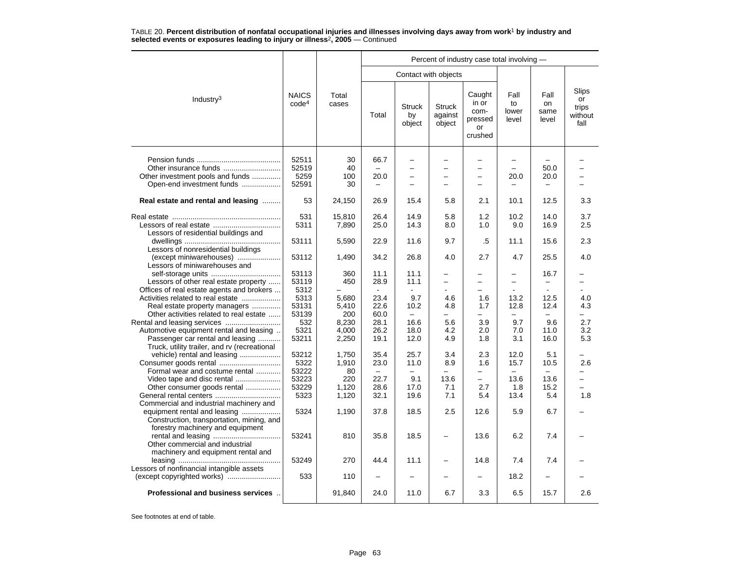|                                                                                                                                        |                                   |                                |                              |                                                                                |                                    | Percent of industry case total involving -           |                                  |                                  |                                         |
|----------------------------------------------------------------------------------------------------------------------------------------|-----------------------------------|--------------------------------|------------------------------|--------------------------------------------------------------------------------|------------------------------------|------------------------------------------------------|----------------------------------|----------------------------------|-----------------------------------------|
|                                                                                                                                        |                                   |                                |                              |                                                                                | Contact with objects               |                                                      |                                  |                                  |                                         |
| Industry $3$                                                                                                                           | <b>NAICS</b><br>code <sup>4</sup> | Total<br>cases                 | Total                        | <b>Struck</b><br>by<br>object                                                  | <b>Struck</b><br>against<br>object | Caught<br>in or<br>com-<br>pressed<br>or<br>crushed  | Fall<br>to<br>lower<br>level     | Fall<br>on<br>same<br>level      | Slips<br>or<br>trips<br>without<br>fall |
| Other insurance funds<br>Other investment pools and funds<br>Open-end investment funds                                                 | 52511<br>52519<br>5259<br>52591   | 30<br>40<br>100<br>30          | 66.7<br>20.0                 | $\overline{\phantom{0}}$<br>-<br>$\qquad \qquad -$<br>$\overline{\phantom{0}}$ |                                    | $\overline{\phantom{0}}$<br>$\overline{\phantom{0}}$ | $\overline{\phantom{0}}$<br>20.0 | 50.0<br>20.0                     |                                         |
| Real estate and rental and leasing                                                                                                     | 53                                | 24,150                         | 26.9                         | 15.4                                                                           | 5.8                                | 2.1                                                  | 10.1                             | 12.5                             | 3.3                                     |
| Lessors of residential buildings and                                                                                                   | 531<br>5311                       | 15,810<br>7,890                | 26.4<br>25.0                 | 14.9<br>14.3                                                                   | 5.8<br>8.0                         | 1.2<br>1.0                                           | 10.2<br>9.0                      | 14.0<br>16.9                     | 3.7<br>2.5                              |
| Lessors of nonresidential buildings                                                                                                    | 53111                             | 5,590                          | 22.9                         | 11.6                                                                           | 9.7                                | .5                                                   | 11.1                             | 15.6                             | 2.3                                     |
| (except miniwarehouses)<br>Lessors of miniwarehouses and                                                                               | 53112                             | 1,490                          | 34.2                         | 26.8                                                                           | 4.0                                | 2.7                                                  | 4.7                              | 25.5                             | 4.0                                     |
| Lessors of other real estate property                                                                                                  | 53113<br>53119                    | 360<br>450                     | 11.1<br>28.9                 | 11.1<br>11.1                                                                   | $\overline{\phantom{0}}$           | $\overline{\phantom{0}}$                             |                                  | 16.7<br>$\overline{\phantom{m}}$ | -                                       |
| Offices of real estate agents and brokers<br>Activities related to real estate<br>Real estate property managers                        | 5312<br>5313<br>53131             | 5,680<br>5,410                 | 23.4<br>22.6                 | 9.7<br>10.2                                                                    | 4.6<br>4.8                         | 1.6<br>1.7                                           | 13.2<br>12.8                     | 12.5<br>12.4                     | 4.0<br>4.3                              |
| Other activities related to real estate<br>Automotive equipment rental and leasing<br>Passenger car rental and leasing                 | 53139<br>532<br>5321<br>53211     | 200<br>8,230<br>4.000<br>2,250 | 60.0<br>28.1<br>26.2<br>19.1 | 16.6<br>18.0<br>12.0                                                           | 5.6<br>4.2<br>4.9                  | 3.9<br>2.0<br>1.8                                    | 9.7<br>7.0<br>3.1                | 9.6<br>11.0<br>16.0              | 2.7<br>3.2<br>5.3                       |
| Truck, utility trailer, and rv (recreational<br>vehicle) rental and leasing<br>Consumer goods rental                                   | 53212<br>5322                     | 1,750<br>1,910                 | 35.4<br>23.0                 | 25.7<br>11.0                                                                   | 3.4<br>8.9                         | 2.3<br>1.6                                           | 12.0<br>15.7                     | 5.1<br>10.5                      | 2.6                                     |
| Formal wear and costume rental<br>Video tape and disc rental<br>Other consumer goods rental                                            | 53222<br>53223<br>53229           | 80<br>220<br>1,120             | 22.7<br>28.6                 | 9.1<br>17.0                                                                    | 13.6<br>7.1                        | $\overline{\phantom{0}}$<br>2.7                      | 13.6<br>1.8                      | 13.6<br>15.2                     | -                                       |
| Commercial and industrial machinery and<br>equipment rental and leasing                                                                | 5323<br>5324                      | 1,120<br>1,190                 | 32.1<br>37.8                 | 19.6<br>18.5                                                                   | 7.1<br>2.5                         | 5.4<br>12.6                                          | 13.4<br>5.9                      | 5.4<br>6.7                       | 1.8                                     |
| Construction, transportation, mining, and<br>forestry machinery and equipment<br>rental and leasing<br>Other commercial and industrial | 53241                             | 810                            | 35.8                         | 18.5                                                                           | $\overline{\phantom{0}}$           | 13.6                                                 | 6.2                              | 7.4                              |                                         |
| machinery and equipment rental and<br>Lessors of nonfinancial intangible assets                                                        | 53249                             | 270                            | 44.4                         | 11.1                                                                           | -                                  | 14.8                                                 | 7.4                              | 7.4                              |                                         |
|                                                                                                                                        | 533                               | 110                            |                              |                                                                                |                                    |                                                      | 18.2                             |                                  |                                         |
| Professional and business services                                                                                                     |                                   | 91,840                         | 24.0                         | 11.0                                                                           | 6.7                                | 3.3                                                  | 6.5                              | 15.7                             | 2.6                                     |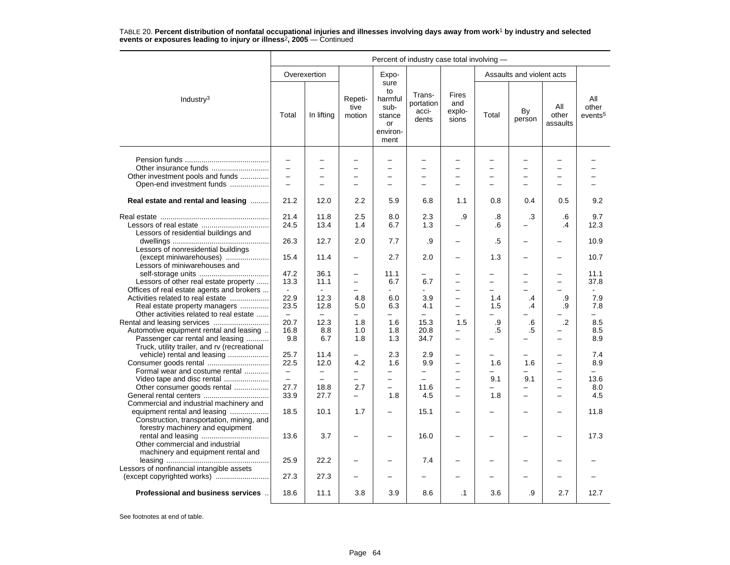|                                                                                                                                                          | Percent of industry case total involving - |                          |                                                                                  |                                                                   |                                         |                                                      |            |                                                      |                                            |                                     |  |
|----------------------------------------------------------------------------------------------------------------------------------------------------------|--------------------------------------------|--------------------------|----------------------------------------------------------------------------------|-------------------------------------------------------------------|-----------------------------------------|------------------------------------------------------|------------|------------------------------------------------------|--------------------------------------------|-------------------------------------|--|
|                                                                                                                                                          |                                            | Overexertion             |                                                                                  | Expo-                                                             |                                         |                                                      |            | Assaults and violent acts                            |                                            |                                     |  |
| Industry <sup>3</sup>                                                                                                                                    | Total                                      | In lifting               | Repeti-<br>tive<br>motion                                                        | sure<br>to<br>harmful<br>sub-<br>stance<br>or<br>environ-<br>ment | Trans-<br>portation<br>acci-<br>dents   | <b>Fires</b><br>and<br>explo-<br>sions               | Total      | By<br>person                                         | All<br>other<br>assaults                   | All<br>other<br>events <sup>5</sup> |  |
| Other investment pools and funds                                                                                                                         | $\rightarrow$<br>$\overline{\phantom{0}}$  | $\equiv$<br>$=$          | $\overline{\phantom{0}}$<br>$\overline{\phantom{0}}$                             | $\overline{\phantom{0}}$<br>$\equiv$                              | $\equiv$                                | $\overline{\phantom{0}}$<br>$=$                      | -          | $\overline{\phantom{0}}$<br>$\overline{\phantom{0}}$ | $\overline{\phantom{0}}$<br>$\equiv$       |                                     |  |
| Open-end investment funds                                                                                                                                |                                            |                          |                                                                                  |                                                                   |                                         |                                                      |            |                                                      |                                            |                                     |  |
| Real estate and rental and leasing                                                                                                                       | 21.2                                       | 12.0                     | 2.2                                                                              | 5.9                                                               | 6.8                                     | 1.1                                                  | 0.8        | 0.4                                                  | 0.5                                        | 9.2                                 |  |
| Lessors of residential buildings and                                                                                                                     | 21.4<br>24.5                               | 11.8<br>13.4             | 2.5<br>1.4                                                                       | 8.0<br>6.7                                                        | 2.3<br>1.3                              | .9                                                   | .8<br>.6   | .3                                                   | .6<br>$\cdot$                              | 9.7<br>12.3                         |  |
| Lessors of nonresidential buildings                                                                                                                      | 26.3                                       | 12.7                     | 2.0                                                                              | 7.7                                                               | .9                                      |                                                      | .5         |                                                      |                                            | 10.9                                |  |
| (except miniwarehouses)<br>Lessors of miniwarehouses and                                                                                                 | 15.4                                       | 11.4                     | $\overline{\phantom{0}}$                                                         | 2.7                                                               | 2.0                                     | $\overline{\phantom{0}}$                             | 1.3        | $\overline{\phantom{0}}$                             |                                            | 10.7                                |  |
| Lessors of other real estate property<br>Offices of real estate agents and brokers                                                                       | 47.2<br>13.3                               | 36.1<br>11.1             | $\overline{\phantom{0}}$<br>$\overline{\phantom{0}}$<br>$\overline{\phantom{0}}$ | 11.1<br>6.7                                                       | 6.7                                     | -                                                    | ▃          | -                                                    | $\overline{\phantom{0}}$                   | 11.1<br>37.8                        |  |
| Activities related to real estate<br>Real estate property managers<br>Other activities related to real estate                                            | 22.9<br>23.5<br>$\equiv$                   | 12.3<br>12.8<br>$\equiv$ | 4.8<br>5.0<br>▃                                                                  | 6.0<br>6.3<br>$\equiv$                                            | 3.9<br>4.1<br>$\overline{\phantom{0}}$  | ÷<br>-                                               | 1.4<br>1.5 | .4<br>.4                                             | .9<br>.9                                   | 7.9<br>7.8<br>÷.                    |  |
| Rental and leasing services<br>Automotive equipment rental and leasing<br>Passenger car rental and leasing                                               | 20.7<br>16.8<br>9.8                        | 12.3<br>8.8<br>6.7       | 1.8<br>1.0<br>1.8                                                                | 1.6<br>1.8<br>1.3                                                 | 15.3<br>20.8<br>34.7                    | 1.5<br>-<br>$\overline{\phantom{0}}$                 | .9<br>.5   | .6<br>$.5\,$                                         | $\overline{2}$<br>$\overline{\phantom{0}}$ | 8.5<br>8.5<br>8.9                   |  |
| Truck, utility trailer, and rv (recreational<br>vehicle) rental and leasing<br>Consumer goods rental<br>Formal wear and costume rental                   | 25.7<br>22.5<br>$\overline{\phantom{m}}$   | 11.4<br>12.0<br>$\equiv$ | $\overline{a}$<br>4.2                                                            | 2.3<br>1.6                                                        | 2.9<br>9.9                              | $\overline{\phantom{0}}$<br>$\overline{\phantom{0}}$ | 1.6        | 1.6                                                  | $\overline{\phantom{0}}$                   | 7.4<br>8.9                          |  |
| Video tape and disc rental<br>Other consumer goods rental                                                                                                | $\overline{\phantom{0}}$<br>27.7<br>33.9   | $\equiv$<br>18.8<br>27.7 | $\equiv$<br>2.7                                                                  | $\equiv$<br>$\qquad \qquad -$<br>1.8                              | $\overline{\phantom{0}}$<br>11.6<br>4.5 | ÷<br>$\overline{\phantom{0}}$                        | 9.1<br>1.8 | 9.1<br>-                                             | $\equiv$<br>$\overline{\phantom{0}}$       | 13.6<br>8.0<br>4.5                  |  |
| Commercial and industrial machinery and<br>equipment rental and leasing<br>Construction, transportation, mining, and<br>forestry machinery and equipment | 18.5                                       | 10.1                     | 1.7                                                                              | -                                                                 | 15.1                                    | -                                                    |            |                                                      |                                            | 11.8                                |  |
| Other commercial and industrial<br>machinery and equipment rental and                                                                                    | 13.6                                       | 3.7                      | -                                                                                |                                                                   | 16.0                                    | -                                                    |            |                                                      |                                            | 17.3                                |  |
| Lessors of nonfinancial intangible assets                                                                                                                | 25.9                                       | 22.2                     |                                                                                  |                                                                   | 7.4                                     |                                                      |            |                                                      |                                            |                                     |  |
|                                                                                                                                                          | 27.3                                       | 27.3                     |                                                                                  |                                                                   |                                         |                                                      |            |                                                      |                                            |                                     |  |
| Professional and business services                                                                                                                       | 18.6                                       | 11.1                     | 3.8                                                                              | 3.9                                                               | 8.6                                     | $\cdot$ 1                                            | 3.6        | .9                                                   | 2.7                                        | 12.7                                |  |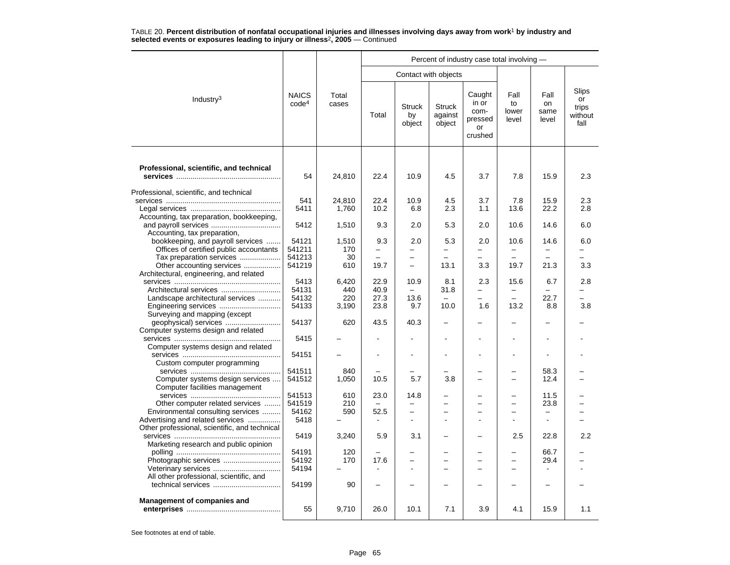|                                                                    |                                   |                |          |                               |                                    | Percent of industry case total involving -          |                              |                             |                                         |
|--------------------------------------------------------------------|-----------------------------------|----------------|----------|-------------------------------|------------------------------------|-----------------------------------------------------|------------------------------|-----------------------------|-----------------------------------------|
|                                                                    |                                   |                |          |                               | Contact with objects               |                                                     |                              |                             |                                         |
| Industry <sup>3</sup>                                              | <b>NAICS</b><br>code <sup>4</sup> | Total<br>cases | Total    | <b>Struck</b><br>by<br>object | <b>Struck</b><br>against<br>object | Caught<br>in or<br>com-<br>pressed<br>or<br>crushed | Fall<br>to<br>lower<br>level | Fall<br>on<br>same<br>level | Slips<br>or<br>trips<br>without<br>fall |
| Professional, scientific, and technical                            |                                   |                |          |                               |                                    |                                                     |                              |                             |                                         |
|                                                                    | 54                                | 24,810         | 22.4     | 10.9                          | 4.5                                | 3.7                                                 | 7.8                          | 15.9                        | 2.3                                     |
| Professional, scientific, and technical                            |                                   |                |          |                               |                                    |                                                     |                              |                             |                                         |
|                                                                    | 541                               | 24.810         | 22.4     | 10.9                          | 4.5                                | 3.7                                                 | 7.8                          | 15.9                        | 2.3                                     |
|                                                                    | 5411                              | 1,760          | 10.2     | 6.8                           | 2.3                                | 1.1                                                 | 13.6                         | 22.2                        | 2.8                                     |
| Accounting, tax preparation, bookkeeping,                          |                                   |                |          |                               |                                    |                                                     |                              |                             |                                         |
| Accounting, tax preparation,                                       | 5412                              | 1,510          | 9.3      | 2.0                           | 5.3                                | 2.0                                                 | 10.6                         | 14.6                        | 6.0                                     |
| bookkeeping, and payroll services                                  | 54121                             | 1,510          | 9.3      | 2.0                           | 5.3                                | 2.0                                                 | 10.6                         | 14.6                        | 6.0                                     |
| Offices of certified public accountants                            | 541211                            | 170            | -        | -                             | $\overline{\phantom{0}}$           | $\overline{\phantom{0}}$                            | $\overline{\phantom{0}}$     |                             |                                         |
| Tax preparation services                                           | 541213                            | 30             |          | $\overline{\phantom{0}}$      |                                    |                                                     |                              |                             |                                         |
| Other accounting services                                          | 541219                            | 610            | 19.7     | $\overline{\phantom{0}}$      | 13.1                               | 3.3                                                 | 19.7                         | 21.3                        | 3.3                                     |
| Architectural, engineering, and related                            |                                   |                |          |                               |                                    |                                                     |                              |                             |                                         |
|                                                                    | 5413                              | 6,420          | 22.9     | 10.9                          | 8.1                                | 2.3                                                 | 15.6                         | 6.7                         | 2.8                                     |
| Architectural services                                             | 54131                             | 440            | 40.9     | $\equiv$                      | 31.8                               | $\overline{\phantom{0}}$                            | $\overline{\phantom{0}}$     | -                           | -                                       |
| Landscape architectural services                                   | 54132                             | 220            | 27.3     | 13.6                          |                                    |                                                     |                              | 22.7                        |                                         |
| Engineering services<br>Surveying and mapping (except              | 54133                             | 3,190          | 23.8     | 9.7                           | 10.0                               | 1.6                                                 | 13.2                         | 8.8                         | 3.8                                     |
|                                                                    | 54137                             | 620            | 43.5     | 40.3                          |                                    |                                                     |                              |                             |                                         |
| Computer systems design and related                                |                                   |                |          |                               |                                    |                                                     |                              |                             |                                         |
|                                                                    | 5415                              |                |          |                               |                                    |                                                     | L,                           |                             |                                         |
| Computer systems design and related                                |                                   |                |          |                               |                                    |                                                     |                              |                             |                                         |
|                                                                    | 54151                             |                |          |                               |                                    |                                                     | $\blacksquare$               |                             |                                         |
| Custom computer programming                                        |                                   |                |          |                               |                                    |                                                     |                              |                             |                                         |
|                                                                    | 541511                            | 840            |          |                               |                                    |                                                     | $\overline{\phantom{0}}$     | 58.3                        |                                         |
| Computer systems design services<br>Computer facilities management | 541512                            | 1,050          | 10.5     | 5.7                           | 3.8                                |                                                     |                              | 12.4                        |                                         |
|                                                                    | 541513                            | 610            | 23.0     | 14.8                          |                                    |                                                     |                              | 11.5                        |                                         |
| Other computer related services                                    | 541519                            | 210            | $\equiv$ |                               |                                    | $\equiv$                                            | $\equiv$                     | 23.8                        |                                         |
| Environmental consulting services                                  | 54162                             | 590            | 52.5     | $\overline{\phantom{0}}$      |                                    |                                                     |                              |                             |                                         |
| Advertising and related services                                   | 5418                              |                |          |                               |                                    |                                                     |                              |                             |                                         |
| Other professional, scientific, and technical                      |                                   |                |          | 3.1                           |                                    |                                                     |                              |                             | 2.2                                     |
| Marketing research and public opinion                              | 5419                              | 3,240          | 5.9      |                               |                                    |                                                     | 2.5                          | 22.8                        |                                         |
|                                                                    | 54191                             | 120            |          |                               |                                    |                                                     |                              | 66.7                        |                                         |
| Photographic services                                              | 54192                             | 170            | 17.6     |                               |                                    |                                                     |                              | 29.4                        |                                         |
|                                                                    | 54194                             |                |          |                               |                                    |                                                     |                              |                             |                                         |
| All other professional, scientific, and                            |                                   |                |          |                               |                                    |                                                     |                              |                             |                                         |
|                                                                    | 54199                             | 90             |          |                               |                                    |                                                     |                              |                             |                                         |
|                                                                    |                                   |                |          |                               |                                    |                                                     |                              |                             |                                         |
| Management of companies and                                        | 55                                |                |          | 10.1                          | 7.1                                | 3.9                                                 | 4.1                          | 15.9                        | 1.1                                     |
|                                                                    |                                   | 9,710          | 26.0     |                               |                                    |                                                     |                              |                             |                                         |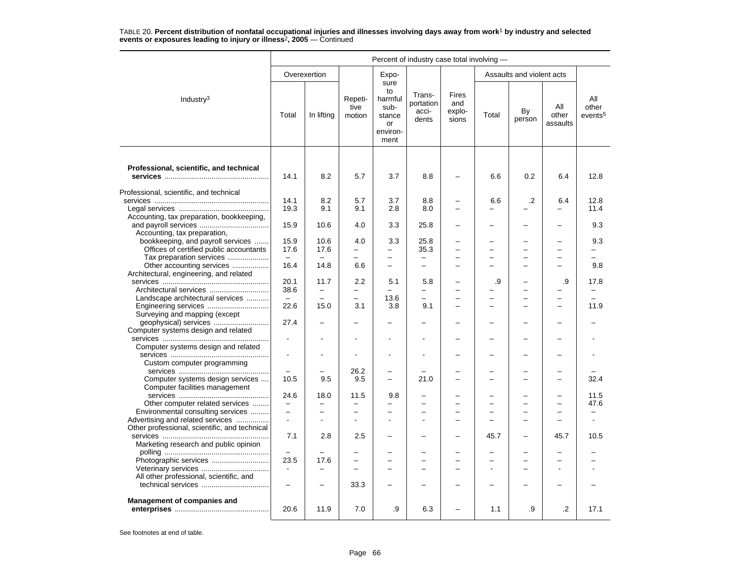|                                               | Percent of industry case total involving - |                          |                                                      |                                                                   |                                                      |                                      |                          |                                |                          |                                     |  |
|-----------------------------------------------|--------------------------------------------|--------------------------|------------------------------------------------------|-------------------------------------------------------------------|------------------------------------------------------|--------------------------------------|--------------------------|--------------------------------|--------------------------|-------------------------------------|--|
|                                               |                                            | Overexertion             |                                                      | Expo-                                                             |                                                      |                                      |                          | Assaults and violent acts      |                          |                                     |  |
| Industry <sup>3</sup>                         | Total                                      | In lifting               | Repeti-<br>tive<br>motion                            | sure<br>to<br>harmful<br>sub-<br>stance<br>or<br>environ-<br>ment | Trans-<br>portation<br>acci-<br>dents                | Fires<br>and<br>explo-<br>sions      | Total                    | By<br>person                   | All<br>other<br>assaults | All<br>other<br>events <sup>5</sup> |  |
|                                               |                                            |                          |                                                      |                                                                   |                                                      |                                      |                          |                                |                          |                                     |  |
| Professional, scientific, and technical       |                                            |                          |                                                      |                                                                   |                                                      |                                      |                          |                                |                          |                                     |  |
|                                               | 14.1                                       | 8.2                      | 5.7                                                  | 3.7                                                               | 8.8                                                  |                                      | 6.6                      | 0.2                            | 6.4                      | 12.8                                |  |
| Professional, scientific, and technical       |                                            |                          |                                                      |                                                                   |                                                      |                                      |                          |                                |                          |                                     |  |
|                                               | 14.1                                       | 8.2                      | 5.7                                                  | 3.7                                                               | 8.8                                                  |                                      | 6.6                      | .2                             | 6.4                      | 12.8                                |  |
|                                               | 19.3                                       | 9.1                      | 9.1                                                  | 2.8                                                               | 8.0                                                  | $\overline{\phantom{0}}$             |                          |                                | $\overline{\phantom{0}}$ | 11.4                                |  |
| Accounting, tax preparation, bookkeeping,     |                                            |                          |                                                      |                                                                   |                                                      |                                      |                          |                                |                          |                                     |  |
|                                               | 15.9                                       | 10.6                     | 4.0                                                  | 3.3                                                               | 25.8                                                 | $\overline{\phantom{0}}$             |                          | -                              |                          | 9.3                                 |  |
| Accounting, tax preparation,                  |                                            |                          |                                                      |                                                                   |                                                      |                                      |                          |                                |                          |                                     |  |
| bookkeeping, and payroll services             | 15.9                                       | 10.6                     | 4.0                                                  | 3.3                                                               | 25.8                                                 |                                      |                          | ▃                              |                          | 9.3                                 |  |
| Offices of certified public accountants       | 17.6                                       | 17.6                     | $\overline{\phantom{0}}$                             | $\overline{\phantom{0}}$                                          | 35.3                                                 | $\overline{\phantom{0}}$             |                          | -                              |                          |                                     |  |
| Tax preparation services                      |                                            |                          | $\equiv$                                             | $\equiv$                                                          | $\overline{\phantom{0}}$                             | $\equiv$                             |                          | -                              |                          |                                     |  |
| Other accounting services                     | 16.4                                       | 14.8                     | 6.6                                                  | $\overline{\phantom{0}}$                                          | $\overline{\phantom{0}}$                             | $\overline{\phantom{0}}$             | $\overline{\phantom{0}}$ | -                              | $\equiv$                 | 9.8                                 |  |
| Architectural, engineering, and related       | 20.1                                       | 11.7                     | 2.2                                                  | 5.1                                                               | 5.8                                                  |                                      | .9                       |                                | .9                       | 17.8                                |  |
| Architectural services                        | 38.6                                       | $\overline{\phantom{0}}$ | $\overline{\phantom{0}}$                             |                                                                   | -                                                    | $\overline{\phantom{0}}$             |                          | -                              |                          | $\overline{\phantom{0}}$            |  |
| Landscape architectural services              |                                            | $\overline{\phantom{0}}$ | $\overline{\phantom{0}}$                             | 13.6                                                              | $\overline{\phantom{0}}$                             |                                      |                          | -                              |                          |                                     |  |
| Engineering services                          | 22.6                                       | 15.0                     | 3.1                                                  | 3.8                                                               | 9.1                                                  | $\overline{\phantom{0}}$             |                          | -                              |                          | 11.9                                |  |
| Surveying and mapping (except                 |                                            |                          |                                                      |                                                                   |                                                      |                                      |                          |                                |                          |                                     |  |
|                                               | 27.4                                       |                          |                                                      |                                                                   |                                                      |                                      |                          |                                |                          |                                     |  |
| Computer systems design and related           |                                            |                          |                                                      |                                                                   |                                                      |                                      |                          |                                |                          |                                     |  |
|                                               | $\overline{a}$                             |                          |                                                      |                                                                   |                                                      |                                      |                          |                                |                          |                                     |  |
| Computer systems design and related           |                                            |                          |                                                      |                                                                   |                                                      |                                      |                          |                                |                          |                                     |  |
|                                               |                                            |                          |                                                      |                                                                   |                                                      |                                      |                          | ÷                              |                          |                                     |  |
| Custom computer programming                   |                                            |                          |                                                      |                                                                   |                                                      |                                      |                          |                                |                          |                                     |  |
| Computer systems design services              | 10.5                                       | 9.5                      | 26.2<br>9.5                                          | $\overline{\phantom{0}}$                                          | 21.0                                                 |                                      |                          | ÷,<br>$\overline{\phantom{0}}$ |                          | 32.4                                |  |
| Computer facilities management                |                                            |                          |                                                      |                                                                   |                                                      |                                      |                          |                                |                          |                                     |  |
|                                               | 24.6                                       | 18.0                     | 11.5                                                 | 9.8                                                               |                                                      |                                      |                          | ▃                              |                          | 11.5                                |  |
| Other computer related services               | $\overline{\phantom{m}}$                   |                          | $\equiv$                                             |                                                                   |                                                      |                                      |                          | $\overline{\phantom{0}}$       |                          | 47.6                                |  |
| Environmental consulting services             | $\qquad \qquad -$                          | $\equiv$                 | $\equiv$                                             | -                                                                 | ۳                                                    | $\equiv$                             |                          | -                              |                          |                                     |  |
| Advertising and related services              |                                            |                          |                                                      |                                                                   |                                                      |                                      |                          | ÷,                             |                          |                                     |  |
| Other professional, scientific, and technical |                                            |                          |                                                      |                                                                   |                                                      |                                      |                          |                                |                          |                                     |  |
|                                               | 7.1                                        | 2.8                      | 2.5                                                  |                                                                   |                                                      | $\overline{\phantom{0}}$             | 45.7                     | -                              | 45.7                     | 10.5                                |  |
| Marketing research and public opinion         |                                            |                          |                                                      |                                                                   |                                                      |                                      |                          |                                |                          |                                     |  |
|                                               |                                            |                          | $\overline{\phantom{0}}$<br>$\overline{\phantom{0}}$ |                                                                   |                                                      | $\overline{\phantom{0}}$             |                          | -                              |                          |                                     |  |
|                                               | 23.5<br>$\sim$                             | 17.6                     | $\overline{\phantom{0}}$                             | $\overline{\phantom{0}}$                                          | $\overline{\phantom{0}}$<br>$\overline{\phantom{0}}$ | $\equiv$<br>$\overline{\phantom{0}}$ |                          | -<br>-                         |                          |                                     |  |
| All other professional, scientific, and       |                                            |                          |                                                      |                                                                   |                                                      |                                      |                          |                                |                          |                                     |  |
|                                               | $\overline{\phantom{0}}$                   |                          | 33.3                                                 |                                                                   |                                                      |                                      |                          |                                |                          |                                     |  |
|                                               |                                            |                          |                                                      |                                                                   |                                                      |                                      |                          |                                |                          |                                     |  |
| Management of companies and                   | 20.6                                       | 11.9                     | 7.0                                                  | .9                                                                | 6.3                                                  |                                      | 1.1                      | .9                             | $\cdot$                  | 17.1                                |  |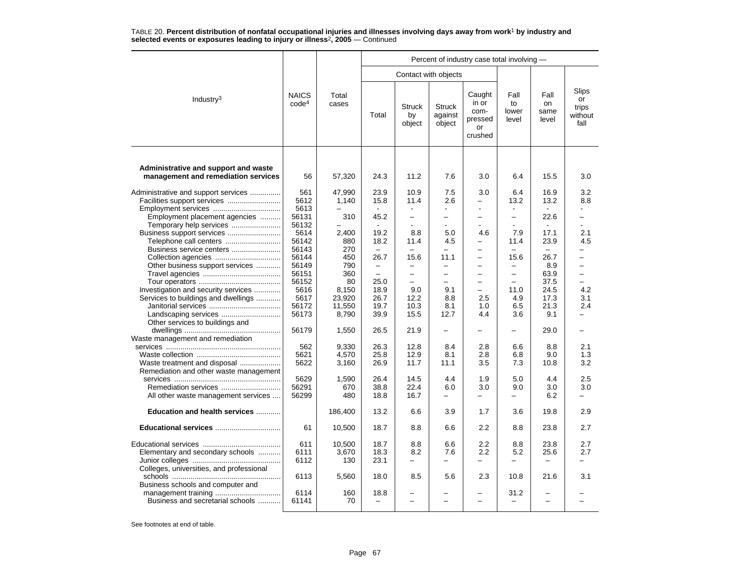|                                                                             |                                   |                |                          |                               |                                    | Percent of industry case total involving -          |                              |                             |                                         |
|-----------------------------------------------------------------------------|-----------------------------------|----------------|--------------------------|-------------------------------|------------------------------------|-----------------------------------------------------|------------------------------|-----------------------------|-----------------------------------------|
|                                                                             |                                   |                |                          | Contact with objects          |                                    |                                                     |                              |                             |                                         |
| Industry <sup>3</sup>                                                       | <b>NAICS</b><br>code <sup>4</sup> | Total<br>cases |                          | <b>Struck</b><br>by<br>object | <b>Struck</b><br>against<br>object | Caught<br>in or<br>com-<br>pressed<br>or<br>crushed | Fall<br>to<br>lower<br>level | Fall<br>on<br>same<br>level | Slips<br>or<br>trips<br>without<br>fall |
| Administrative and support and waste<br>management and remediation services | 56                                | 57,320         | 24.3                     | 11.2                          | 7.6                                | 3.0                                                 | 6.4                          | 15.5                        | 3.0                                     |
| Administrative and support services                                         | 561                               | 47,990         | 23.9                     | 10.9                          | 7.5                                | 3.0                                                 | 6.4                          | 16.9                        | 3.2                                     |
| Facilities support services                                                 | 5612                              | 1,140          | 15.8                     | 11.4                          | 2.6                                |                                                     | 13.2                         | 13.2                        | 8.8                                     |
|                                                                             | 5613                              |                |                          | ÷,                            |                                    |                                                     | $\blacksquare$               |                             |                                         |
| Employment placement agencies                                               | 56131                             | 310            | 45.2                     | $\overline{\phantom{0}}$      |                                    | ÷                                                   | $\overline{a}$               | 22.6                        | $\overline{ }$                          |
| Temporary help services                                                     | 56132                             |                | $\sim$                   | ÷                             | $\sim$                             | $\sim$                                              | $\overline{a}$               | $\sim$                      | ÷.                                      |
| Business support services                                                   | 5614                              | 2.400          | 19.2                     | 8.8                           | 5.0                                | 4.6                                                 | 7.9                          | 17.1                        | 2.1                                     |
| Telephone call centers                                                      | 56142                             | 880            | 18.2                     | 11.4                          | 4.5                                | $\equiv$                                            | 11.4                         | 23.9                        | 4.5                                     |
| Business service centers                                                    | 56143                             | 270            | $\overline{\phantom{0}}$ | $\overline{\phantom{0}}$      | —                                  | $\overline{\phantom{0}}$                            | -                            | -                           | -                                       |
|                                                                             | 56144                             | 450            | 26.7                     | 15.6                          | 11.1                               | $\overline{\phantom{0}}$                            | 15.6                         | 26.7                        | -                                       |
| Other business support services                                             | 56149                             | 790            | $\qquad \qquad -$        | $\overline{\phantom{0}}$      | $\overline{\phantom{0}}$           | $\overline{\phantom{0}}$                            | $\overline{a}$               | 8.9                         | $\overline{a}$                          |
|                                                                             | 56151                             | 360            | $\equiv$                 | $\overline{\phantom{0}}$      | -                                  | $\overline{\phantom{0}}$                            | $\overline{\phantom{0}}$     | 63.9                        | $\overline{\phantom{0}}$                |
|                                                                             | 56152                             | 80             | 25.0                     | $\qquad \qquad -$             | $\equiv$                           | $\equiv$                                            | $\overline{\phantom{0}}$     | 37.5                        | $\equiv$                                |
| Investigation and security services                                         | 5616                              | 8,150          | 18.9                     | 9.0                           | 9.1                                | $\overline{\phantom{0}}$                            | 11.0                         | 24.5                        | 4.2                                     |
| Services to buildings and dwellings                                         | 5617                              | 23,920         | 26.7                     | 12.2                          | 8.8                                | 2.5                                                 | 4.9                          | 17.3                        | 3.1                                     |
|                                                                             | 56172                             | 11,550         | 19.7                     | 10.3                          | 8.1                                | 1.0                                                 | 6.5                          | 21.3                        | 2.4                                     |
|                                                                             | 56173                             | 8,790          | 39.9                     | 15.5                          | 12.7                               | 4.4                                                 | 3.6                          | 9.1                         | $\overline{\phantom{0}}$                |
| Other services to buildings and                                             |                                   |                |                          |                               |                                    |                                                     |                              |                             |                                         |
|                                                                             | 56179                             | 1,550          | 26.5                     | 21.9                          | $\overline{\phantom{0}}$           |                                                     | -                            | 29.0                        |                                         |
| Waste management and remediation                                            |                                   |                |                          |                               |                                    |                                                     |                              |                             |                                         |
|                                                                             | 562                               | 9,330          | 26.3                     | 12.8                          | 8.4                                | 2.8                                                 | 6.6                          | 8.8                         | 2.1                                     |
|                                                                             | 5621                              | 4,570          | 25.8                     | 12.9                          | 8.1                                | 2.8                                                 | 6.8                          | 9.0                         | 1.3                                     |
| Waste treatment and disposal                                                | 5622                              | 3,160          | 26.9                     | 11.7                          | 11.1                               | 3.5                                                 | 7.3                          | 10.8                        | 3.2                                     |
| Remediation and other waste management                                      |                                   |                |                          |                               |                                    |                                                     |                              |                             |                                         |
|                                                                             | 5629                              | 1,590          | 26.4                     | 14.5                          | 4.4                                | 1.9                                                 | 5.0                          | 4.4                         | 2.5                                     |
|                                                                             | 56291                             | 670            | 38.8                     | 22.4                          | 6.0                                | 3.0                                                 | 9.0                          | 3.0                         | 3.0                                     |
| All other waste management services                                         | 56299                             | 480            | 18.8                     | 16.7                          |                                    |                                                     |                              | 6.2                         |                                         |
|                                                                             |                                   |                |                          |                               |                                    |                                                     |                              |                             |                                         |
| Education and health services                                               |                                   | 186,400        | 13.2                     | 6.6                           | 3.9                                | 1.7                                                 | 3.6                          | 19.8                        | 2.9                                     |
| Educational services                                                        | 61                                | 10,500         | 18.7                     | 8.8                           | 6.6                                | 2.2                                                 | 8.8                          | 23.8                        | 2.7                                     |
|                                                                             | 611                               | 10.500         | 18.7                     | 8.8                           | 6.6                                | 2.2                                                 | 8.8                          | 23.8                        | 2.7                                     |
| Elementary and secondary schools                                            | 6111                              | 3.670          | 18.3                     | 8.2                           | 7.6                                | 2.2                                                 | 5.2                          | 25.6                        | 2.7                                     |
|                                                                             | 6112                              | 130            | 23.1                     | $\overline{\phantom{0}}$      | $\overline{\phantom{0}}$           |                                                     | -                            |                             | -                                       |
| Colleges, universities, and professional                                    |                                   |                |                          |                               |                                    |                                                     |                              |                             |                                         |
|                                                                             | 6113                              | 5,560          | 18.0                     | 8.5                           | 5.6                                | 2.3                                                 | 10.8                         | 21.6                        | 3.1                                     |
| Business schools and computer and                                           |                                   |                |                          |                               |                                    |                                                     |                              |                             |                                         |
|                                                                             | 6114                              | 160            | 18.8                     |                               |                                    |                                                     | 31.2                         |                             |                                         |
| Business and secretarial schools                                            | 61141                             | 70             | $\overline{\phantom{m}}$ | -                             |                                    | $\overline{\phantom{0}}$                            | $\overline{\phantom{0}}$     | $\overline{\phantom{0}}$    |                                         |
|                                                                             |                                   |                |                          |                               |                                    |                                                     |                              |                             |                                         |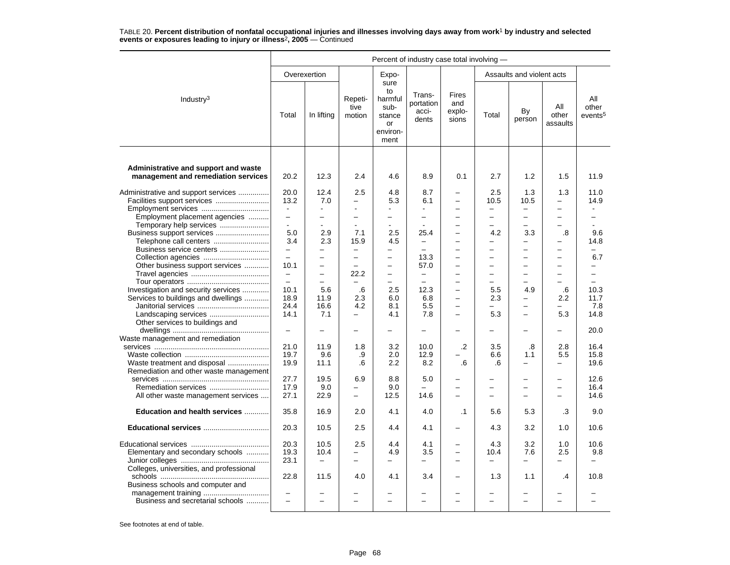|                                                                                                                                   | Percent of industry case total involving -                                  |                                                              |                                                                                     |                                                                   |                                                                        |                                                                        |                                                             |                                                                                                 |                                                                                                   |                                                                  |  |  |
|-----------------------------------------------------------------------------------------------------------------------------------|-----------------------------------------------------------------------------|--------------------------------------------------------------|-------------------------------------------------------------------------------------|-------------------------------------------------------------------|------------------------------------------------------------------------|------------------------------------------------------------------------|-------------------------------------------------------------|-------------------------------------------------------------------------------------------------|---------------------------------------------------------------------------------------------------|------------------------------------------------------------------|--|--|
|                                                                                                                                   |                                                                             | Overexertion                                                 |                                                                                     | Expo-                                                             |                                                                        |                                                                        |                                                             | Assaults and violent acts                                                                       |                                                                                                   |                                                                  |  |  |
| Industry <sup>3</sup>                                                                                                             | Total                                                                       | In lifting                                                   | Repeti-<br>tive<br>motion                                                           | sure<br>to<br>harmful<br>sub-<br>stance<br>or<br>environ-<br>ment | Trans-<br>portation<br>acci-<br>dents                                  | <b>Fires</b><br>and<br>explo-<br>sions                                 | Total                                                       | By<br>person                                                                                    | All<br>other<br>assaults                                                                          | All<br>other<br>events <sup>5</sup>                              |  |  |
| Administrative and support and waste<br>management and remediation services                                                       | 20.2                                                                        | 12.3                                                         | 2.4                                                                                 | 4.6                                                               | 8.9                                                                    | 0.1                                                                    | 2.7                                                         | 1.2                                                                                             | 1.5                                                                                               | 11.9                                                             |  |  |
| Administrative and support services<br>Facilities support services<br>Employment services<br>Employment placement agencies        | 20.0<br>13.2<br>$\sim$<br>$\overline{\phantom{0}}$                          | 12.4<br>7.0<br>$\sim$<br>÷                                   | 2.5<br>-<br>L.<br>$\overline{a}$                                                    | 4.8<br>5.3<br>$\equiv$                                            | 8.7<br>6.1<br>$\overline{\phantom{0}}$                                 | $\equiv$<br>$\overline{\phantom{0}}$<br>$\overline{\phantom{0}}$       | 2.5<br>10.5<br>$\overline{\phantom{0}}$<br>$\overline{a}$   | 1.3<br>10.5<br>$\overline{a}$                                                                   | 1.3<br>$\equiv$<br>$\equiv$<br>$\equiv$                                                           | 11.0<br>14.9                                                     |  |  |
| Temporary help services<br>Business support services<br>Telephone call centers<br>Business service centers<br>Collection agencies | $\mathbf{r}$<br>5.0<br>3.4<br>$\qquad \qquad -$<br>$\overline{\phantom{0}}$ | $\sim$<br>2.9<br>2.3<br>$\overline{\phantom{0}}$<br>$\equiv$ | $\mathbf{r}$<br>7.1<br>15.9<br>$\overline{\phantom{m}}$<br>$\overline{\phantom{0}}$ | $\blacksquare$<br>2.5<br>4.5<br>-<br>$\overline{\phantom{0}}$     | $\blacksquare$<br>25.4<br>$\equiv$<br>$\overline{\phantom{m}}$<br>13.3 | $\overline{\phantom{0}}$<br>$\overline{\phantom{0}}$<br>$\overline{a}$ | ▃<br>4.2<br>$\overline{ }$<br>$\overline{\phantom{0}}$<br>- | $\overline{\phantom{0}}$<br>3.3<br>$\overline{a}$<br>$\overline{\phantom{0}}$<br>$\overline{a}$ | $\overline{\phantom{0}}$<br>$\boldsymbol{.8}$<br>$\equiv$<br>$\overline{\phantom{0}}$<br>$\equiv$ | $\blacksquare$<br>9.6<br>14.8<br>$\overline{\phantom{0}}$<br>6.7 |  |  |
| Other business support services<br>Investigation and security services                                                            | 10.1<br>$\equiv$<br>$\equiv$<br>10.1                                        | $\equiv$<br>$\equiv$<br>$\equiv$<br>5.6                      | $\equiv$<br>22.2<br>$\overline{\phantom{0}}$<br>.6                                  | $\equiv$<br>$\overline{\phantom{0}}$<br>$\equiv$<br>2.5           | 57.0<br>$\overline{\phantom{m}}$<br>$\equiv$<br>12.3                   | $\overline{a}$<br>-<br>$\equiv$                                        | -<br>-<br>$\overline{\phantom{0}}$<br>5.5                   | $\overline{a}$<br>$\equiv$<br>$\overline{\phantom{0}}$<br>4.9                                   | $\overline{\phantom{0}}$<br>$\overline{\phantom{0}}$<br>$\equiv$<br>.6                            | $\overline{a}$<br>$\equiv$<br>$\equiv$<br>10.3                   |  |  |
| Services to buildings and dwellings<br>Other services to buildings and                                                            | 18.9<br>24.4<br>14.1                                                        | 11.9<br>16.6<br>7.1                                          | 2.3<br>4.2<br>$\equiv$                                                              | 6.0<br>8.1<br>4.1                                                 | 6.8<br>5.5<br>7.8                                                      | $\overline{\phantom{0}}$<br>-<br>$\overline{\phantom{0}}$              | 2.3<br>5.3                                                  | —<br>$\overline{\phantom{0}}$<br>$\overline{\phantom{0}}$                                       | 2.2<br>5.3                                                                                        | 11.7<br>7.8<br>14.8                                              |  |  |
| Waste management and remediation                                                                                                  | $\equiv$                                                                    |                                                              | -                                                                                   | $\equiv$                                                          | $\equiv$                                                               |                                                                        |                                                             | $\equiv$                                                                                        | $\equiv$                                                                                          | 20.0                                                             |  |  |
| Waste treatment and disposal<br>Remediation and other waste management                                                            | 21.0<br>19.7<br>19.9                                                        | 11.9<br>9.6<br>11.1                                          | 1.8<br>.9<br>.6                                                                     | 3.2<br>2.0<br>2.2                                                 | 10.0<br>12.9<br>8.2                                                    | $\cdot$<br>.6                                                          | 3.5<br>6.6<br>.6                                            | .8<br>1.1<br>$\overline{\phantom{0}}$                                                           | 2.8<br>5.5<br>-                                                                                   | 16.4<br>15.8<br>19.6                                             |  |  |
| All other waste management services                                                                                               | 27.7<br>17.9<br>27.1                                                        | 19.5<br>9.0<br>22.9                                          | 6.9<br>$\overline{\phantom{0}}$<br>$\overline{\phantom{0}}$                         | 8.8<br>9.0<br>12.5                                                | 5.0<br>14.6                                                            | $\overline{\phantom{0}}$<br>$\overline{\phantom{0}}$<br>$\overline{a}$ | $\overline{\phantom{0}}$                                    | $\overline{\phantom{0}}$<br>$\overline{\phantom{0}}$                                            | $\overline{\phantom{0}}$<br>$\overline{\phantom{m}}$<br>$\overline{\phantom{0}}$                  | 12.6<br>16.4<br>14.6                                             |  |  |
| Education and health services                                                                                                     | 35.8                                                                        | 16.9                                                         | 2.0                                                                                 | 4.1                                                               | 4.0                                                                    | $\cdot$ 1                                                              | 5.6                                                         | 5.3                                                                                             | .3                                                                                                | 9.0                                                              |  |  |
| Educational services                                                                                                              | 20.3                                                                        | 10.5                                                         | 2.5                                                                                 | 4.4                                                               | 4.1                                                                    | $\overline{\phantom{0}}$                                               | 4.3                                                         | 3.2                                                                                             | 1.0                                                                                               | 10.6                                                             |  |  |
| Elementary and secondary schools<br>Colleges, universities, and professional                                                      | 20.3<br>19.3<br>23.1                                                        | 10.5<br>10.4<br>$\qquad \qquad -$                            | 2.5<br>$\equiv$<br>$\overline{a}$                                                   | 4.4<br>4.9<br>—                                                   | 4.1<br>3.5<br>-                                                        | $\overline{\phantom{0}}$                                               | 4.3<br>10.4<br>$\overline{\phantom{0}}$                     | 3.2<br>7.6<br>$\overline{\phantom{0}}$                                                          | 1.0<br>2.5                                                                                        | 10.6<br>9.8<br>$\overline{\phantom{0}}$                          |  |  |
| Business schools and computer and<br>Business and secretarial schools                                                             | 22.8<br>$\overline{\phantom{0}}$<br>$\overline{\phantom{0}}$                | 11.5<br>$\equiv$                                             | 4.0<br>$\equiv$                                                                     | 4.1<br>$\equiv$                                                   | 3.4<br>-                                                               | $\equiv$                                                               | 1.3<br>÷                                                    | 1.1<br>$\equiv$                                                                                 | $\cdot$<br>$\equiv$                                                                               | 10.8                                                             |  |  |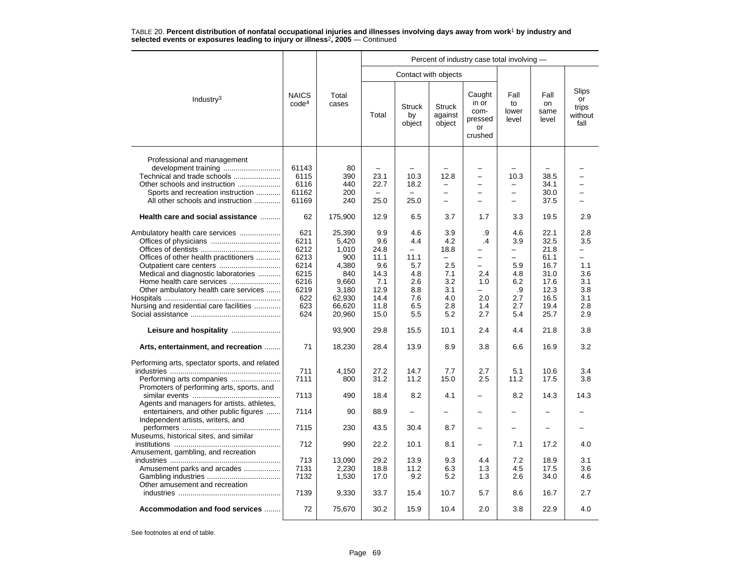|                                                                                                                                                                                                                                                                         |                                                                                        |                                                                                                                     |                                                                                                  |                                                                                                                 |                                                                                    | Percent of industry case total involving -                                                                                              |                                                                                           |                                                                                                      |                                                                                     |
|-------------------------------------------------------------------------------------------------------------------------------------------------------------------------------------------------------------------------------------------------------------------------|----------------------------------------------------------------------------------------|---------------------------------------------------------------------------------------------------------------------|--------------------------------------------------------------------------------------------------|-----------------------------------------------------------------------------------------------------------------|------------------------------------------------------------------------------------|-----------------------------------------------------------------------------------------------------------------------------------------|-------------------------------------------------------------------------------------------|------------------------------------------------------------------------------------------------------|-------------------------------------------------------------------------------------|
|                                                                                                                                                                                                                                                                         |                                                                                        |                                                                                                                     |                                                                                                  |                                                                                                                 | Contact with objects                                                               |                                                                                                                                         |                                                                                           |                                                                                                      |                                                                                     |
| Industry <sup>3</sup>                                                                                                                                                                                                                                                   | <b>NAICS</b><br>code <sup>4</sup>                                                      | Total<br>cases                                                                                                      | Total                                                                                            | <b>Struck</b><br>by<br>object                                                                                   | <b>Struck</b><br>against<br>object                                                 | Caught<br>in or<br>com-<br>pressed<br>or<br>crushed                                                                                     | Fall<br>to<br>lower<br>level                                                              | Fall<br>on<br>same<br>level                                                                          | Slips<br>or<br>trips<br>without<br>fall                                             |
| Professional and management<br>Technical and trade schools<br>Other schools and instruction<br>Sports and recreation instruction<br>All other schools and instruction                                                                                                   | 61143<br>6115<br>6116<br>61162<br>61169                                                | 80<br>390<br>440<br>200<br>240                                                                                      | 23.1<br>22.7<br>$\overline{\phantom{0}}$<br>25.0                                                 | 10.3<br>18.2<br>25.0                                                                                            | 12.8<br>-<br>$\overline{\phantom{0}}$                                              | $\overline{\phantom{0}}$<br>$\equiv$<br>$\overline{\phantom{0}}$<br>$\overline{\phantom{0}}$<br>$\equiv$                                | 10.3<br>$\overline{\phantom{0}}$<br>$\overline{\phantom{0}}$<br>$\equiv$                  | 38.5<br>34.1<br>30.0<br>37.5                                                                         |                                                                                     |
| Health care and social assistance                                                                                                                                                                                                                                       | 62                                                                                     | 175,900                                                                                                             | 12.9                                                                                             | 6.5                                                                                                             | 3.7                                                                                | 1.7                                                                                                                                     | 3.3                                                                                       | 19.5                                                                                                 | 2.9                                                                                 |
| Ambulatory health care services<br>Offices of other health practitioners<br>Medical and diagnostic laboratories<br>Home health care services<br>Other ambulatory health care services<br>Nursing and residential care facilities<br>Arts, entertainment, and recreation | 621<br>6211<br>6212<br>6213<br>6214<br>6215<br>6216<br>6219<br>622<br>623<br>624<br>71 | 25,390<br>5,420<br>1,010<br>900<br>4,380<br>840<br>9,660<br>3,180<br>62,930<br>66,620<br>20,960<br>93,900<br>18,230 | 9.9<br>9.6<br>24.8<br>11.1<br>9.6<br>14.3<br>7.1<br>12.9<br>14.4<br>11.8<br>15.0<br>29.8<br>28.4 | 4.6<br>4.4<br>$\overline{\phantom{m}}$<br>11.1<br>5.7<br>4.8<br>2.6<br>8.8<br>7.6<br>6.5<br>5.5<br>15.5<br>13.9 | 3.9<br>4.2<br>18.8<br>2.5<br>7.1<br>3.2<br>3.1<br>4.0<br>2.8<br>5.2<br>10.1<br>8.9 | .9<br>$\cdot$<br>$\overline{\phantom{0}}$<br>$\equiv$<br>$\overline{\phantom{0}}$<br>2.4<br>1.0<br>-<br>2.0<br>1.4<br>2.7<br>2.4<br>3.8 | 4.6<br>3.9<br>-<br>$\equiv$<br>5.9<br>4.8<br>6.2<br>.9<br>2.7<br>2.7<br>5.4<br>4.4<br>6.6 | 22.1<br>32.5<br>21.8<br>61.1<br>16.7<br>31.0<br>17.6<br>12.3<br>16.5<br>19.4<br>25.7<br>21.8<br>16.9 | 2.8<br>3.5<br>-<br>÷<br>1.1<br>3.6<br>3.1<br>3.8<br>3.1<br>2.8<br>2.9<br>3.8<br>3.2 |
| Performing arts, spectator sports, and related                                                                                                                                                                                                                          | 711                                                                                    | 4,150                                                                                                               | 27.2                                                                                             | 14.7                                                                                                            | 7.7                                                                                | 2.7                                                                                                                                     | 5.1                                                                                       | 10.6                                                                                                 | 3.4                                                                                 |
| Promoters of performing arts, sports, and                                                                                                                                                                                                                               | 7111                                                                                   | 800                                                                                                                 | 31.2                                                                                             | 11.2                                                                                                            | 15.0                                                                               | 2.5                                                                                                                                     | 11.2                                                                                      | 17.5                                                                                                 | 3.8                                                                                 |
| Agents and managers for artists, athletes,                                                                                                                                                                                                                              | 7113                                                                                   | 490                                                                                                                 | 18.4                                                                                             | 8.2                                                                                                             | 4.1                                                                                |                                                                                                                                         | 8.2                                                                                       | 14.3                                                                                                 | 14.3                                                                                |
| entertainers, and other public figures<br>Independent artists, writers, and                                                                                                                                                                                             | 7114                                                                                   | 90                                                                                                                  | 88.9                                                                                             | $\qquad \qquad -$                                                                                               |                                                                                    | $\overline{\phantom{0}}$                                                                                                                | $\overline{\phantom{0}}$                                                                  |                                                                                                      |                                                                                     |
| Museums, historical sites, and similar                                                                                                                                                                                                                                  | 7115                                                                                   | 230                                                                                                                 | 43.5                                                                                             | 30.4                                                                                                            | 8.7                                                                                |                                                                                                                                         | $\overline{\phantom{0}}$                                                                  |                                                                                                      |                                                                                     |
| Amusement, gambling, and recreation                                                                                                                                                                                                                                     | 712                                                                                    | 990                                                                                                                 | 22.2                                                                                             | 10.1                                                                                                            | 8.1                                                                                | $\equiv$                                                                                                                                | 7.1                                                                                       | 17.2                                                                                                 | 4.0                                                                                 |
| Amusement parks and arcades<br>Other amusement and recreation                                                                                                                                                                                                           | 713<br>7131<br>7132                                                                    | 13,090<br>2,230<br>1,530                                                                                            | 29.2<br>18.8<br>17.0                                                                             | 13.9<br>11.2<br>9.2                                                                                             | 9.3<br>6.3<br>5.2                                                                  | 4.4<br>1.3<br>1.3                                                                                                                       | 7.2<br>4.5<br>2.6                                                                         | 18.9<br>17.5<br>34.0                                                                                 | 3.1<br>3.6<br>4.6                                                                   |
|                                                                                                                                                                                                                                                                         | 7139                                                                                   | 9,330                                                                                                               | 33.7                                                                                             | 15.4                                                                                                            | 10.7                                                                               | 5.7                                                                                                                                     | 8.6                                                                                       | 16.7                                                                                                 | 2.7                                                                                 |
| Accommodation and food services                                                                                                                                                                                                                                         | 72                                                                                     | 75,670                                                                                                              | 30.2                                                                                             | 15.9                                                                                                            | 10.4                                                                               | 2.0                                                                                                                                     | 3.8                                                                                       | 22.9                                                                                                 | 4.0                                                                                 |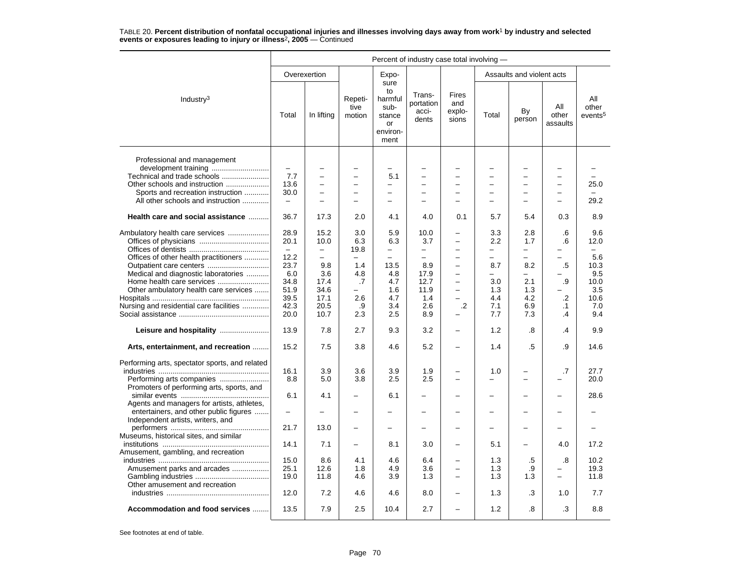|                                                                                                                                                                       | Percent of industry case total involving -                           |                                                                                              |                                                                                                              |                                                                              |                                                                       |                                                                        |                                                           |                                                                                                              |                                                |                                         |  |  |
|-----------------------------------------------------------------------------------------------------------------------------------------------------------------------|----------------------------------------------------------------------|----------------------------------------------------------------------------------------------|--------------------------------------------------------------------------------------------------------------|------------------------------------------------------------------------------|-----------------------------------------------------------------------|------------------------------------------------------------------------|-----------------------------------------------------------|--------------------------------------------------------------------------------------------------------------|------------------------------------------------|-----------------------------------------|--|--|
|                                                                                                                                                                       |                                                                      | Overexertion                                                                                 |                                                                                                              | Expo-                                                                        |                                                                       |                                                                        |                                                           | Assaults and violent acts                                                                                    |                                                |                                         |  |  |
| Industry $3$                                                                                                                                                          | Total                                                                | In lifting                                                                                   | Repeti-<br>tive<br>motion                                                                                    | sure<br>to<br>harmful<br>sub-<br>stance<br>or<br>environ-<br>ment            | Trans-<br>portation<br>acci-<br>dents                                 | Fires<br>and<br>explo-<br>sions                                        | Total                                                     | By<br>person                                                                                                 | All<br>other<br>assaults                       | All<br>other<br>events <sup>5</sup>     |  |  |
| Professional and management<br>Technical and trade schools<br>Other schools and instruction<br>Sports and recreation instruction<br>All other schools and instruction | $\qquad \qquad -$<br>7.7<br>13.6<br>30.0<br>$\overline{\phantom{0}}$ | $\overline{\phantom{0}}$<br>$\overline{\phantom{0}}$<br>$\overline{\phantom{0}}$<br>$\equiv$ | $\overline{\phantom{0}}$<br>$\overline{\phantom{0}}$<br>$\overline{\phantom{0}}$<br>$\overline{\phantom{0}}$ | -<br>5.1<br>$\overline{\phantom{0}}$<br>$\overline{\phantom{0}}$<br>$\equiv$ | -<br>$\overline{\phantom{0}}$<br>$\overline{\phantom{0}}$<br>$\equiv$ | -<br>$\overline{a}$<br>$\overline{\phantom{0}}$                        | -<br>$\overline{\phantom{0}}$<br>$\overline{\phantom{0}}$ | $\overline{\phantom{0}}$<br>$\overline{\phantom{0}}$<br>$\overline{\phantom{m}}$<br>$\overline{\phantom{0}}$ | -<br>$\equiv$<br>$\overline{\phantom{0}}$<br>- | 25.0<br>29.2                            |  |  |
| Health care and social assistance                                                                                                                                     | 36.7                                                                 | 17.3                                                                                         | 2.0                                                                                                          | 4.1                                                                          | 4.0                                                                   | 0.1                                                                    | 5.7                                                       | 5.4                                                                                                          | 0.3                                            | 8.9                                     |  |  |
|                                                                                                                                                                       | 28.9<br>20.1<br>$\equiv$                                             | 15.2<br>10.0<br>$\equiv$                                                                     | 3.0<br>6.3<br>19.8                                                                                           | 5.9<br>6.3<br>-                                                              | 10.0<br>3.7<br>$\overline{\phantom{m}}$                               | $\overline{\phantom{0}}$<br>$\overline{\phantom{0}}$<br>$\overline{a}$ | 3.3<br>2.2<br>$\overline{\phantom{0}}$                    | 2.8<br>1.7<br>$\overline{\phantom{m}}$                                                                       | .6<br>.6<br>$\overline{\phantom{0}}$           | 9.6<br>12.0<br>$\overline{\phantom{0}}$ |  |  |
| Offices of other health practitioners<br>Medical and diagnostic laboratories<br>Home health care services                                                             | 12.2<br>23.7<br>6.0<br>34.8                                          | 9.8<br>3.6<br>17.4                                                                           | 1.4<br>4.8<br>.7                                                                                             | 13.5<br>4.8<br>4.7                                                           | 8.9<br>17.9<br>12.7                                                   | $\overline{\phantom{0}}$<br>-<br>$\overline{a}$                        | $\overline{\phantom{0}}$<br>8.7<br>-<br>3.0               | $\overline{a}$<br>8.2<br>$\overline{\phantom{m}}$<br>2.1                                                     | .5<br>.9                                       | 5.6<br>10.3<br>9.5<br>10.0              |  |  |
| Other ambulatory health care services<br>Nursing and residential care facilities                                                                                      | 51.9<br>39.5<br>42.3                                                 | 34.6<br>17.1<br>20.5                                                                         | ▃<br>2.6<br>.9                                                                                               | 1.6<br>4.7<br>3.4                                                            | 11.9<br>1.4<br>2.6                                                    | $\overline{\phantom{0}}$<br>.2                                         | 1.3<br>4.4<br>7.1                                         | 1.3<br>4.2<br>6.9                                                                                            | $\cdot$ .2<br>$\cdot$ 1                        | 3.5<br>10.6<br>7.0                      |  |  |
|                                                                                                                                                                       | 20.0                                                                 | 10.7                                                                                         | 2.3                                                                                                          | 2.5                                                                          | 8.9                                                                   | -                                                                      | 7.7                                                       | 7.3                                                                                                          | .4                                             | 9.4                                     |  |  |
|                                                                                                                                                                       | 13.9                                                                 | 7.8                                                                                          | 2.7                                                                                                          | 9.3                                                                          | 3.2                                                                   | $\overline{\phantom{0}}$                                               | 1.2                                                       | .8                                                                                                           | .4                                             | 9.9                                     |  |  |
| Arts, entertainment, and recreation                                                                                                                                   | 15.2                                                                 | 7.5                                                                                          | 3.8                                                                                                          | 4.6                                                                          | 5.2                                                                   | $\equiv$                                                               | 1.4                                                       | .5                                                                                                           | .9                                             | 14.6                                    |  |  |
| Performing arts, spectator sports, and related<br>Promoters of performing arts, sports, and                                                                           | 16.1<br>8.8                                                          | 3.9<br>5.0                                                                                   | 3.6<br>3.8                                                                                                   | 3.9<br>2.5                                                                   | 1.9<br>2.5                                                            | $\overline{\phantom{0}}$                                               | 1.0<br>$\overline{\phantom{0}}$                           | $\sim$                                                                                                       | .7                                             | 27.7<br>20.0                            |  |  |
| Agents and managers for artists, athletes,                                                                                                                            | 6.1                                                                  | 4.1                                                                                          |                                                                                                              | 6.1                                                                          |                                                                       |                                                                        |                                                           |                                                                                                              |                                                | 28.6                                    |  |  |
| entertainers, and other public figures<br>Independent artists, writers, and                                                                                           | $\overline{\phantom{0}}$                                             |                                                                                              |                                                                                                              |                                                                              |                                                                       |                                                                        |                                                           |                                                                                                              |                                                |                                         |  |  |
| Museums, historical sites, and similar                                                                                                                                | 21.7                                                                 | 13.0                                                                                         | -                                                                                                            |                                                                              |                                                                       |                                                                        |                                                           |                                                                                                              |                                                |                                         |  |  |
| Amusement, gambling, and recreation                                                                                                                                   | 14.1                                                                 | 7.1                                                                                          | $\overline{\phantom{0}}$                                                                                     | 8.1                                                                          | 3.0                                                                   | -                                                                      | 5.1                                                       |                                                                                                              | 4.0                                            | 17.2                                    |  |  |
| Amusement parks and arcades<br>Other amusement and recreation                                                                                                         | 15.0<br>25.1<br>19.0                                                 | 8.6<br>12.6<br>11.8                                                                          | 4.1<br>1.8<br>4.6                                                                                            | 4.6<br>4.9<br>3.9                                                            | 6.4<br>3.6<br>1.3                                                     | $\overline{\phantom{0}}$<br>$\overline{\phantom{0}}$                   | 1.3<br>1.3<br>1.3                                         | .5<br>.9<br>1.3                                                                                              | .8<br>$\equiv$                                 | 10.2<br>19.3<br>11.8                    |  |  |
|                                                                                                                                                                       | 12.0                                                                 | 7.2                                                                                          | 4.6                                                                                                          | 4.6                                                                          | 8.0                                                                   |                                                                        | 1.3                                                       | .3                                                                                                           | 1.0                                            | 7.7                                     |  |  |
| Accommodation and food services                                                                                                                                       | 13.5                                                                 | 7.9                                                                                          | 2.5                                                                                                          | 10.4                                                                         | 2.7                                                                   |                                                                        | 1.2                                                       | .8                                                                                                           | .3                                             | 8.8                                     |  |  |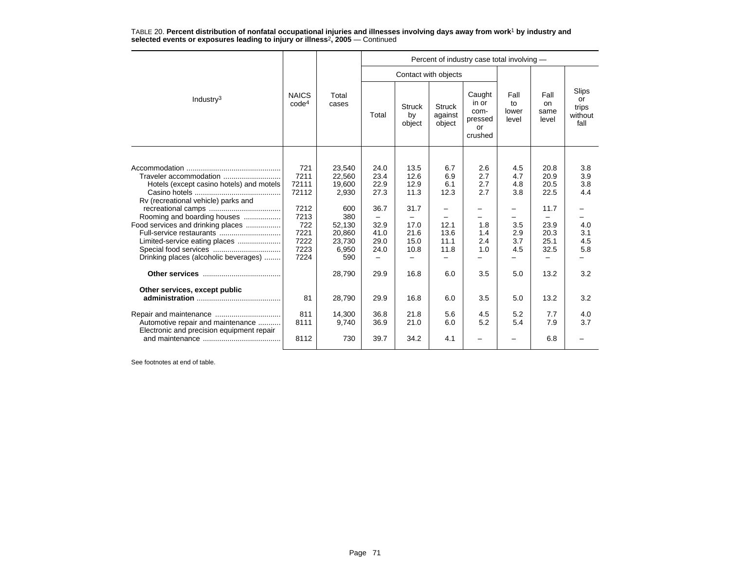|                                                                                                                                                                                                                                                                                     |                                                                                      |                                                                                                           | Percent of industry case total involving -                                   |                                                                              |                                                                       |                                                                  |                                                                  |                                                                              |                                                             |  |  |
|-------------------------------------------------------------------------------------------------------------------------------------------------------------------------------------------------------------------------------------------------------------------------------------|--------------------------------------------------------------------------------------|-----------------------------------------------------------------------------------------------------------|------------------------------------------------------------------------------|------------------------------------------------------------------------------|-----------------------------------------------------------------------|------------------------------------------------------------------|------------------------------------------------------------------|------------------------------------------------------------------------------|-------------------------------------------------------------|--|--|
|                                                                                                                                                                                                                                                                                     |                                                                                      |                                                                                                           |                                                                              |                                                                              | Contact with objects                                                  |                                                                  |                                                                  |                                                                              |                                                             |  |  |
| Industry $3$                                                                                                                                                                                                                                                                        | <b>NAICS</b><br>code <sup>4</sup>                                                    | Total<br>cases                                                                                            | Total                                                                        | <b>Struck</b><br>by<br>object                                                | <b>Struck</b><br>against<br>object                                    | Caught<br>in or<br>com-<br>pressed<br><b>or</b><br>crushed       | Fall<br>to<br>lower<br>level                                     | Fall<br><sub>on</sub><br>same<br>level                                       | Slips<br>or<br>trips<br>without<br>fall                     |  |  |
|                                                                                                                                                                                                                                                                                     |                                                                                      |                                                                                                           |                                                                              |                                                                              |                                                                       |                                                                  |                                                                  |                                                                              |                                                             |  |  |
| Traveler accommodation<br>Hotels (except casino hotels) and motels<br>Rv (recreational vehicle) parks and<br>Rooming and boarding houses<br>Food services and drinking places<br>Full-service restaurants<br>Limited-service eating places<br>Drinking places (alcoholic beverages) | 721<br>7211<br>72111<br>72112<br>7212<br>7213<br>722<br>7221<br>7222<br>7223<br>7224 | 23,540<br>22,560<br>19,600<br>2,930<br>600<br>380<br>52,130<br>20,860<br>23,730<br>6,950<br>590<br>28,790 | 24.0<br>23.4<br>22.9<br>27.3<br>36.7<br>32.9<br>41.0<br>29.0<br>24.0<br>29.9 | 13.5<br>12.6<br>12.9<br>11.3<br>31.7<br>17.0<br>21.6<br>15.0<br>10.8<br>16.8 | 6.7<br>6.9<br>6.1<br>12.3<br>-<br>12.1<br>13.6<br>11.1<br>11.8<br>6.0 | 2.6<br>2.7<br>2.7<br>2.7<br>-<br>1.8<br>1.4<br>2.4<br>1.0<br>3.5 | 4.5<br>4.7<br>4.8<br>3.8<br>-<br>3.5<br>2.9<br>3.7<br>4.5<br>5.0 | 20.8<br>20.9<br>20.5<br>22.5<br>11.7<br>23.9<br>20.3<br>25.1<br>32.5<br>13.2 | 3.8<br>3.9<br>3.8<br>4.4<br>4.0<br>3.1<br>4.5<br>5.8<br>3.2 |  |  |
| Other services, except public                                                                                                                                                                                                                                                       |                                                                                      |                                                                                                           |                                                                              |                                                                              |                                                                       |                                                                  |                                                                  |                                                                              |                                                             |  |  |
|                                                                                                                                                                                                                                                                                     | 81                                                                                   | 28,790                                                                                                    | 29.9                                                                         | 16.8                                                                         | 6.0                                                                   | 3.5                                                              | 5.0                                                              | 13.2                                                                         | 3.2                                                         |  |  |
| Automotive repair and maintenance<br>Electronic and precision equipment repair                                                                                                                                                                                                      | 811<br>8111                                                                          | 14,300<br>9,740                                                                                           | 36.8<br>36.9                                                                 | 21.8<br>21.0                                                                 | 5.6<br>6.0                                                            | 4.5<br>5.2                                                       | 5.2<br>5.4                                                       | 7.7<br>7.9                                                                   | 4.0<br>3.7                                                  |  |  |
|                                                                                                                                                                                                                                                                                     | 8112                                                                                 | 730                                                                                                       | 39.7                                                                         | 34.2                                                                         | 4.1                                                                   |                                                                  |                                                                  | 6.8                                                                          |                                                             |  |  |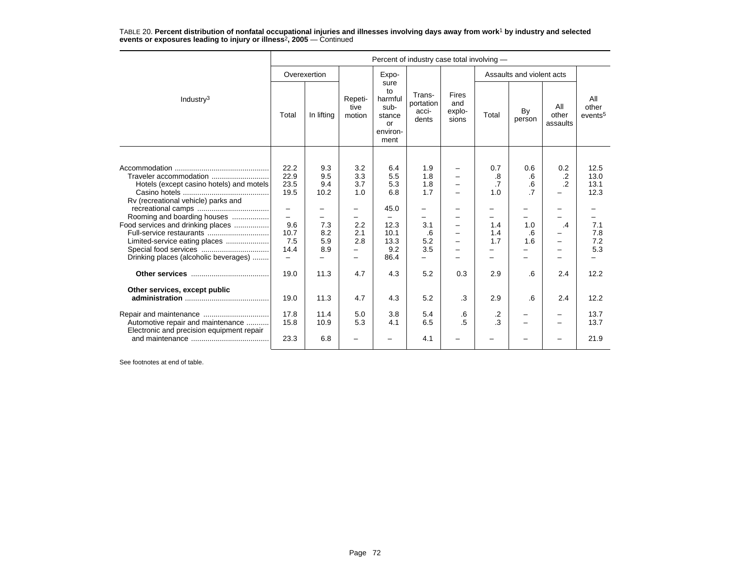| TABLE 20. Percent distribution of nonfatal occupational injuries and illnesses involving days away from work <sup>1</sup> by industry and selected |  |  |  |
|----------------------------------------------------------------------------------------------------------------------------------------------------|--|--|--|
| events or exposures leading to injury or illness <sup>2</sup> , $2005$ – Continued                                                                 |  |  |  |

|                                                                                                                                                                                                                                                                                     | Percent of industry case total involving -                                                                                             |                                                               |                                                                                       |                                                                                |                                                                                                  |                                        |                                                                 |                                                 |                                                        |                                                                  |
|-------------------------------------------------------------------------------------------------------------------------------------------------------------------------------------------------------------------------------------------------------------------------------------|----------------------------------------------------------------------------------------------------------------------------------------|---------------------------------------------------------------|---------------------------------------------------------------------------------------|--------------------------------------------------------------------------------|--------------------------------------------------------------------------------------------------|----------------------------------------|-----------------------------------------------------------------|-------------------------------------------------|--------------------------------------------------------|------------------------------------------------------------------|
| Industry <sup>3</sup>                                                                                                                                                                                                                                                               | Overexertion                                                                                                                           |                                                               |                                                                                       | Expo-                                                                          |                                                                                                  |                                        | Assaults and violent acts                                       |                                                 |                                                        |                                                                  |
|                                                                                                                                                                                                                                                                                     | Total                                                                                                                                  | In lifting                                                    | Repeti-<br>tive<br>motion                                                             | sure<br>to<br>harmful<br>sub-<br>stance<br>or<br>environ-<br>ment              | Trans-<br>portation<br>acci-<br>dents                                                            | <b>Fires</b><br>and<br>explo-<br>sions | Total                                                           | By<br>person                                    | All<br>other<br>assaults                               | All<br>other<br>events <sup>5</sup>                              |
|                                                                                                                                                                                                                                                                                     |                                                                                                                                        |                                                               |                                                                                       |                                                                                |                                                                                                  |                                        |                                                                 |                                                 |                                                        |                                                                  |
| Traveler accommodation<br>Hotels (except casino hotels) and motels<br>Rv (recreational vehicle) parks and<br>Rooming and boarding houses<br>Food services and drinking places<br>Full-service restaurants<br>Limited-service eating places<br>Drinking places (alcoholic beverages) | 22.2<br>22.9<br>23.5<br>19.5<br>$\overline{\phantom{0}}$<br>$\equiv$<br>9.6<br>10.7<br>7.5<br>14.4<br>$\overline{\phantom{0}}$<br>19.0 | 9.3<br>9.5<br>9.4<br>10.2<br>7.3<br>8.2<br>5.9<br>8.9<br>11.3 | 3.2<br>3.3<br>3.7<br>1.0<br>-<br>2.2<br>2.1<br>2.8<br>$\overline{\phantom{0}}$<br>4.7 | 6.4<br>5.5<br>5.3<br>6.8<br>45.0<br>12.3<br>10.1<br>13.3<br>9.2<br>86.4<br>4.3 | 1.9<br>1.8<br>1.8<br>1.7<br>-<br>-<br>3.1<br>.6<br>5.2<br>3.5<br>$\overline{\phantom{0}}$<br>5.2 | -<br>0.3                               | 0.7<br>.8<br>$\overline{.7}$<br>1.0<br>1.4<br>1.4<br>1.7<br>2.9 | 0.6<br>.6<br>.6<br>.7<br>1.0<br>.6<br>1.6<br>.6 | 0.2<br>$\cdot$ .2<br>$\cdot$ .2<br>$\cdot$<br>-<br>2.4 | 12.5<br>13.0<br>13.1<br>12.3<br>7.1<br>7.8<br>7.2<br>5.3<br>12.2 |
| Other services, except public                                                                                                                                                                                                                                                       | 19.0                                                                                                                                   | 11.3                                                          | 4.7                                                                                   | 4.3                                                                            | 5.2                                                                                              | .3                                     | 2.9                                                             | .6                                              | 2.4                                                    | 12.2                                                             |
| Automotive repair and maintenance<br>Electronic and precision equipment repair                                                                                                                                                                                                      | 17.8<br>15.8                                                                                                                           | 11.4<br>10.9                                                  | 5.0<br>5.3                                                                            | 3.8<br>4.1                                                                     | 5.4<br>6.5                                                                                       | .6<br>.5                               | $\cdot$ .2<br>3.                                                |                                                 | -                                                      | 13.7<br>13.7                                                     |
|                                                                                                                                                                                                                                                                                     | 23.3                                                                                                                                   | 6.8                                                           |                                                                                       |                                                                                | 4.1                                                                                              |                                        |                                                                 |                                                 |                                                        | 21.9                                                             |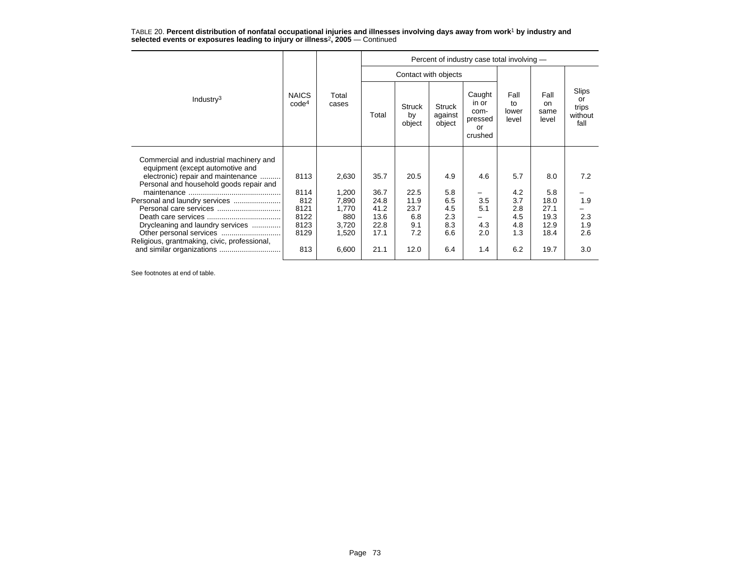TABLE 20. **Percent distribution of nonfatal occupational injuries and illnesses involving days away from work**<sup>1</sup> **by industry and selected events or exposures leading to injury or illness**<sup>2</sup>**, 2005** — Continued

| Industry <sup>3</sup>                                                                                             | <b>NAICS</b><br>code <sup>4</sup> | Total<br>cases | Percent of industry case total involving - |                               |                             |                                                     |                              |                                    |                                         |  |
|-------------------------------------------------------------------------------------------------------------------|-----------------------------------|----------------|--------------------------------------------|-------------------------------|-----------------------------|-----------------------------------------------------|------------------------------|------------------------------------|-----------------------------------------|--|
|                                                                                                                   |                                   |                |                                            |                               | Contact with objects        |                                                     |                              |                                    |                                         |  |
|                                                                                                                   |                                   |                | Total                                      | <b>Struck</b><br>by<br>object | Struck<br>against<br>object | Caught<br>in or<br>com-<br>pressed<br>or<br>crushed | Fall<br>to<br>lower<br>level | Fall<br><b>on</b><br>same<br>level | Slips<br>or<br>trips<br>without<br>fall |  |
| Commercial and industrial machinery and<br>equipment (except automotive and<br>electronic) repair and maintenance | 8113                              | 2,630          | 35.7                                       | 20.5                          | 4.9                         | 4.6                                                 | 5.7                          | 8.0                                | 7.2                                     |  |
| Personal and household goods repair and                                                                           | 8114                              | 1,200          | 36.7                                       | 22.5                          | 5.8                         |                                                     | 4.2                          | 5.8                                |                                         |  |
|                                                                                                                   | 812                               | 7,890          | 24.8                                       | 11.9                          | 6.5                         | 3.5                                                 | 3.7                          | 18.0                               | 1.9                                     |  |
|                                                                                                                   | 8121                              | 1,770          | 41.2                                       | 23.7                          | 4.5                         | 5.1                                                 | 2.8                          | 27.1                               |                                         |  |
|                                                                                                                   | 8122<br>8123                      | 880            | 13.6                                       | 6.8<br>9.1                    | 2.3<br>8.3                  | 4.3                                                 | 4.5                          | 19.3<br>12.9                       | 2.3<br>1.9                              |  |
| Drycleaning and laundry services                                                                                  | 8129                              | 3,720<br>1,520 | 22.8<br>17.1                               | 7.2                           | 6.6                         | 2.0                                                 | 4.8<br>1.3                   | 18.4                               | 2.6                                     |  |
| Religious, grantmaking, civic, professional,                                                                      |                                   |                |                                            |                               |                             |                                                     |                              |                                    |                                         |  |
|                                                                                                                   | 813                               | 6,600          | 21.1                                       | 12.0                          | 6.4                         | 1.4                                                 | 6.2                          | 19.7                               | 3.0                                     |  |

See footnotes at end of table.